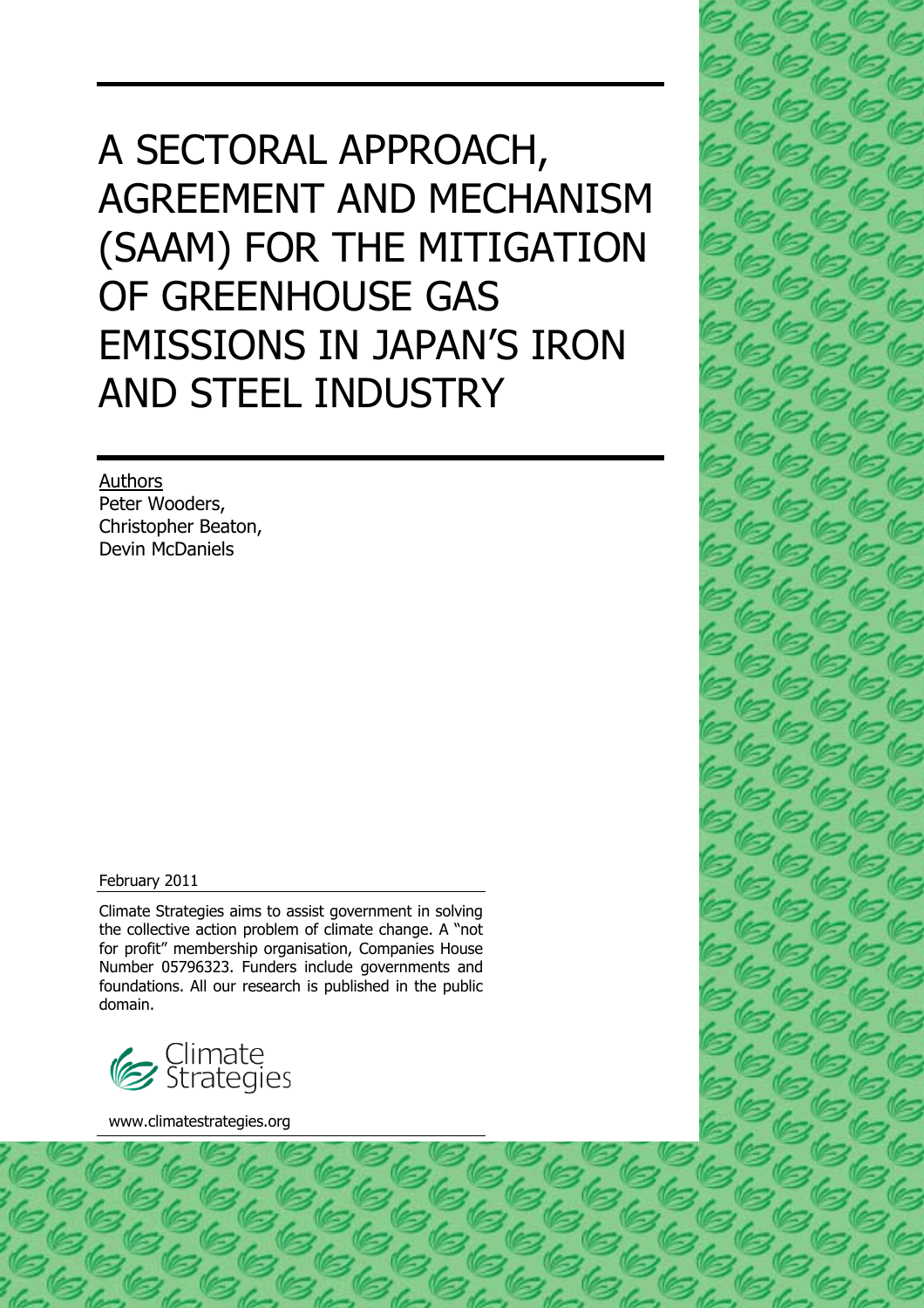## A SECTORAL APPROACH, AGREEMENT AND MECHANISM (SAAM) FOR THE MITIGATION OF GREENHOUSE GAS EMISSIONS IN JAPAN'S IRON AND STEEL INDUSTRY

Authors Peter Wooders, Christopher Beaton, Devin McDaniels

February 2011

Climate Strategies aims to assist government in solving the collective action problem of climate change. A "not for profit" membership organisation, Companies House Number 05796323. Funders include governments and foundations. All our research is published in the public domain.



www.climatestrategies.org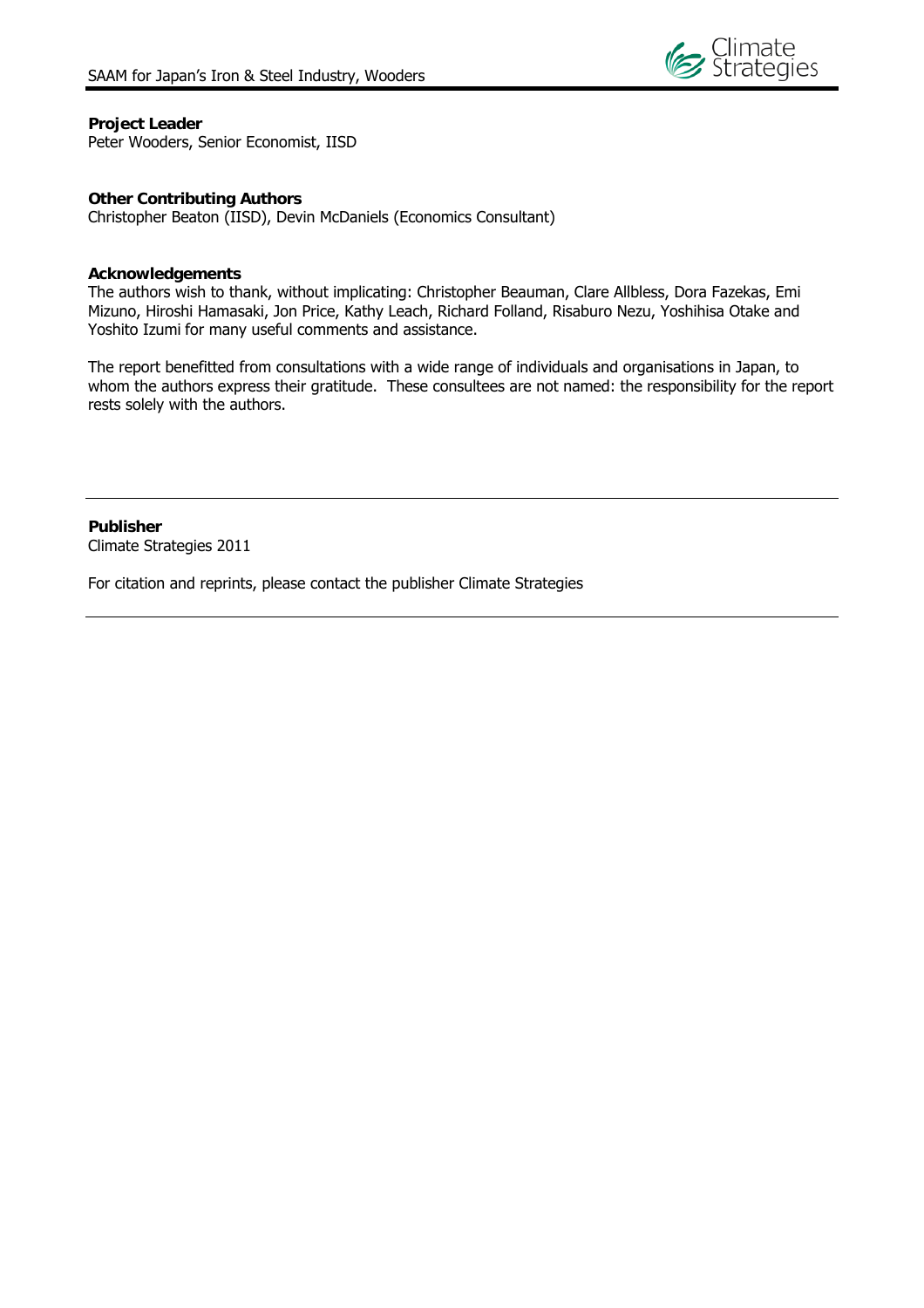

#### **Project Leader**

Peter Wooders, Senior Economist, IISD

#### **Other Contributing Authors**

Christopher Beaton (IISD), Devin McDaniels (Economics Consultant)

#### **Acknowledgements**

The authors wish to thank, without implicating: Christopher Beauman, Clare Allbless, Dora Fazekas, Emi Mizuno, Hiroshi Hamasaki, Jon Price, Kathy Leach, Richard Folland, Risaburo Nezu, Yoshihisa Otake and Yoshito Izumi for many useful comments and assistance.

The report benefitted from consultations with a wide range of individuals and organisations in Japan, to whom the authors express their gratitude. These consultees are not named: the responsibility for the report rests solely with the authors.

**Publisher**  Climate Strategies 2011

For citation and reprints, please contact the publisher Climate Strategies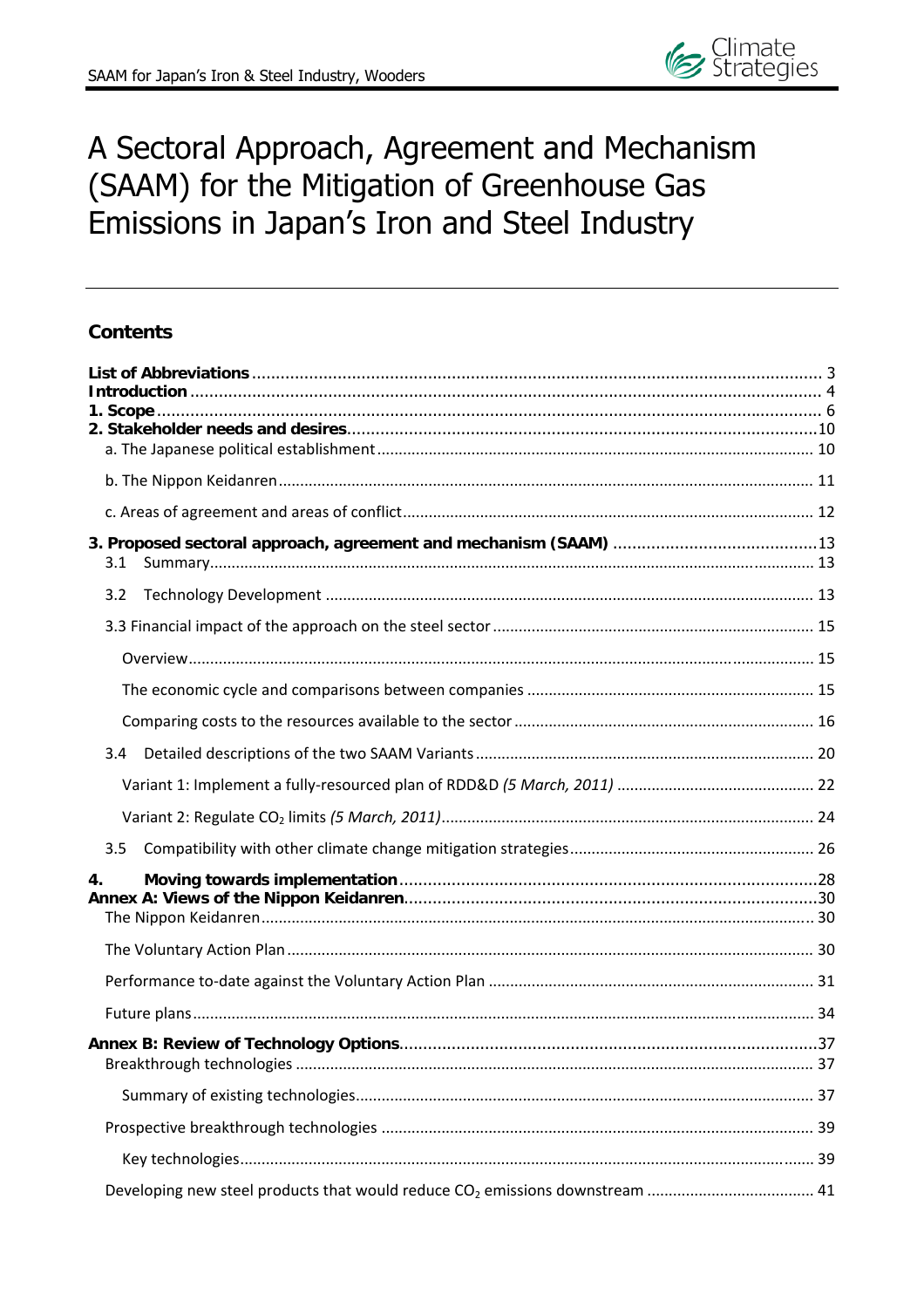## A Sectoral Approach, Agreement and Mechanism (SAAM) for the Mitigation of Greenhouse Gas Emissions in Japan's Iron and Steel Industry

## **Contents**

| 3.1 |  |
|-----|--|
| 3.2 |  |
|     |  |
|     |  |
|     |  |
|     |  |
| 3.4 |  |
|     |  |
|     |  |
| 3.5 |  |
| 4.  |  |
|     |  |
|     |  |
|     |  |
|     |  |
|     |  |
|     |  |
|     |  |
|     |  |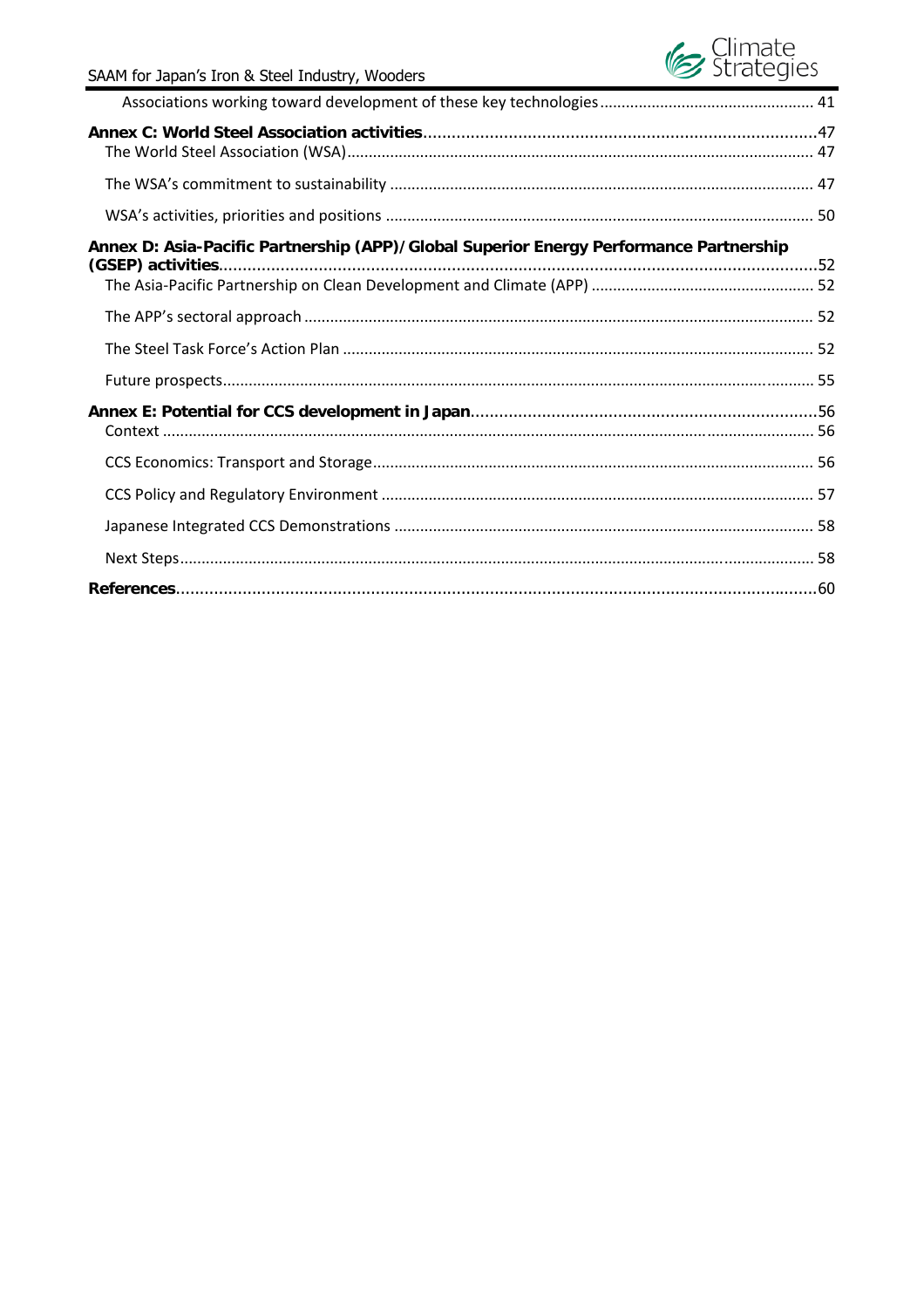# Ge Strategies

| Annex D: Asia-Pacific Partnership (APP)/Global Superior Energy Performance Partnership |  |
|----------------------------------------------------------------------------------------|--|
|                                                                                        |  |
|                                                                                        |  |
|                                                                                        |  |
|                                                                                        |  |
|                                                                                        |  |
|                                                                                        |  |
|                                                                                        |  |
|                                                                                        |  |
|                                                                                        |  |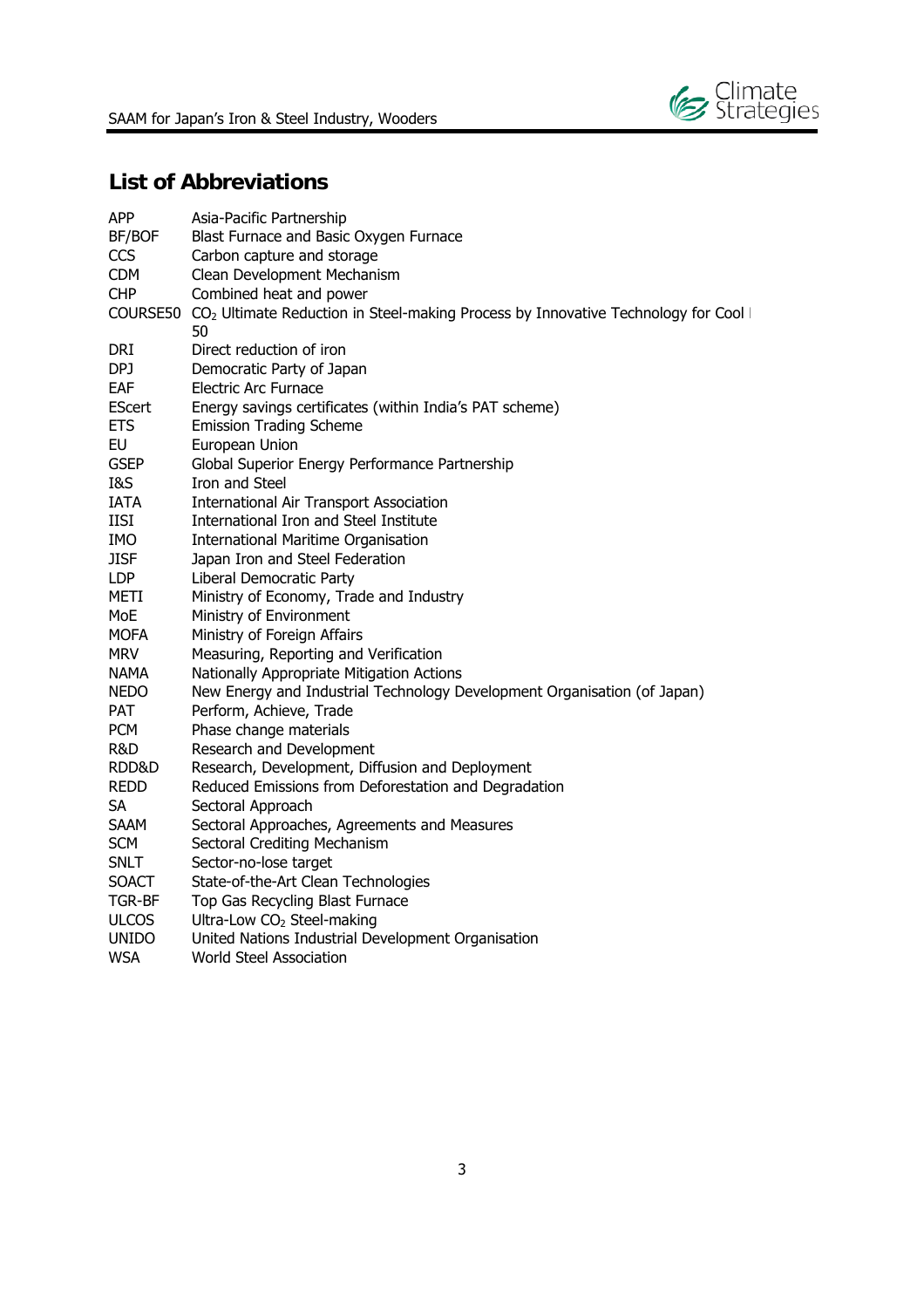

## **List of Abbreviations**

| <b>APP</b>    | Asia-Pacific Partnership                                                                          |
|---------------|---------------------------------------------------------------------------------------------------|
| BF/BOF        | Blast Furnace and Basic Oxygen Furnace                                                            |
| <b>CCS</b>    | Carbon capture and storage                                                                        |
| <b>CDM</b>    | Clean Development Mechanism                                                                       |
| <b>CHP</b>    | Combined heat and power                                                                           |
|               | COURSE50 $CO2$ Ultimate Reduction in Steel-making Process by Innovative Technology for Cool<br>50 |
| <b>DRI</b>    | Direct reduction of iron                                                                          |
| DPJ           | Democratic Party of Japan                                                                         |
| EAF           | <b>Electric Arc Furnace</b>                                                                       |
| <b>EScert</b> | Energy savings certificates (within India's PAT scheme)                                           |
| <b>ETS</b>    | <b>Emission Trading Scheme</b>                                                                    |
| <b>EU</b>     | European Union                                                                                    |
| <b>GSEP</b>   | Global Superior Energy Performance Partnership                                                    |
| I&S           | Iron and Steel                                                                                    |
| <b>IATA</b>   | <b>International Air Transport Association</b>                                                    |
| <b>IISI</b>   | International Iron and Steel Institute                                                            |
| <b>IMO</b>    | <b>International Maritime Organisation</b>                                                        |
| <b>JISF</b>   | Japan Iron and Steel Federation                                                                   |
| <b>LDP</b>    | Liberal Democratic Party                                                                          |
| <b>METI</b>   | Ministry of Economy, Trade and Industry                                                           |
| MoE           | Ministry of Environment                                                                           |
| <b>MOFA</b>   | Ministry of Foreign Affairs                                                                       |
| <b>MRV</b>    | Measuring, Reporting and Verification                                                             |
| <b>NAMA</b>   | Nationally Appropriate Mitigation Actions                                                         |
| <b>NEDO</b>   | New Energy and Industrial Technology Development Organisation (of Japan)                          |
| <b>PAT</b>    | Perform, Achieve, Trade                                                                           |
| <b>PCM</b>    | Phase change materials                                                                            |
| R&D           | Research and Development                                                                          |
| RDD&D         | Research, Development, Diffusion and Deployment                                                   |
| <b>REDD</b>   | Reduced Emissions from Deforestation and Degradation                                              |
| <b>SA</b>     | Sectoral Approach                                                                                 |
| <b>SAAM</b>   | Sectoral Approaches, Agreements and Measures                                                      |
| <b>SCM</b>    | Sectoral Crediting Mechanism                                                                      |
| <b>SNLT</b>   | Sector-no-lose target                                                                             |
| <b>SOACT</b>  | State-of-the-Art Clean Technologies                                                               |
| TGR-BF        | Top Gas Recycling Blast Furnace                                                                   |
| <b>ULCOS</b>  | Ultra-Low CO <sub>2</sub> Steel-making                                                            |
| <b>UNIDO</b>  | United Nations Industrial Development Organisation                                                |
| <b>WSA</b>    | <b>World Steel Association</b>                                                                    |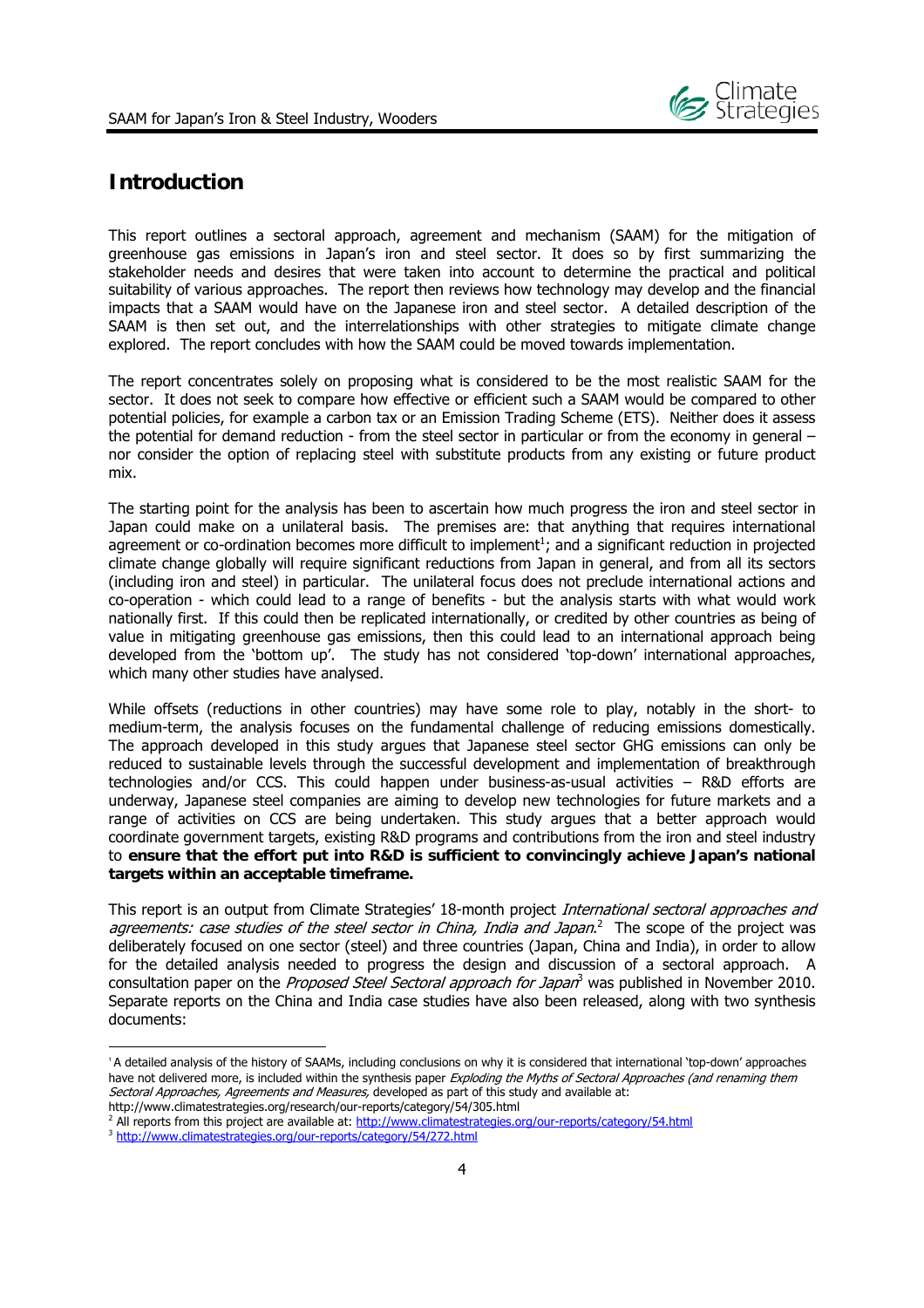

## **Introduction**

This report outlines a sectoral approach, agreement and mechanism (SAAM) for the mitigation of greenhouse gas emissions in Japan's iron and steel sector. It does so by first summarizing the stakeholder needs and desires that were taken into account to determine the practical and political suitability of various approaches. The report then reviews how technology may develop and the financial impacts that a SAAM would have on the Japanese iron and steel sector. A detailed description of the SAAM is then set out, and the interrelationships with other strategies to mitigate climate change explored. The report concludes with how the SAAM could be moved towards implementation.

The report concentrates solely on proposing what is considered to be the most realistic SAAM for the sector. It does not seek to compare how effective or efficient such a SAAM would be compared to other potential policies, for example a carbon tax or an Emission Trading Scheme (ETS). Neither does it assess the potential for demand reduction - from the steel sector in particular or from the economy in general – nor consider the option of replacing steel with substitute products from any existing or future product mix.

The starting point for the analysis has been to ascertain how much progress the iron and steel sector in Japan could make on a unilateral basis. The premises are: that anything that requires international agreement or co-ordination becomes more difficult to implement<sup>1</sup>; and a significant reduction in projected climate change globally will require significant reductions from Japan in general, and from all its sectors (including iron and steel) in particular. The unilateral focus does not preclude international actions and co-operation - which could lead to a range of benefits - but the analysis starts with what would work nationally first. If this could then be replicated internationally, or credited by other countries as being of value in mitigating greenhouse gas emissions, then this could lead to an international approach being developed from the 'bottom up'. The study has not considered 'top-down' international approaches, which many other studies have analysed.

While offsets (reductions in other countries) may have some role to play, notably in the short- to medium-term, the analysis focuses on the fundamental challenge of reducing emissions domestically. The approach developed in this study argues that Japanese steel sector GHG emissions can only be reduced to sustainable levels through the successful development and implementation of breakthrough technologies and/or CCS. This could happen under business-as-usual activities – R&D efforts are underway, Japanese steel companies are aiming to develop new technologies for future markets and a range of activities on CCS are being undertaken. This study argues that a better approach would coordinate government targets, existing R&D programs and contributions from the iron and steel industry to **ensure that the effort put into R&D is sufficient to convincingly achieve Japan's national targets within an acceptable timeframe.**

This report is an output from Climate Strategies' 18-month project International sectoral approaches and agreements: case studies of the steel sector in China, India and Japan.<sup>2</sup> The scope of the project was deliberately focused on one sector (steel) and three countries (Japan, China and India), in order to allow for the detailed analysis needed to progress the design and discussion of a sectoral approach. A consultation paper on the *Proposed Steel Sectoral approach for Japan*<sup>3</sup> was published in November 2010. Separate reports on the China and India case studies have also been released, along with two synthesis documents:

<sup>1</sup> A detailed analysis of the history of SAAMs, including conclusions on why it is considered that international 'top-down' approaches have not delivered more, is included within the synthesis paper Exploding the Myths of Sectoral Approaches (and renaming them Sectoral Approaches, Agreements and Measures, developed as part of this study and available at: http://www.climatestrategies.org/research/our-reports/category/54/305.html

<sup>&</sup>lt;sup>2</sup> All reports from this project are available at: <u>http://www.climatestrategies.org/our-reports/category/54.html</u><br><sup>3</sup> http://www.climatestrategies.org/our-reports/category/54/272.html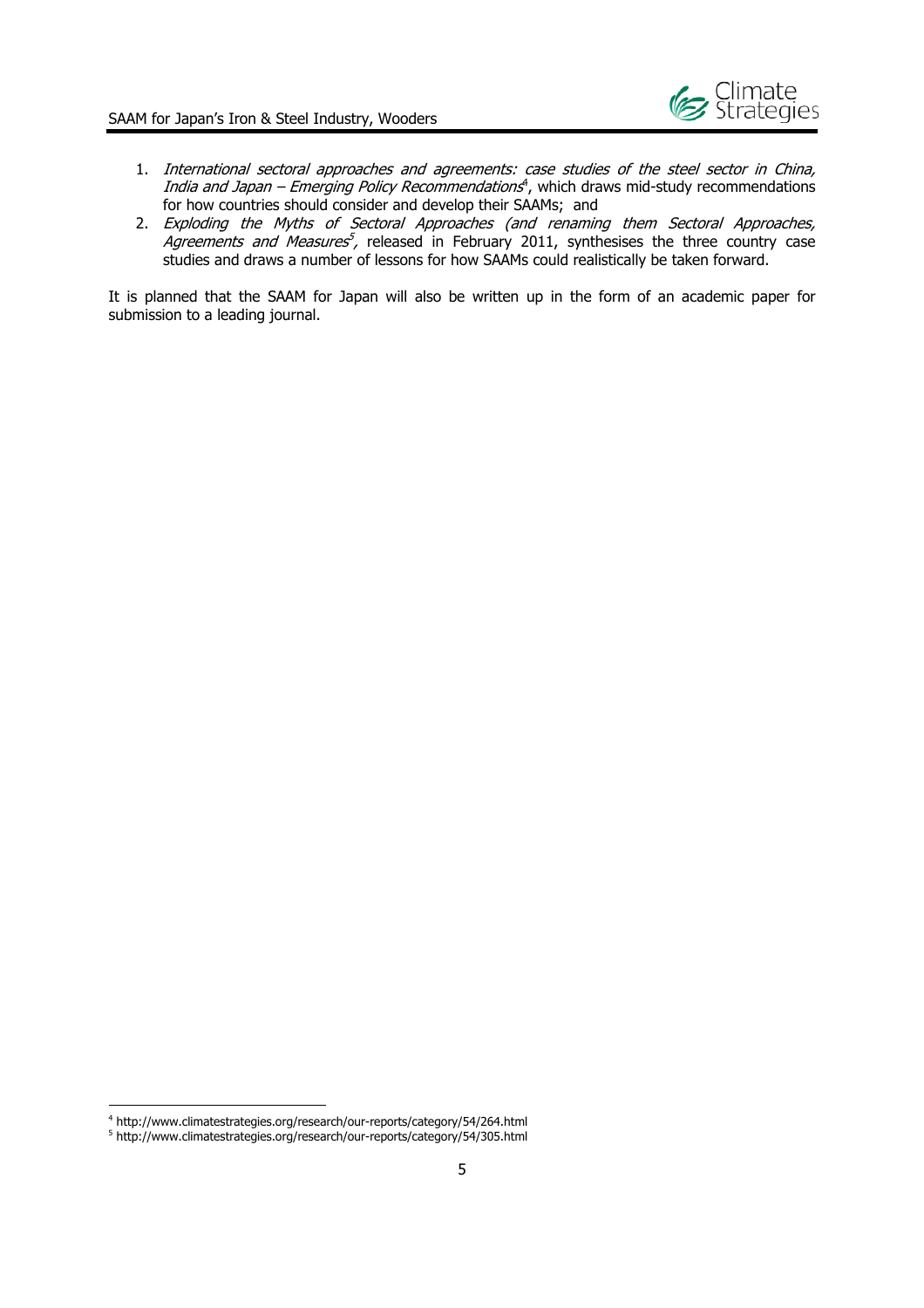

- 1. International sectoral approaches and agreements: case studies of the steel sector in China, India and Japan – Emerging Policy Recommendations<sup>4</sup>, which draws mid-study recommendations for how countries should consider and develop their SAAMs; and
- 2. Exploding the Myths of Sectoral Approaches (and renaming them Sectoral Approaches, Agreements and Measures<sup>5</sup>, released in February 2011, synthesises the three country case studies and draws a number of lessons for how SAAMs could realistically be taken forward.

It is planned that the SAAM for Japan will also be written up in the form of an academic paper for submission to a leading journal.

<sup>&</sup>lt;sup>4</sup> http://www.climatestrategies.org/research/our-reports/category/54/264.html

<sup>&</sup>lt;sup>4</sup> http://www.climatestrategies.org/research/our-reports/category/54/264.html<br><sup>5</sup> http://www.climatestrategies.org/research/our-reports/category/54/305.html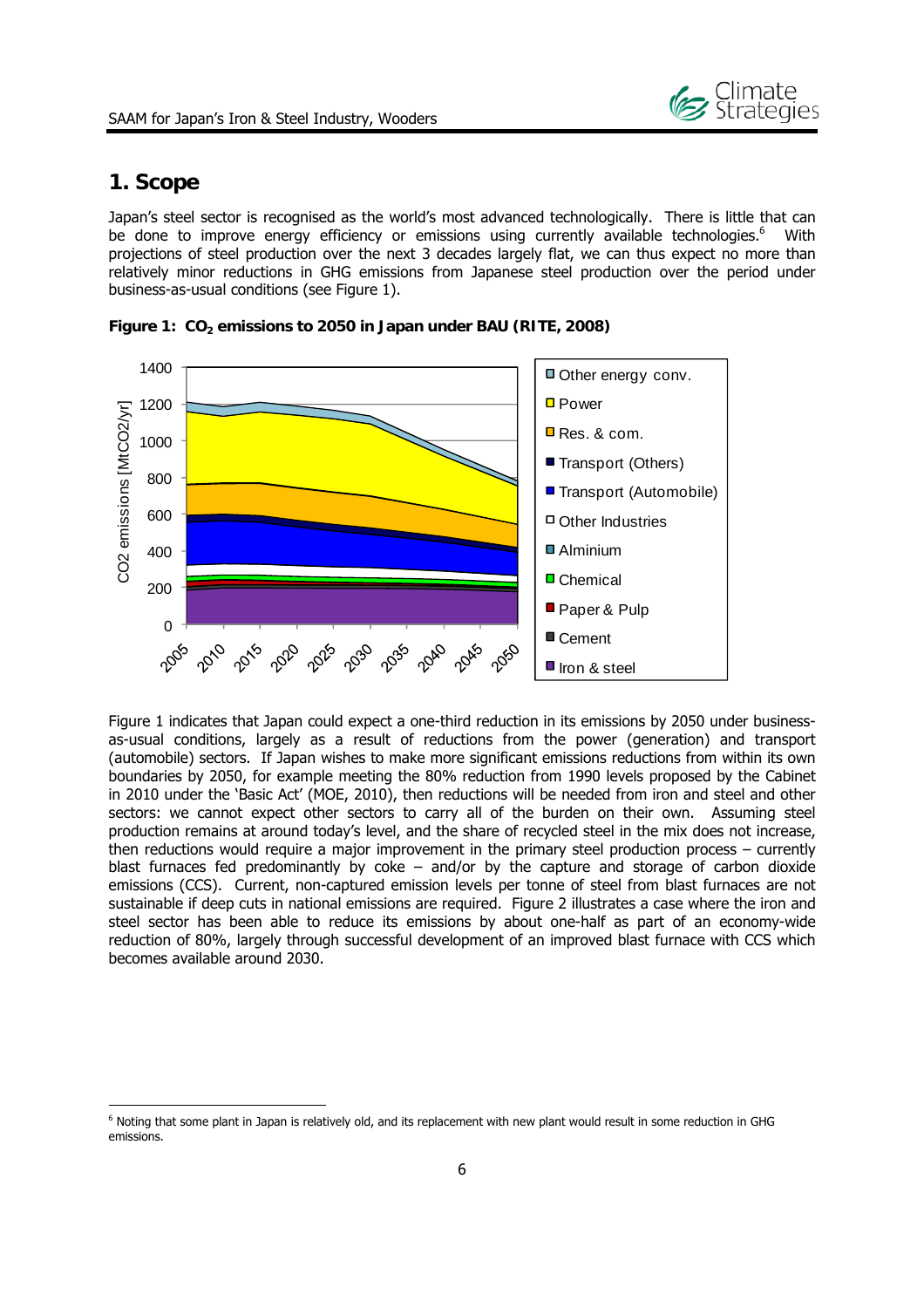

## **1. Scope**

-

Japan's steel sector is recognised as the world's most advanced technologically. There is little that can be done to improve energy efficiency or emissions using currently available technologies.<sup>6</sup> With projections of steel production over the next 3 decades largely flat, we can thus expect no more than relatively minor reductions in GHG emissions from Japanese steel production over the period under business-as-usual conditions (see Figure 1).



Figure 1: CO<sub>2</sub> emissions to 2050 in Japan under BAU (RITE, 2008)

Figure 1 indicates that Japan could expect a one-third reduction in its emissions by 2050 under businessas-usual conditions, largely as a result of reductions from the power (generation) and transport (automobile) sectors. If Japan wishes to make more significant emissions reductions from within its own boundaries by 2050, for example meeting the 80% reduction from 1990 levels proposed by the Cabinet in 2010 under the 'Basic Act' (MOE, 2010), then reductions will be needed from iron and steel and other sectors: we cannot expect other sectors to carry all of the burden on their own. Assuming steel production remains at around today's level, and the share of recycled steel in the mix does not increase, then reductions would require a major improvement in the primary steel production process – currently blast furnaces fed predominantly by coke – and/or by the capture and storage of carbon dioxide emissions (CCS). Current, non-captured emission levels per tonne of steel from blast furnaces are not sustainable if deep cuts in national emissions are required. Figure 2 illustrates a case where the iron and steel sector has been able to reduce its emissions by about one-half as part of an economy-wide reduction of 80%, largely through successful development of an improved blast furnace with CCS which becomes available around 2030.

<sup>&</sup>lt;sup>6</sup> Noting that some plant in Japan is relatively old, and its replacement with new plant would result in some reduction in GHG emissions.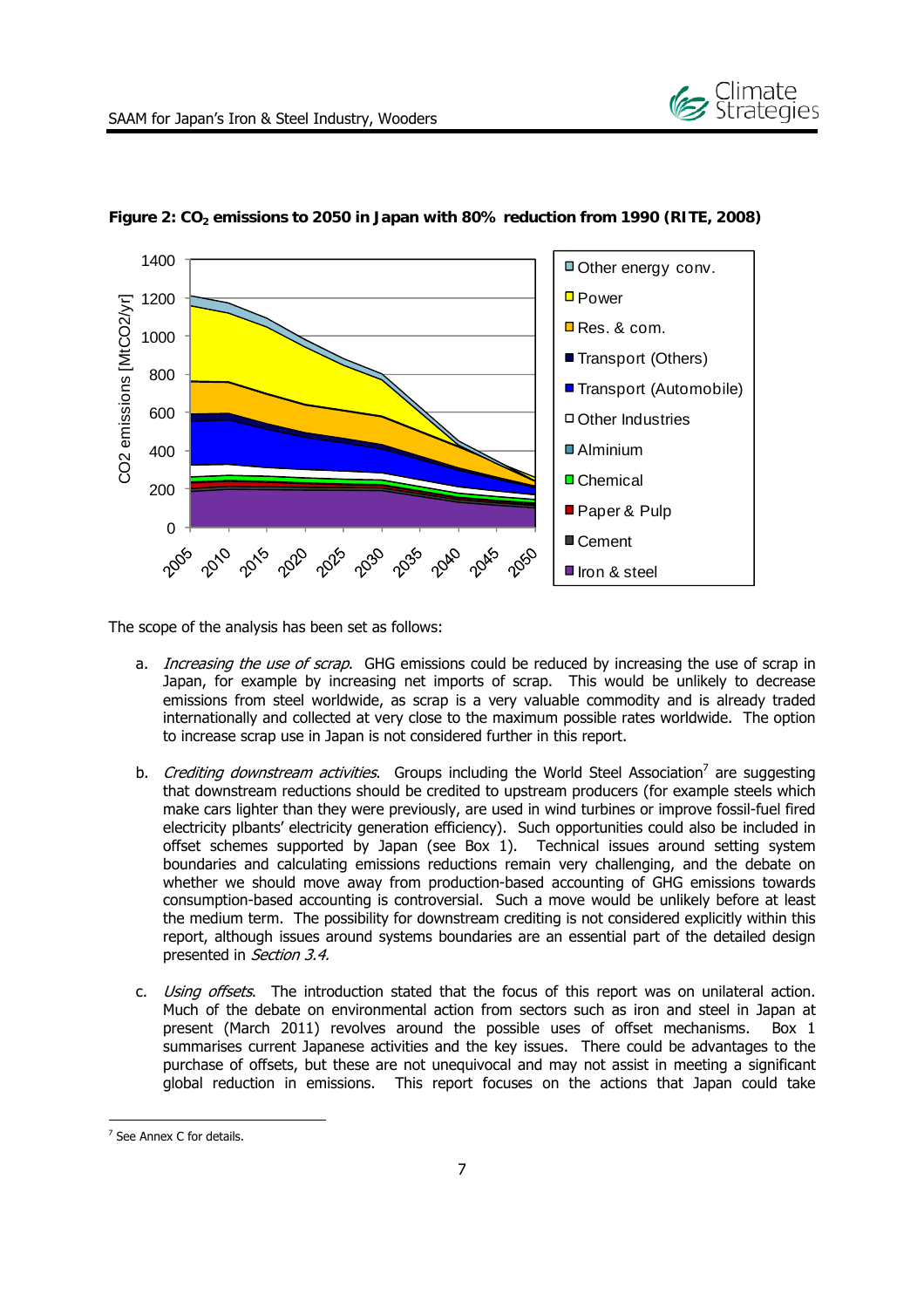



**Figure 2: CO2 emissions to 2050 in Japan with 80% reduction from 1990 (RITE, 2008)**

The scope of the analysis has been set as follows:

- a. *Increasing the use of scrap*. GHG emissions could be reduced by increasing the use of scrap in Japan, for example by increasing net imports of scrap. This would be unlikely to decrease emissions from steel worldwide, as scrap is a very valuable commodity and is already traded internationally and collected at very close to the maximum possible rates worldwide. The option to increase scrap use in Japan is not considered further in this report.
- b. *Crediting downstream activities*. Groups including the World Steel Association<sup>7</sup> are suggesting that downstream reductions should be credited to upstream producers (for example steels which make cars lighter than they were previously, are used in wind turbines or improve fossil-fuel fired electricity plbants' electricity generation efficiency). Such opportunities could also be included in offset schemes supported by Japan (see Box 1). Technical issues around setting system boundaries and calculating emissions reductions remain very challenging, and the debate on whether we should move away from production-based accounting of GHG emissions towards consumption-based accounting is controversial. Such a move would be unlikely before at least the medium term. The possibility for downstream crediting is not considered explicitly within this report, although issues around systems boundaries are an essential part of the detailed design presented in Section 3.4.
- c. Using offsets. The introduction stated that the focus of this report was on unilateral action. Much of the debate on environmental action from sectors such as iron and steel in Japan at present (March 2011) revolves around the possible uses of offset mechanisms. Box 1 summarises current Japanese activities and the key issues. There could be advantages to the purchase of offsets, but these are not unequivocal and may not assist in meeting a significant global reduction in emissions. This report focuses on the actions that Japan could take

<sup>-</sup><sup>7</sup> See Annex C for details.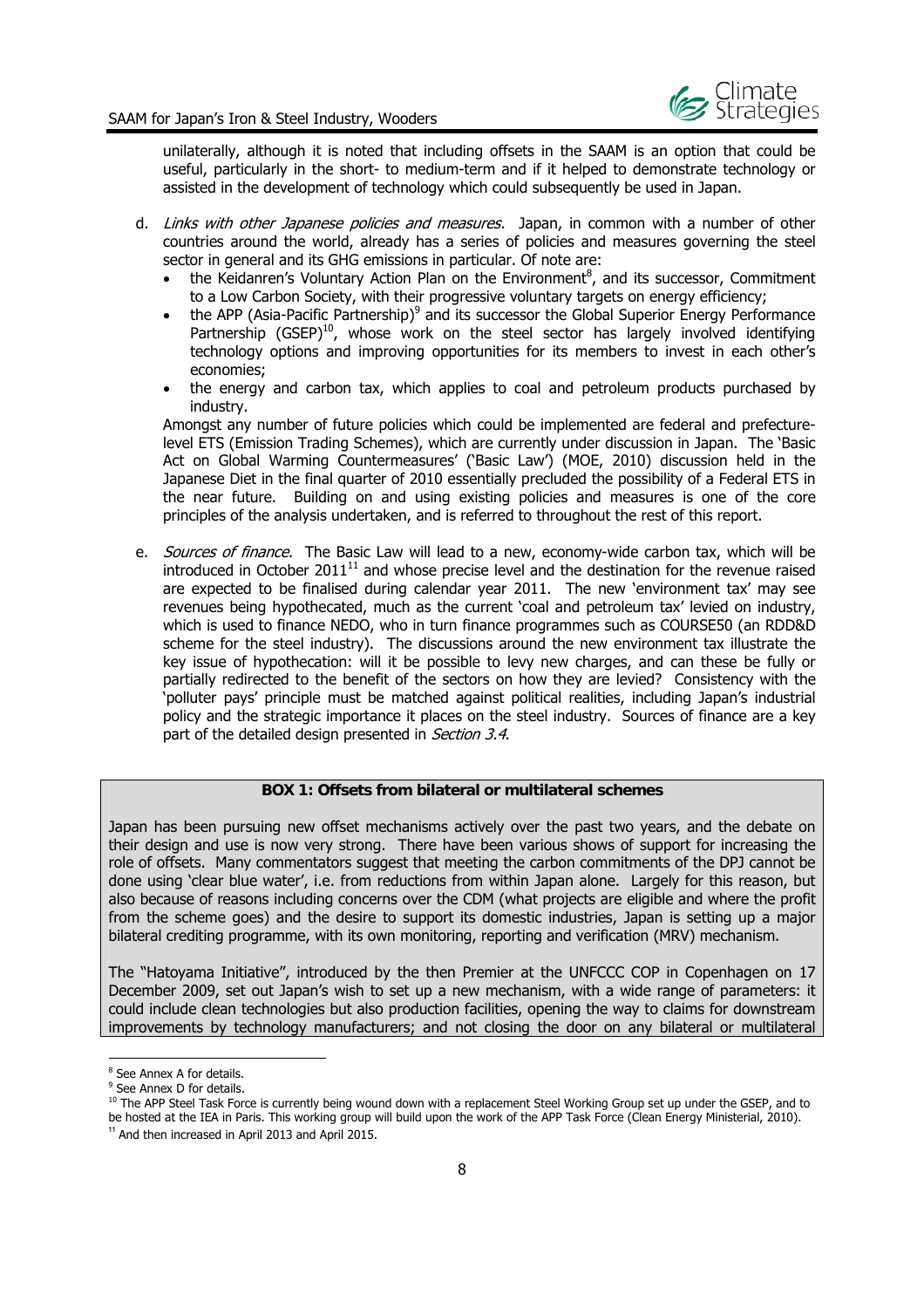

unilaterally, although it is noted that including offsets in the SAAM is an option that could be useful, particularly in the short- to medium-term and if it helped to demonstrate technology or assisted in the development of technology which could subsequently be used in Japan.

- d. Links with other Japanese policies and measures. Japan, in common with a number of other countries around the world, already has a series of policies and measures governing the steel sector in general and its GHG emissions in particular. Of note are:
	- the Keidanren's Voluntary Action Plan on the Environment<sup>8</sup>, and its successor, Commitment to a Low Carbon Society, with their progressive voluntary targets on energy efficiency;
	- the APP (Asia-Pacific Partnership)<sup>9</sup> and its successor the Global Superior Energy Performance Partnership  $(GSEP)^{10}$ , whose work on the steel sector has largely involved identifying technology options and improving opportunities for its members to invest in each other's economies;
	- the energy and carbon tax, which applies to coal and petroleum products purchased by industry.

Amongst any number of future policies which could be implemented are federal and prefecturelevel ETS (Emission Trading Schemes), which are currently under discussion in Japan. The 'Basic Act on Global Warming Countermeasures' ('Basic Law') (MOE, 2010) discussion held in the Japanese Diet in the final quarter of 2010 essentially precluded the possibility of a Federal ETS in the near future. Building on and using existing policies and measures is one of the core principles of the analysis undertaken, and is referred to throughout the rest of this report.

e. Sources of finance. The Basic Law will lead to a new, economy-wide carbon tax, which will be introduced in October  $2011^{11}$  and whose precise level and the destination for the revenue raised are expected to be finalised during calendar year 2011. The new 'environment tax' may see revenues being hypothecated, much as the current 'coal and petroleum tax' levied on industry, which is used to finance NEDO, who in turn finance programmes such as COURSE50 (an RDD&D scheme for the steel industry). The discussions around the new environment tax illustrate the key issue of hypothecation: will it be possible to levy new charges, and can these be fully or partially redirected to the benefit of the sectors on how they are levied? Consistency with the 'polluter pays' principle must be matched against political realities, including Japan's industrial policy and the strategic importance it places on the steel industry. Sources of finance are a key part of the detailed design presented in Section 3.4.

#### **BOX 1: Offsets from bilateral or multilateral schemes**

Japan has been pursuing new offset mechanisms actively over the past two years, and the debate on their design and use is now very strong. There have been various shows of support for increasing the role of offsets. Many commentators suggest that meeting the carbon commitments of the DPJ cannot be done using 'clear blue water', i.e. from reductions from within Japan alone. Largely for this reason, but also because of reasons including concerns over the CDM (what projects are eligible and where the profit from the scheme goes) and the desire to support its domestic industries, Japan is setting up a major bilateral crediting programme, with its own monitoring, reporting and verification (MRV) mechanism.

The "Hatoyama Initiative", introduced by the then Premier at the UNFCCC COP in Copenhagen on 17 December 2009, set out Japan's wish to set up a new mechanism, with a wide range of parameters: it could include clean technologies but also production facilities, opening the way to claims for downstream improvements by technology manufacturers; and not closing the door on any bilateral or multilateral

<sup>&</sup>lt;sup>8</sup> See Annex A for details.

<sup>&</sup>lt;sup>9</sup> See Annex D for details.

<sup>10</sup> The APP Steel Task Force is currently being wound down with a replacement Steel Working Group set up under the GSEP, and to be hosted at the IEA in Paris. This working group will build upon the work of the APP Task Force (Clean Energy Ministerial, 2010).  $11$  And then increased in April 2013 and April 2015.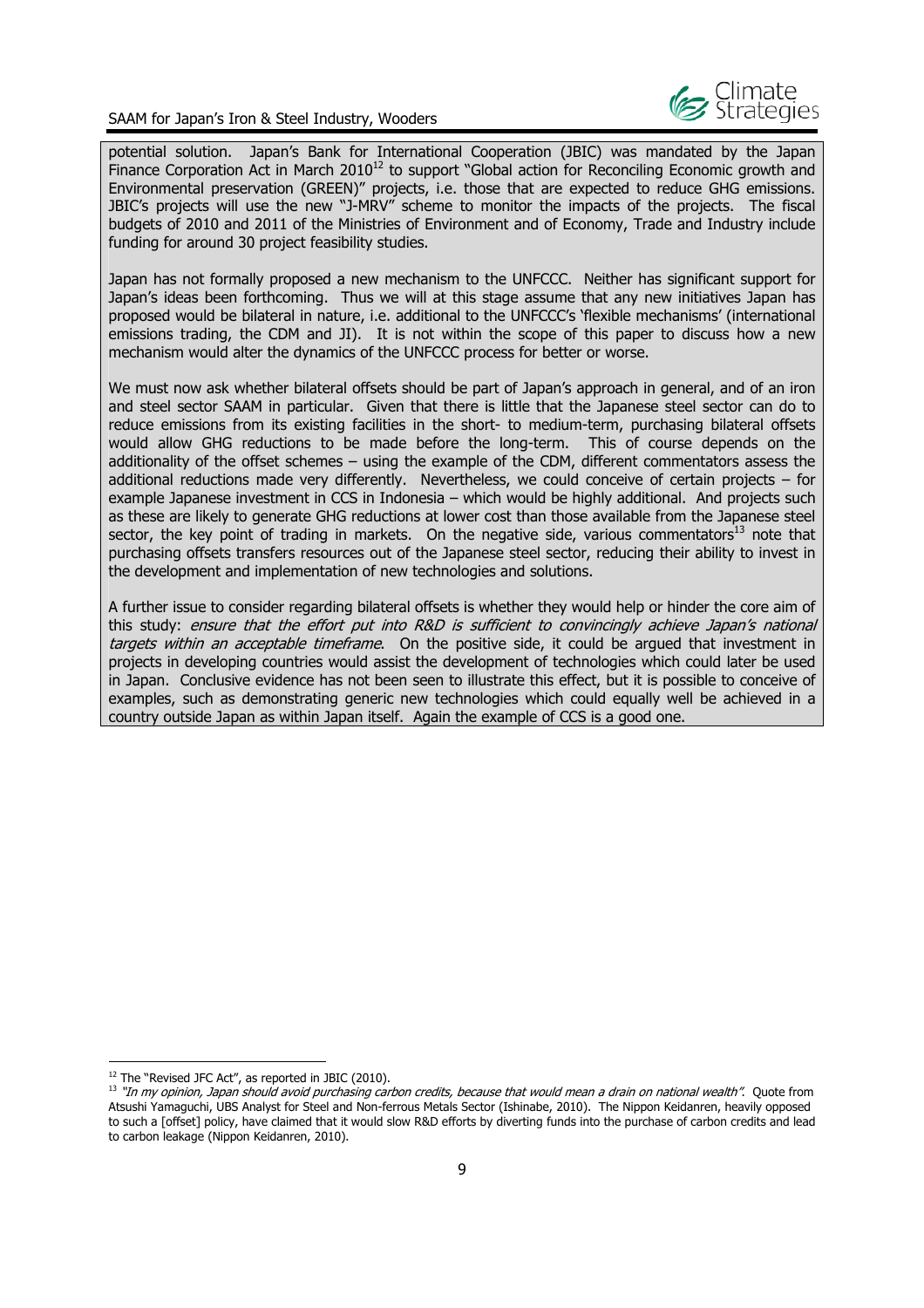

potential solution. Japan's Bank for International Cooperation (JBIC) was mandated by the Japan Finance Corporation Act in March  $2010^{12}$  to support "Global action for Reconciling Economic growth and Environmental preservation (GREEN)" projects, i.e. those that are expected to reduce GHG emissions. JBIC's projects will use the new "J-MRV" scheme to monitor the impacts of the projects. The fiscal budgets of 2010 and 2011 of the Ministries of Environment and of Economy, Trade and Industry include funding for around 30 project feasibility studies.

Japan has not formally proposed a new mechanism to the UNFCCC. Neither has significant support for Japan's ideas been forthcoming. Thus we will at this stage assume that any new initiatives Japan has proposed would be bilateral in nature, i.e. additional to the UNFCCC's 'flexible mechanisms' (international emissions trading, the CDM and JI). It is not within the scope of this paper to discuss how a new mechanism would alter the dynamics of the UNFCCC process for better or worse.

We must now ask whether bilateral offsets should be part of Japan's approach in general, and of an iron and steel sector SAAM in particular. Given that there is little that the Japanese steel sector can do to reduce emissions from its existing facilities in the short- to medium-term, purchasing bilateral offsets would allow GHG reductions to be made before the long-term. This of course depends on the additionality of the offset schemes – using the example of the CDM, different commentators assess the additional reductions made very differently. Nevertheless, we could conceive of certain projects – for example Japanese investment in CCS in Indonesia – which would be highly additional. And projects such as these are likely to generate GHG reductions at lower cost than those available from the Japanese steel sector, the key point of trading in markets. On the negative side, various commentators $^{13}$  note that purchasing offsets transfers resources out of the Japanese steel sector, reducing their ability to invest in the development and implementation of new technologies and solutions.

A further issue to consider regarding bilateral offsets is whether they would help or hinder the core aim of this study: ensure that the effort put into R&D is sufficient to convincingly achieve Japan's national targets within an acceptable timeframe. On the positive side, it could be argued that investment in projects in developing countries would assist the development of technologies which could later be used in Japan. Conclusive evidence has not been seen to illustrate this effect, but it is possible to conceive of examples, such as demonstrating generic new technologies which could equally well be achieved in a country outside Japan as within Japan itself. Again the example of CCS is a good one.

<sup>&</sup>lt;sup>12</sup> The "Revised JFC Act", as reported in JBIC (2010).

<sup>&</sup>lt;sup>13</sup> "In my opinion, Japan should avoid purchasing carbon credits, because that would mean a drain on national wealth". Quote from Atsushi Yamaguchi, UBS Analyst for Steel and Non-ferrous Metals Sector (Ishinabe, 2010). The Nippon Keidanren, heavily opposed to such a [offset] policy, have claimed that it would slow R&D efforts by diverting funds into the purchase of carbon credits and lead to carbon leakage (Nippon Keidanren, 2010).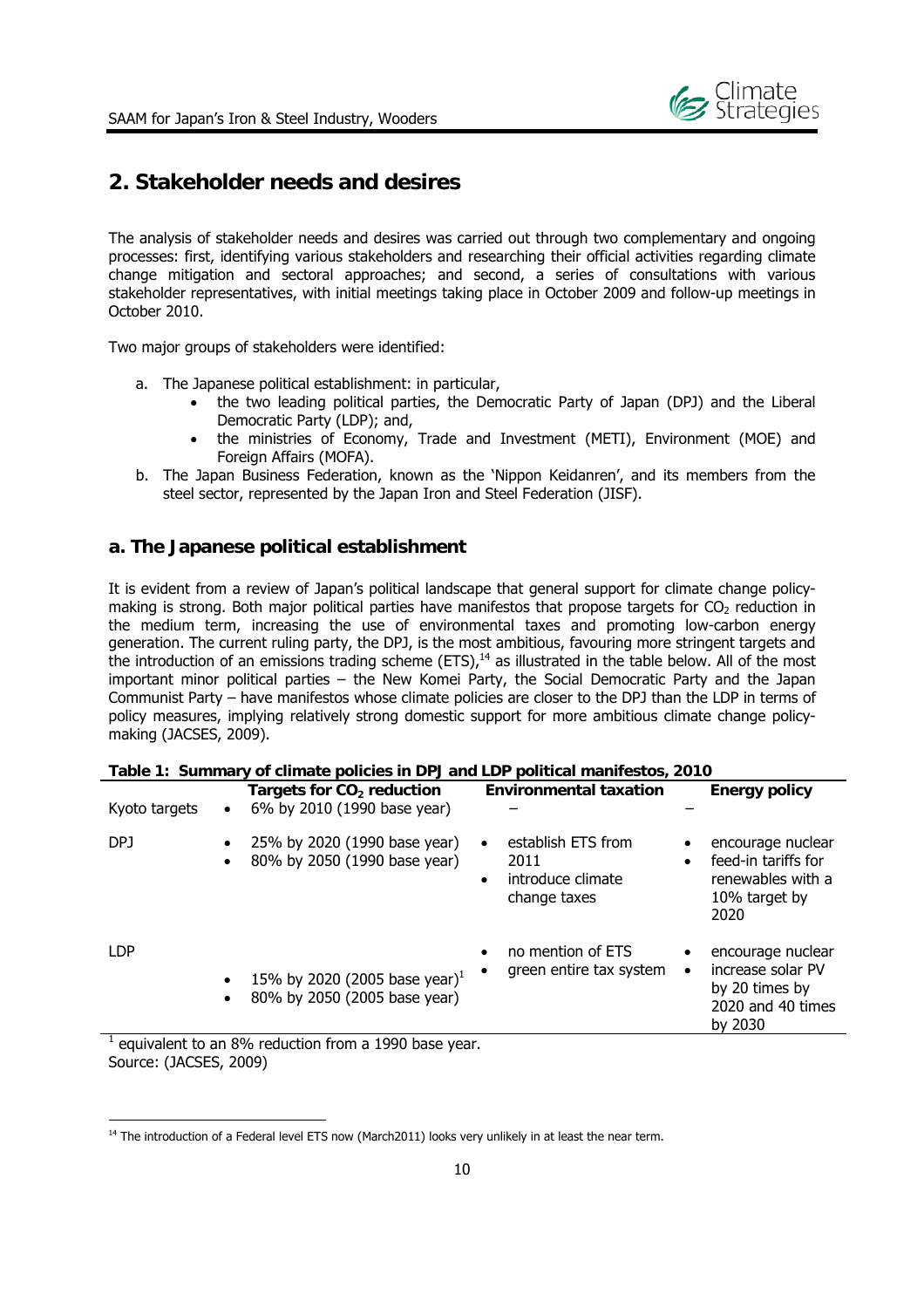

## **2. Stakeholder needs and desires**

The analysis of stakeholder needs and desires was carried out through two complementary and ongoing processes: first, identifying various stakeholders and researching their official activities regarding climate change mitigation and sectoral approaches; and second, a series of consultations with various stakeholder representatives, with initial meetings taking place in October 2009 and follow-up meetings in October 2010.

Two major groups of stakeholders were identified:

- a. The Japanese political establishment: in particular,
	- the two leading political parties, the Democratic Party of Japan (DPJ) and the Liberal Democratic Party (LDP); and,
	- the ministries of Economy, Trade and Investment (METI), Environment (MOE) and Foreign Affairs (MOFA).
- b. The Japan Business Federation, known as the 'Nippon Keidanren', and its members from the steel sector, represented by the Japan Iron and Steel Federation (JISF).

#### **a. The Japanese political establishment**

It is evident from a review of Japan's political landscape that general support for climate change policymaking is strong. Both major political parties have manifestos that propose targets for  $CO<sub>2</sub>$  reduction in the medium term, increasing the use of environmental taxes and promoting low-carbon energy generation. The current ruling party, the DPJ, is the most ambitious, favouring more stringent targets and the introduction of an emissions trading scheme (ETS), $14$  as illustrated in the table below. All of the most important minor political parties – the New Komei Party, the Social Democratic Party and the Japan Communist Party – have manifestos whose climate policies are closer to the DPJ than the LDP in terms of policy measures, implying relatively strong domestic support for more ambitious climate change policymaking (JACSES, 2009).

| Kyoto targets<br>$\bullet$                                                                  | Targets for $CO2$ reduction<br>6% by 2010 (1990 base year)                |                        | <b>Environmental taxation</b>                                   | <b>Energy policy</b>                                                                     |
|---------------------------------------------------------------------------------------------|---------------------------------------------------------------------------|------------------------|-----------------------------------------------------------------|------------------------------------------------------------------------------------------|
| DPJ<br>$\bullet$<br>$\bullet$                                                               | 25% by 2020 (1990 base year)<br>80% by 2050 (1990 base year)              | $\bullet$<br>$\bullet$ | establish ETS from<br>2011<br>introduce climate<br>change taxes | encourage nuclear<br>feed-in tariffs for<br>renewables with a<br>10% target by<br>2020   |
| <b>LDP</b><br>$\bullet$<br>$\bullet$<br>causelant to an 00/ seduction from a 1000 hooe uses | 15% by 2020 (2005 base year) <sup>1</sup><br>80% by 2050 (2005 base year) |                        | no mention of ETS<br>green entire tax system                    | encourage nuclear<br>increase solar PV<br>by 20 times by<br>2020 and 40 times<br>by 2030 |

|  |  | Table 1: Summary of climate policies in DPJ and LDP political manifestos, 2010 |  |  |
|--|--|--------------------------------------------------------------------------------|--|--|
|  |  |                                                                                |  |  |

1 equivalent to an 8% reduction from a 1990 base year. Source: (JACSES, 2009)

 $14$  The introduction of a Federal level ETS now (March2011) looks very unlikely in at least the near term.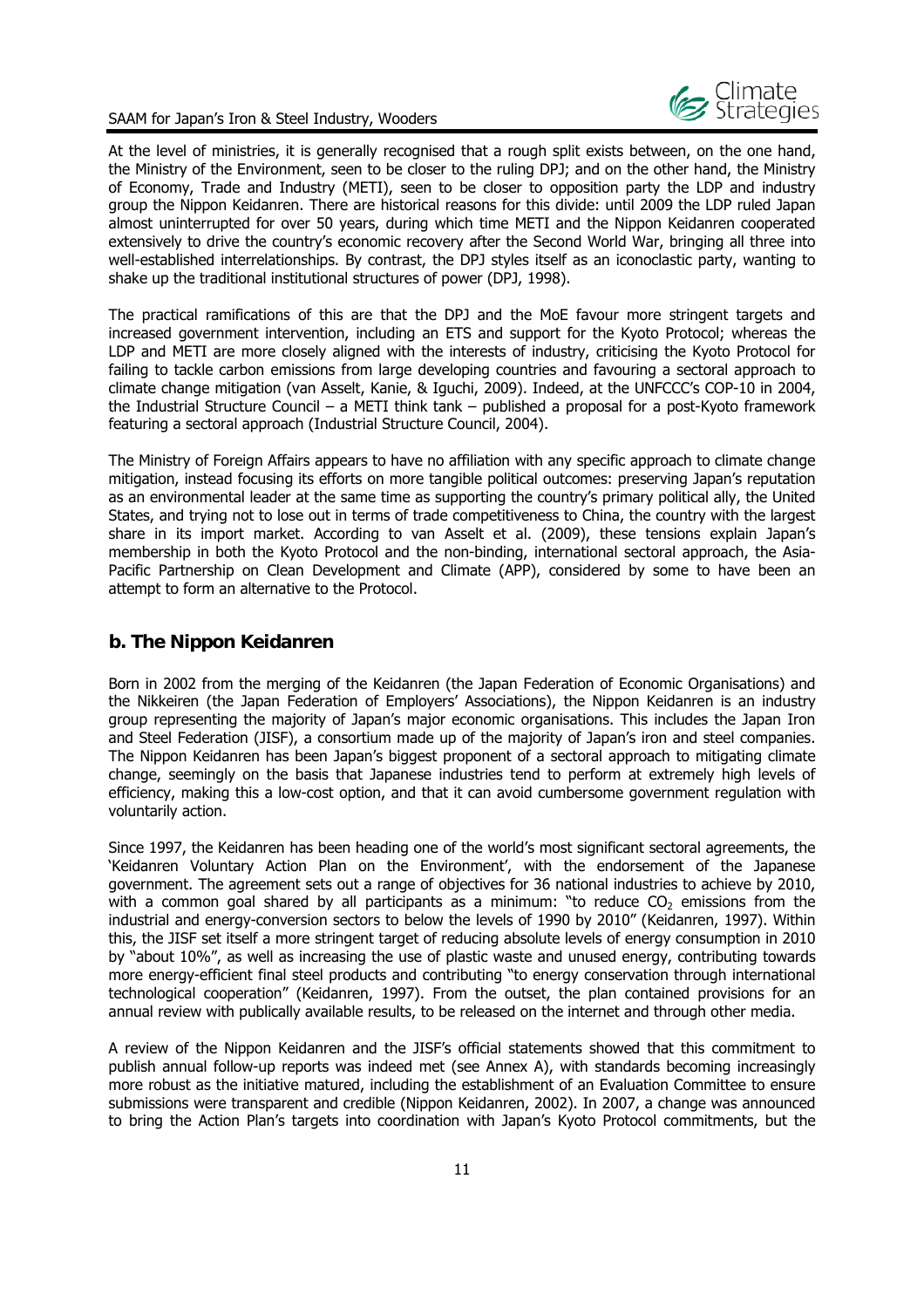

At the level of ministries, it is generally recognised that a rough split exists between, on the one hand, the Ministry of the Environment, seen to be closer to the ruling DPJ; and on the other hand, the Ministry of Economy, Trade and Industry (METI), seen to be closer to opposition party the LDP and industry group the Nippon Keidanren. There are historical reasons for this divide: until 2009 the LDP ruled Japan almost uninterrupted for over 50 years, during which time METI and the Nippon Keidanren cooperated extensively to drive the country's economic recovery after the Second World War, bringing all three into well-established interrelationships. By contrast, the DPJ styles itself as an iconoclastic party, wanting to shake up the traditional institutional structures of power (DPJ, 1998).

The practical ramifications of this are that the DPJ and the MoE favour more stringent targets and increased government intervention, including an ETS and support for the Kyoto Protocol; whereas the LDP and METI are more closely aligned with the interests of industry, criticising the Kyoto Protocol for failing to tackle carbon emissions from large developing countries and favouring a sectoral approach to climate change mitigation (van Asselt, Kanie, & Iguchi, 2009). Indeed, at the UNFCCC's COP-10 in 2004, the Industrial Structure Council – a METI think tank – published a proposal for a post-Kyoto framework featuring a sectoral approach (Industrial Structure Council, 2004).

The Ministry of Foreign Affairs appears to have no affiliation with any specific approach to climate change mitigation, instead focusing its efforts on more tangible political outcomes: preserving Japan's reputation as an environmental leader at the same time as supporting the country's primary political ally, the United States, and trying not to lose out in terms of trade competitiveness to China, the country with the largest share in its import market. According to van Asselt et al. (2009), these tensions explain Japan's membership in both the Kyoto Protocol and the non-binding, international sectoral approach, the Asia-Pacific Partnership on Clean Development and Climate (APP), considered by some to have been an attempt to form an alternative to the Protocol.

#### **b. The Nippon Keidanren**

Born in 2002 from the merging of the Keidanren (the Japan Federation of Economic Organisations) and the Nikkeiren (the Japan Federation of Employers' Associations), the Nippon Keidanren is an industry group representing the majority of Japan's major economic organisations. This includes the Japan Iron and Steel Federation (JISF), a consortium made up of the majority of Japan's iron and steel companies. The Nippon Keidanren has been Japan's biggest proponent of a sectoral approach to mitigating climate change, seemingly on the basis that Japanese industries tend to perform at extremely high levels of efficiency, making this a low-cost option, and that it can avoid cumbersome government regulation with voluntarily action.

Since 1997, the Keidanren has been heading one of the world's most significant sectoral agreements, the 'Keidanren Voluntary Action Plan on the Environment', with the endorsement of the Japanese government. The agreement sets out a range of objectives for 36 national industries to achieve by 2010, with a common goal shared by all participants as a minimum: "to reduce  $CO<sub>2</sub>$  emissions from the industrial and energy-conversion sectors to below the levels of 1990 by 2010" (Keidanren, 1997). Within this, the JISF set itself a more stringent target of reducing absolute levels of energy consumption in 2010 by "about 10%", as well as increasing the use of plastic waste and unused energy, contributing towards more energy-efficient final steel products and contributing "to energy conservation through international technological cooperation" (Keidanren, 1997). From the outset, the plan contained provisions for an annual review with publically available results, to be released on the internet and through other media.

A review of the Nippon Keidanren and the JISF's official statements showed that this commitment to publish annual follow-up reports was indeed met (see Annex A), with standards becoming increasingly more robust as the initiative matured, including the establishment of an Evaluation Committee to ensure submissions were transparent and credible (Nippon Keidanren, 2002). In 2007, a change was announced to bring the Action Plan's targets into coordination with Japan's Kyoto Protocol commitments, but the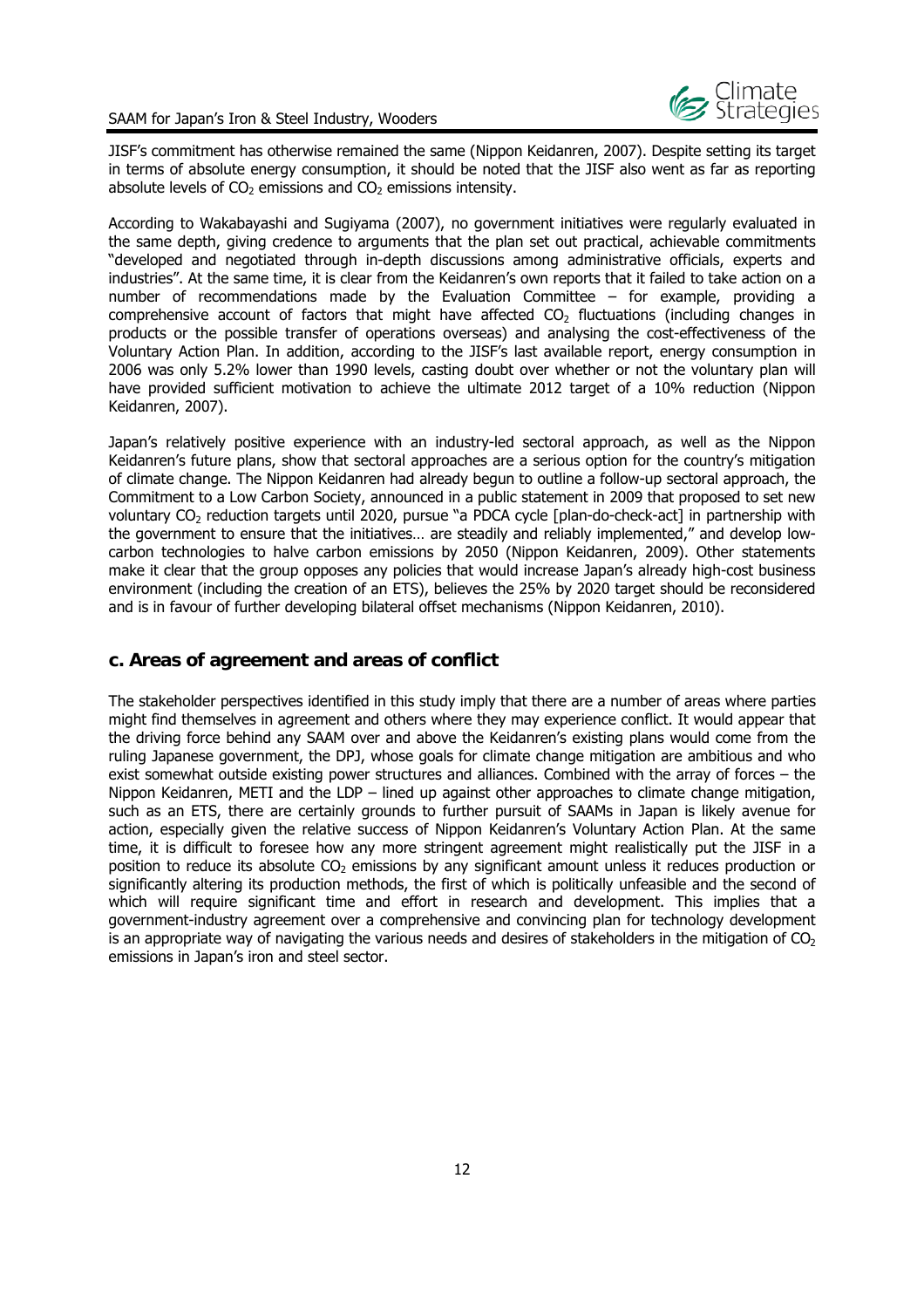

JISF's commitment has otherwise remained the same (Nippon Keidanren, 2007). Despite setting its target in terms of absolute energy consumption, it should be noted that the JISF also went as far as reporting absolute levels of  $CO<sub>2</sub>$  emissions and  $CO<sub>2</sub>$  emissions intensity.

According to Wakabayashi and Sugiyama (2007), no government initiatives were regularly evaluated in the same depth, giving credence to arguments that the plan set out practical, achievable commitments "developed and negotiated through in-depth discussions among administrative officials, experts and industries". At the same time, it is clear from the Keidanren's own reports that it failed to take action on a number of recommendations made by the Evaluation Committee – for example, providing a comprehensive account of factors that might have affected  $CO<sub>2</sub>$  fluctuations (including changes in products or the possible transfer of operations overseas) and analysing the cost-effectiveness of the Voluntary Action Plan. In addition, according to the JISF's last available report, energy consumption in 2006 was only 5.2% lower than 1990 levels, casting doubt over whether or not the voluntary plan will have provided sufficient motivation to achieve the ultimate 2012 target of a 10% reduction (Nippon Keidanren, 2007).

Japan's relatively positive experience with an industry-led sectoral approach, as well as the Nippon Keidanren's future plans, show that sectoral approaches are a serious option for the country's mitigation of climate change. The Nippon Keidanren had already begun to outline a follow-up sectoral approach, the Commitment to a Low Carbon Society, announced in a public statement in 2009 that proposed to set new voluntary CO<sub>2</sub> reduction targets until 2020, pursue "a PDCA cycle [plan-do-check-act] in partnership with the government to ensure that the initiatives… are steadily and reliably implemented," and develop lowcarbon technologies to halve carbon emissions by 2050 (Nippon Keidanren, 2009). Other statements make it clear that the group opposes any policies that would increase Japan's already high-cost business environment (including the creation of an ETS), believes the 25% by 2020 target should be reconsidered and is in favour of further developing bilateral offset mechanisms (Nippon Keidanren, 2010).

#### **c. Areas of agreement and areas of conflict**

The stakeholder perspectives identified in this study imply that there are a number of areas where parties might find themselves in agreement and others where they may experience conflict. It would appear that the driving force behind any SAAM over and above the Keidanren's existing plans would come from the ruling Japanese government, the DPJ, whose goals for climate change mitigation are ambitious and who exist somewhat outside existing power structures and alliances. Combined with the array of forces – the Nippon Keidanren, METI and the LDP – lined up against other approaches to climate change mitigation, such as an ETS, there are certainly grounds to further pursuit of SAAMs in Japan is likely avenue for action, especially given the relative success of Nippon Keidanren's Voluntary Action Plan. At the same time, it is difficult to foresee how any more stringent agreement might realistically put the JISF in a position to reduce its absolute  $CO<sub>2</sub>$  emissions by any significant amount unless it reduces production or significantly altering its production methods, the first of which is politically unfeasible and the second of which will require significant time and effort in research and development. This implies that a government-industry agreement over a comprehensive and convincing plan for technology development is an appropriate way of navigating the various needs and desires of stakeholders in the mitigation of  $CO<sub>2</sub>$ emissions in Japan's iron and steel sector.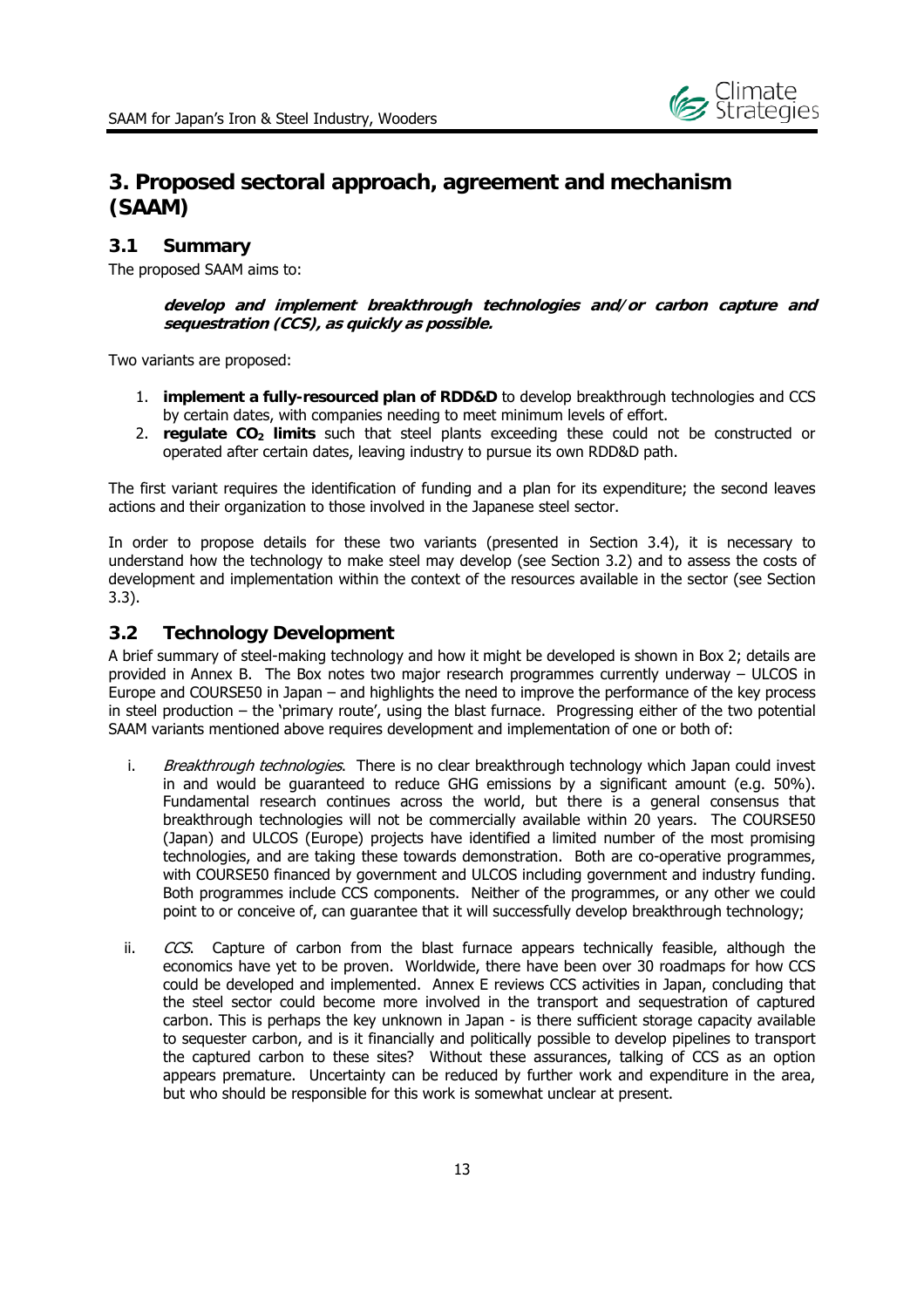

## **3. Proposed sectoral approach, agreement and mechanism (SAAM)**

#### **3.1 Summary**

The proposed SAAM aims to:

**develop and implement breakthrough technologies and/or carbon capture and sequestration (CCS), as quickly as possible.** 

Two variants are proposed:

- 1. **implement a fully-resourced plan of RDD&D** to develop breakthrough technologies and CCS by certain dates, with companies needing to meet minimum levels of effort.
- 2. **regulate CO<sub>2</sub> limits** such that steel plants exceeding these could not be constructed or operated after certain dates, leaving industry to pursue its own RDD&D path.

The first variant requires the identification of funding and a plan for its expenditure; the second leaves actions and their organization to those involved in the Japanese steel sector.

In order to propose details for these two variants (presented in Section 3.4), it is necessary to understand how the technology to make steel may develop (see Section 3.2) and to assess the costs of development and implementation within the context of the resources available in the sector (see Section 3.3).

#### **3.2 Technology Development**

A brief summary of steel-making technology and how it might be developed is shown in Box 2; details are provided in Annex B. The Box notes two major research programmes currently underway – ULCOS in Europe and COURSE50 in Japan – and highlights the need to improve the performance of the key process in steel production – the 'primary route', using the blast furnace. Progressing either of the two potential SAAM variants mentioned above requires development and implementation of one or both of:

- i. Breakthrough technologies. There is no clear breakthrough technology which Japan could invest in and would be guaranteed to reduce GHG emissions by a significant amount (e.g. 50%). Fundamental research continues across the world, but there is a general consensus that breakthrough technologies will not be commercially available within 20 years. The COURSE50 (Japan) and ULCOS (Europe) projects have identified a limited number of the most promising technologies, and are taking these towards demonstration. Both are co-operative programmes, with COURSE50 financed by government and ULCOS including government and industry funding. Both programmes include CCS components. Neither of the programmes, or any other we could point to or conceive of, can guarantee that it will successfully develop breakthrough technology;
- ii.  $CCS$ . Capture of carbon from the blast furnace appears technically feasible, although the economics have yet to be proven. Worldwide, there have been over 30 roadmaps for how CCS could be developed and implemented. Annex E reviews CCS activities in Japan, concluding that the steel sector could become more involved in the transport and sequestration of captured carbon. This is perhaps the key unknown in Japan - is there sufficient storage capacity available to sequester carbon, and is it financially and politically possible to develop pipelines to transport the captured carbon to these sites? Without these assurances, talking of CCS as an option appears premature. Uncertainty can be reduced by further work and expenditure in the area, but who should be responsible for this work is somewhat unclear at present.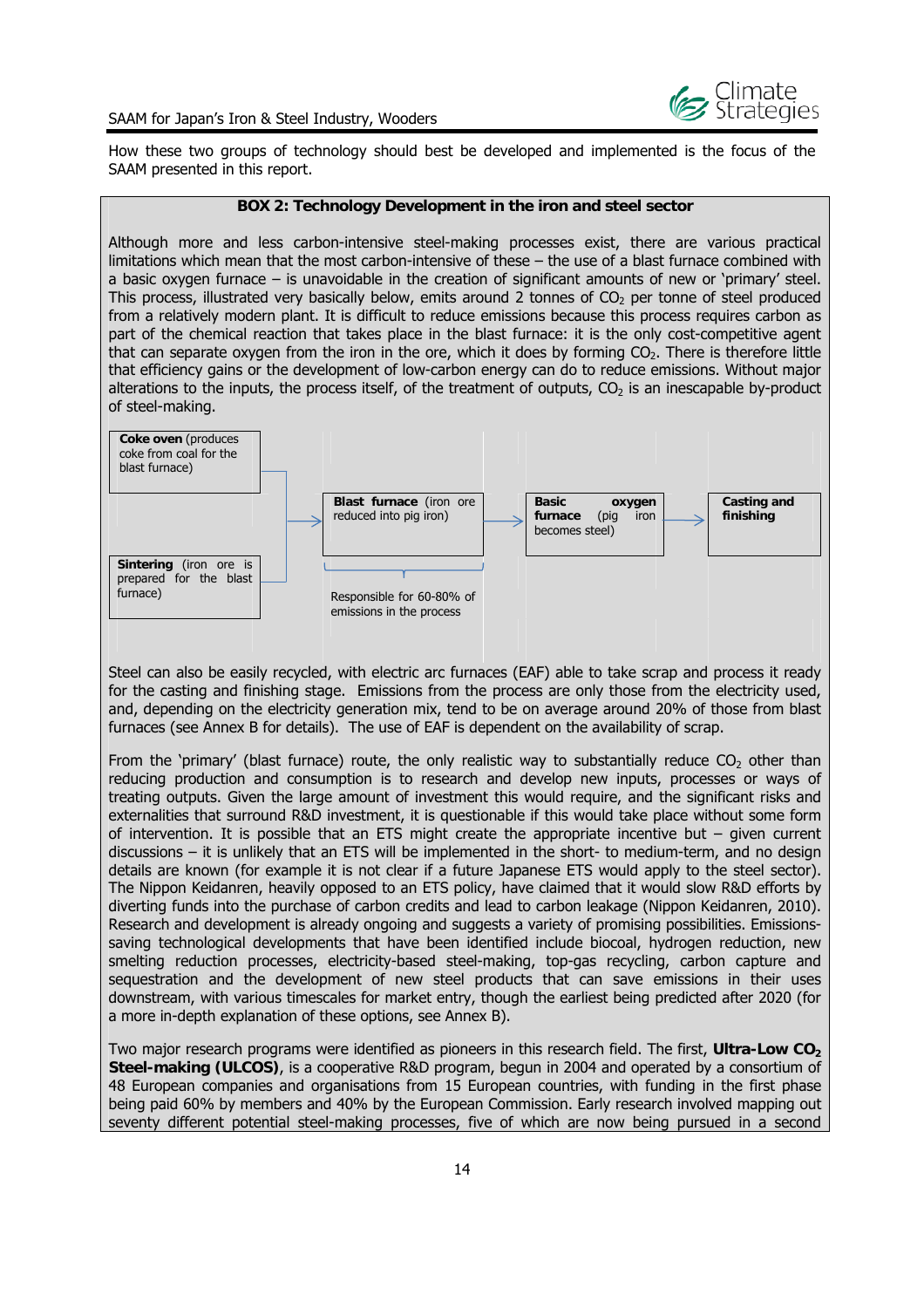

How these two groups of technology should best be developed and implemented is the focus of the SAAM presented in this report.

#### **BOX 2: Technology Development in the iron and steel sector**

Although more and less carbon-intensive steel-making processes exist, there are various practical limitations which mean that the most carbon-intensive of these – the use of a blast furnace combined with a basic oxygen furnace – is unavoidable in the creation of significant amounts of new or 'primary' steel. This process, illustrated very basically below, emits around 2 tonnes of  $CO<sub>2</sub>$  per tonne of steel produced from a relatively modern plant. It is difficult to reduce emissions because this process requires carbon as part of the chemical reaction that takes place in the blast furnace: it is the only cost-competitive agent that can separate oxygen from the iron in the ore, which it does by forming  $CO<sub>2</sub>$ . There is therefore little that efficiency gains or the development of low-carbon energy can do to reduce emissions. Without major alterations to the inputs, the process itself, of the treatment of outputs,  $CO<sub>2</sub>$  is an inescapable by-product of steel-making.



Steel can also be easily recycled, with electric arc furnaces (EAF) able to take scrap and process it ready for the casting and finishing stage. Emissions from the process are only those from the electricity used, and, depending on the electricity generation mix, tend to be on average around 20% of those from blast furnaces (see Annex B for details). The use of EAF is dependent on the availability of scrap.

From the 'primary' (blast furnace) route, the only realistic way to substantially reduce  $CO<sub>2</sub>$  other than reducing production and consumption is to research and develop new inputs, processes or ways of treating outputs. Given the large amount of investment this would require, and the significant risks and externalities that surround R&D investment, it is questionable if this would take place without some form of intervention. It is possible that an ETS might create the appropriate incentive but  $-$  given current discussions – it is unlikely that an ETS will be implemented in the short- to medium-term, and no design details are known (for example it is not clear if a future Japanese ETS would apply to the steel sector). The Nippon Keidanren, heavily opposed to an ETS policy, have claimed that it would slow R&D efforts by diverting funds into the purchase of carbon credits and lead to carbon leakage (Nippon Keidanren, 2010). Research and development is already ongoing and suggests a variety of promising possibilities. Emissionssaving technological developments that have been identified include biocoal, hydrogen reduction, new smelting reduction processes, electricity-based steel-making, top-gas recycling, carbon capture and sequestration and the development of new steel products that can save emissions in their uses downstream, with various timescales for market entry, though the earliest being predicted after 2020 (for a more in-depth explanation of these options, see Annex B).

Two major research programs were identified as pioneers in this research field. The first, **Ultra-Low CO**<sub>2</sub> **Steel-making (ULCOS)**, is a cooperative R&D program, begun in 2004 and operated by a consortium of 48 European companies and organisations from 15 European countries, with funding in the first phase being paid 60% by members and 40% by the European Commission. Early research involved mapping out seventy different potential steel-making processes, five of which are now being pursued in a second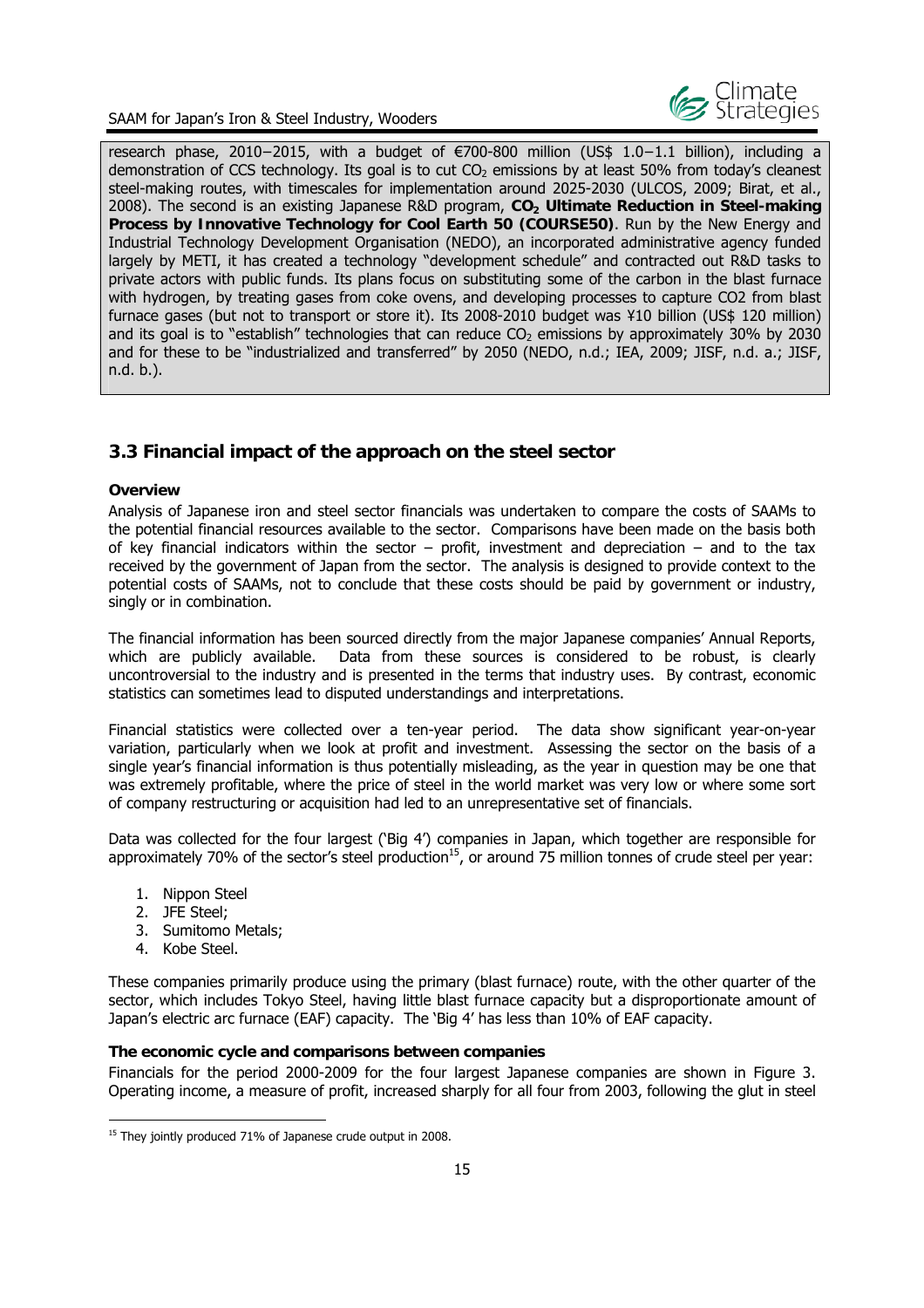

research phase, 2010−2015, with a budget of €700-800 million (US\$ 1.0−1.1 billion), including a demonstration of CCS technology. Its goal is to cut  $CO<sub>2</sub>$  emissions by at least 50% from today's cleanest steel-making routes, with timescales for implementation around 2025-2030 (ULCOS, 2009; Birat, et al., 2008). The second is an existing Japanese R&D program, CO<sub>2</sub> Ultimate Reduction in Steel-making **Process by Innovative Technology for Cool Earth 50 (COURSE50)**. Run by the New Energy and Industrial Technology Development Organisation (NEDO), an incorporated administrative agency funded largely by METI, it has created a technology "development schedule" and contracted out R&D tasks to private actors with public funds. Its plans focus on substituting some of the carbon in the blast furnace with hydrogen, by treating gases from coke ovens, and developing processes to capture CO2 from blast furnace gases (but not to transport or store it). Its 2008-2010 budget was ¥10 billion (US\$ 120 million) and its goal is to "establish" technologies that can reduce  $CO<sub>2</sub>$  emissions by approximately 30% by 2030 and for these to be "industrialized and transferred" by 2050 (NEDO, n.d.; IEA, 2009; JISF, n.d. a.; JISF, n.d. b.).

## **3.3 Financial impact of the approach on the steel sector**

#### **Overview**

Analysis of Japanese iron and steel sector financials was undertaken to compare the costs of SAAMs to the potential financial resources available to the sector. Comparisons have been made on the basis both of key financial indicators within the sector – profit, investment and depreciation – and to the tax received by the government of Japan from the sector. The analysis is designed to provide context to the potential costs of SAAMs, not to conclude that these costs should be paid by government or industry, singly or in combination.

The financial information has been sourced directly from the major Japanese companies' Annual Reports, which are publicly available. Data from these sources is considered to be robust, is clearly uncontroversial to the industry and is presented in the terms that industry uses. By contrast, economic statistics can sometimes lead to disputed understandings and interpretations.

Financial statistics were collected over a ten-year period. The data show significant year-on-year variation, particularly when we look at profit and investment. Assessing the sector on the basis of a single year's financial information is thus potentially misleading, as the year in question may be one that was extremely profitable, where the price of steel in the world market was very low or where some sort of company restructuring or acquisition had led to an unrepresentative set of financials.

Data was collected for the four largest ('Big 4') companies in Japan, which together are responsible for approximately 70% of the sector's steel production<sup>15</sup>, or around 75 million tonnes of crude steel per year:

- 1. Nippon Steel
- 2. JFE Steel;
- 3. Sumitomo Metals;
- 4. Kobe Steel.

-

These companies primarily produce using the primary (blast furnace) route, with the other quarter of the sector, which includes Tokyo Steel, having little blast furnace capacity but a disproportionate amount of Japan's electric arc furnace (EAF) capacity. The 'Big 4' has less than 10% of EAF capacity.

#### **The economic cycle and comparisons between companies**

Financials for the period 2000-2009 for the four largest Japanese companies are shown in Figure 3. Operating income, a measure of profit, increased sharply for all four from 2003, following the glut in steel

<sup>&</sup>lt;sup>15</sup> They jointly produced 71% of Japanese crude output in 2008.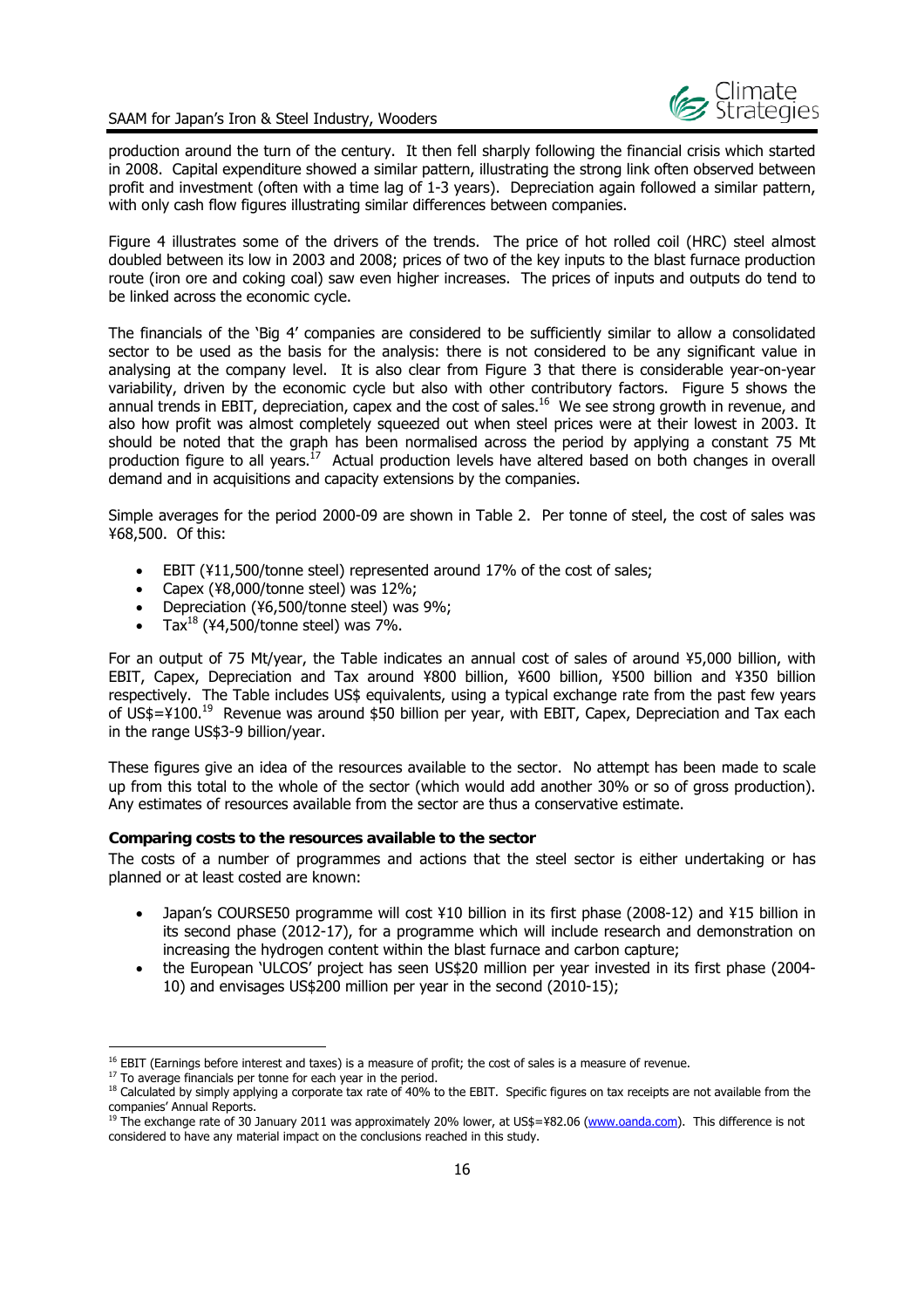

production around the turn of the century. It then fell sharply following the financial crisis which started in 2008. Capital expenditure showed a similar pattern, illustrating the strong link often observed between profit and investment (often with a time lag of 1-3 years). Depreciation again followed a similar pattern, with only cash flow figures illustrating similar differences between companies.

Figure 4 illustrates some of the drivers of the trends. The price of hot rolled coil (HRC) steel almost doubled between its low in 2003 and 2008; prices of two of the key inputs to the blast furnace production route (iron ore and coking coal) saw even higher increases. The prices of inputs and outputs do tend to be linked across the economic cycle.

The financials of the 'Big 4' companies are considered to be sufficiently similar to allow a consolidated sector to be used as the basis for the analysis: there is not considered to be any significant value in analysing at the company level. It is also clear from Figure 3 that there is considerable year-on-year variability, driven by the economic cycle but also with other contributory factors. Figure 5 shows the annual trends in EBIT, depreciation, capex and the cost of sales.16 We see strong growth in revenue, and also how profit was almost completely squeezed out when steel prices were at their lowest in 2003. It should be noted that the graph has been normalised across the period by applying a constant 75 Mt production figure to all years.<sup>17</sup> Actual production levels have altered based on both changes in overall demand and in acquisitions and capacity extensions by the companies.

Simple averages for the period 2000-09 are shown in Table 2. Per tonne of steel, the cost of sales was ¥68,500. Of this:

- EBIT (¥11,500/tonne steel) represented around 17% of the cost of sales;
- Capex (¥8,000/tonne steel) was 12%;
- Depreciation (¥6,500/tonne steel) was 9%;
- Tax $^{18}$  (¥4,500/tonne steel) was 7%.

For an output of 75 Mt/year, the Table indicates an annual cost of sales of around ¥5,000 billion, with EBIT, Capex, Depreciation and Tax around ¥800 billion, ¥600 billion, ¥500 billion and ¥350 billion respectively. The Table includes US\$ equivalents, using a typical exchange rate from the past few years of US\$=¥100.<sup>19</sup> Revenue was around \$50 billion per year, with EBIT, Capex, Depreciation and Tax each in the range US\$3-9 billion/year.

These figures give an idea of the resources available to the sector. No attempt has been made to scale up from this total to the whole of the sector (which would add another 30% or so of gross production). Any estimates of resources available from the sector are thus a conservative estimate.

#### **Comparing costs to the resources available to the sector**

The costs of a number of programmes and actions that the steel sector is either undertaking or has planned or at least costed are known:

- Japan's COURSE50 programme will cost ¥10 billion in its first phase (2008-12) and ¥15 billion in its second phase (2012-17), for a programme which will include research and demonstration on increasing the hydrogen content within the blast furnace and carbon capture;
- the European 'ULCOS' project has seen US\$20 million per year invested in its first phase (2004- 10) and envisages US\$200 million per year in the second (2010-15);

<sup>&</sup>lt;sup>16</sup> EBIT (Earnings before interest and taxes) is a measure of profit; the cost of sales is a measure of revenue.<br><sup>17</sup> To average financials per tonne for each year in the period.

<sup>&</sup>lt;sup>18</sup> Calculated by simply applying a corporate tax rate of 40% to the EBIT. Specific figures on tax receipts are not available from the companies' Annual Reports.

<sup>&</sup>lt;sup>19</sup> The exchange rate of 30 January 2011 was approximately 20% lower, at US\$=¥82.06 (www.oanda.com). This difference is not considered to have any material impact on the conclusions reached in this study.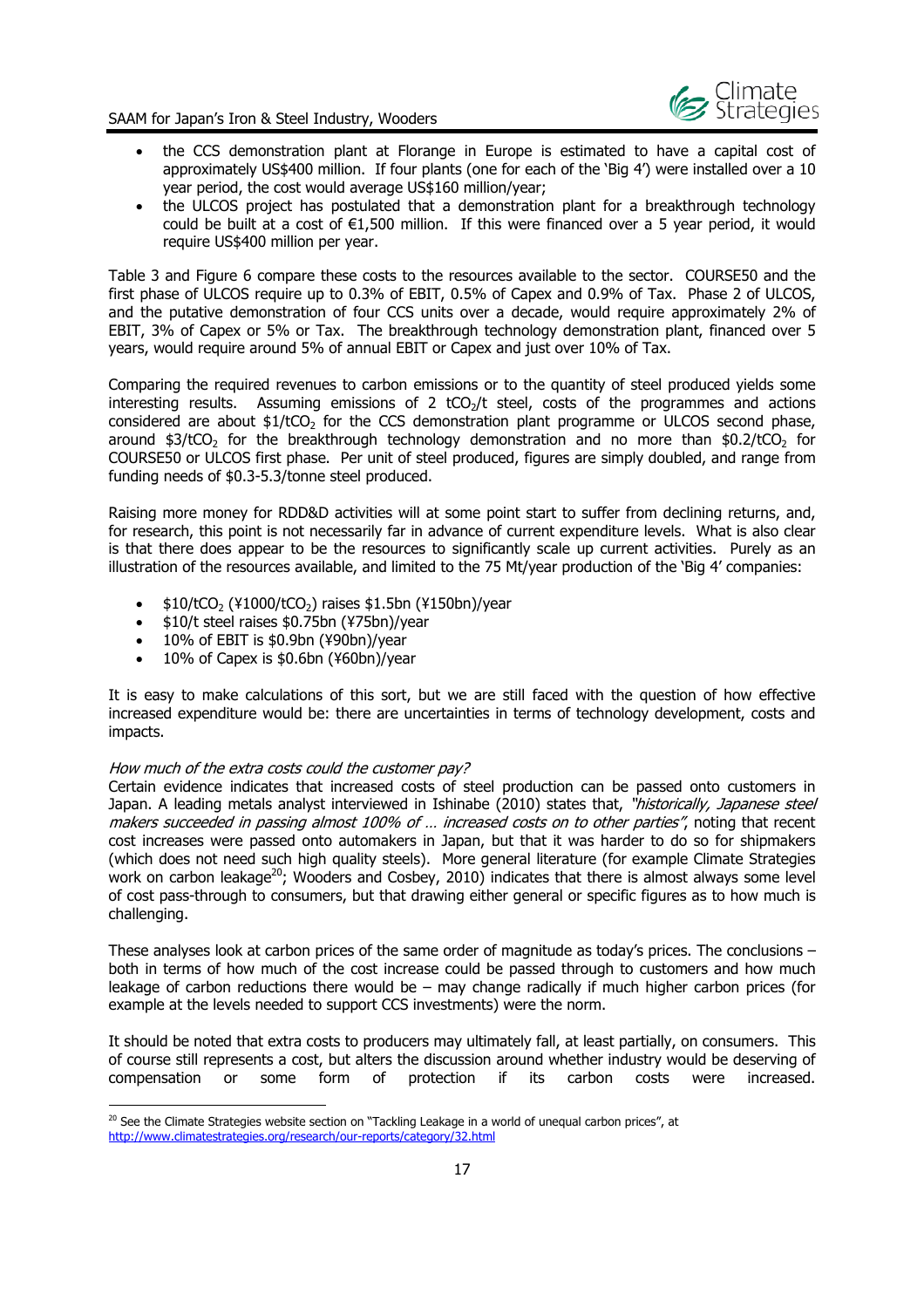

- the CCS demonstration plant at Florange in Europe is estimated to have a capital cost of approximately US\$400 million. If four plants (one for each of the 'Big 4') were installed over a 10 year period, the cost would average US\$160 million/year;
- the ULCOS project has postulated that a demonstration plant for a breakthrough technology could be built at a cost of  $\epsilon$ 1,500 million. If this were financed over a 5 year period, it would require US\$400 million per year.

Table 3 and Figure 6 compare these costs to the resources available to the sector. COURSE50 and the first phase of ULCOS require up to 0.3% of EBIT, 0.5% of Capex and 0.9% of Tax. Phase 2 of ULCOS, and the putative demonstration of four CCS units over a decade, would require approximately 2% of EBIT, 3% of Capex or 5% or Tax. The breakthrough technology demonstration plant, financed over 5 years, would require around 5% of annual EBIT or Capex and just over 10% of Tax.

Comparing the required revenues to carbon emissions or to the quantity of steel produced yields some interesting results. Assuming emissions of 2 tCO<sub>2</sub>/t steel, costs of the programmes and actions considered are about  $$1/tCO<sub>2</sub>$  for the CCS demonstration plant programme or ULCOS second phase, around  $$3/tCO<sub>2</sub>$  for the breakthrough technology demonstration and no more than  $$0.2/tCO<sub>2</sub>$  for COURSE50 or ULCOS first phase. Per unit of steel produced, figures are simply doubled, and range from funding needs of \$0.3-5.3/tonne steel produced.

Raising more money for RDD&D activities will at some point start to suffer from declining returns, and, for research, this point is not necessarily far in advance of current expenditure levels. What is also clear is that there does appear to be the resources to significantly scale up current activities. Purely as an illustration of the resources available, and limited to the 75 Mt/year production of the 'Big 4' companies:

- $\bullet$  \$10/tCO<sub>2</sub> (¥1000/tCO<sub>2</sub>) raises \$1.5bn (¥150bn)/year
- \$10/t steel raises \$0.75bn (¥75bn)/year
- $\bullet$  10% of EBIT is \$0.9bn (¥90bn)/year
- 10% of Capex is \$0.6bn (¥60bn)/year

It is easy to make calculations of this sort, but we are still faced with the question of how effective increased expenditure would be: there are uncertainties in terms of technology development, costs and impacts.

#### How much of the extra costs could the customer pay?

-

Certain evidence indicates that increased costs of steel production can be passed onto customers in Japan. A leading metals analyst interviewed in Ishinabe (2010) states that, "historically, Japanese steel makers succeeded in passing almost 100% of ... increased costs on to other parties", noting that recent cost increases were passed onto automakers in Japan, but that it was harder to do so for shipmakers (which does not need such high quality steels). More general literature (for example Climate Strategies work on carbon leakage<sup>20</sup>; Wooders and Cosbey, 2010) indicates that there is almost always some level of cost pass-through to consumers, but that drawing either general or specific figures as to how much is challenging.

These analyses look at carbon prices of the same order of magnitude as today's prices. The conclusions  $$ both in terms of how much of the cost increase could be passed through to customers and how much leakage of carbon reductions there would be – may change radically if much higher carbon prices (for example at the levels needed to support CCS investments) were the norm.

It should be noted that extra costs to producers may ultimately fall, at least partially, on consumers. This of course still represents a cost, but alters the discussion around whether industry would be deserving of compensation or some form of protection if its carbon costs were increased.

 $^{20}$  See the Climate Strategies website section on "Tackling Leakage in a world of unequal carbon prices", at http://www.climatestrategies.org/research/our-reports/category/32.html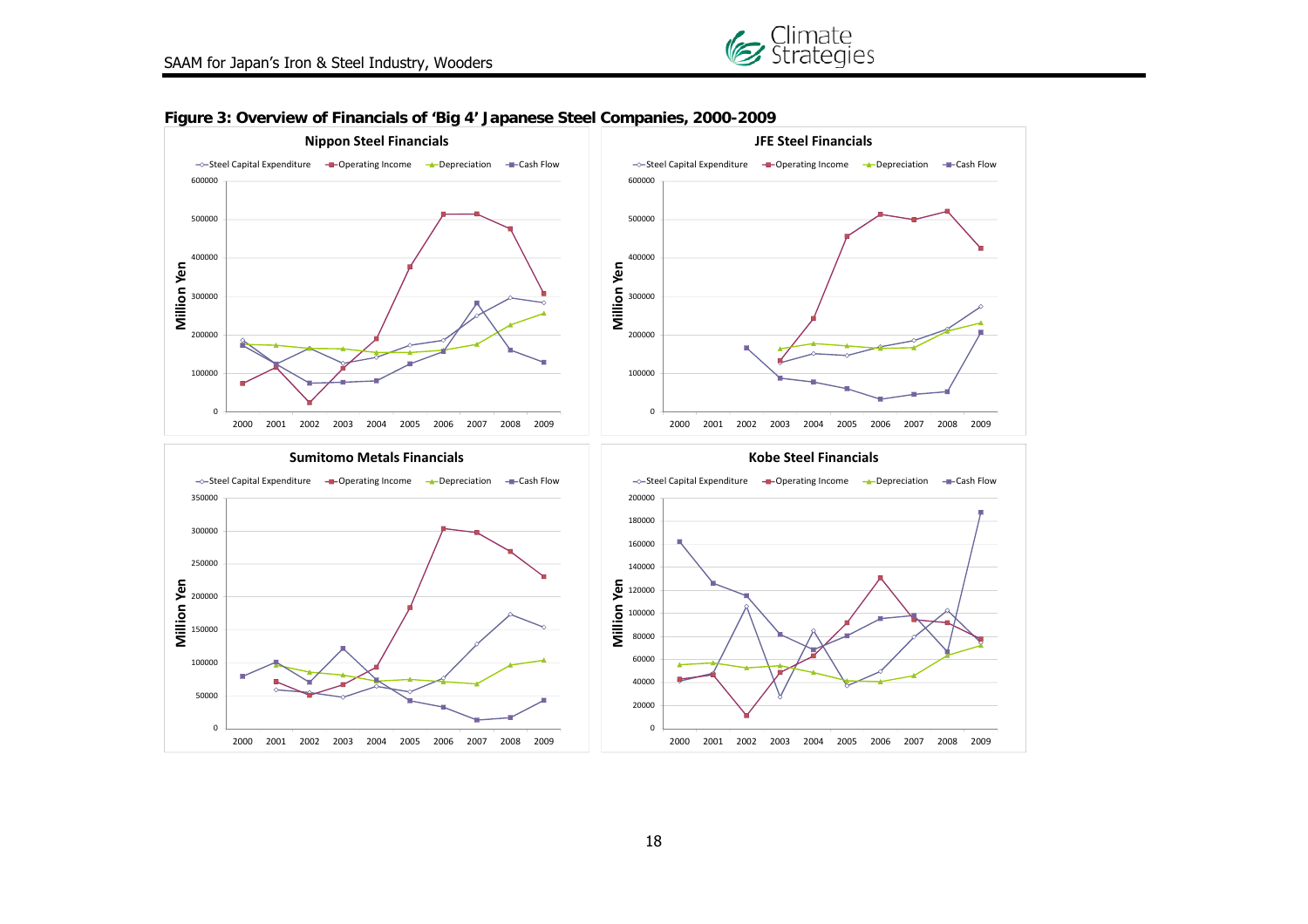



#### **Figure 3: Overview of Financials of 'Big 4' Japanese Steel Companies, 2000-2009**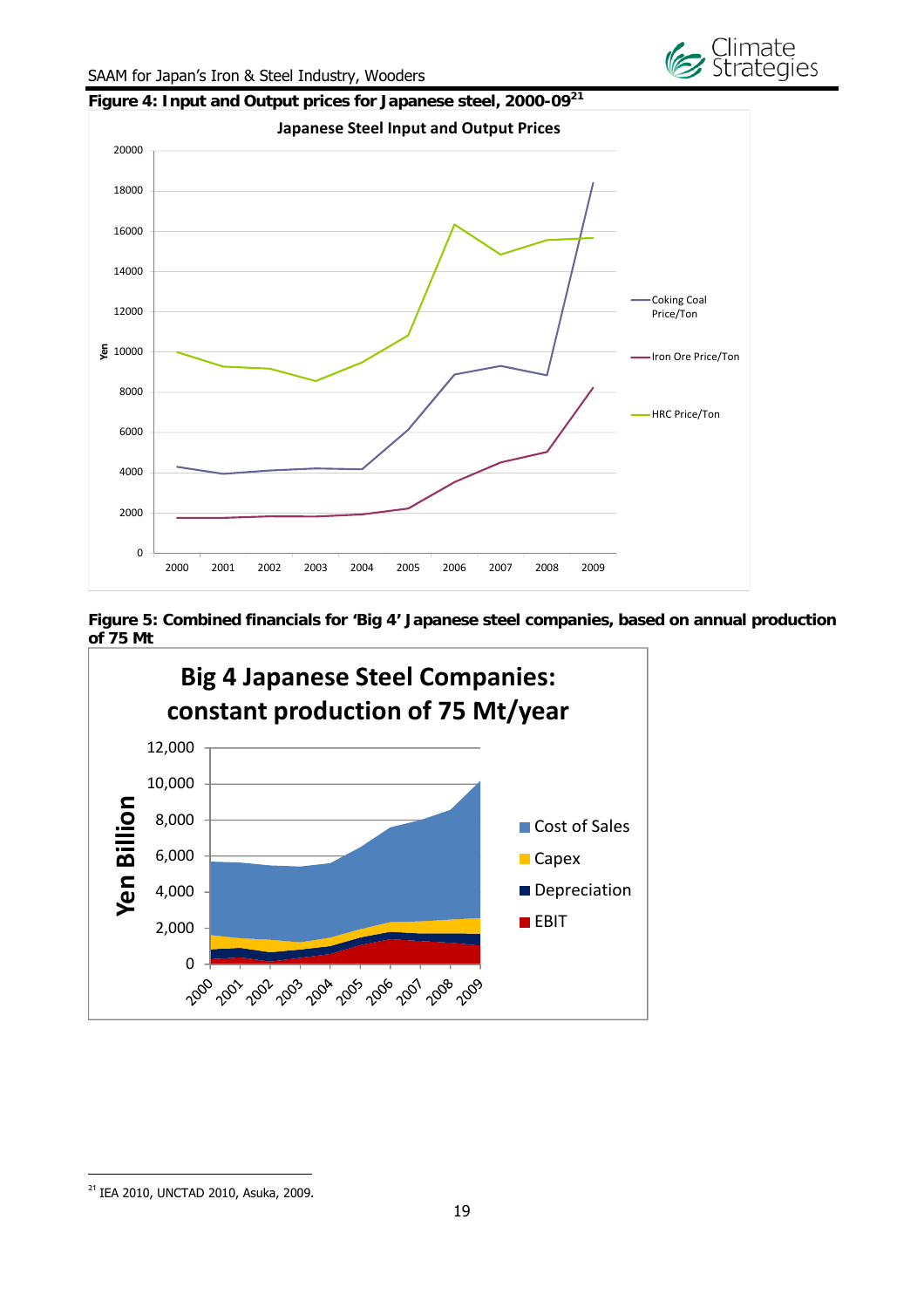

Ge Climate<br>Ge Strategies

**Figure 5: Combined financials for 'Big 4' Japanese steel companies, based on annual production of 75 Mt** 



 $\overline{a}$ 

<sup>&</sup>lt;sup>21</sup> IEA 2010, UNCTAD 2010, Asuka, 2009.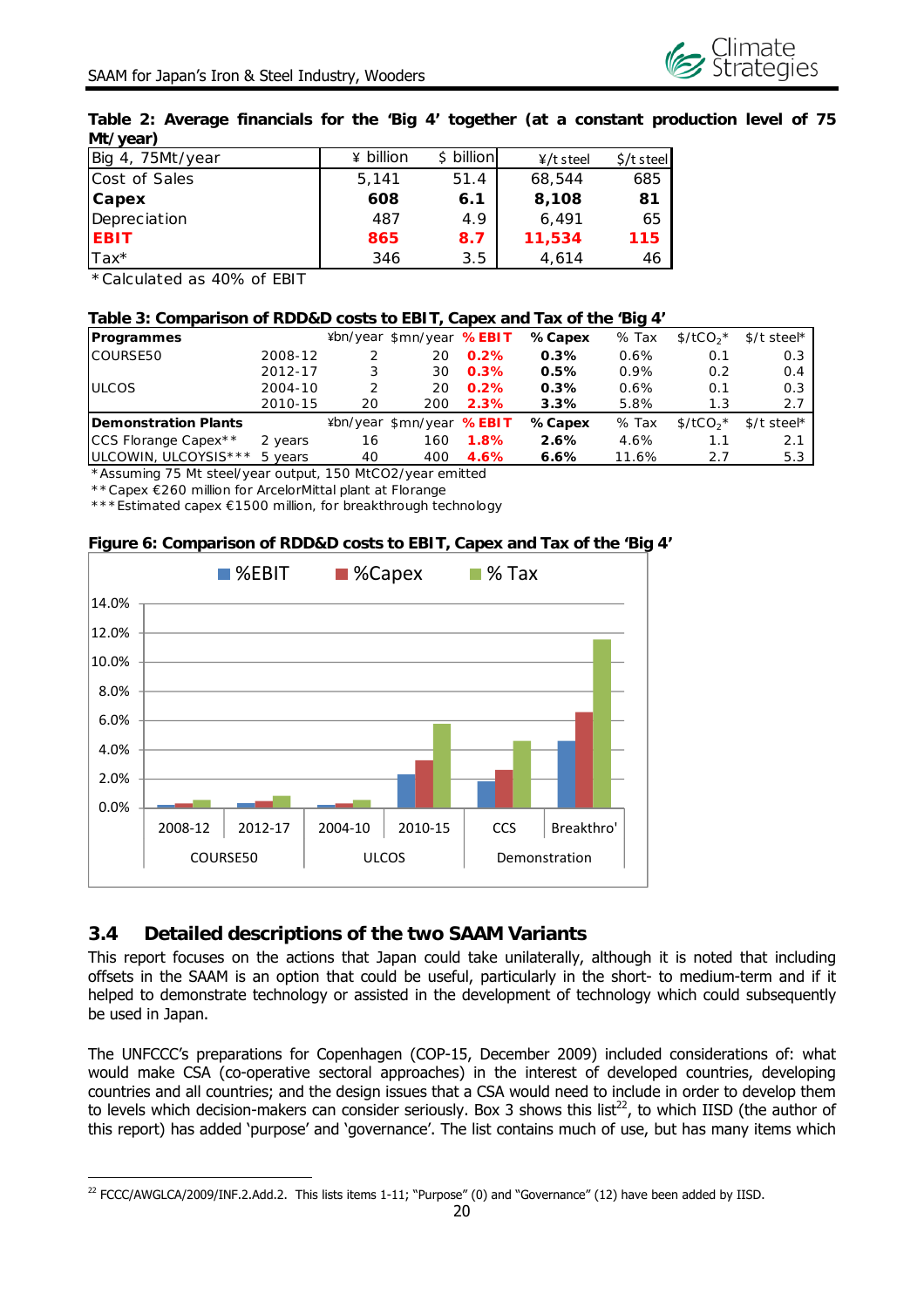

#### **Table 2: Average financials for the 'Big 4' together (at a constant production level of 75 Mt/year)**

| 75Mt/year<br>Big<br>$\mathbf{4}$ . | $\angle$ billion | billion<br>ς. | $4/t$ steel | $\frac{1}{2}$ steel |
|------------------------------------|------------------|---------------|-------------|---------------------|
| Cost of Sales                      | 5.141            | 51.4          | 68,544      | 685                 |
| <b>Capex</b>                       | 608              | 6.1           | 8,108       | 81                  |
| Depreciation                       | 487              | 4.9           | 6.491       | 65                  |
| <b>EBIT</b>                        | 865              | 8.7           | 11,534      | 115                 |
| Tax*                               | 346              | 3.5           | 4,614       | 46                  |

\*Calculated as 40% of EBIT

 $\overline{a}$ 

#### **Table 3: Comparison of RDD&D costs to EBIT, Capex and Tax of the 'Big 4'**

| Programmes                  |            |    | ¥bn/year \$mn/year %EBIT |      | %Capex | % Tax   | $$/tCO2$ * | $$/t$ steel* |
|-----------------------------|------------|----|--------------------------|------|--------|---------|------------|--------------|
| <b>COURSE50</b>             | 2008-12    |    | 20                       | 0.2% | 0.3%   | 0.6%    | 0.1        | 0.3          |
|                             | 2012-17    |    | 30                       | 0.3% | 0.5%   | $0.9\%$ | 0.2        | 0.4          |
| <b>IULCOS</b>               | 2004-10    |    | 20                       | 0.2% | 0.3%   | 0.6%    | 0.1        | 0.3          |
|                             | 2010-15    | 20 | 200                      | 2.3% | 3.3%   | 5.8%    | 1.3        | 2.7          |
| <b>Demonstration Plants</b> |            |    | ¥bn/year \$mn/year %EBIT |      | %Capex | % Tax   | $$/tCO2$ * | $$/t$ steel* |
| CCS Florange Capex * *      | 2 years    | 16 | 160                      | 1.8% | 2.6%   | 4.6%    | 1.1        | 2.1          |
| ULCOWIN, ULCOYSIS***        | years<br>5 | 40 | 400                      | 4.6% | 6.6%   | 11.6%   | 2.7        | 5.3          |

\*Assuming 75 Mt steel/year output, 150 MtCO2/year emitted

\*\*Capex €260 million for ArcelorMittal plant at Florange

\*\*\*Estimated capex €1500 million, for breakthrough technology

#### **Figure 6: Comparison of RDD&D costs to EBIT, Capex and Tax of the 'Big 4'**



## **3.4 Detailed descriptions of the two SAAM Variants**

This report focuses on the actions that Japan could take unilaterally, although it is noted that including offsets in the SAAM is an option that could be useful, particularly in the short- to medium-term and if it helped to demonstrate technology or assisted in the development of technology which could subsequently be used in Japan.

The UNFCCC's preparations for Copenhagen (COP-15, December 2009) included considerations of: what would make CSA (co-operative sectoral approaches) in the interest of developed countries, developing countries and all countries; and the design issues that a CSA would need to include in order to develop them to levels which decision-makers can consider seriously. Box 3 shows this list<sup>22</sup>, to which IISD (the author of this report) has added 'purpose' and 'governance'. The list contains much of use, but has many items which

<sup>&</sup>lt;sup>22</sup> FCCC/AWGLCA/2009/INF.2.Add.2. This lists items 1-11; "Purpose" (0) and "Governance" (12) have been added by IISD.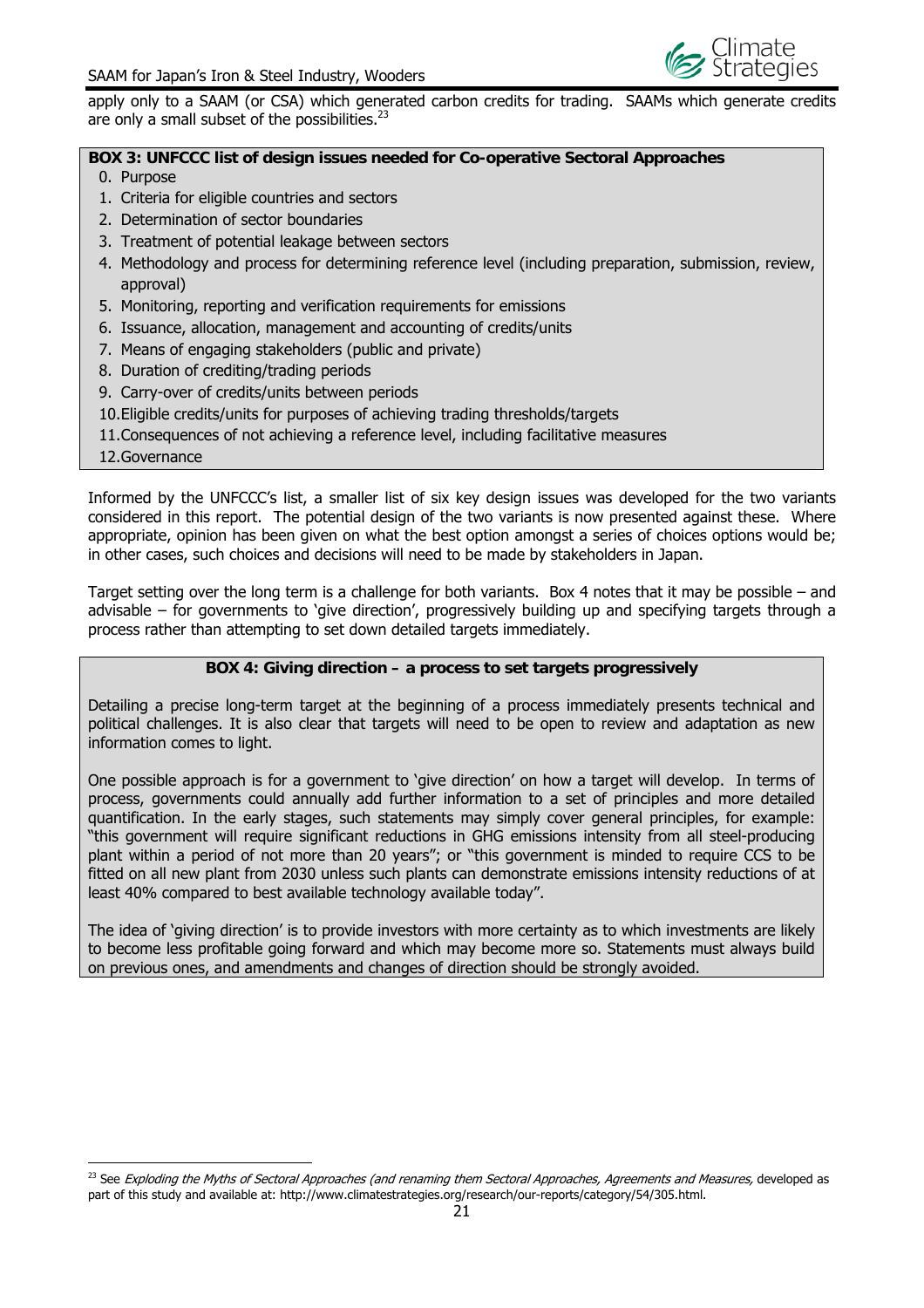

apply only to a SAAM (or CSA) which generated carbon credits for trading. SAAMs which generate credits are only a small subset of the possibilities.<sup>23</sup>

#### **BOX 3: UNFCCC list of design issues needed for Co-operative Sectoral Approaches**

- 0. Purpose
- 1. Criteria for eligible countries and sectors
- 2. Determination of sector boundaries
- 3. Treatment of potential leakage between sectors
- 4. Methodology and process for determining reference level (including preparation, submission, review, approval)
- 5. Monitoring, reporting and verification requirements for emissions
- 6. Issuance, allocation, management and accounting of credits/units
- 7. Means of engaging stakeholders (public and private)
- 8. Duration of crediting/trading periods
- 9. Carry-over of credits/units between periods
- 10.Eligible credits/units for purposes of achieving trading thresholds/targets
- 11.Consequences of not achieving a reference level, including facilitative measures
- 12.Governance

 $\overline{a}$ 

Informed by the UNFCCC's list, a smaller list of six key design issues was developed for the two variants considered in this report. The potential design of the two variants is now presented against these. Where appropriate, opinion has been given on what the best option amongst a series of choices options would be; in other cases, such choices and decisions will need to be made by stakeholders in Japan.

Target setting over the long term is a challenge for both variants. Box 4 notes that it may be possible – and advisable – for governments to 'give direction', progressively building up and specifying targets through a process rather than attempting to set down detailed targets immediately.

#### **BOX 4: Giving direction – a process to set targets progressively**

Detailing a precise long-term target at the beginning of a process immediately presents technical and political challenges. It is also clear that targets will need to be open to review and adaptation as new information comes to light.

One possible approach is for a government to 'give direction' on how a target will develop. In terms of process, governments could annually add further information to a set of principles and more detailed quantification. In the early stages, such statements may simply cover general principles, for example: "this government will require significant reductions in GHG emissions intensity from all steel-producing plant within a period of not more than 20 years"; or "this government is minded to require CCS to be fitted on all new plant from 2030 unless such plants can demonstrate emissions intensity reductions of at least 40% compared to best available technology available today".

The idea of 'giving direction' is to provide investors with more certainty as to which investments are likely to become less profitable going forward and which may become more so. Statements must always build on previous ones, and amendments and changes of direction should be strongly avoided.

<sup>&</sup>lt;sup>23</sup> See Exploding the Myths of Sectoral Approaches (and renaming them Sectoral Approaches, Agreements and Measures, developed as part of this study and available at: http://www.climatestrategies.org/research/our-reports/category/54/305.html.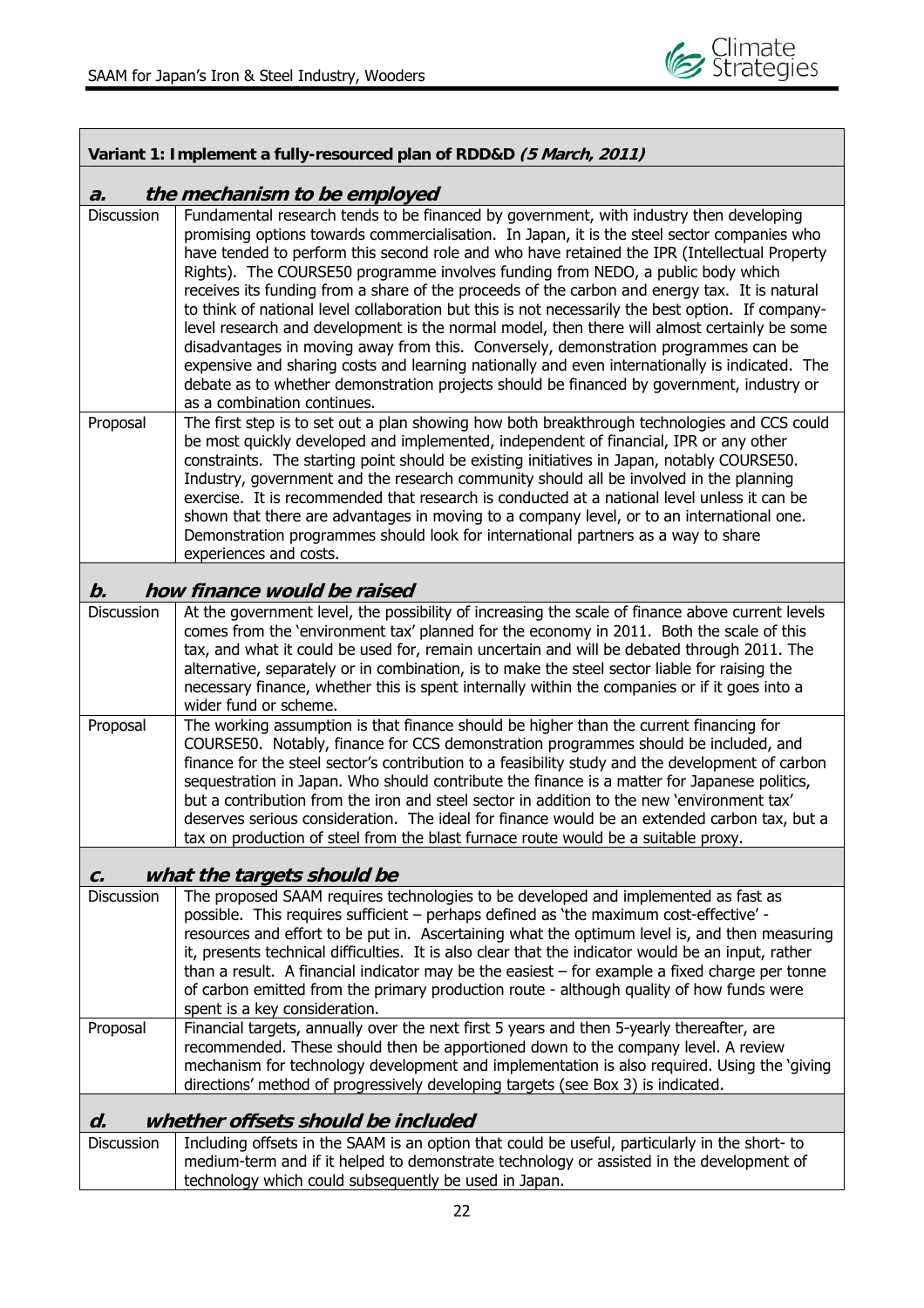

| Variant 1: Implement a fully-resourced plan of RDD&D (5 March, 2011) |                                                                                                                                                                                                                                                                                                                                                                                                                                                                                                                                                                                                                                                                                                                                                                                                                                                                                                                                                                                                     |  |  |  |  |  |  |
|----------------------------------------------------------------------|-----------------------------------------------------------------------------------------------------------------------------------------------------------------------------------------------------------------------------------------------------------------------------------------------------------------------------------------------------------------------------------------------------------------------------------------------------------------------------------------------------------------------------------------------------------------------------------------------------------------------------------------------------------------------------------------------------------------------------------------------------------------------------------------------------------------------------------------------------------------------------------------------------------------------------------------------------------------------------------------------------|--|--|--|--|--|--|
| $\boldsymbol{a}$ .                                                   | the mechanism to be employed                                                                                                                                                                                                                                                                                                                                                                                                                                                                                                                                                                                                                                                                                                                                                                                                                                                                                                                                                                        |  |  |  |  |  |  |
| <b>Discussion</b>                                                    | Fundamental research tends to be financed by government, with industry then developing<br>promising options towards commercialisation. In Japan, it is the steel sector companies who<br>have tended to perform this second role and who have retained the IPR (Intellectual Property<br>Rights). The COURSE50 programme involves funding from NEDO, a public body which<br>receives its funding from a share of the proceeds of the carbon and energy tax. It is natural<br>to think of national level collaboration but this is not necessarily the best option. If company-<br>level research and development is the normal model, then there will almost certainly be some<br>disadvantages in moving away from this. Conversely, demonstration programmes can be<br>expensive and sharing costs and learning nationally and even internationally is indicated. The<br>debate as to whether demonstration projects should be financed by government, industry or<br>as a combination continues. |  |  |  |  |  |  |
| Proposal                                                             | The first step is to set out a plan showing how both breakthrough technologies and CCS could<br>be most quickly developed and implemented, independent of financial, IPR or any other<br>constraints. The starting point should be existing initiatives in Japan, notably COURSE50.<br>Industry, government and the research community should all be involved in the planning<br>exercise. It is recommended that research is conducted at a national level unless it can be<br>shown that there are advantages in moving to a company level, or to an international one.<br>Demonstration programmes should look for international partners as a way to share<br>experiences and costs.                                                                                                                                                                                                                                                                                                            |  |  |  |  |  |  |
| $\bm{b}$ .                                                           | how finance would be raised                                                                                                                                                                                                                                                                                                                                                                                                                                                                                                                                                                                                                                                                                                                                                                                                                                                                                                                                                                         |  |  |  |  |  |  |
| <b>Discussion</b>                                                    | At the government level, the possibility of increasing the scale of finance above current levels<br>comes from the 'environment tax' planned for the economy in 2011. Both the scale of this<br>tax, and what it could be used for, remain uncertain and will be debated through 2011. The<br>alternative, separately or in combination, is to make the steel sector liable for raising the<br>necessary finance, whether this is spent internally within the companies or if it goes into a<br>wider fund or scheme.                                                                                                                                                                                                                                                                                                                                                                                                                                                                               |  |  |  |  |  |  |
| Proposal                                                             | The working assumption is that finance should be higher than the current financing for<br>COURSE50. Notably, finance for CCS demonstration programmes should be included, and<br>finance for the steel sector's contribution to a feasibility study and the development of carbon<br>sequestration in Japan. Who should contribute the finance is a matter for Japanese politics,<br>but a contribution from the iron and steel sector in addition to the new 'environment tax'<br>deserves serious consideration. The ideal for finance would be an extended carbon tax, but a<br>tax on production of steel from the blast furnace route would be a suitable proxy.                                                                                                                                                                                                                                                                                                                               |  |  |  |  |  |  |
| c.                                                                   | what the targets should be                                                                                                                                                                                                                                                                                                                                                                                                                                                                                                                                                                                                                                                                                                                                                                                                                                                                                                                                                                          |  |  |  |  |  |  |
| Discussion                                                           | The proposed SAAM requires technologies to be developed and implemented as fast as<br>possible. This requires sufficient - perhaps defined as 'the maximum cost-effective' -<br>resources and effort to be put in. Ascertaining what the optimum level is, and then measuring<br>it, presents technical difficulties. It is also clear that the indicator would be an input, rather<br>than a result. A financial indicator may be the easiest $-$ for example a fixed charge per tonne<br>of carbon emitted from the primary production route - although quality of how funds were<br>spent is a key consideration.                                                                                                                                                                                                                                                                                                                                                                                |  |  |  |  |  |  |
| Proposal                                                             | Financial targets, annually over the next first 5 years and then 5-yearly thereafter, are<br>recommended. These should then be apportioned down to the company level. A review<br>mechanism for technology development and implementation is also required. Using the 'giving<br>directions' method of progressively developing targets (see Box 3) is indicated.                                                                                                                                                                                                                                                                                                                                                                                                                                                                                                                                                                                                                                   |  |  |  |  |  |  |
| d.                                                                   | whether offsets should be included                                                                                                                                                                                                                                                                                                                                                                                                                                                                                                                                                                                                                                                                                                                                                                                                                                                                                                                                                                  |  |  |  |  |  |  |
| Discussion                                                           | Including offsets in the SAAM is an option that could be useful, particularly in the short- to<br>medium-term and if it helped to demonstrate technology or assisted in the development of<br>technology which could subsequently be used in Japan.                                                                                                                                                                                                                                                                                                                                                                                                                                                                                                                                                                                                                                                                                                                                                 |  |  |  |  |  |  |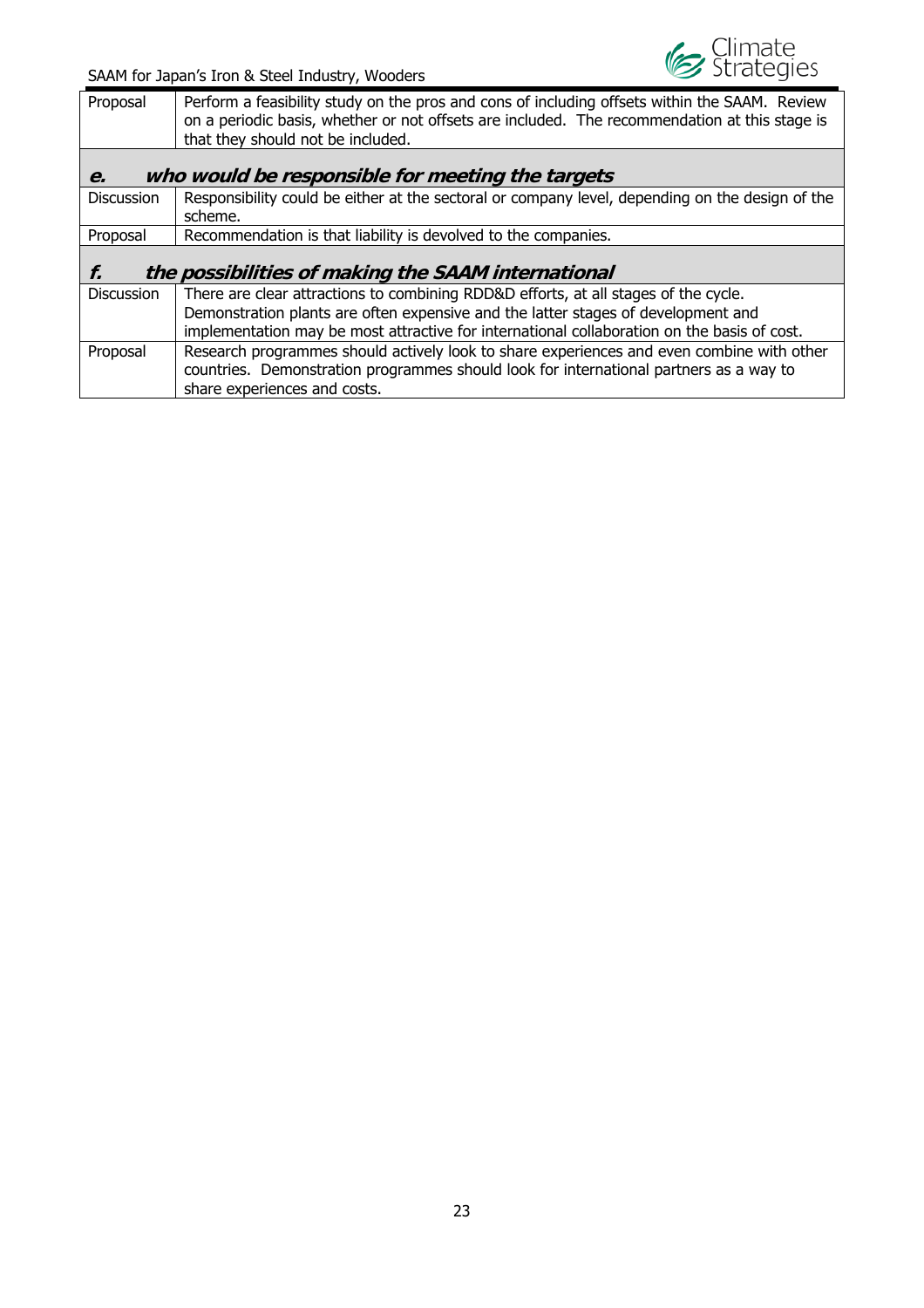

| Proposal                                               | Perform a feasibility study on the pros and cons of including offsets within the SAAM. Review<br>on a periodic basis, whether or not offsets are included. The recommendation at this stage is<br>that they should not be included.                                     |  |  |  |  |  |  |  |
|--------------------------------------------------------|-------------------------------------------------------------------------------------------------------------------------------------------------------------------------------------------------------------------------------------------------------------------------|--|--|--|--|--|--|--|
| who would be responsible for meeting the targets<br>e. |                                                                                                                                                                                                                                                                         |  |  |  |  |  |  |  |
| <b>Discussion</b>                                      | Responsibility could be either at the sectoral or company level, depending on the design of the<br>scheme.                                                                                                                                                              |  |  |  |  |  |  |  |
| Proposal                                               | Recommendation is that liability is devolved to the companies.                                                                                                                                                                                                          |  |  |  |  |  |  |  |
| f.                                                     | the possibilities of making the SAAM international                                                                                                                                                                                                                      |  |  |  |  |  |  |  |
| <b>Discussion</b>                                      | There are clear attractions to combining RDD&D efforts, at all stages of the cycle.<br>Demonstration plants are often expensive and the latter stages of development and<br>implementation may be most attractive for international collaboration on the basis of cost. |  |  |  |  |  |  |  |
| Proposal                                               | Research programmes should actively look to share experiences and even combine with other<br>countries. Demonstration programmes should look for international partners as a way to<br>share experiences and costs.                                                     |  |  |  |  |  |  |  |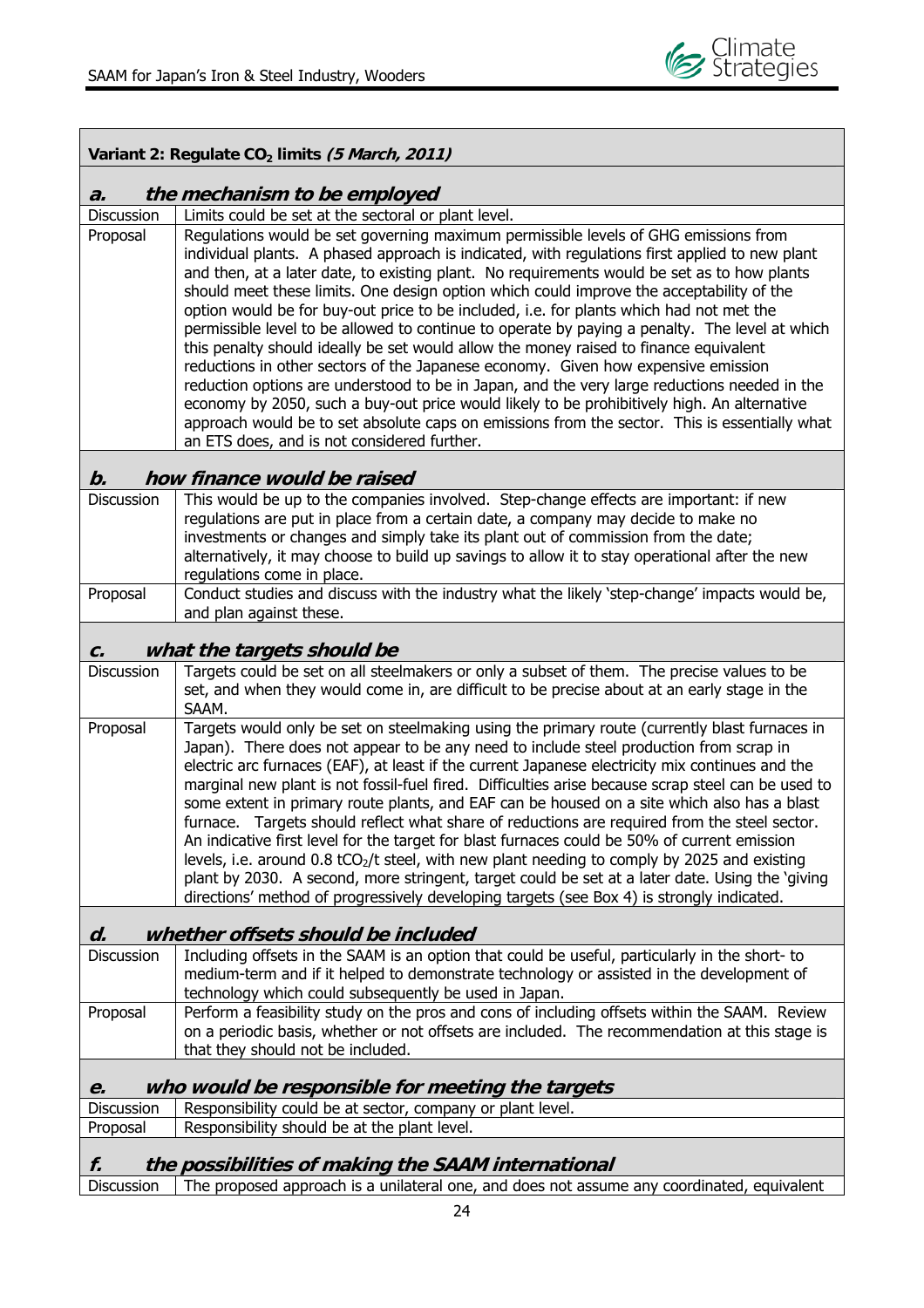Г

Ē

| Variant 2: Regulate CO <sub>2</sub> limits (5 March, 2011) |                                                                                                                                                                                                                                                                                                                                                                                                                                                                                                                                                                                                                                                                                                                                                                                                                                                                                                                                                                                                                                                                                                            |  |  |  |  |  |  |  |
|------------------------------------------------------------|------------------------------------------------------------------------------------------------------------------------------------------------------------------------------------------------------------------------------------------------------------------------------------------------------------------------------------------------------------------------------------------------------------------------------------------------------------------------------------------------------------------------------------------------------------------------------------------------------------------------------------------------------------------------------------------------------------------------------------------------------------------------------------------------------------------------------------------------------------------------------------------------------------------------------------------------------------------------------------------------------------------------------------------------------------------------------------------------------------|--|--|--|--|--|--|--|
| the mechanism to be employed<br>$\boldsymbol{a}$ .         |                                                                                                                                                                                                                                                                                                                                                                                                                                                                                                                                                                                                                                                                                                                                                                                                                                                                                                                                                                                                                                                                                                            |  |  |  |  |  |  |  |
| <b>Discussion</b>                                          | Limits could be set at the sectoral or plant level.                                                                                                                                                                                                                                                                                                                                                                                                                                                                                                                                                                                                                                                                                                                                                                                                                                                                                                                                                                                                                                                        |  |  |  |  |  |  |  |
| Proposal                                                   | Regulations would be set governing maximum permissible levels of GHG emissions from<br>individual plants. A phased approach is indicated, with regulations first applied to new plant<br>and then, at a later date, to existing plant. No requirements would be set as to how plants<br>should meet these limits. One design option which could improve the acceptability of the<br>option would be for buy-out price to be included, i.e. for plants which had not met the<br>permissible level to be allowed to continue to operate by paying a penalty. The level at which<br>this penalty should ideally be set would allow the money raised to finance equivalent<br>reductions in other sectors of the Japanese economy. Given how expensive emission<br>reduction options are understood to be in Japan, and the very large reductions needed in the<br>economy by 2050, such a buy-out price would likely to be prohibitively high. An alternative<br>approach would be to set absolute caps on emissions from the sector. This is essentially what<br>an ETS does, and is not considered further. |  |  |  |  |  |  |  |
| $\bm{b}$ .                                                 | how finance would be raised                                                                                                                                                                                                                                                                                                                                                                                                                                                                                                                                                                                                                                                                                                                                                                                                                                                                                                                                                                                                                                                                                |  |  |  |  |  |  |  |
| <b>Discussion</b>                                          | This would be up to the companies involved. Step-change effects are important: if new<br>regulations are put in place from a certain date, a company may decide to make no<br>investments or changes and simply take its plant out of commission from the date;<br>alternatively, it may choose to build up savings to allow it to stay operational after the new<br>regulations come in place.                                                                                                                                                                                                                                                                                                                                                                                                                                                                                                                                                                                                                                                                                                            |  |  |  |  |  |  |  |
| Proposal                                                   | Conduct studies and discuss with the industry what the likely 'step-change' impacts would be,<br>and plan against these.                                                                                                                                                                                                                                                                                                                                                                                                                                                                                                                                                                                                                                                                                                                                                                                                                                                                                                                                                                                   |  |  |  |  |  |  |  |
| C.                                                         | what the targets should be                                                                                                                                                                                                                                                                                                                                                                                                                                                                                                                                                                                                                                                                                                                                                                                                                                                                                                                                                                                                                                                                                 |  |  |  |  |  |  |  |
| <b>Discussion</b>                                          | Targets could be set on all steelmakers or only a subset of them. The precise values to be                                                                                                                                                                                                                                                                                                                                                                                                                                                                                                                                                                                                                                                                                                                                                                                                                                                                                                                                                                                                                 |  |  |  |  |  |  |  |
|                                                            | set, and when they would come in, are difficult to be precise about at an early stage in the<br>SAAM.                                                                                                                                                                                                                                                                                                                                                                                                                                                                                                                                                                                                                                                                                                                                                                                                                                                                                                                                                                                                      |  |  |  |  |  |  |  |
| Proposal                                                   | Targets would only be set on steelmaking using the primary route (currently blast furnaces in<br>Japan). There does not appear to be any need to include steel production from scrap in<br>electric arc furnaces (EAF), at least if the current Japanese electricity mix continues and the<br>marginal new plant is not fossil-fuel fired. Difficulties arise because scrap steel can be used to<br>some extent in primary route plants, and EAF can be housed on a site which also has a blast<br>furnace. Targets should reflect what share of reductions are required from the steel sector.<br>An indicative first level for the target for blast furnaces could be 50% of current emission<br>levels, i.e. around 0.8 $tCO2/t$ steel, with new plant needing to comply by 2025 and existing<br>plant by 2030. A second, more stringent, target could be set at a later date. Using the 'giving<br>directions' method of progressively developing targets (see Box 4) is strongly indicated.                                                                                                           |  |  |  |  |  |  |  |
| d.                                                         | whether offsets should be included                                                                                                                                                                                                                                                                                                                                                                                                                                                                                                                                                                                                                                                                                                                                                                                                                                                                                                                                                                                                                                                                         |  |  |  |  |  |  |  |
| Discussion                                                 | Including offsets in the SAAM is an option that could be useful, particularly in the short-to<br>medium-term and if it helped to demonstrate technology or assisted in the development of<br>technology which could subsequently be used in Japan.                                                                                                                                                                                                                                                                                                                                                                                                                                                                                                                                                                                                                                                                                                                                                                                                                                                         |  |  |  |  |  |  |  |
| Proposal                                                   | Perform a feasibility study on the pros and cons of including offsets within the SAAM. Review<br>on a periodic basis, whether or not offsets are included. The recommendation at this stage is<br>that they should not be included.                                                                                                                                                                                                                                                                                                                                                                                                                                                                                                                                                                                                                                                                                                                                                                                                                                                                        |  |  |  |  |  |  |  |
| e.                                                         | who would be responsible for meeting the targets                                                                                                                                                                                                                                                                                                                                                                                                                                                                                                                                                                                                                                                                                                                                                                                                                                                                                                                                                                                                                                                           |  |  |  |  |  |  |  |
| Discussion                                                 | Responsibility could be at sector, company or plant level.                                                                                                                                                                                                                                                                                                                                                                                                                                                                                                                                                                                                                                                                                                                                                                                                                                                                                                                                                                                                                                                 |  |  |  |  |  |  |  |
| Proposal                                                   | Responsibility should be at the plant level.                                                                                                                                                                                                                                                                                                                                                                                                                                                                                                                                                                                                                                                                                                                                                                                                                                                                                                                                                                                                                                                               |  |  |  |  |  |  |  |
| f.                                                         | the possibilities of making the SAAM international                                                                                                                                                                                                                                                                                                                                                                                                                                                                                                                                                                                                                                                                                                                                                                                                                                                                                                                                                                                                                                                         |  |  |  |  |  |  |  |
| Discussion                                                 | The proposed approach is a unilateral one, and does not assume any coordinated, equivalent                                                                                                                                                                                                                                                                                                                                                                                                                                                                                                                                                                                                                                                                                                                                                                                                                                                                                                                                                                                                                 |  |  |  |  |  |  |  |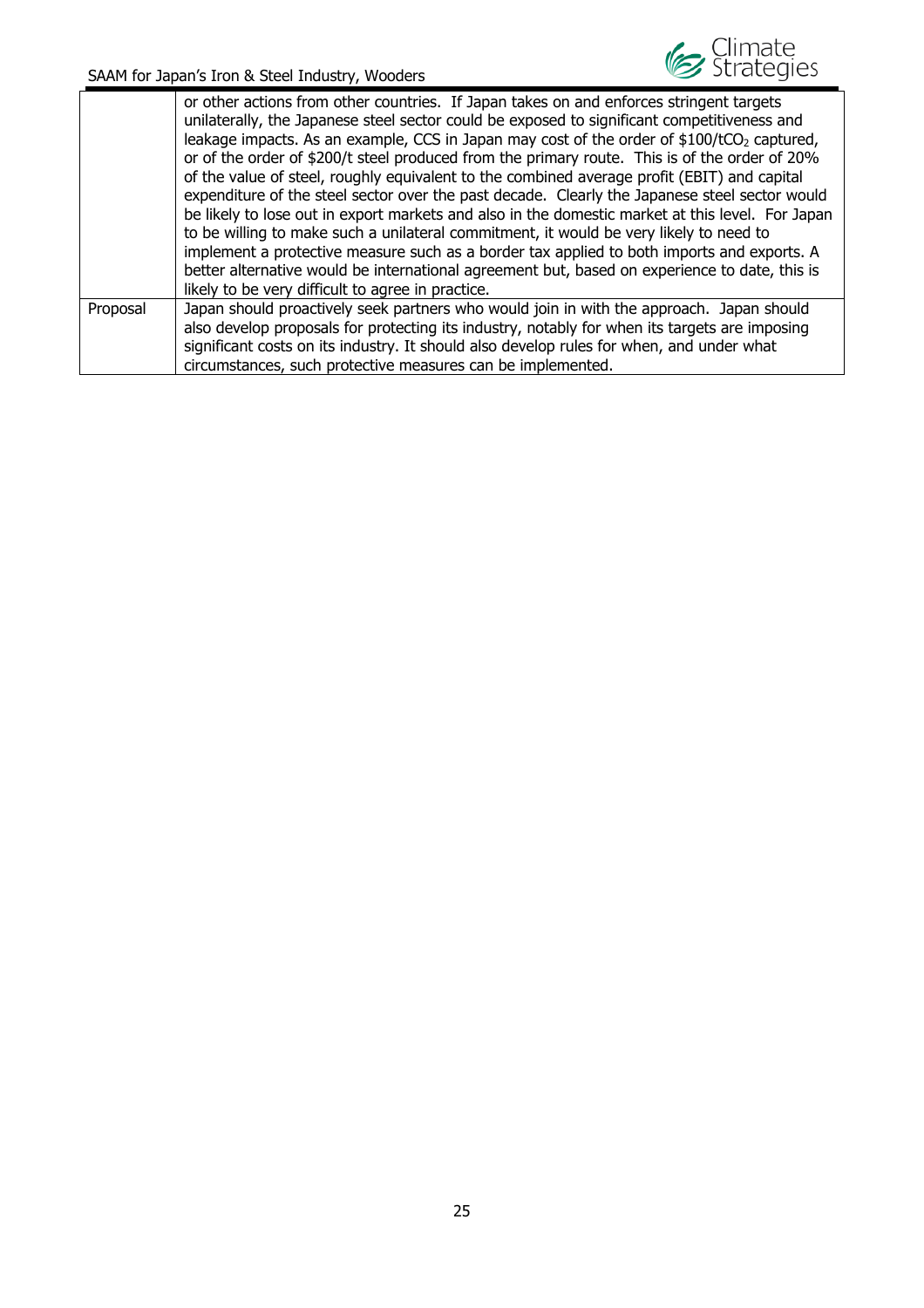

|          | or other actions from other countries. If Japan takes on and enforces stringent targets<br>unilaterally, the Japanese steel sector could be exposed to significant competitiveness and<br>leakage impacts. As an example, CCS in Japan may cost of the order of $$100/tCO2$ captured,<br>or of the order of \$200/t steel produced from the primary route. This is of the order of 20%<br>of the value of steel, roughly equivalent to the combined average profit (EBIT) and capital<br>expenditure of the steel sector over the past decade. Clearly the Japanese steel sector would<br>be likely to lose out in export markets and also in the domestic market at this level. For Japan<br>to be willing to make such a unilateral commitment, it would be very likely to need to<br>implement a protective measure such as a border tax applied to both imports and exports. A<br>better alternative would be international agreement but, based on experience to date, this is<br>likely to be very difficult to agree in practice. |
|----------|------------------------------------------------------------------------------------------------------------------------------------------------------------------------------------------------------------------------------------------------------------------------------------------------------------------------------------------------------------------------------------------------------------------------------------------------------------------------------------------------------------------------------------------------------------------------------------------------------------------------------------------------------------------------------------------------------------------------------------------------------------------------------------------------------------------------------------------------------------------------------------------------------------------------------------------------------------------------------------------------------------------------------------------|
| Proposal | Japan should proactively seek partners who would join in with the approach. Japan should<br>also develop proposals for protecting its industry, notably for when its targets are imposing<br>significant costs on its industry. It should also develop rules for when, and under what<br>circumstances, such protective measures can be implemented.                                                                                                                                                                                                                                                                                                                                                                                                                                                                                                                                                                                                                                                                                     |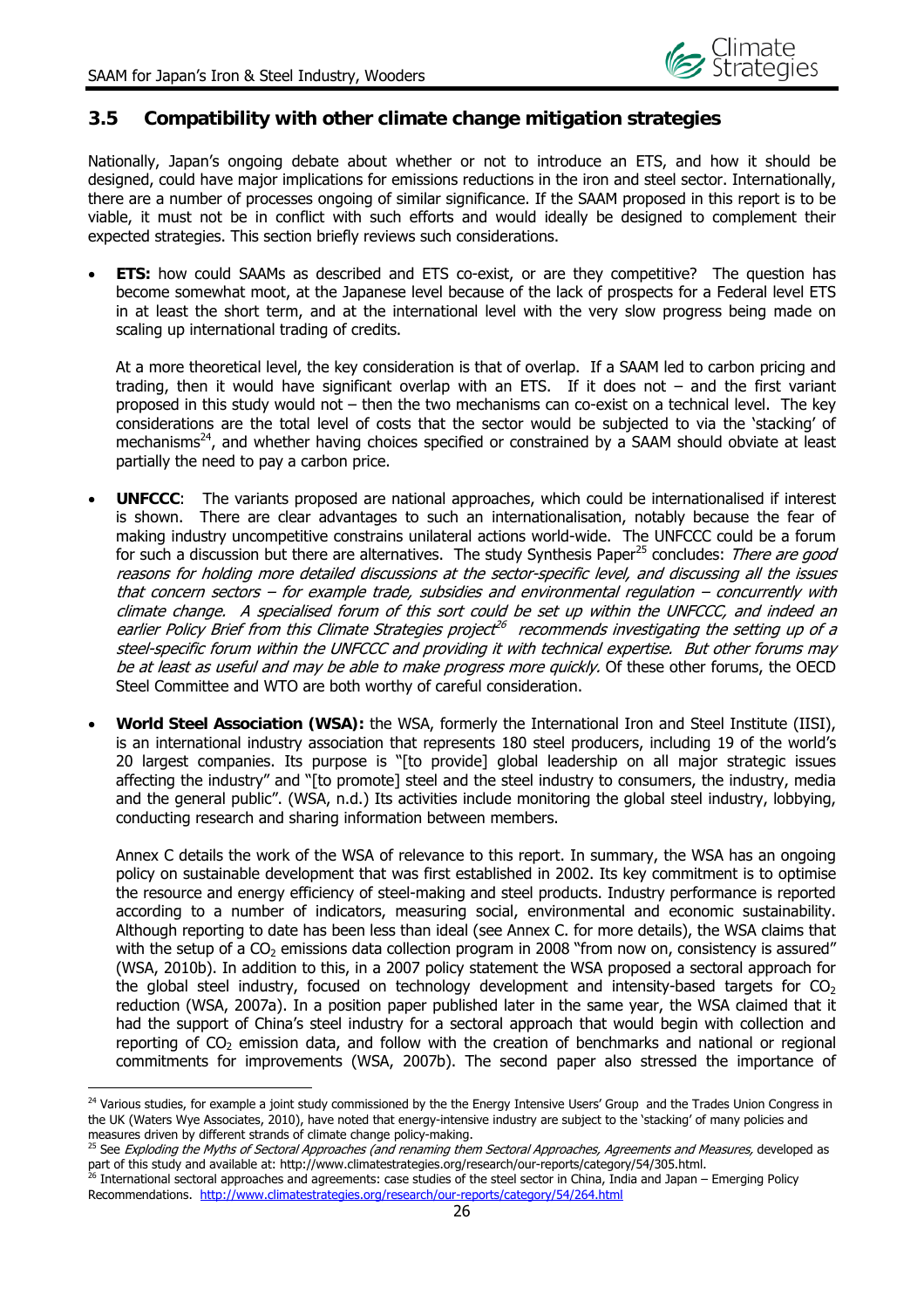## **3.5 Compatibility with other climate change mitigation strategies**

Nationally, Japan's ongoing debate about whether or not to introduce an ETS, and how it should be designed, could have major implications for emissions reductions in the iron and steel sector. Internationally, there are a number of processes ongoing of similar significance. If the SAAM proposed in this report is to be viable, it must not be in conflict with such efforts and would ideally be designed to complement their expected strategies. This section briefly reviews such considerations.

 **ETS:** how could SAAMs as described and ETS co-exist, or are they competitive? The question has become somewhat moot, at the Japanese level because of the lack of prospects for a Federal level ETS in at least the short term, and at the international level with the very slow progress being made on scaling up international trading of credits.

At a more theoretical level, the key consideration is that of overlap. If a SAAM led to carbon pricing and trading, then it would have significant overlap with an ETS. If it does not – and the first variant proposed in this study would not – then the two mechanisms can co-exist on a technical level. The key considerations are the total level of costs that the sector would be subjected to via the 'stacking' of mechanisms<sup>24</sup>, and whether having choices specified or constrained by a SAAM should obviate at least partially the need to pay a carbon price.

- **UNFCCC**: The variants proposed are national approaches, which could be internationalised if interest is shown. There are clear advantages to such an internationalisation, notably because the fear of making industry uncompetitive constrains unilateral actions world-wide. The UNFCCC could be a forum for such a discussion but there are alternatives. The study Synthesis Paper<sup>25</sup> concludes: There are good reasons for holding more detailed discussions at the sector-specific level, and discussing all the issues that concern sectors – for example trade, subsidies and environmental regulation – concurrently with climate change. A specialised forum of this sort could be set up within the UNFCCC, and indeed an earlier Policy Brief from this Climate Strategies project<sup>26</sup> recommends investigating the setting up of a steel-specific forum within the UNFCCC and providing it with technical expertise. But other forums may be at least as useful and may be able to make progress more quickly. Of these other forums, the OECD Steel Committee and WTO are both worthy of careful consideration.
- **World Steel Association (WSA):** the WSA, formerly the International Iron and Steel Institute (IISI), is an international industry association that represents 180 steel producers, including 19 of the world's 20 largest companies. Its purpose is "[to provide] global leadership on all major strategic issues affecting the industry" and "[to promote] steel and the steel industry to consumers, the industry, media and the general public". (WSA, n.d.) Its activities include monitoring the global steel industry, lobbying, conducting research and sharing information between members.

Annex C details the work of the WSA of relevance to this report. In summary, the WSA has an ongoing policy on sustainable development that was first established in 2002. Its key commitment is to optimise the resource and energy efficiency of steel-making and steel products. Industry performance is reported according to a number of indicators, measuring social, environmental and economic sustainability. Although reporting to date has been less than ideal (see Annex C. for more details), the WSA claims that with the setup of a CO<sub>2</sub> emissions data collection program in 2008 "from now on, consistency is assured" (WSA, 2010b). In addition to this, in a 2007 policy statement the WSA proposed a sectoral approach for the global steel industry, focused on technology development and intensity-based targets for  $CO<sub>2</sub>$ reduction (WSA, 2007a). In a position paper published later in the same year, the WSA claimed that it had the support of China's steel industry for a sectoral approach that would begin with collection and reporting of  $CO<sub>2</sub>$  emission data, and follow with the creation of benchmarks and national or regional commitments for improvements (WSA, 2007b). The second paper also stressed the importance of

<sup>&</sup>lt;sup>24</sup> Various studies, for example a joint study commissioned by the the Energy Intensive Users' Group and the Trades Union Congress in the UK (Waters Wye Associates, 2010), have noted that energy-intensive industry are subject to the 'stacking' of many policies and measures driven by different strands of climate change policy-making.

<sup>&</sup>lt;sup>25</sup> See Exploding the Myths of Sectoral Approaches (and renaming them Sectoral Approaches, Agreements and Measures, developed as part of this study and available at: http://www.climatestrategies.org/research/our-reports/category/54/305.html.<br><sup>26</sup> International sectoral approaches and agreements: case studies of the steel sector in China, India and J

Recommendations. http://www.climatestrategies.org/research/our-reports/category/54/264.html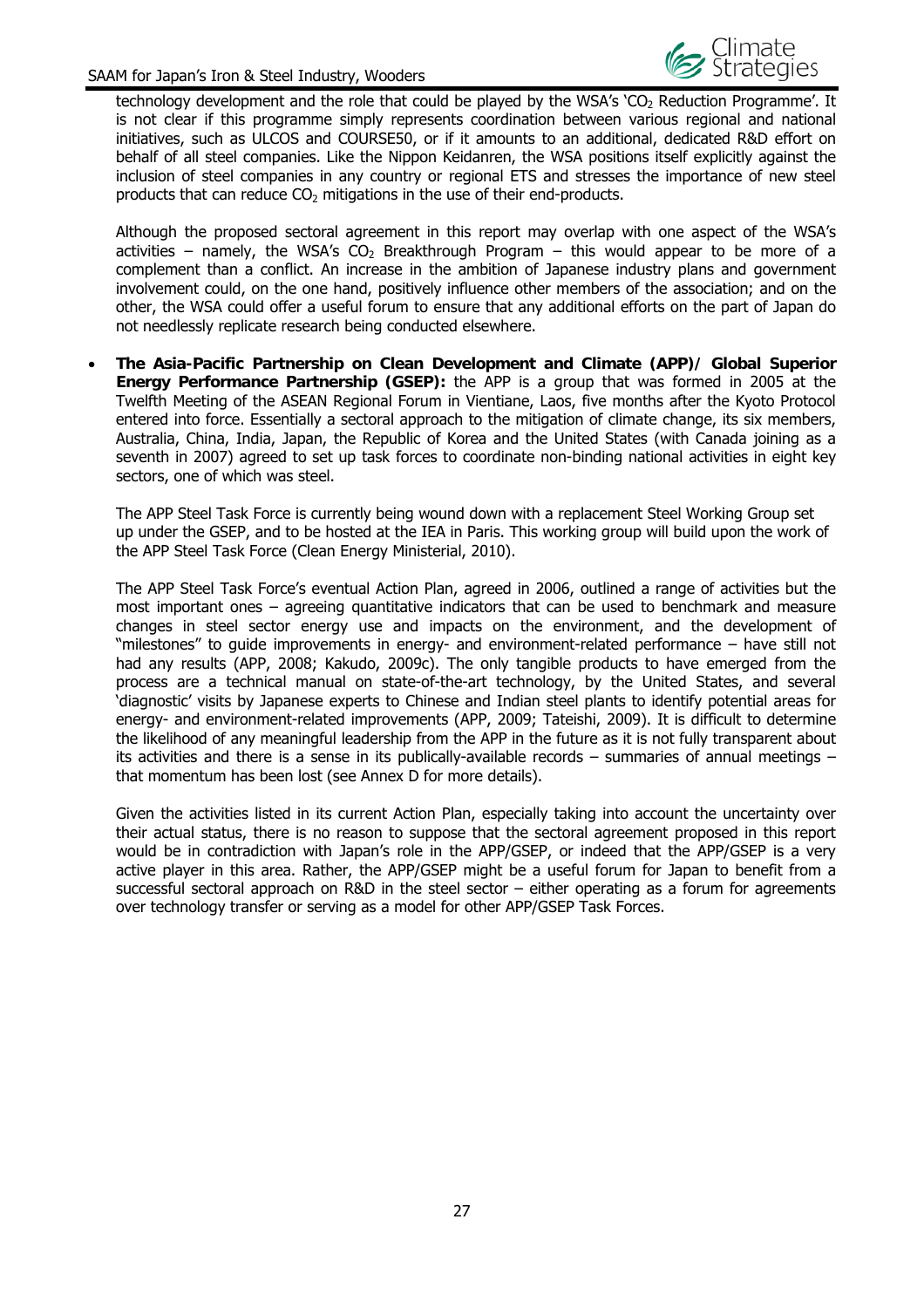

technology development and the role that could be played by the WSA's 'CO<sub>2</sub> Reduction Programme'. It is not clear if this programme simply represents coordination between various regional and national initiatives, such as ULCOS and COURSE50, or if it amounts to an additional, dedicated R&D effort on behalf of all steel companies. Like the Nippon Keidanren, the WSA positions itself explicitly against the inclusion of steel companies in any country or regional ETS and stresses the importance of new steel products that can reduce  $CO<sub>2</sub>$  mitigations in the use of their end-products.

Although the proposed sectoral agreement in this report may overlap with one aspect of the WSA's activities – namely, the WSA's CO<sub>2</sub> Breakthrough Program – this would appear to be more of a complement than a conflict. An increase in the ambition of Japanese industry plans and government involvement could, on the one hand, positively influence other members of the association; and on the other, the WSA could offer a useful forum to ensure that any additional efforts on the part of Japan do not needlessly replicate research being conducted elsewhere.

 **The Asia-Pacific Partnership on Clean Development and Climate (APP)/ Global Superior Energy Performance Partnership (GSEP):** the APP is a group that was formed in 2005 at the Twelfth Meeting of the ASEAN Regional Forum in Vientiane, Laos, five months after the Kyoto Protocol entered into force. Essentially a sectoral approach to the mitigation of climate change, its six members, Australia, China, India, Japan, the Republic of Korea and the United States (with Canada joining as a seventh in 2007) agreed to set up task forces to coordinate non-binding national activities in eight key sectors, one of which was steel.

The APP Steel Task Force is currently being wound down with a replacement Steel Working Group set up under the GSEP, and to be hosted at the IEA in Paris. This working group will build upon the work of the APP Steel Task Force (Clean Energy Ministerial, 2010).

The APP Steel Task Force's eventual Action Plan, agreed in 2006, outlined a range of activities but the most important ones – agreeing quantitative indicators that can be used to benchmark and measure changes in steel sector energy use and impacts on the environment, and the development of "milestones" to guide improvements in energy- and environment-related performance – have still not had any results (APP, 2008; Kakudo, 2009c). The only tangible products to have emerged from the process are a technical manual on state-of-the-art technology, by the United States, and several 'diagnostic' visits by Japanese experts to Chinese and Indian steel plants to identify potential areas for energy- and environment-related improvements (APP, 2009; Tateishi, 2009). It is difficult to determine the likelihood of any meaningful leadership from the APP in the future as it is not fully transparent about its activities and there is a sense in its publically-available records – summaries of annual meetings – that momentum has been lost (see Annex D for more details).

Given the activities listed in its current Action Plan, especially taking into account the uncertainty over their actual status, there is no reason to suppose that the sectoral agreement proposed in this report would be in contradiction with Japan's role in the APP/GSEP, or indeed that the APP/GSEP is a very active player in this area. Rather, the APP/GSEP might be a useful forum for Japan to benefit from a successful sectoral approach on R&D in the steel sector – either operating as a forum for agreements over technology transfer or serving as a model for other APP/GSEP Task Forces.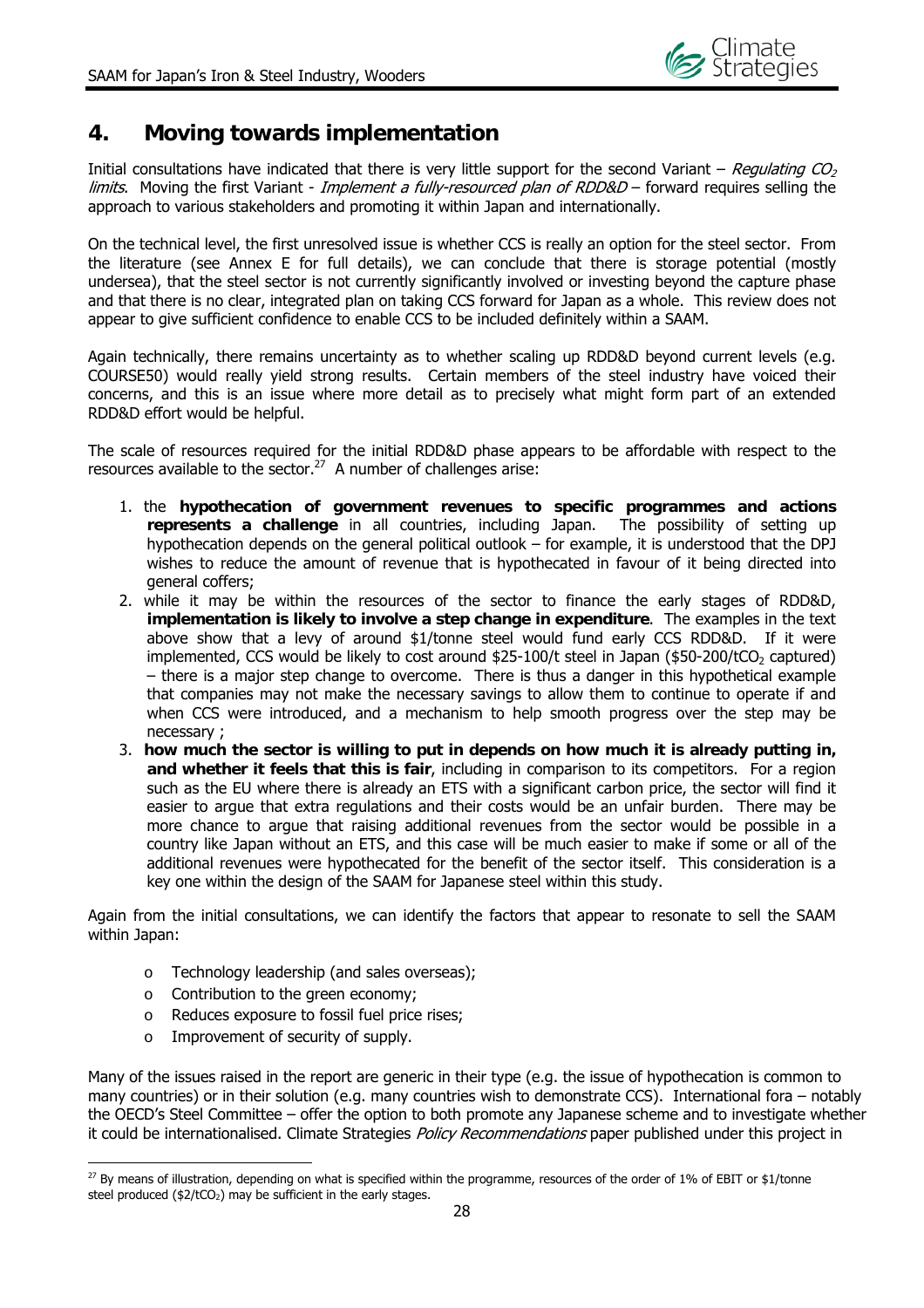## **4. Moving towards implementation**

Initial consultations have indicated that there is very little support for the second Variant – Regulating  $CO<sub>2</sub>$ limits. Moving the first Variant - Implement a fully-resourced plan of RDD&D – forward requires selling the approach to various stakeholders and promoting it within Japan and internationally.

On the technical level, the first unresolved issue is whether CCS is really an option for the steel sector. From the literature (see Annex E for full details), we can conclude that there is storage potential (mostly undersea), that the steel sector is not currently significantly involved or investing beyond the capture phase and that there is no clear, integrated plan on taking CCS forward for Japan as a whole. This review does not appear to give sufficient confidence to enable CCS to be included definitely within a SAAM.

Again technically, there remains uncertainty as to whether scaling up RDD&D beyond current levels (e.g. COURSE50) would really yield strong results. Certain members of the steel industry have voiced their concerns, and this is an issue where more detail as to precisely what might form part of an extended RDD&D effort would be helpful.

The scale of resources required for the initial RDD&D phase appears to be affordable with respect to the resources available to the sector.<sup>27</sup> A number of challenges arise:

- 1. the **hypothecation of government revenues to specific programmes and actions represents a challenge** in all countries, including Japan. The possibility of setting up hypothecation depends on the general political outlook – for example, it is understood that the DPJ wishes to reduce the amount of revenue that is hypothecated in favour of it being directed into general coffers;
- 2. while it may be within the resources of the sector to finance the early stages of RDD&D, **implementation is likely to involve a step change in expenditure**. The examples in the text above show that a levy of around \$1/tonne steel would fund early CCS RDD&D. If it were implemented, CCS would be likely to cost around  $$25-100/t$  steel in Japan  $($50-200/tCO<sub>2</sub>$  captured) – there is a major step change to overcome. There is thus a danger in this hypothetical example that companies may not make the necessary savings to allow them to continue to operate if and when CCS were introduced, and a mechanism to help smooth progress over the step may be necessary ;
- 3. **how much the sector is willing to put in depends on how much it is already putting in, and whether it feels that this is fair**, including in comparison to its competitors. For a region such as the EU where there is already an ETS with a significant carbon price, the sector will find it easier to argue that extra regulations and their costs would be an unfair burden. There may be more chance to argue that raising additional revenues from the sector would be possible in a country like Japan without an ETS, and this case will be much easier to make if some or all of the additional revenues were hypothecated for the benefit of the sector itself. This consideration is a key one within the design of the SAAM for Japanese steel within this study.

Again from the initial consultations, we can identify the factors that appear to resonate to sell the SAAM within Japan:

- o Technology leadership (and sales overseas);
- o Contribution to the green economy;
- o Reduces exposure to fossil fuel price rises;
- o Improvement of security of supply.

 $\overline{a}$ 

Many of the issues raised in the report are generic in their type (e.g. the issue of hypothecation is common to many countries) or in their solution (e.g. many countries wish to demonstrate CCS). International fora – notably the OECD's Steel Committee – offer the option to both promote any Japanese scheme and to investigate whether it could be internationalised. Climate Strategies *Policy Recommendations* paper published under this project in

<sup>&</sup>lt;sup>27</sup> By means of illustration, depending on what is specified within the programme, resources of the order of 1% of EBIT or \$1/tonne steel produced  $($2/tCO<sub>2</sub>)$  may be sufficient in the early stages.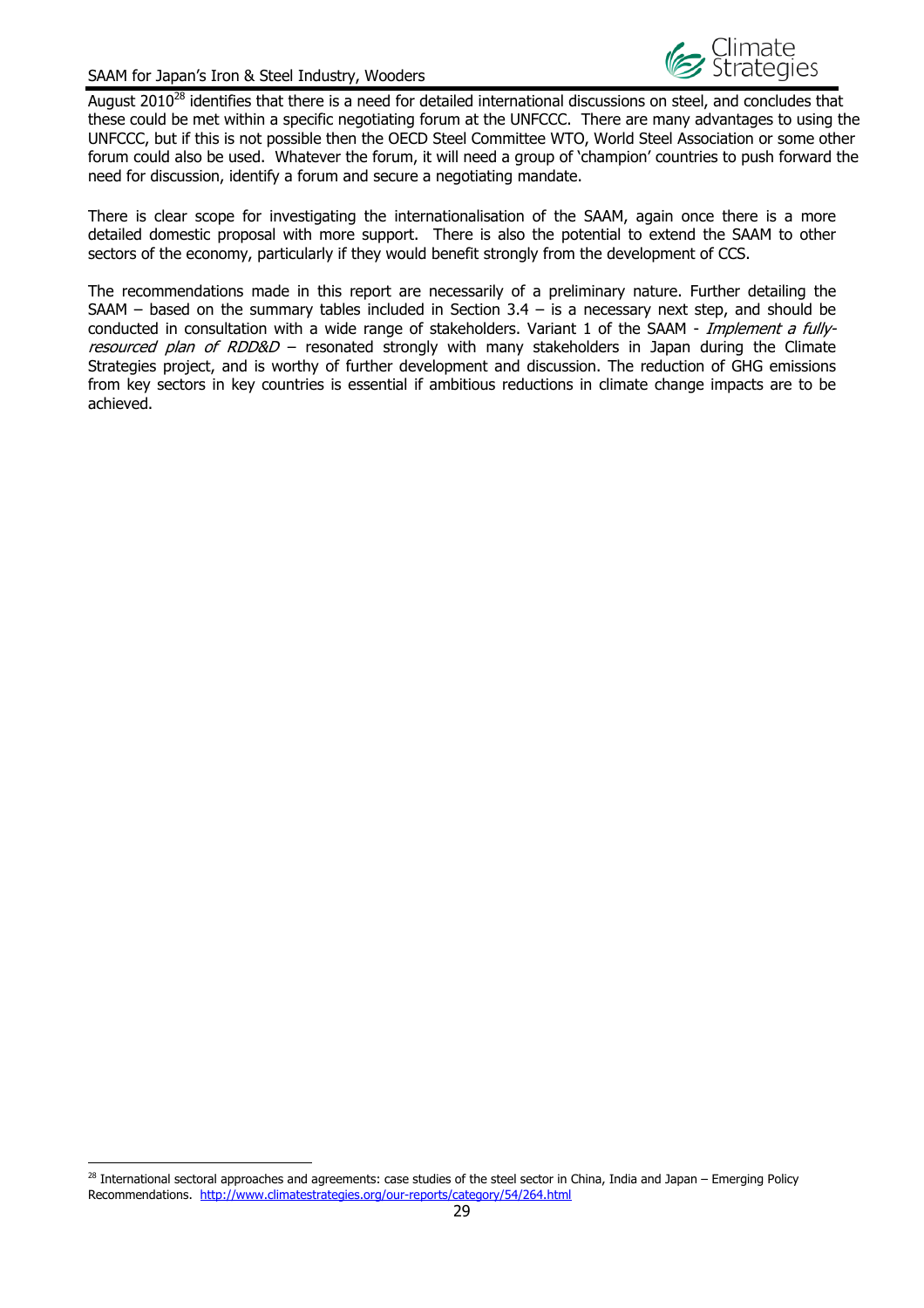

August 2010<sup>28</sup> identifies that there is a need for detailed international discussions on steel, and concludes that these could be met within a specific negotiating forum at the UNFCCC. There are many advantages to using the UNFCCC, but if this is not possible then the OECD Steel Committee WTO, World Steel Association or some other forum could also be used. Whatever the forum, it will need a group of 'champion' countries to push forward the need for discussion, identify a forum and secure a negotiating mandate.

There is clear scope for investigating the internationalisation of the SAAM, again once there is a more detailed domestic proposal with more support. There is also the potential to extend the SAAM to other sectors of the economy, particularly if they would benefit strongly from the development of CCS.

The recommendations made in this report are necessarily of a preliminary nature. Further detailing the SAAM – based on the summary tables included in Section  $3.4 -$  is a necessary next step, and should be conducted in consultation with a wide range of stakeholders. Variant 1 of the SAAM - Implement a fullyresourced plan of RDD&D - resonated strongly with many stakeholders in Japan during the Climate Strategies project, and is worthy of further development and discussion. The reduction of GHG emissions from key sectors in key countries is essential if ambitious reductions in climate change impacts are to be achieved.

 $\overline{a}$ 

<sup>&</sup>lt;sup>28</sup> International sectoral approaches and agreements: case studies of the steel sector in China, India and Japan – Emerging Policy Recommendations. http://www.climatestrategies.org/our-reports/category/54/264.html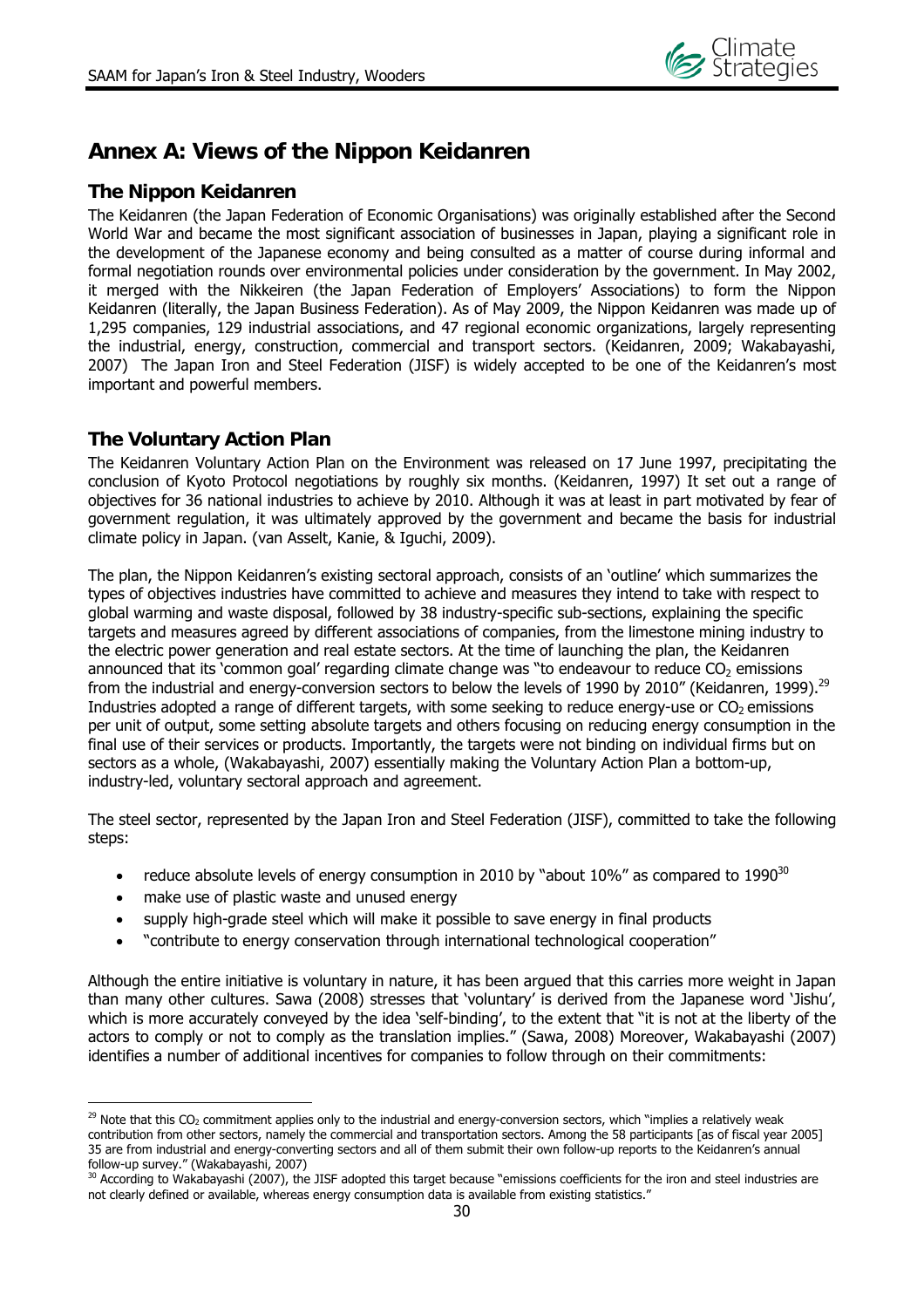

## **Annex A: Views of the Nippon Keidanren**

#### **The Nippon Keidanren**

The Keidanren (the Japan Federation of Economic Organisations) was originally established after the Second World War and became the most significant association of businesses in Japan, playing a significant role in the development of the Japanese economy and being consulted as a matter of course during informal and formal negotiation rounds over environmental policies under consideration by the government. In May 2002, it merged with the Nikkeiren (the Japan Federation of Employers' Associations) to form the Nippon Keidanren (literally, the Japan Business Federation). As of May 2009, the Nippon Keidanren was made up of 1,295 companies, 129 industrial associations, and 47 regional economic organizations, largely representing the industrial, energy, construction, commercial and transport sectors. (Keidanren, 2009; Wakabayashi, 2007) The Japan Iron and Steel Federation (JISF) is widely accepted to be one of the Keidanren's most important and powerful members.

#### **The Voluntary Action Plan**

The Keidanren Voluntary Action Plan on the Environment was released on 17 June 1997, precipitating the conclusion of Kyoto Protocol negotiations by roughly six months. (Keidanren, 1997) It set out a range of objectives for 36 national industries to achieve by 2010. Although it was at least in part motivated by fear of government regulation, it was ultimately approved by the government and became the basis for industrial climate policy in Japan. (van Asselt, Kanie, & Iguchi, 2009).

The plan, the Nippon Keidanren's existing sectoral approach, consists of an 'outline' which summarizes the types of objectives industries have committed to achieve and measures they intend to take with respect to global warming and waste disposal, followed by 38 industry-specific sub-sections, explaining the specific targets and measures agreed by different associations of companies, from the limestone mining industry to the electric power generation and real estate sectors. At the time of launching the plan, the Keidanren announced that its 'common goal' regarding climate change was "to endeavour to reduce  $CO<sub>2</sub>$  emissions from the industrial and energy-conversion sectors to below the levels of 1990 by 2010" (Keidanren, 1999).<sup>29</sup> Industries adopted a range of different targets, with some seeking to reduce energy-use or  $CO<sub>2</sub>$  emissions per unit of output, some setting absolute targets and others focusing on reducing energy consumption in the final use of their services or products. Importantly, the targets were not binding on individual firms but on sectors as a whole, (Wakabayashi, 2007) essentially making the Voluntary Action Plan a bottom-up, industry-led, voluntary sectoral approach and agreement.

The steel sector, represented by the Japan Iron and Steel Federation (JISF), committed to take the following steps:

- reduce absolute levels of energy consumption in 2010 by "about 10%" as compared to 1990 $^{30}$
- make use of plastic waste and unused energy

 $\overline{a}$ 

- supply high-grade steel which will make it possible to save energy in final products
- "contribute to energy conservation through international technological cooperation"

Although the entire initiative is voluntary in nature, it has been argued that this carries more weight in Japan than many other cultures. Sawa (2008) stresses that 'voluntary' is derived from the Japanese word 'Jishu', which is more accurately conveyed by the idea 'self-binding', to the extent that "it is not at the liberty of the actors to comply or not to comply as the translation implies." (Sawa, 2008) Moreover, Wakabayashi (2007) identifies a number of additional incentives for companies to follow through on their commitments:

 $29$  Note that this CO<sub>2</sub> commitment applies only to the industrial and energy-conversion sectors, which "implies a relatively weak contribution from other sectors, namely the commercial and transportation sectors. Among the 58 participants [as of fiscal year 2005] 35 are from industrial and energy-converting sectors and all of them submit their own follow-up reports to the Keidanren's annual follow-up survey." (Wakabayashi, 2007)

<sup>&</sup>lt;sup>30</sup> According to Wakabayashi (2007), the JISF adopted this target because "emissions coefficients for the iron and steel industries are not clearly defined or available, whereas energy consumption data is available from existing statistics."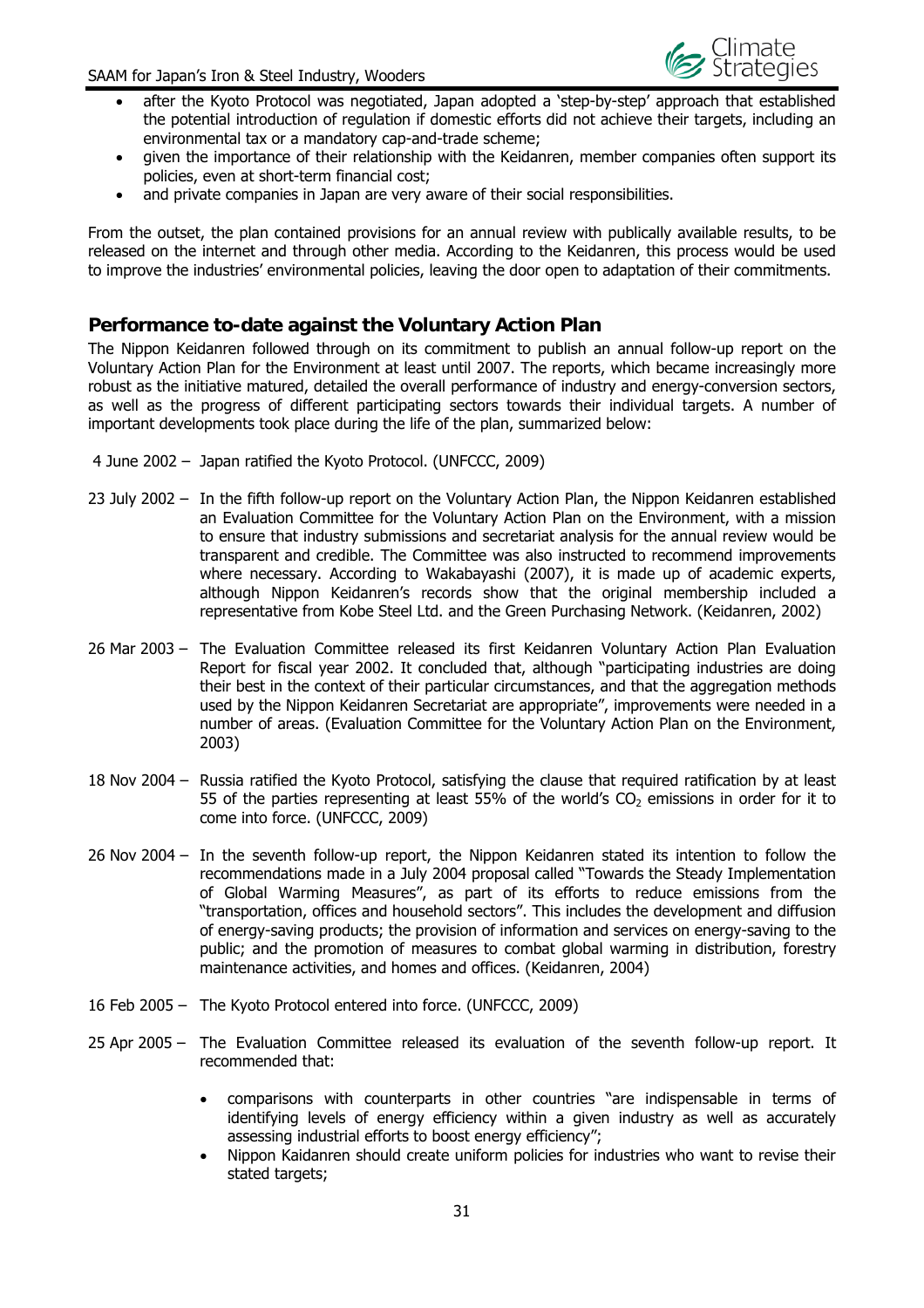

- after the Kyoto Protocol was negotiated, Japan adopted a 'step-by-step' approach that established the potential introduction of regulation if domestic efforts did not achieve their targets, including an environmental tax or a mandatory cap-and-trade scheme;
- given the importance of their relationship with the Keidanren, member companies often support its policies, even at short-term financial cost;
- and private companies in Japan are very aware of their social responsibilities.

From the outset, the plan contained provisions for an annual review with publically available results, to be released on the internet and through other media. According to the Keidanren, this process would be used to improve the industries' environmental policies, leaving the door open to adaptation of their commitments.

## **Performance to-date against the Voluntary Action Plan**

The Nippon Keidanren followed through on its commitment to publish an annual follow-up report on the Voluntary Action Plan for the Environment at least until 2007. The reports, which became increasingly more robust as the initiative matured, detailed the overall performance of industry and energy-conversion sectors, as well as the progress of different participating sectors towards their individual targets. A number of important developments took place during the life of the plan, summarized below:

- 4 June 2002 Japan ratified the Kyoto Protocol. (UNFCCC, 2009)
- 23 July 2002 In the fifth follow-up report on the Voluntary Action Plan, the Nippon Keidanren established an Evaluation Committee for the Voluntary Action Plan on the Environment, with a mission to ensure that industry submissions and secretariat analysis for the annual review would be transparent and credible. The Committee was also instructed to recommend improvements where necessary. According to Wakabayashi (2007), it is made up of academic experts, although Nippon Keidanren's records show that the original membership included a representative from Kobe Steel Ltd. and the Green Purchasing Network. (Keidanren, 2002)
- 26 Mar 2003 The Evaluation Committee released its first Keidanren Voluntary Action Plan Evaluation Report for fiscal year 2002. It concluded that, although "participating industries are doing their best in the context of their particular circumstances, and that the aggregation methods used by the Nippon Keidanren Secretariat are appropriate", improvements were needed in a number of areas. (Evaluation Committee for the Voluntary Action Plan on the Environment, 2003)
- 18 Nov 2004 Russia ratified the Kyoto Protocol, satisfying the clause that required ratification by at least 55 of the parties representing at least 55% of the world's  $CO<sub>2</sub>$  emissions in order for it to come into force. (UNFCCC, 2009)
- 26 Nov 2004 In the seventh follow-up report, the Nippon Keidanren stated its intention to follow the recommendations made in a July 2004 proposal called "Towards the Steady Implementation of Global Warming Measures", as part of its efforts to reduce emissions from the "transportation, offices and household sectors". This includes the development and diffusion of energy-saving products; the provision of information and services on energy-saving to the public; and the promotion of measures to combat global warming in distribution, forestry maintenance activities, and homes and offices. (Keidanren, 2004)
- 16 Feb 2005 The Kyoto Protocol entered into force. (UNFCCC, 2009)
- 25 Apr 2005 The Evaluation Committee released its evaluation of the seventh follow-up report. It recommended that:
	- comparisons with counterparts in other countries "are indispensable in terms of identifying levels of energy efficiency within a given industry as well as accurately assessing industrial efforts to boost energy efficiency";
	- Nippon Kaidanren should create uniform policies for industries who want to revise their stated targets;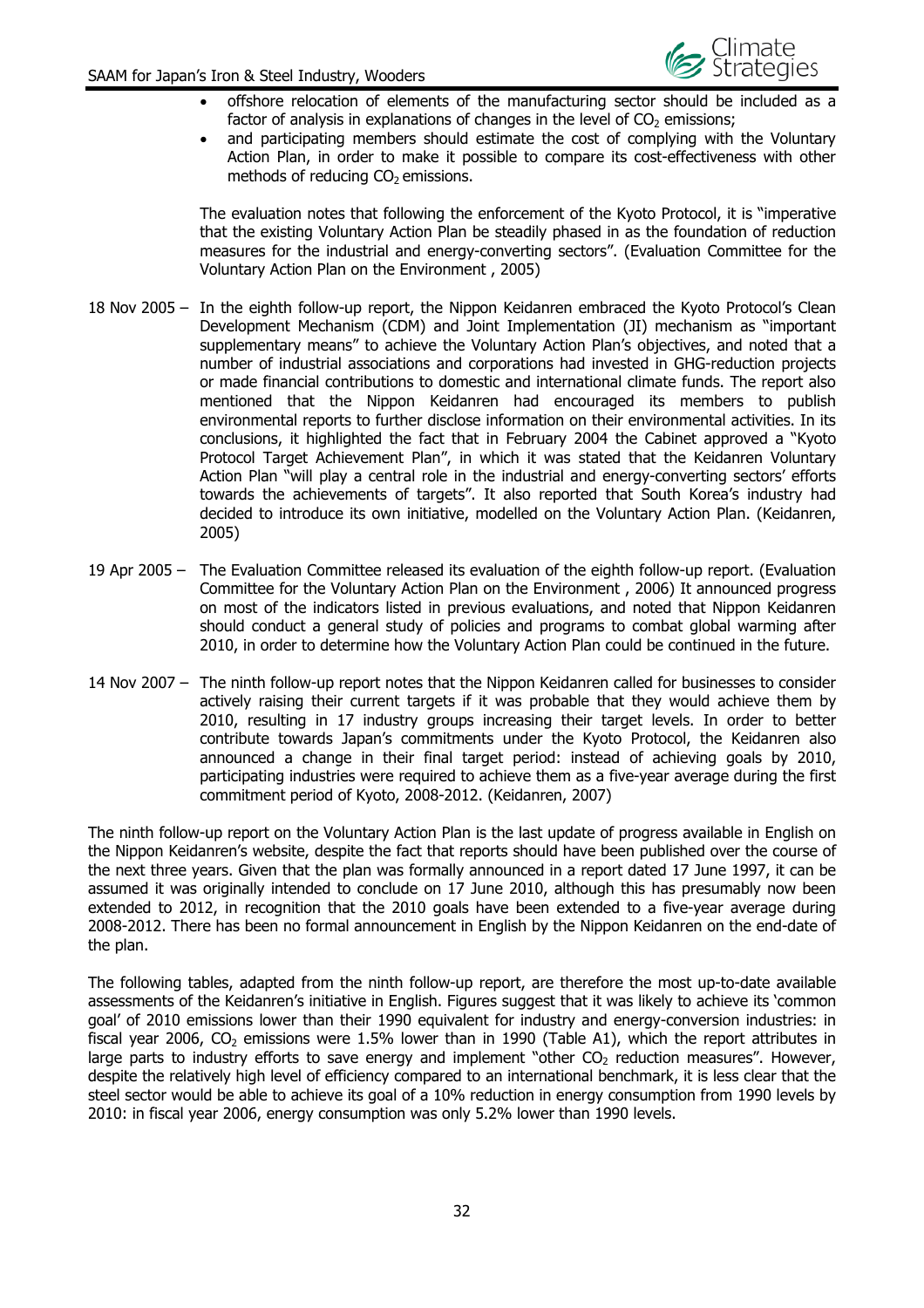

- offshore relocation of elements of the manufacturing sector should be included as a factor of analysis in explanations of changes in the level of  $CO<sub>2</sub>$  emissions;
- and participating members should estimate the cost of complying with the Voluntary Action Plan, in order to make it possible to compare its cost-effectiveness with other methods of reducing  $CO<sub>2</sub>$  emissions.

The evaluation notes that following the enforcement of the Kyoto Protocol, it is "imperative that the existing Voluntary Action Plan be steadily phased in as the foundation of reduction measures for the industrial and energy-converting sectors". (Evaluation Committee for the Voluntary Action Plan on the Environment , 2005)

- 18 Nov 2005 In the eighth follow-up report, the Nippon Keidanren embraced the Kyoto Protocol's Clean Development Mechanism (CDM) and Joint Implementation (JI) mechanism as "important supplementary means" to achieve the Voluntary Action Plan's objectives, and noted that a number of industrial associations and corporations had invested in GHG-reduction projects or made financial contributions to domestic and international climate funds. The report also mentioned that the Nippon Keidanren had encouraged its members to publish environmental reports to further disclose information on their environmental activities. In its conclusions, it highlighted the fact that in February 2004 the Cabinet approved a "Kyoto Protocol Target Achievement Plan", in which it was stated that the Keidanren Voluntary Action Plan "will play a central role in the industrial and energy-converting sectors' efforts towards the achievements of targets". It also reported that South Korea's industry had decided to introduce its own initiative, modelled on the Voluntary Action Plan. (Keidanren, 2005)
- 19 Apr 2005 The Evaluation Committee released its evaluation of the eighth follow-up report. (Evaluation Committee for the Voluntary Action Plan on the Environment , 2006) It announced progress on most of the indicators listed in previous evaluations, and noted that Nippon Keidanren should conduct a general study of policies and programs to combat global warming after 2010, in order to determine how the Voluntary Action Plan could be continued in the future.
- 14 Nov 2007 The ninth follow-up report notes that the Nippon Keidanren called for businesses to consider actively raising their current targets if it was probable that they would achieve them by 2010, resulting in 17 industry groups increasing their target levels. In order to better contribute towards Japan's commitments under the Kyoto Protocol, the Keidanren also announced a change in their final target period: instead of achieving goals by 2010, participating industries were required to achieve them as a five-year average during the first commitment period of Kyoto, 2008-2012. (Keidanren, 2007)

The ninth follow-up report on the Voluntary Action Plan is the last update of progress available in English on the Nippon Keidanren's website, despite the fact that reports should have been published over the course of the next three years. Given that the plan was formally announced in a report dated 17 June 1997, it can be assumed it was originally intended to conclude on 17 June 2010, although this has presumably now been extended to 2012, in recognition that the 2010 goals have been extended to a five-year average during 2008-2012. There has been no formal announcement in English by the Nippon Keidanren on the end-date of the plan.

The following tables, adapted from the ninth follow-up report, are therefore the most up-to-date available assessments of the Keidanren's initiative in English. Figures suggest that it was likely to achieve its 'common goal' of 2010 emissions lower than their 1990 equivalent for industry and energy-conversion industries: in fiscal year 2006,  $CO<sub>2</sub>$  emissions were 1.5% lower than in 1990 (Table A1), which the report attributes in large parts to industry efforts to save energy and implement "other  $CO<sub>2</sub>$  reduction measures". However, despite the relatively high level of efficiency compared to an international benchmark, it is less clear that the steel sector would be able to achieve its goal of a 10% reduction in energy consumption from 1990 levels by 2010: in fiscal year 2006, energy consumption was only 5.2% lower than 1990 levels.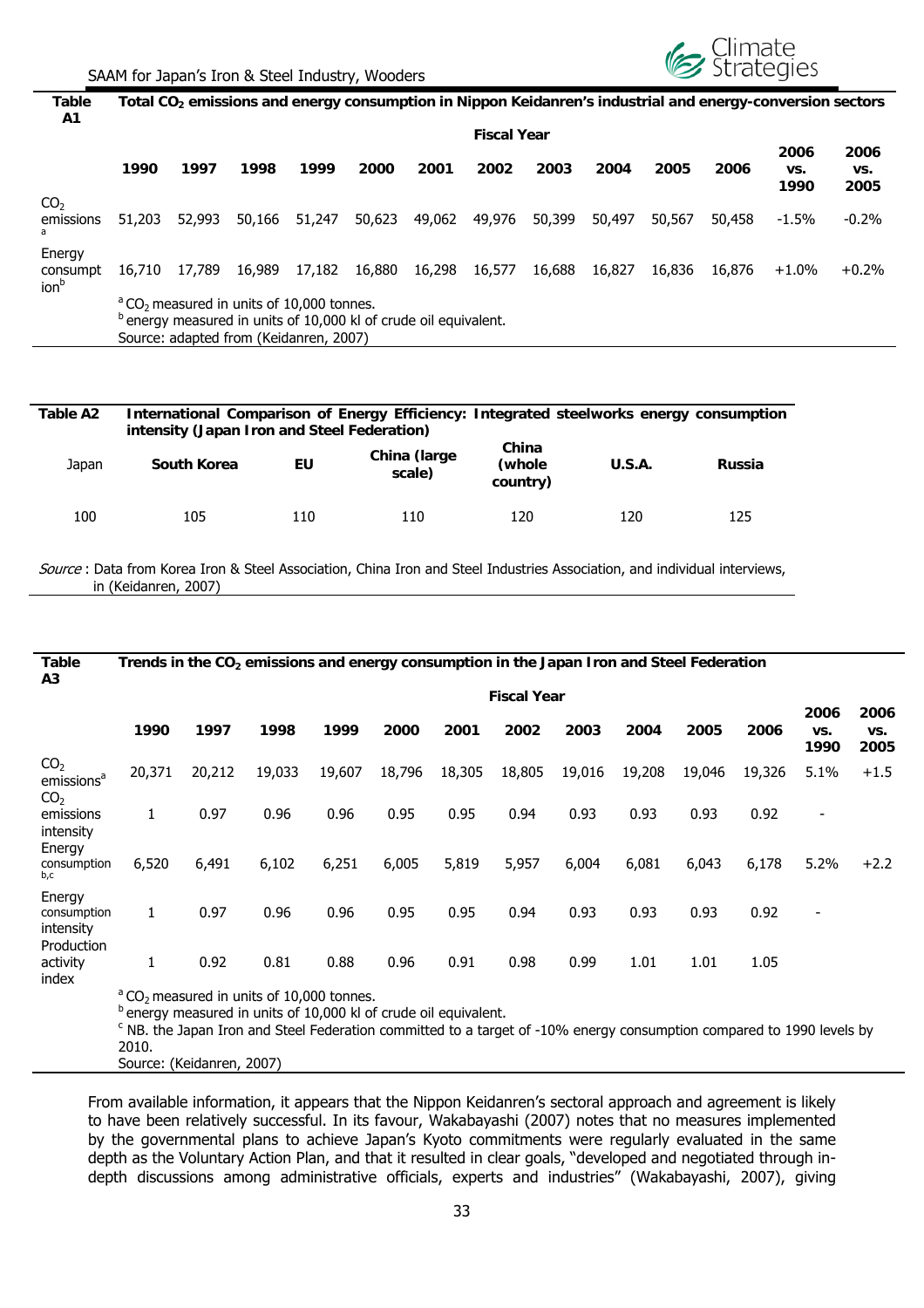

**Table A1**  Total CO<sub>2</sub> emissions and energy consumption in Nippon Keidanren's industrial and energy-conversion sectors

|                                        | <b>Fiscal Year</b>                                                                                                                                                                      |        |        |        |        |        |        |        |        |        |        |                     |                     |
|----------------------------------------|-----------------------------------------------------------------------------------------------------------------------------------------------------------------------------------------|--------|--------|--------|--------|--------|--------|--------|--------|--------|--------|---------------------|---------------------|
|                                        | 1990                                                                                                                                                                                    | 1997   | 1998   | 1999   | 2000   | 2001   | 2002   | 2003   | 2004   | 2005   | 2006   | 2006<br>VS.<br>1990 | 2006<br>VS.<br>2005 |
| CO <sub>2</sub><br>emissions<br>a      | 51,203                                                                                                                                                                                  | 52,993 | 50,166 | 51,247 | 50,623 | 49,062 | 49,976 | 50,399 | 50,497 | 50,567 | 50,458 | $-1.5\%$            | $-0.2%$             |
| Energy<br>consumpt<br>ion <sup>b</sup> | 16,710                                                                                                                                                                                  | 17,789 | 16,989 | 17,182 | 16,880 | 16,298 | 16,577 | 16,688 | 16,827 | 16,836 | 16,876 | $+1.0\%$            | $+0.2\%$            |
|                                        | $^{\circ}$ CO <sub>2</sub> measured in units of 10,000 tonnes.<br><sup>b</sup> energy measured in units of 10,000 kl of crude oil equivalent.<br>Source: adapted from (Keidanren, 2007) |        |        |        |        |        |        |        |        |        |        |                     |                     |

| Table A2 | intensity (Japan Iron and Steel Federation) |     |                        |                             | International Comparison of Energy Efficiency: Integrated steelworks energy consumption |        |
|----------|---------------------------------------------|-----|------------------------|-----------------------------|-----------------------------------------------------------------------------------------|--------|
| Japan    | South Korea                                 | ΕU  | China (large<br>scale) | China<br>(whole<br>country) | U.S.A.                                                                                  | Russia |
| 100      | 105                                         | 110 | 110                    | 120                         | 120                                                                                     | 125    |

Source : Data from Korea Iron & Steel Association, China Iron and Steel Industries Association, and individual interviews, in (Keidanren, 2007)

| Table<br>A3                                                  | Trends in the $CO2$ emissions and energy consumption in the Japan Iron and Steel Federation |        |                                                                                                                                                                                                                                                                                     |        |        |        |        |        |        |        |        |                          |                     |
|--------------------------------------------------------------|---------------------------------------------------------------------------------------------|--------|-------------------------------------------------------------------------------------------------------------------------------------------------------------------------------------------------------------------------------------------------------------------------------------|--------|--------|--------|--------|--------|--------|--------|--------|--------------------------|---------------------|
|                                                              | <b>Fiscal Year</b>                                                                          |        |                                                                                                                                                                                                                                                                                     |        |        |        |        |        |        |        |        |                          |                     |
|                                                              | 1990                                                                                        | 1997   | 1998                                                                                                                                                                                                                                                                                | 1999   | 2000   | 2001   | 2002   | 2003   | 2004   | 2005   | 2006   | 2006<br>VS.<br>1990      | 2006<br>VS.<br>2005 |
| CO <sub>2</sub><br>emissions <sup>a</sup><br>CO <sub>2</sub> | 20,371                                                                                      | 20,212 | 19,033                                                                                                                                                                                                                                                                              | 19,607 | 18,796 | 18,305 | 18,805 | 19,016 | 19,208 | 19,046 | 19,326 | 5.1%                     | $+1.5$              |
| emissions<br>intensity                                       | 1                                                                                           | 0.97   | 0.96                                                                                                                                                                                                                                                                                | 0.96   | 0.95   | 0.95   | 0.94   | 0.93   | 0.93   | 0.93   | 0.92   |                          |                     |
| Energy<br>consumption<br>b,c                                 | 6,520                                                                                       | 6,491  | 6,102                                                                                                                                                                                                                                                                               | 6,251  | 6,005  | 5,819  | 5,957  | 6,004  | 6,081  | 6,043  | 6,178  | 5.2%                     | $+2.2$              |
| Energy<br>consumption<br>intensity<br>Production             | 1                                                                                           | 0.97   | 0.96                                                                                                                                                                                                                                                                                | 0.96   | 0.95   | 0.95   | 0.94   | 0.93   | 0.93   | 0.93   | 0.92   | $\overline{\phantom{a}}$ |                     |
| activity<br>index                                            | 1                                                                                           | 0.92   | 0.81                                                                                                                                                                                                                                                                                | 0.88   | 0.96   | 0.91   | 0.98   | 0.99   | 1.01   | 1.01   | 1.05   |                          |                     |
|                                                              |                                                                                             |        | <sup>a</sup> CO <sub>2</sub> measured in units of 10,000 tonnes.<br><sup>b</sup> energy measured in units of 10,000 kl of crude oil equivalent.<br><sup>c</sup> NB. the Japan Iron and Steel Federation committed to a target of -10% energy consumption compared to 1990 levels by |        |        |        |        |        |        |        |        |                          |                     |

2010.

Source: (Keidanren, 2007)

From available information, it appears that the Nippon Keidanren's sectoral approach and agreement is likely to have been relatively successful. In its favour, Wakabayashi (2007) notes that no measures implemented by the governmental plans to achieve Japan's Kyoto commitments were regularly evaluated in the same depth as the Voluntary Action Plan, and that it resulted in clear goals, "developed and negotiated through indepth discussions among administrative officials, experts and industries" (Wakabayashi, 2007), giving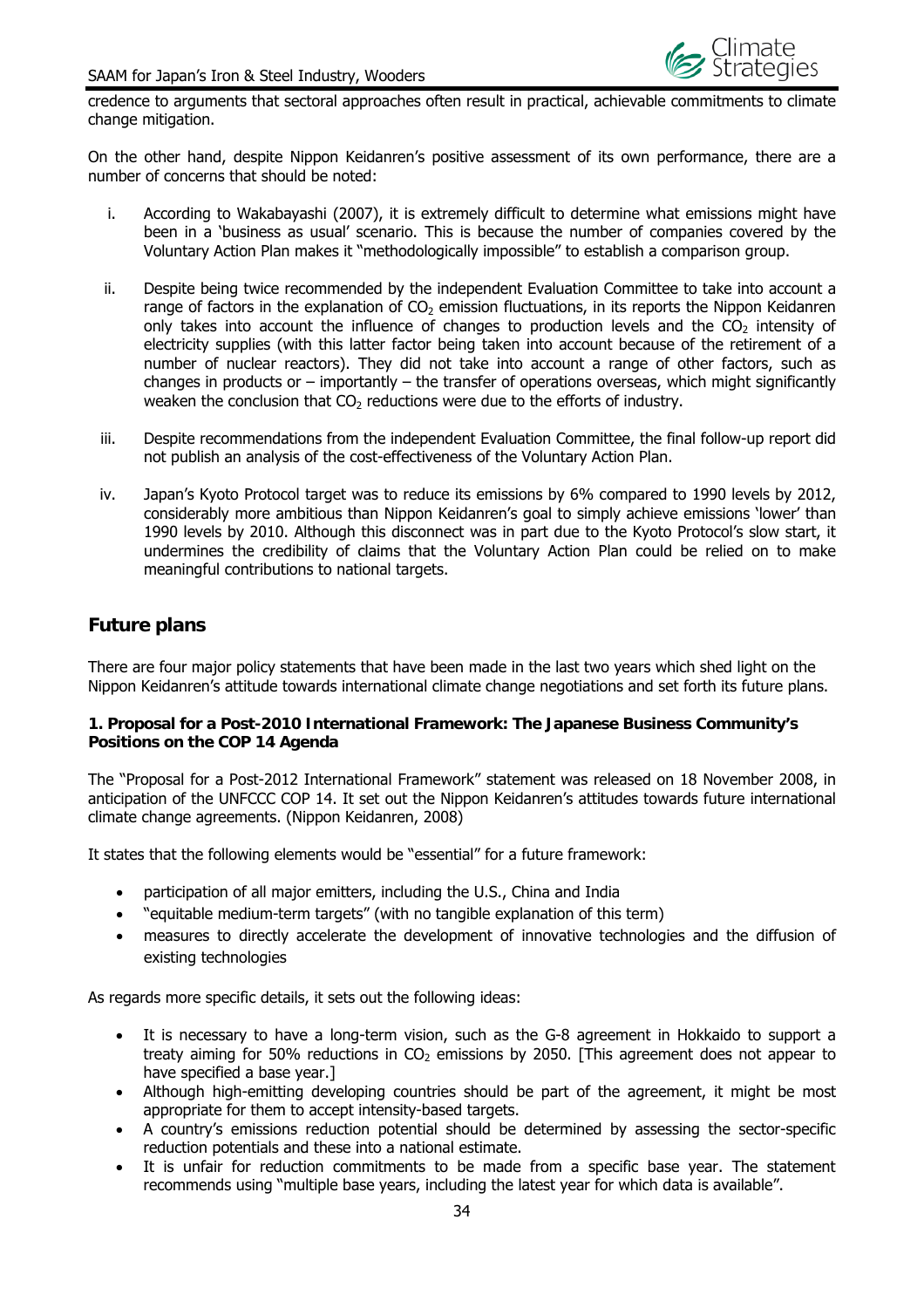

credence to arguments that sectoral approaches often result in practical, achievable commitments to climate change mitigation.

On the other hand, despite Nippon Keidanren's positive assessment of its own performance, there are a number of concerns that should be noted:

- i. According to Wakabayashi (2007), it is extremely difficult to determine what emissions might have been in a 'business as usual' scenario. This is because the number of companies covered by the Voluntary Action Plan makes it "methodologically impossible" to establish a comparison group.
- ii. Despite being twice recommended by the independent Evaluation Committee to take into account a range of factors in the explanation of  $CO<sub>2</sub>$  emission fluctuations, in its reports the Nippon Keidanren only takes into account the influence of changes to production levels and the  $CO<sub>2</sub>$  intensity of electricity supplies (with this latter factor being taken into account because of the retirement of a number of nuclear reactors). They did not take into account a range of other factors, such as changes in products or – importantly – the transfer of operations overseas, which might significantly weaken the conclusion that  $CO<sub>2</sub>$  reductions were due to the efforts of industry.
- iii. Despite recommendations from the independent Evaluation Committee, the final follow-up report did not publish an analysis of the cost-effectiveness of the Voluntary Action Plan.
- iv. Japan's Kyoto Protocol target was to reduce its emissions by 6% compared to 1990 levels by 2012, considerably more ambitious than Nippon Keidanren's goal to simply achieve emissions 'lower' than 1990 levels by 2010. Although this disconnect was in part due to the Kyoto Protocol's slow start, it undermines the credibility of claims that the Voluntary Action Plan could be relied on to make meaningful contributions to national targets.

## **Future plans**

There are four major policy statements that have been made in the last two years which shed light on the Nippon Keidanren's attitude towards international climate change negotiations and set forth its future plans.

#### **1. Proposal for a Post-2010 International Framework: The Japanese Business Community's Positions on the COP 14 Agenda**

The "Proposal for a Post-2012 International Framework" statement was released on 18 November 2008, in anticipation of the UNFCCC COP 14. It set out the Nippon Keidanren's attitudes towards future international climate change agreements. (Nippon Keidanren, 2008)

It states that the following elements would be "essential" for a future framework:

- participation of all major emitters, including the U.S., China and India
- "equitable medium-term targets" (with no tangible explanation of this term)
- measures to directly accelerate the development of innovative technologies and the diffusion of existing technologies

As regards more specific details, it sets out the following ideas:

- It is necessary to have a long-term vision, such as the G-8 agreement in Hokkaido to support a treaty aiming for 50% reductions in  $CO<sub>2</sub>$  emissions by 2050. [This agreement does not appear to have specified a base year.]
- Although high-emitting developing countries should be part of the agreement, it might be most appropriate for them to accept intensity-based targets.
- A country's emissions reduction potential should be determined by assessing the sector-specific reduction potentials and these into a national estimate.
- It is unfair for reduction commitments to be made from a specific base year. The statement recommends using "multiple base years, including the latest year for which data is available".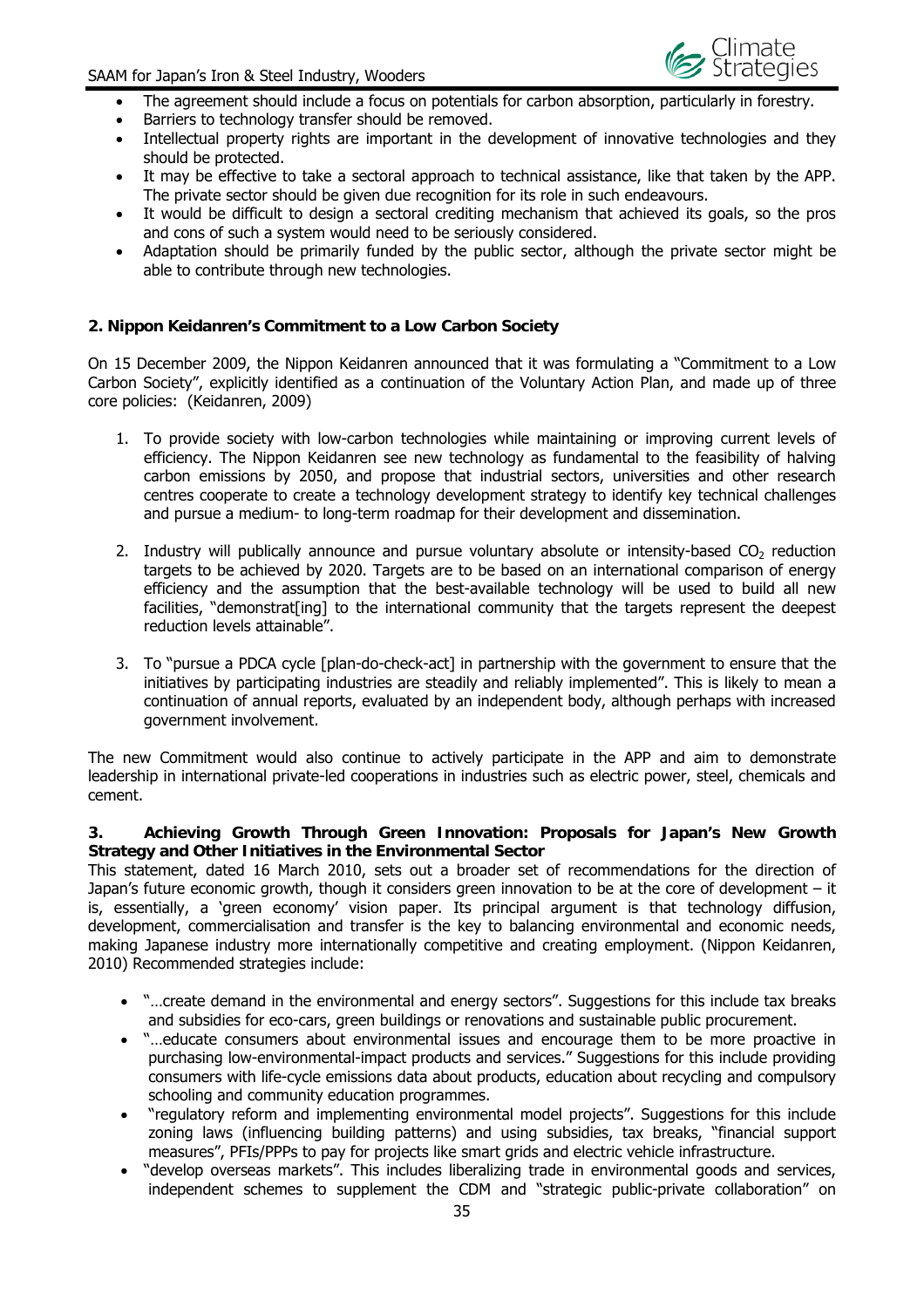

- The agreement should include a focus on potentials for carbon absorption, particularly in forestry.
- Barriers to technology transfer should be removed.
- Intellectual property rights are important in the development of innovative technologies and they should be protected.
- It may be effective to take a sectoral approach to technical assistance, like that taken by the APP. The private sector should be given due recognition for its role in such endeavours.
- It would be difficult to design a sectoral crediting mechanism that achieved its goals, so the pros and cons of such a system would need to be seriously considered.
- Adaptation should be primarily funded by the public sector, although the private sector might be able to contribute through new technologies.

#### **2. Nippon Keidanren's Commitment to a Low Carbon Society**

On 15 December 2009, the Nippon Keidanren announced that it was formulating a "Commitment to a Low Carbon Society", explicitly identified as a continuation of the Voluntary Action Plan, and made up of three core policies: (Keidanren, 2009)

- 1. To provide society with low-carbon technologies while maintaining or improving current levels of efficiency. The Nippon Keidanren see new technology as fundamental to the feasibility of halving carbon emissions by 2050, and propose that industrial sectors, universities and other research centres cooperate to create a technology development strategy to identify key technical challenges and pursue a medium- to long-term roadmap for their development and dissemination.
- 2. Industry will publically announce and pursue voluntary absolute or intensity-based  $CO<sub>2</sub>$  reduction targets to be achieved by 2020. Targets are to be based on an international comparison of energy efficiency and the assumption that the best-available technology will be used to build all new facilities, "demonstrat[ing] to the international community that the targets represent the deepest reduction levels attainable".
- 3. To "pursue a PDCA cycle [plan-do-check-act] in partnership with the government to ensure that the initiatives by participating industries are steadily and reliably implemented". This is likely to mean a continuation of annual reports, evaluated by an independent body, although perhaps with increased government involvement.

The new Commitment would also continue to actively participate in the APP and aim to demonstrate leadership in international private-led cooperations in industries such as electric power, steel, chemicals and cement.

#### **3. Achieving Growth Through Green Innovation: Proposals for Japan's New Growth Strategy and Other Initiatives in the Environmental Sector**

This statement, dated 16 March 2010, sets out a broader set of recommendations for the direction of Japan's future economic growth, though it considers green innovation to be at the core of development – it is, essentially, a 'green economy' vision paper. Its principal argument is that technology diffusion, development, commercialisation and transfer is the key to balancing environmental and economic needs, making Japanese industry more internationally competitive and creating employment. (Nippon Keidanren, 2010) Recommended strategies include:

- "…create demand in the environmental and energy sectors". Suggestions for this include tax breaks and subsidies for eco-cars, green buildings or renovations and sustainable public procurement.
- "…educate consumers about environmental issues and encourage them to be more proactive in purchasing low-environmental-impact products and services." Suggestions for this include providing consumers with life-cycle emissions data about products, education about recycling and compulsory schooling and community education programmes.
- "regulatory reform and implementing environmental model projects". Suggestions for this include zoning laws (influencing building patterns) and using subsidies, tax breaks, "financial support measures", PFIs/PPPs to pay for projects like smart grids and electric vehicle infrastructure.
- "develop overseas markets". This includes liberalizing trade in environmental goods and services, independent schemes to supplement the CDM and "strategic public-private collaboration" on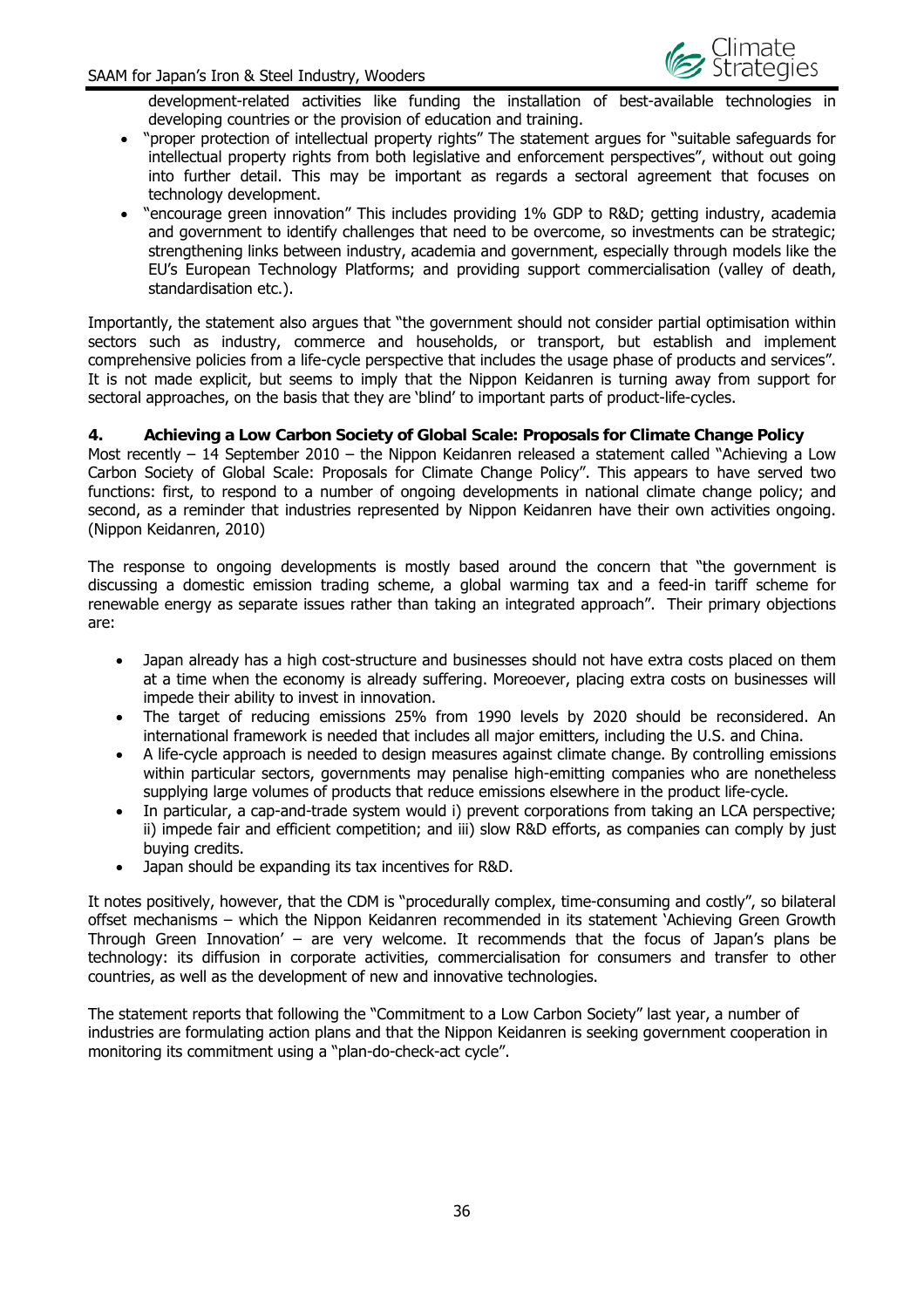

development-related activities like funding the installation of best-available technologies in developing countries or the provision of education and training.

- "proper protection of intellectual property rights" The statement argues for "suitable safeguards for intellectual property rights from both legislative and enforcement perspectives", without out going into further detail. This may be important as regards a sectoral agreement that focuses on technology development.
- "encourage green innovation" This includes providing 1% GDP to R&D; getting industry, academia and government to identify challenges that need to be overcome, so investments can be strategic: strengthening links between industry, academia and government, especially through models like the EU's European Technology Platforms; and providing support commercialisation (valley of death, standardisation etc.).

Importantly, the statement also argues that "the government should not consider partial optimisation within sectors such as industry, commerce and households, or transport, but establish and implement comprehensive policies from a life-cycle perspective that includes the usage phase of products and services". It is not made explicit, but seems to imply that the Nippon Keidanren is turning away from support for sectoral approaches, on the basis that they are 'blind' to important parts of product-life-cycles.

**4. Achieving a Low Carbon Society of Global Scale: Proposals for Climate Change Policy**  Most recently – 14 September 2010 – the Nippon Keidanren released a statement called "Achieving a Low Carbon Society of Global Scale: Proposals for Climate Change Policy". This appears to have served two functions: first, to respond to a number of ongoing developments in national climate change policy; and second, as a reminder that industries represented by Nippon Keidanren have their own activities ongoing. (Nippon Keidanren, 2010)

The response to ongoing developments is mostly based around the concern that "the government is discussing a domestic emission trading scheme, a global warming tax and a feed-in tariff scheme for renewable energy as separate issues rather than taking an integrated approach". Their primary objections are:

- Japan already has a high cost-structure and businesses should not have extra costs placed on them at a time when the economy is already suffering. Moreoever, placing extra costs on businesses will impede their ability to invest in innovation.
- The target of reducing emissions 25% from 1990 levels by 2020 should be reconsidered. An international framework is needed that includes all major emitters, including the U.S. and China.
- A life-cycle approach is needed to design measures against climate change. By controlling emissions within particular sectors, governments may penalise high-emitting companies who are nonetheless supplying large volumes of products that reduce emissions elsewhere in the product life-cycle.
- In particular, a cap-and-trade system would i) prevent corporations from taking an LCA perspective; ii) impede fair and efficient competition; and iii) slow R&D efforts, as companies can comply by just buying credits.
- Japan should be expanding its tax incentives for R&D.

It notes positively, however, that the CDM is "procedurally complex, time-consuming and costly", so bilateral offset mechanisms – which the Nippon Keidanren recommended in its statement 'Achieving Green Growth Through Green Innovation' – are very welcome. It recommends that the focus of Japan's plans be technology: its diffusion in corporate activities, commercialisation for consumers and transfer to other countries, as well as the development of new and innovative technologies.

The statement reports that following the "Commitment to a Low Carbon Society" last year, a number of industries are formulating action plans and that the Nippon Keidanren is seeking government cooperation in monitoring its commitment using a "plan-do-check-act cycle".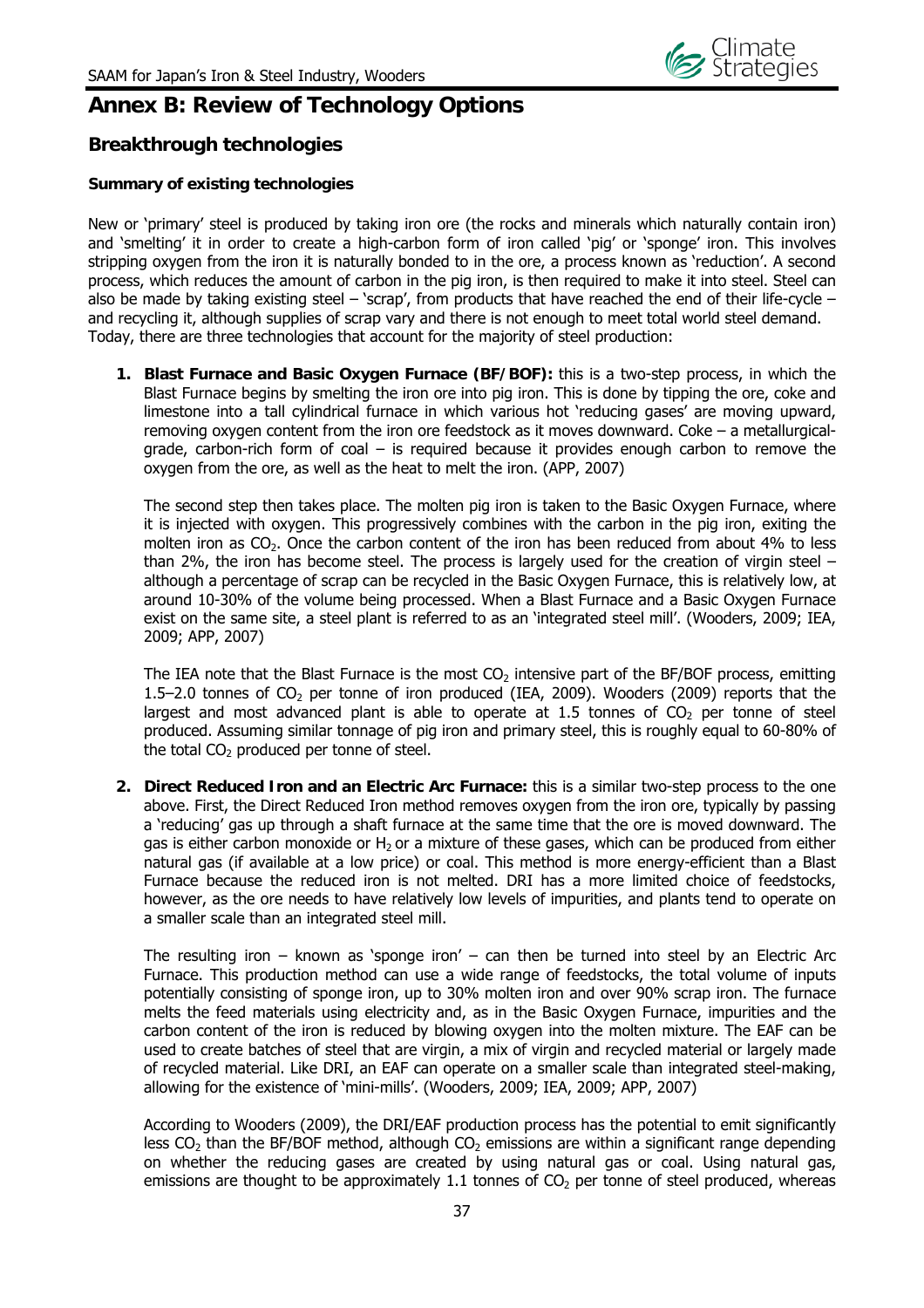

## **Annex B: Review of Technology Options**

## **Breakthrough technologies**

#### **Summary of existing technologies**

New or 'primary' steel is produced by taking iron ore (the rocks and minerals which naturally contain iron) and 'smelting' it in order to create a high-carbon form of iron called 'pig' or 'sponge' iron. This involves stripping oxygen from the iron it is naturally bonded to in the ore, a process known as 'reduction'. A second process, which reduces the amount of carbon in the pig iron, is then required to make it into steel. Steel can also be made by taking existing steel – 'scrap', from products that have reached the end of their life-cycle – and recycling it, although supplies of scrap vary and there is not enough to meet total world steel demand. Today, there are three technologies that account for the majority of steel production:

**1. Blast Furnace and Basic Oxygen Furnace (BF/BOF):** this is a two-step process, in which the Blast Furnace begins by smelting the iron ore into pig iron. This is done by tipping the ore, coke and limestone into a tall cylindrical furnace in which various hot 'reducing gases' are moving upward, removing oxygen content from the iron ore feedstock as it moves downward. Coke – a metallurgicalgrade, carbon-rich form of coal – is required because it provides enough carbon to remove the oxygen from the ore, as well as the heat to melt the iron. (APP, 2007)

The second step then takes place. The molten pig iron is taken to the Basic Oxygen Furnace, where it is injected with oxygen. This progressively combines with the carbon in the pig iron, exiting the molten iron as CO<sub>2</sub>. Once the carbon content of the iron has been reduced from about 4% to less than 2%, the iron has become steel. The process is largely used for the creation of virgin steel – although a percentage of scrap can be recycled in the Basic Oxygen Furnace, this is relatively low, at around 10-30% of the volume being processed. When a Blast Furnace and a Basic Oxygen Furnace exist on the same site, a steel plant is referred to as an 'integrated steel mill'. (Wooders, 2009; IEA, 2009; APP, 2007)

The IEA note that the Blast Furnace is the most  $CO<sub>2</sub>$  intensive part of the BF/BOF process, emitting 1.5–2.0 tonnes of  $CO<sub>2</sub>$  per tonne of iron produced (IEA, 2009). Wooders (2009) reports that the largest and most advanced plant is able to operate at 1.5 tonnes of  $CO<sub>2</sub>$  per tonne of steel produced. Assuming similar tonnage of pig iron and primary steel, this is roughly equal to 60-80% of the total  $CO<sub>2</sub>$  produced per tonne of steel.

**2. Direct Reduced Iron and an Electric Arc Furnace:** this is a similar two-step process to the one above. First, the Direct Reduced Iron method removes oxygen from the iron ore, typically by passing a 'reducing' gas up through a shaft furnace at the same time that the ore is moved downward. The gas is either carbon monoxide or  $H_2$  or a mixture of these gases, which can be produced from either natural gas (if available at a low price) or coal. This method is more energy-efficient than a Blast Furnace because the reduced iron is not melted. DRI has a more limited choice of feedstocks, however, as the ore needs to have relatively low levels of impurities, and plants tend to operate on a smaller scale than an integrated steel mill.

The resulting iron – known as 'sponge iron' – can then be turned into steel by an Electric Arc Furnace. This production method can use a wide range of feedstocks, the total volume of inputs potentially consisting of sponge iron, up to 30% molten iron and over 90% scrap iron. The furnace melts the feed materials using electricity and, as in the Basic Oxygen Furnace, impurities and the carbon content of the iron is reduced by blowing oxygen into the molten mixture. The EAF can be used to create batches of steel that are virgin, a mix of virgin and recycled material or largely made of recycled material. Like DRI, an EAF can operate on a smaller scale than integrated steel-making, allowing for the existence of 'mini-mills'. (Wooders, 2009; IEA, 2009; APP, 2007)

According to Wooders (2009), the DRI/EAF production process has the potential to emit significantly less  $CO<sub>2</sub>$  than the BF/BOF method, although  $CO<sub>2</sub>$  emissions are within a significant range depending on whether the reducing gases are created by using natural gas or coal. Using natural gas, emissions are thought to be approximately 1.1 tonnes of  $CO<sub>2</sub>$  per tonne of steel produced, whereas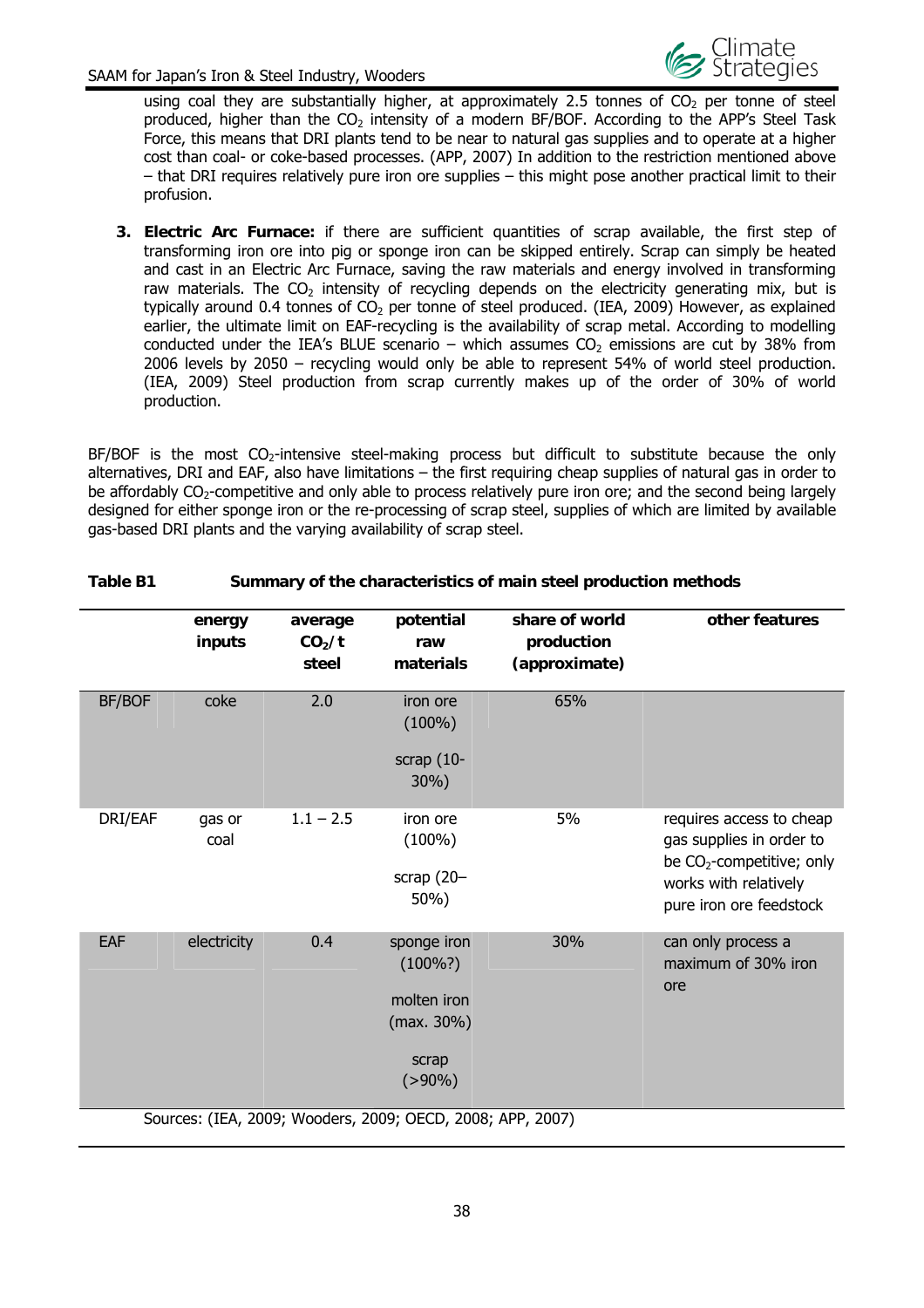

using coal they are substantially higher, at approximately 2.5 tonnes of  $CO<sub>2</sub>$  per tonne of steel produced, higher than the  $CO<sub>2</sub>$  intensity of a modern BF/BOF. According to the APP's Steel Task Force, this means that DRI plants tend to be near to natural gas supplies and to operate at a higher cost than coal- or coke-based processes. (APP, 2007) In addition to the restriction mentioned above – that DRI requires relatively pure iron ore supplies – this might pose another practical limit to their profusion.

**3. Electric Arc Furnace:** if there are sufficient quantities of scrap available, the first step of transforming iron ore into pig or sponge iron can be skipped entirely. Scrap can simply be heated and cast in an Electric Arc Furnace, saving the raw materials and energy involved in transforming raw materials. The  $CO<sub>2</sub>$  intensity of recycling depends on the electricity generating mix, but is typically around 0.4 tonnes of  $CO<sub>2</sub>$  per tonne of steel produced. (IEA, 2009) However, as explained earlier, the ultimate limit on EAF-recycling is the availability of scrap metal. According to modelling conducted under the IEA's BLUE scenario – which assumes  $CO<sub>2</sub>$  emissions are cut by 38% from 2006 levels by 2050 – recycling would only be able to represent 54% of world steel production. (IEA, 2009) Steel production from scrap currently makes up of the order of 30% of world production.

BF/BOF is the most  $CO_2$ -intensive steel-making process but difficult to substitute because the only alternatives, DRI and EAF, also have limitations – the first requiring cheap supplies of natural gas in order to be affordably CO<sub>2</sub>-competitive and only able to process relatively pure iron ore; and the second being largely designed for either sponge iron or the re-processing of scrap steel, supplies of which are limited by available gas-based DRI plants and the varying availability of scrap steel.

|               | energy<br>inputs | average<br>CO <sub>2</sub> /t<br>steel | potential<br>raw<br>materials                                                    | share of world<br>production<br>(approximate) | other features                                                                                                                          |
|---------------|------------------|----------------------------------------|----------------------------------------------------------------------------------|-----------------------------------------------|-----------------------------------------------------------------------------------------------------------------------------------------|
| <b>BF/BOF</b> | coke             | 2.0                                    | iron ore<br>$(100\%)$<br>scrap $(10-$<br>30%)                                    | 65%                                           |                                                                                                                                         |
| DRI/EAF       | gas or<br>coal   | $1.1 - 2.5$                            | iron ore<br>$(100\%)$<br>scrap $(20 -$<br>50%)                                   | 5%                                            | requires access to cheap<br>gas supplies in order to<br>be $CO2$ -competitive; only<br>works with relatively<br>pure iron ore feedstock |
| EAF           | electricity      | 0.4                                    | sponge iron<br>$(100\%)$<br>molten iron<br>$(max. 30\%)$<br>scrap<br>$( > 90\%)$ | 30%                                           | can only process a<br>maximum of 30% iron<br>ore                                                                                        |
|               |                  |                                        | Sources: (IEA, 2009; Wooders, 2009; OECD, 2008; APP, 2007)                       |                                               |                                                                                                                                         |

#### **Table B1 Summary of the characteristics of main steel production methods**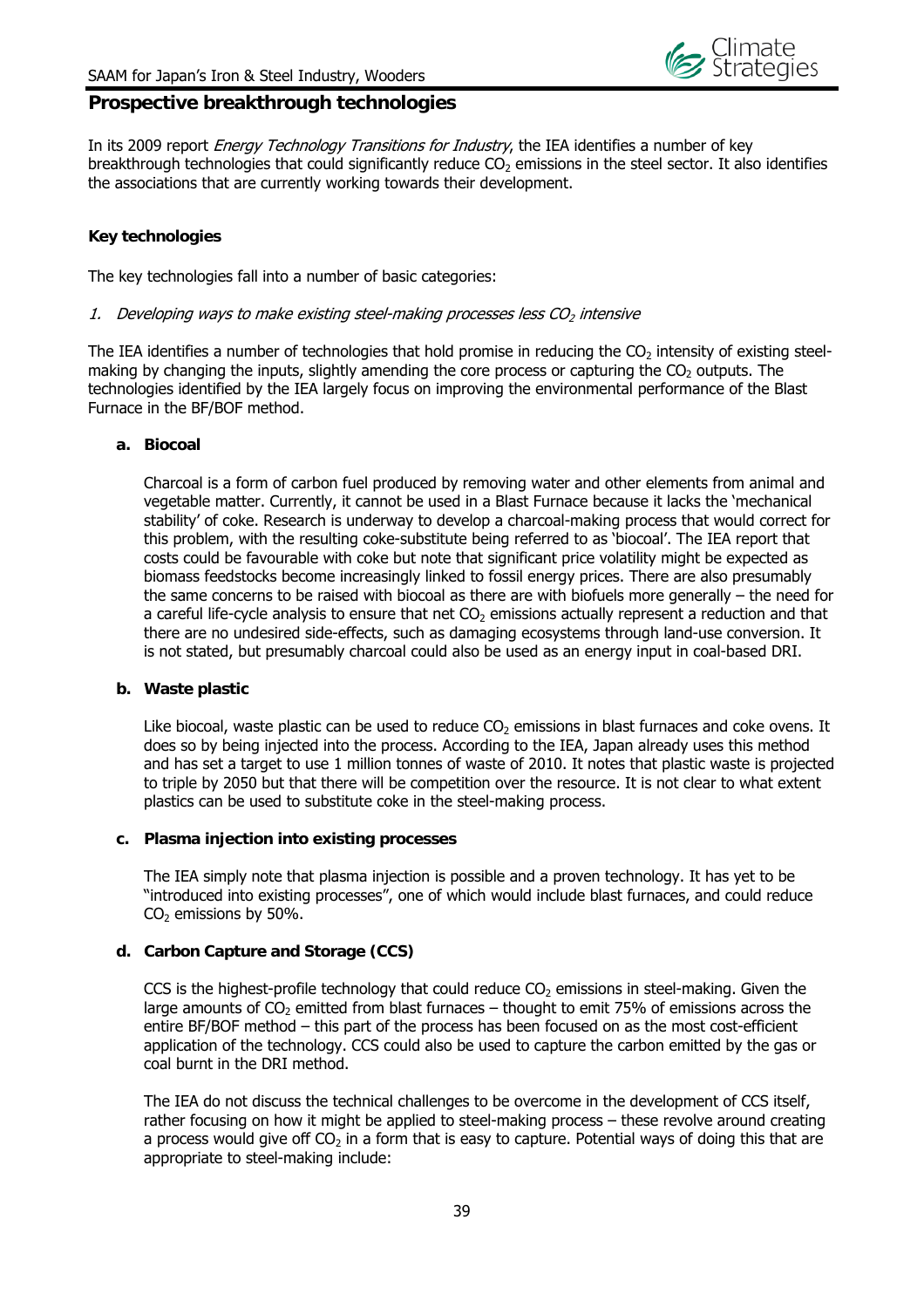

#### **Prospective breakthrough technologies**

In its 2009 report *Energy Technology Transitions for Industry*, the IEA identifies a number of key breakthrough technologies that could significantly reduce  $CO<sub>2</sub>$  emissions in the steel sector. It also identifies the associations that are currently working towards their development.

#### **Key technologies**

The key technologies fall into a number of basic categories:

#### 1. Developing ways to make existing steel-making processes less  $CO<sub>2</sub>$  intensive

The IEA identifies a number of technologies that hold promise in reducing the  $CO<sub>2</sub>$  intensity of existing steelmaking by changing the inputs, slightly amending the core process or capturing the  $CO<sub>2</sub>$  outputs. The technologies identified by the IEA largely focus on improving the environmental performance of the Blast Furnace in the BF/BOF method.

#### **a. Biocoal**

Charcoal is a form of carbon fuel produced by removing water and other elements from animal and vegetable matter. Currently, it cannot be used in a Blast Furnace because it lacks the 'mechanical stability' of coke. Research is underway to develop a charcoal-making process that would correct for this problem, with the resulting coke-substitute being referred to as 'biocoal'. The IEA report that costs could be favourable with coke but note that significant price volatility might be expected as biomass feedstocks become increasingly linked to fossil energy prices. There are also presumably the same concerns to be raised with biocoal as there are with biofuels more generally – the need for a careful life-cycle analysis to ensure that net  $CO<sub>2</sub>$  emissions actually represent a reduction and that there are no undesired side-effects, such as damaging ecosystems through land-use conversion. It is not stated, but presumably charcoal could also be used as an energy input in coal-based DRI.

#### **b. Waste plastic**

Like biocoal, waste plastic can be used to reduce  $CO<sub>2</sub>$  emissions in blast furnaces and coke ovens. It does so by being injected into the process. According to the IEA, Japan already uses this method and has set a target to use 1 million tonnes of waste of 2010. It notes that plastic waste is projected to triple by 2050 but that there will be competition over the resource. It is not clear to what extent plastics can be used to substitute coke in the steel-making process.

#### **c. Plasma injection into existing processes**

The IEA simply note that plasma injection is possible and a proven technology. It has yet to be "introduced into existing processes", one of which would include blast furnaces, and could reduce  $CO<sub>2</sub>$  emissions by 50%.

#### **d. Carbon Capture and Storage (CCS)**

CCS is the highest-profile technology that could reduce  $CO<sub>2</sub>$  emissions in steel-making. Given the large amounts of  $CO<sub>2</sub>$  emitted from blast furnaces – thought to emit 75% of emissions across the entire BF/BOF method – this part of the process has been focused on as the most cost-efficient application of the technology. CCS could also be used to capture the carbon emitted by the gas or coal burnt in the DRI method.

The IEA do not discuss the technical challenges to be overcome in the development of CCS itself, rather focusing on how it might be applied to steel-making process – these revolve around creating a process would give off  $CO<sub>2</sub>$  in a form that is easy to capture. Potential ways of doing this that are appropriate to steel-making include: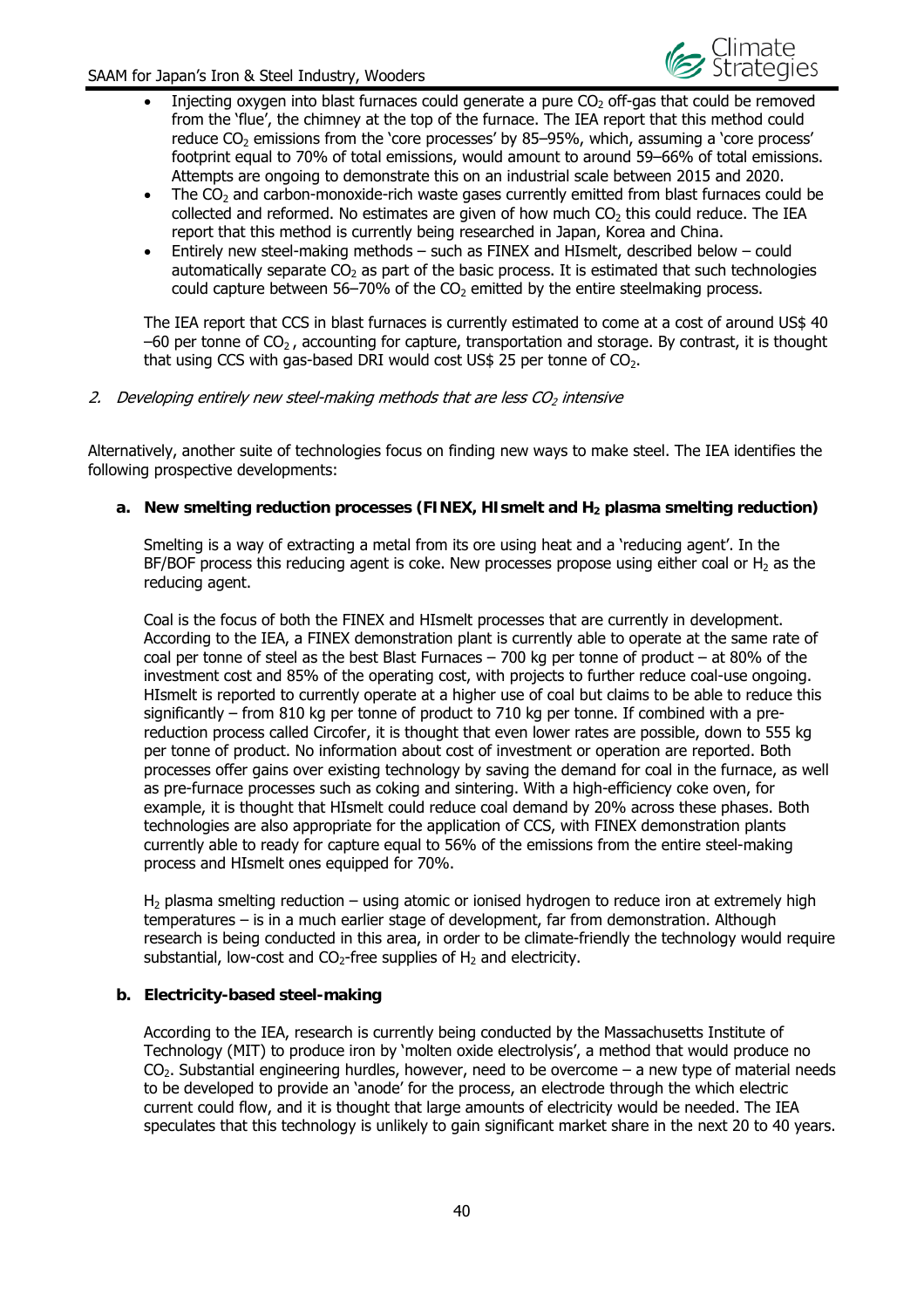

- Injecting oxygen into blast furnaces could generate a pure  $CO<sub>2</sub>$  off-gas that could be removed from the 'flue', the chimney at the top of the furnace. The IEA report that this method could reduce  $CO<sub>2</sub>$  emissions from the 'core processes' by 85–95%, which, assuming a 'core process' footprint equal to 70% of total emissions, would amount to around 59–66% of total emissions. Attempts are ongoing to demonstrate this on an industrial scale between 2015 and 2020.
- The  $CO<sub>2</sub>$  and carbon-monoxide-rich waste gases currently emitted from blast furnaces could be  $collected$  and reformed. No estimates are given of how much  $CO<sub>2</sub>$  this could reduce. The IEA report that this method is currently being researched in Japan, Korea and China.
- Entirely new steel-making methods such as FINEX and HIsmelt, described below could automatically separate  $CO<sub>2</sub>$  as part of the basic process. It is estimated that such technologies could capture between  $56-70\%$  of the CO<sub>2</sub> emitted by the entire steelmaking process.

The IEA report that CCS in blast furnaces is currently estimated to come at a cost of around US\$ 40  $-60$  per tonne of  $CO<sub>2</sub>$ , accounting for capture, transportation and storage. By contrast, it is thought that using CCS with gas-based DRI would cost US\$ 25 per tonne of  $CO<sub>2</sub>$ .

#### 2. Developing entirely new steel-making methods that are less  $CO<sub>2</sub>$  intensive

Alternatively, another suite of technologies focus on finding new ways to make steel. The IEA identifies the following prospective developments:

#### a. New smelting reduction processes (FINEX, HIsmelt and H<sub>2</sub> plasma smelting reduction)

Smelting is a way of extracting a metal from its ore using heat and a 'reducing agent'. In the BF/BOF process this reducing agent is coke. New processes propose using either coal or  $H_2$  as the reducing agent.

Coal is the focus of both the FINEX and HIsmelt processes that are currently in development. According to the IEA, a FINEX demonstration plant is currently able to operate at the same rate of coal per tonne of steel as the best Blast Furnaces – 700 kg per tonne of product – at 80% of the investment cost and 85% of the operating cost, with projects to further reduce coal-use ongoing. HIsmelt is reported to currently operate at a higher use of coal but claims to be able to reduce this significantly – from 810 kg per tonne of product to 710 kg per tonne. If combined with a prereduction process called Circofer, it is thought that even lower rates are possible, down to 555 kg per tonne of product. No information about cost of investment or operation are reported. Both processes offer gains over existing technology by saving the demand for coal in the furnace, as well as pre-furnace processes such as coking and sintering. With a high-efficiency coke oven, for example, it is thought that HIsmelt could reduce coal demand by 20% across these phases. Both technologies are also appropriate for the application of CCS, with FINEX demonstration plants currently able to ready for capture equal to 56% of the emissions from the entire steel-making process and HIsmelt ones equipped for 70%.

 $H<sub>2</sub>$  plasma smelting reduction – using atomic or ionised hydrogen to reduce iron at extremely high temperatures – is in a much earlier stage of development, far from demonstration. Although research is being conducted in this area, in order to be climate-friendly the technology would require substantial, low-cost and  $CO<sub>2</sub>$ -free supplies of  $H<sub>2</sub>$  and electricity.

#### **b. Electricity-based steel-making**

According to the IEA, research is currently being conducted by the Massachusetts Institute of Technology (MIT) to produce iron by 'molten oxide electrolysis', a method that would produce no CO<sub>2</sub>. Substantial engineering hurdles, however, need to be overcome – a new type of material needs to be developed to provide an 'anode' for the process, an electrode through the which electric current could flow, and it is thought that large amounts of electricity would be needed. The IEA speculates that this technology is unlikely to gain significant market share in the next 20 to 40 years.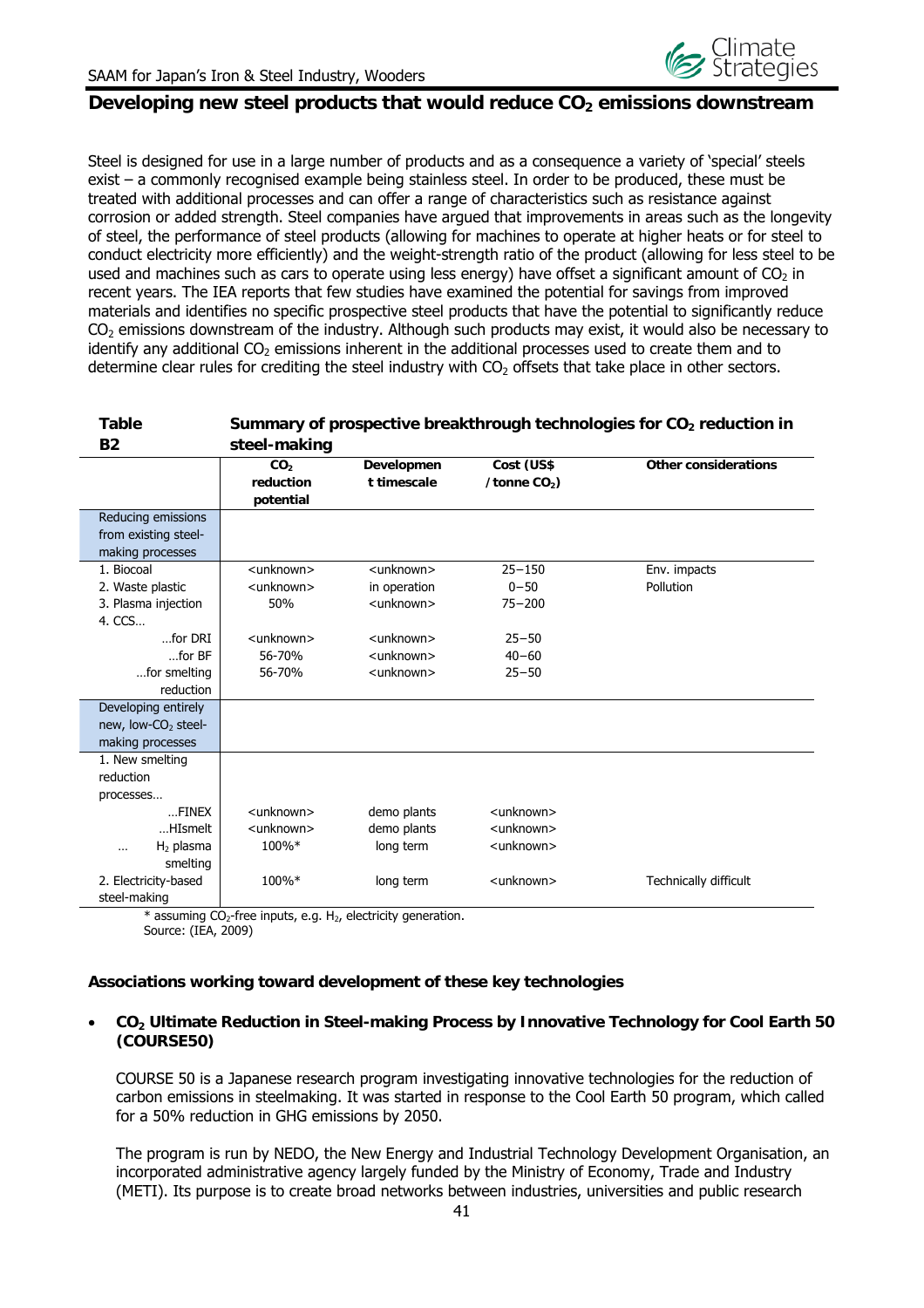

#### Developing new steel products that would reduce CO<sub>2</sub> emissions downstream

Steel is designed for use in a large number of products and as a consequence a variety of 'special' steels exist – a commonly recognised example being stainless steel. In order to be produced, these must be treated with additional processes and can offer a range of characteristics such as resistance against corrosion or added strength. Steel companies have argued that improvements in areas such as the longevity of steel, the performance of steel products (allowing for machines to operate at higher heats or for steel to conduct electricity more efficiently) and the weight-strength ratio of the product (allowing for less steel to be used and machines such as cars to operate using less energy) have offset a significant amount of  $CO<sub>2</sub>$  in recent years. The IEA reports that few studies have examined the potential for savings from improved materials and identifies no specific prospective steel products that have the potential to significantly reduce  $CO<sub>2</sub>$  emissions downstream of the industry. Although such products may exist, it would also be necessary to identify any additional  $CO<sub>2</sub>$  emissions inherent in the additional processes used to create them and to determine clear rules for crediting the steel industry with CO<sub>2</sub> offsets that take place in other sectors.

| <b>Table</b>                               |                                           |                                                                               |                              | Summary of prospective breakthrough technologies for CO <sub>2</sub> reduction in |
|--------------------------------------------|-------------------------------------------|-------------------------------------------------------------------------------|------------------------------|-----------------------------------------------------------------------------------|
| <b>B2</b>                                  | steel-making                              |                                                                               |                              |                                                                                   |
|                                            | CO <sub>2</sub><br>reduction<br>potential | Developmen<br>t timescale                                                     | Cost (US\$<br>/tonne $CO2$ ) | Other considerations                                                              |
| Reducing emissions<br>from existing steel- |                                           |                                                                               |                              |                                                                                   |
| making processes                           |                                           |                                                                               |                              |                                                                                   |
| 1. Biocoal                                 | <unknown></unknown>                       | <unknown></unknown>                                                           | $25 - 150$                   | Env. impacts                                                                      |
| 2. Waste plastic                           | <unknown></unknown>                       | in operation                                                                  | $0 - 50$                     | Pollution                                                                         |
| 3. Plasma injection<br>4. CCS              | 50%                                       | <unknown></unknown>                                                           | $75 - 200$                   |                                                                                   |
| $$ for DRI                                 | <unknown></unknown>                       | <unknown></unknown>                                                           | $25 - 50$                    |                                                                                   |
| $$ for BF                                  | 56-70%                                    | <unknown></unknown>                                                           | $40 - 60$                    |                                                                                   |
| for smelting                               | 56-70%                                    | <unknown></unknown>                                                           | $25 - 50$                    |                                                                                   |
| reduction                                  |                                           |                                                                               |                              |                                                                                   |
| Developing entirely                        |                                           |                                                                               |                              |                                                                                   |
| new, low-CO <sub>2</sub> steel-            |                                           |                                                                               |                              |                                                                                   |
| making processes                           |                                           |                                                                               |                              |                                                                                   |
| 1. New smelting                            |                                           |                                                                               |                              |                                                                                   |
| reduction                                  |                                           |                                                                               |                              |                                                                                   |
| processes                                  |                                           |                                                                               |                              |                                                                                   |
| $$ FINEX                                   | <unknown></unknown>                       | demo plants                                                                   | <unknown></unknown>          |                                                                                   |
| HIsmelt                                    | <unknown></unknown>                       | demo plants                                                                   | <unknown></unknown>          |                                                                                   |
| $H2$ plasma<br>                            | 100%*                                     | long term                                                                     | <unknown></unknown>          |                                                                                   |
| smelting                                   |                                           |                                                                               |                              |                                                                                   |
| 2. Electricity-based                       | 100%*                                     | long term                                                                     | <unknown></unknown>          | Technically difficult                                                             |
| steel-making                               |                                           |                                                                               |                              |                                                                                   |
|                                            |                                           | * assuming $CO_2$ -free inputs, e.g. H <sub>2</sub> , electricity generation. |                              |                                                                                   |

Source: (IEA, 2009)

#### **Associations working toward development of these key technologies**

#### **CO2 Ultimate Reduction in Steel-making Process by Innovative Technology for Cool Earth 50 (COURSE50)**

COURSE 50 is a Japanese research program investigating innovative technologies for the reduction of carbon emissions in steelmaking. It was started in response to the Cool Earth 50 program, which called for a 50% reduction in GHG emissions by 2050.

The program is run by NEDO, the New Energy and Industrial Technology Development Organisation, an incorporated administrative agency largely funded by the Ministry of Economy, Trade and Industry (METI). Its purpose is to create broad networks between industries, universities and public research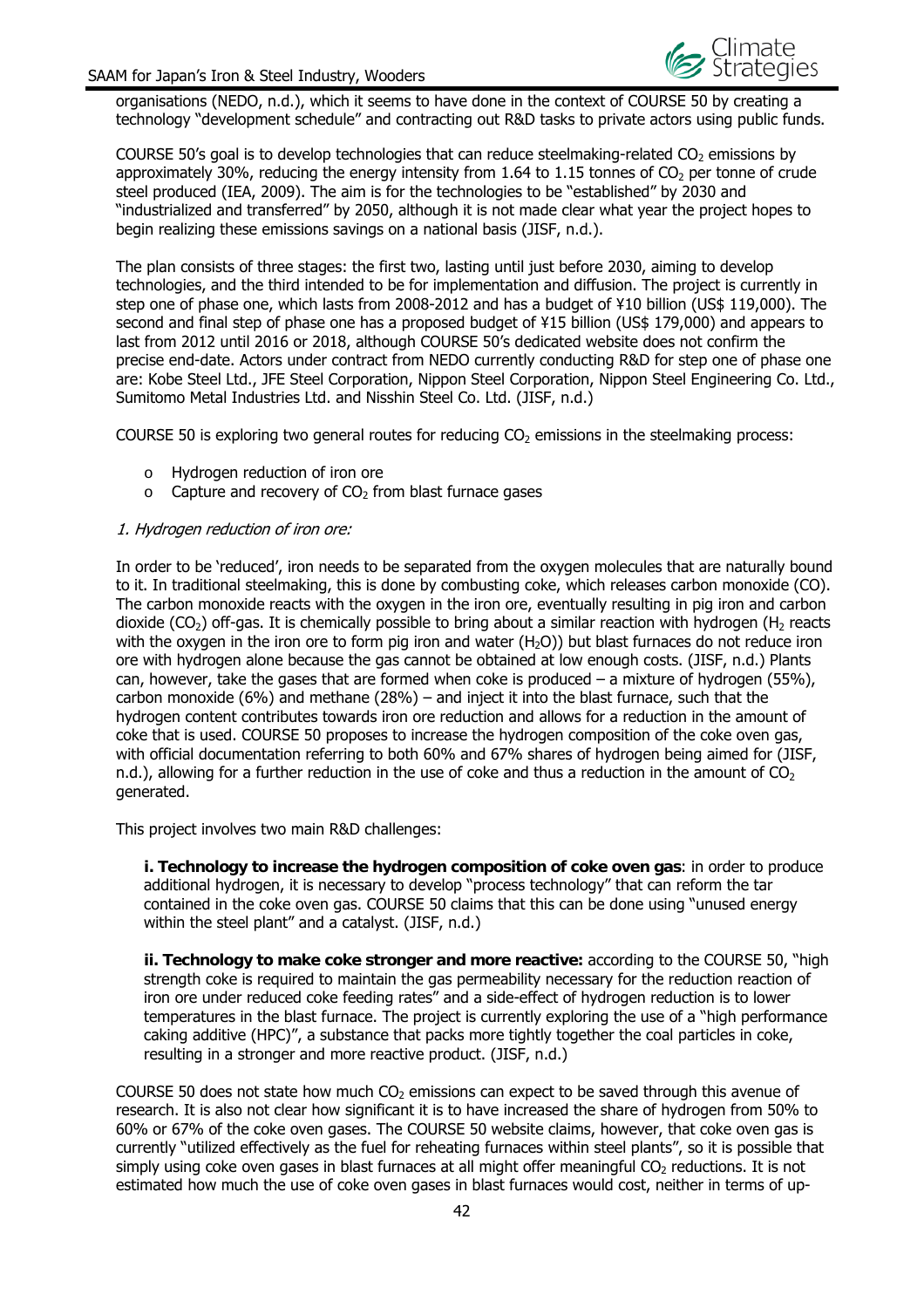organisations (NEDO, n.d.), which it seems to have done in the context of COURSE 50 by creating a technology "development schedule" and contracting out R&D tasks to private actors using public funds.

COURSE 50's goal is to develop technologies that can reduce steelmaking-related  $CO<sub>2</sub>$  emissions by approximately 30%, reducing the energy intensity from 1.64 to 1.15 tonnes of  $CO<sub>2</sub>$  per tonne of crude steel produced (IEA, 2009). The aim is for the technologies to be "established" by 2030 and "industrialized and transferred" by 2050, although it is not made clear what year the project hopes to begin realizing these emissions savings on a national basis (JISF, n.d.).

The plan consists of three stages: the first two, lasting until just before 2030, aiming to develop technologies, and the third intended to be for implementation and diffusion. The project is currently in step one of phase one, which lasts from 2008-2012 and has a budget of ¥10 billion (US\$ 119,000). The second and final step of phase one has a proposed budget of ¥15 billion (US\$ 179,000) and appears to last from 2012 until 2016 or 2018, although COURSE 50's dedicated website does not confirm the precise end-date. Actors under contract from NEDO currently conducting R&D for step one of phase one are: Kobe Steel Ltd., JFE Steel Corporation, Nippon Steel Corporation, Nippon Steel Engineering Co. Ltd., Sumitomo Metal Industries Ltd. and Nisshin Steel Co. Ltd. (JISF, n.d.)

COURSE 50 is exploring two general routes for reducing  $CO<sub>2</sub>$  emissions in the steelmaking process:

- o Hydrogen reduction of iron ore
- $\circ$  Capture and recovery of CO<sub>2</sub> from blast furnace gases

#### 1. Hydrogen reduction of iron ore:

In order to be 'reduced', iron needs to be separated from the oxygen molecules that are naturally bound to it. In traditional steelmaking, this is done by combusting coke, which releases carbon monoxide (CO). The carbon monoxide reacts with the oxygen in the iron ore, eventually resulting in pig iron and carbon dioxide (CO<sub>2</sub>) off-gas. It is chemically possible to bring about a similar reaction with hydrogen (H<sub>2</sub> reacts with the oxygen in the iron ore to form pig iron and water  $(H<sub>2</sub>O)$ ) but blast furnaces do not reduce iron ore with hydrogen alone because the gas cannot be obtained at low enough costs. (JISF, n.d.) Plants can, however, take the gases that are formed when coke is produced  $-$  a mixture of hydrogen (55%), carbon monoxide  $(6%)$  and methane  $(28%)$  – and inject it into the blast furnace, such that the hydrogen content contributes towards iron ore reduction and allows for a reduction in the amount of coke that is used. COURSE 50 proposes to increase the hydrogen composition of the coke oven gas, with official documentation referring to both 60% and 67% shares of hydrogen being aimed for (JISF, n.d.), allowing for a further reduction in the use of coke and thus a reduction in the amount of  $CO<sub>2</sub>$ generated.

This project involves two main R&D challenges:

**i. Technology to increase the hydrogen composition of coke oven gas**: in order to produce additional hydrogen, it is necessary to develop "process technology" that can reform the tar contained in the coke oven gas. COURSE 50 claims that this can be done using "unused energy within the steel plant" and a catalyst. (JISF, n.d.)

**ii. Technology to make coke stronger and more reactive:** according to the COURSE 50, "high strength coke is required to maintain the gas permeability necessary for the reduction reaction of iron ore under reduced coke feeding rates" and a side-effect of hydrogen reduction is to lower temperatures in the blast furnace. The project is currently exploring the use of a "high performance caking additive (HPC)", a substance that packs more tightly together the coal particles in coke, resulting in a stronger and more reactive product. (JISF, n.d.)

COURSE 50 does not state how much  $CO<sub>2</sub>$  emissions can expect to be saved through this avenue of research. It is also not clear how significant it is to have increased the share of hydrogen from 50% to 60% or 67% of the coke oven gases. The COURSE 50 website claims, however, that coke oven gas is currently "utilized effectively as the fuel for reheating furnaces within steel plants", so it is possible that simply using coke oven gases in blast furnaces at all might offer meaningful CO<sub>2</sub> reductions. It is not estimated how much the use of coke oven gases in blast furnaces would cost, neither in terms of up-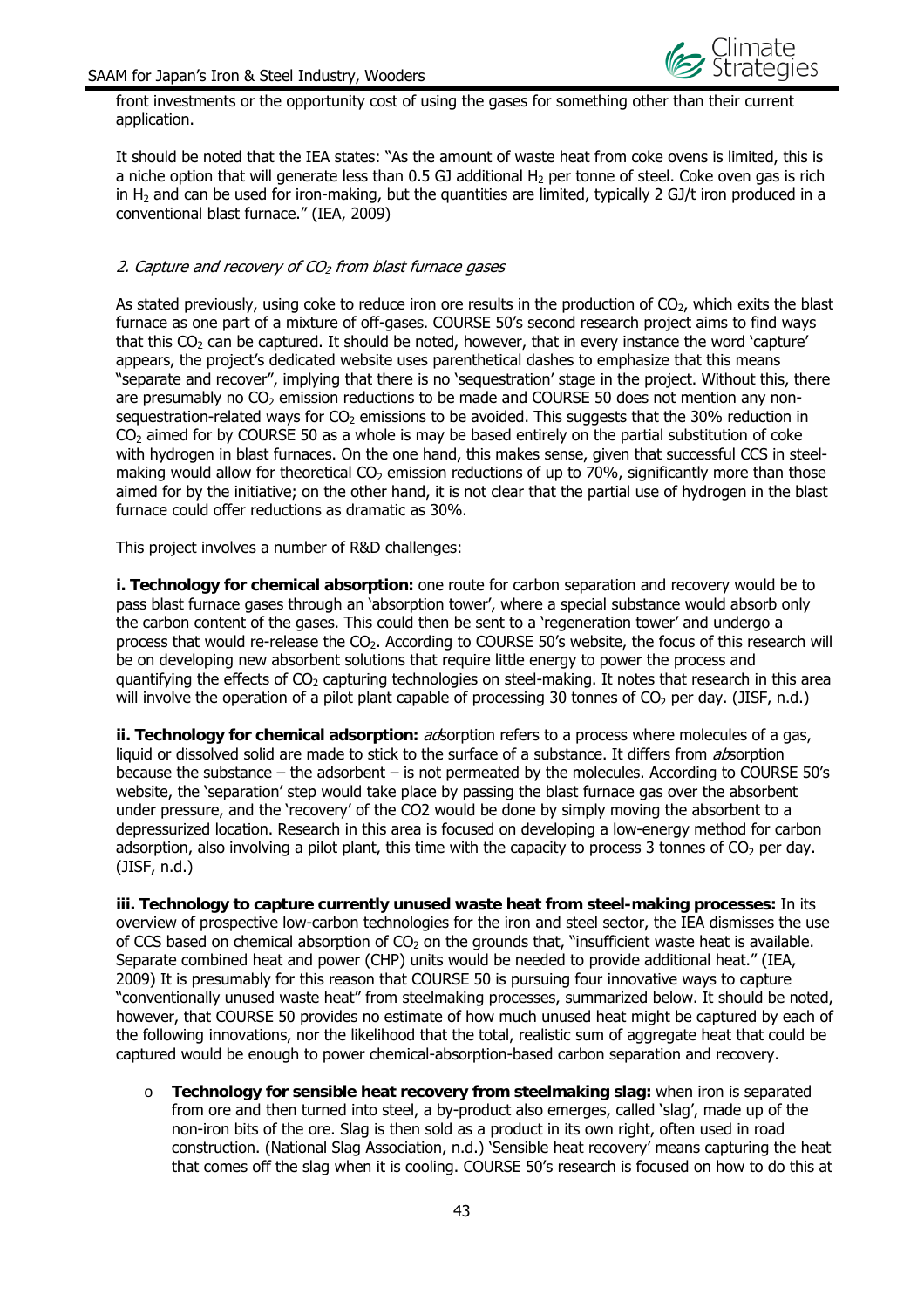

front investments or the opportunity cost of using the gases for something other than their current application.

It should be noted that the IEA states: "As the amount of waste heat from coke ovens is limited, this is a niche option that will generate less than 0.5 GJ additional  $H_2$  per tonne of steel. Coke oven gas is rich in  $H_2$  and can be used for iron-making, but the quantities are limited, typically 2 GJ/t iron produced in a conventional blast furnace." (IEA, 2009)

#### 2. Capture and recovery of  $CO<sub>2</sub>$  from blast furnace gases

As stated previously, using coke to reduce iron ore results in the production of  $CO<sub>2</sub>$ , which exits the blast furnace as one part of a mixture of off-gases. COURSE 50's second research project aims to find ways that this  $CO<sub>2</sub>$  can be captured. It should be noted, however, that in every instance the word 'capture' appears, the project's dedicated website uses parenthetical dashes to emphasize that this means "separate and recover", implying that there is no 'sequestration' stage in the project. Without this, there are presumably no  $CO<sub>2</sub>$  emission reductions to be made and COURSE 50 does not mention any nonsequestration-related ways for  $CO<sub>2</sub>$  emissions to be avoided. This suggests that the 30% reduction in  $CO<sub>2</sub>$  aimed for by COURSE 50 as a whole is may be based entirely on the partial substitution of coke with hydrogen in blast furnaces. On the one hand, this makes sense, given that successful CCS in steelmaking would allow for theoretical  $CO<sub>2</sub>$  emission reductions of up to 70%, significantly more than those aimed for by the initiative; on the other hand, it is not clear that the partial use of hydrogen in the blast furnace could offer reductions as dramatic as 30%.

This project involves a number of R&D challenges:

**i. Technology for chemical absorption:** one route for carbon separation and recovery would be to pass blast furnace gases through an 'absorption tower', where a special substance would absorb only the carbon content of the gases. This could then be sent to a 'regeneration tower' and undergo a process that would re-release the CO2. According to COURSE 50's website, the focus of this research will be on developing new absorbent solutions that require little energy to power the process and quantifying the effects of  $CO<sub>2</sub>$  capturing technologies on steel-making. It notes that research in this area will involve the operation of a pilot plant capable of processing 30 tonnes of  $CO<sub>2</sub>$  per day. (JISF, n.d.)

ii. Technology for chemical adsorption: acsorption refers to a process where molecules of a gas, liquid or dissolved solid are made to stick to the surface of a substance. It differs from *absorption* because the substance – the adsorbent – is not permeated by the molecules. According to COURSE 50's website, the 'separation' step would take place by passing the blast furnace gas over the absorbent under pressure, and the 'recovery' of the CO2 would be done by simply moving the absorbent to a depressurized location. Research in this area is focused on developing a low-energy method for carbon adsorption, also involving a pilot plant, this time with the capacity to process 3 tonnes of  $CO<sub>2</sub>$  per day. (JISF, n.d.)

**iii. Technology to capture currently unused waste heat from steel-making processes:** In its overview of prospective low-carbon technologies for the iron and steel sector, the IEA dismisses the use of CCS based on chemical absorption of  $CO<sub>2</sub>$  on the grounds that, "insufficient waste heat is available. Separate combined heat and power (CHP) units would be needed to provide additional heat." (IEA, 2009) It is presumably for this reason that COURSE 50 is pursuing four innovative ways to capture "conventionally unused waste heat" from steelmaking processes, summarized below. It should be noted, however, that COURSE 50 provides no estimate of how much unused heat might be captured by each of the following innovations, nor the likelihood that the total, realistic sum of aggregate heat that could be captured would be enough to power chemical-absorption-based carbon separation and recovery.

o **Technology for sensible heat recovery from steelmaking slag:** when iron is separated from ore and then turned into steel, a by-product also emerges, called 'slag', made up of the non-iron bits of the ore. Slag is then sold as a product in its own right, often used in road construction. (National Slag Association, n.d.) 'Sensible heat recovery' means capturing the heat that comes off the slag when it is cooling. COURSE 50's research is focused on how to do this at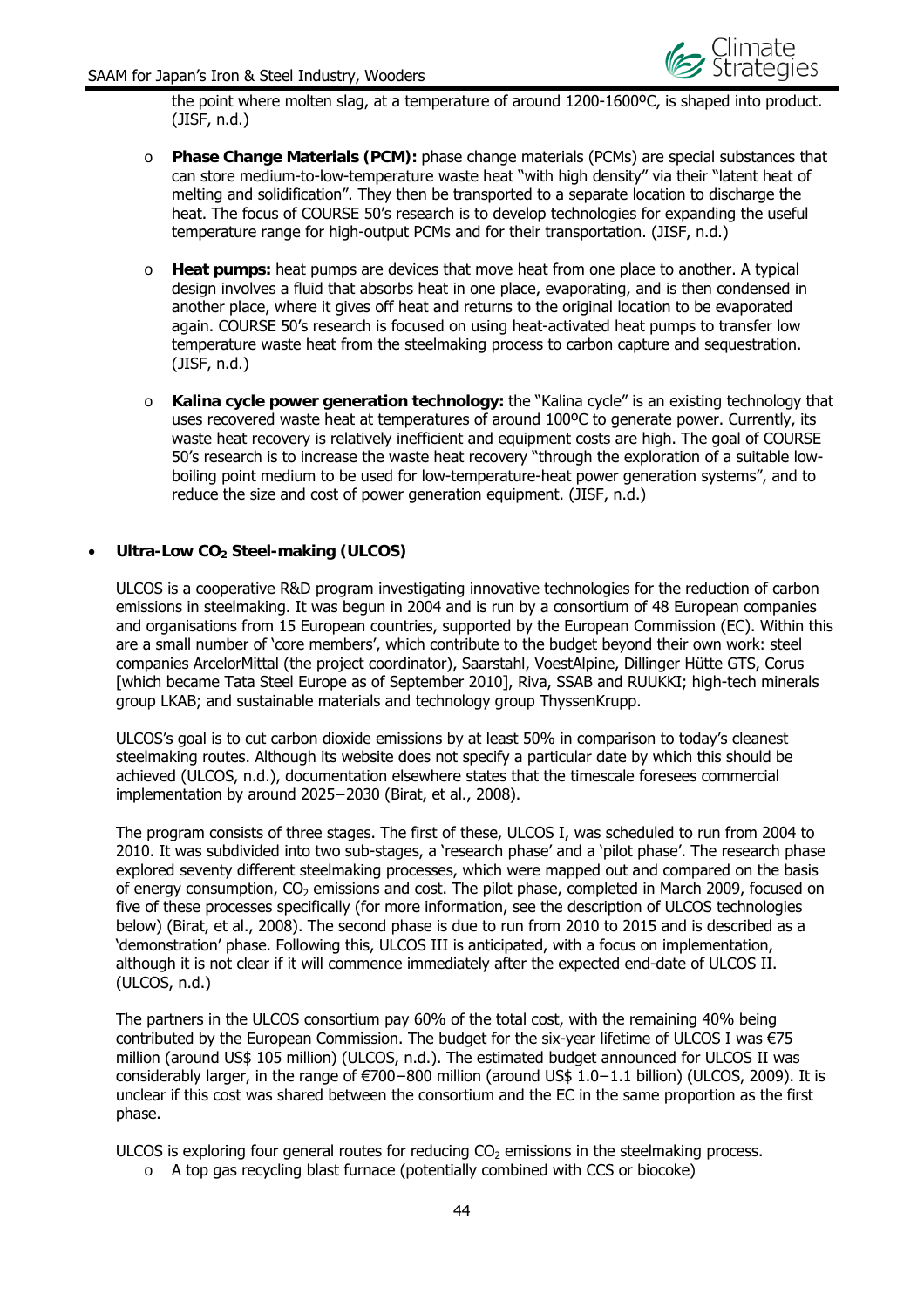

the point where molten slag, at a temperature of around 1200-1600ºC, is shaped into product. (JISF, n.d.)

- o **Phase Change Materials (PCM):** phase change materials (PCMs) are special substances that can store medium-to-low-temperature waste heat "with high density" via their "latent heat of melting and solidification". They then be transported to a separate location to discharge the heat. The focus of COURSE 50's research is to develop technologies for expanding the useful temperature range for high-output PCMs and for their transportation. (JISF, n.d.)
- o **Heat pumps:** heat pumps are devices that move heat from one place to another. A typical design involves a fluid that absorbs heat in one place, evaporating, and is then condensed in another place, where it gives off heat and returns to the original location to be evaporated again. COURSE 50's research is focused on using heat-activated heat pumps to transfer low temperature waste heat from the steelmaking process to carbon capture and sequestration. (JISF, n.d.)
- o **Kalina cycle power generation technology:** the "Kalina cycle" is an existing technology that uses recovered waste heat at temperatures of around 100ºC to generate power. Currently, its waste heat recovery is relatively inefficient and equipment costs are high. The goal of COURSE 50's research is to increase the waste heat recovery "through the exploration of a suitable lowboiling point medium to be used for low-temperature-heat power generation systems", and to reduce the size and cost of power generation equipment. (JISF, n.d.)

#### **Ultra-Low CO<sub>2</sub> Steel-making (ULCOS)**

ULCOS is a cooperative R&D program investigating innovative technologies for the reduction of carbon emissions in steelmaking. It was begun in 2004 and is run by a consortium of 48 European companies and organisations from 15 European countries, supported by the European Commission (EC). Within this are a small number of 'core members', which contribute to the budget beyond their own work: steel companies ArcelorMittal (the project coordinator), Saarstahl, VoestAlpine, Dillinger Hütte GTS, Corus [which became Tata Steel Europe as of September 2010], Riva, SSAB and RUUKKI; high-tech minerals group LKAB; and sustainable materials and technology group ThyssenKrupp.

ULCOS's goal is to cut carbon dioxide emissions by at least 50% in comparison to today's cleanest steelmaking routes. Although its website does not specify a particular date by which this should be achieved (ULCOS, n.d.), documentation elsewhere states that the timescale foresees commercial implementation by around 2025−2030 (Birat, et al., 2008).

The program consists of three stages. The first of these, ULCOS I, was scheduled to run from 2004 to 2010. It was subdivided into two sub-stages, a 'research phase' and a 'pilot phase'. The research phase explored seventy different steelmaking processes, which were mapped out and compared on the basis of energy consumption, CO<sub>2</sub> emissions and cost. The pilot phase, completed in March 2009, focused on five of these processes specifically (for more information, see the description of ULCOS technologies below) (Birat, et al., 2008). The second phase is due to run from 2010 to 2015 and is described as a 'demonstration' phase. Following this, ULCOS III is anticipated, with a focus on implementation, although it is not clear if it will commence immediately after the expected end-date of ULCOS II. (ULCOS, n.d.)

The partners in the ULCOS consortium pay 60% of the total cost, with the remaining 40% being contributed by the European Commission. The budget for the six-year lifetime of ULCOS I was €75 million (around US\$ 105 million) (ULCOS, n.d.). The estimated budget announced for ULCOS II was considerably larger, in the range of €700−800 million (around US\$ 1.0−1.1 billion) (ULCOS, 2009). It is unclear if this cost was shared between the consortium and the EC in the same proportion as the first phase.

ULCOS is exploring four general routes for reducing  $CO<sub>2</sub>$  emissions in the steelmaking process.

 $\circ$  A top gas recycling blast furnace (potentially combined with CCS or biocoke)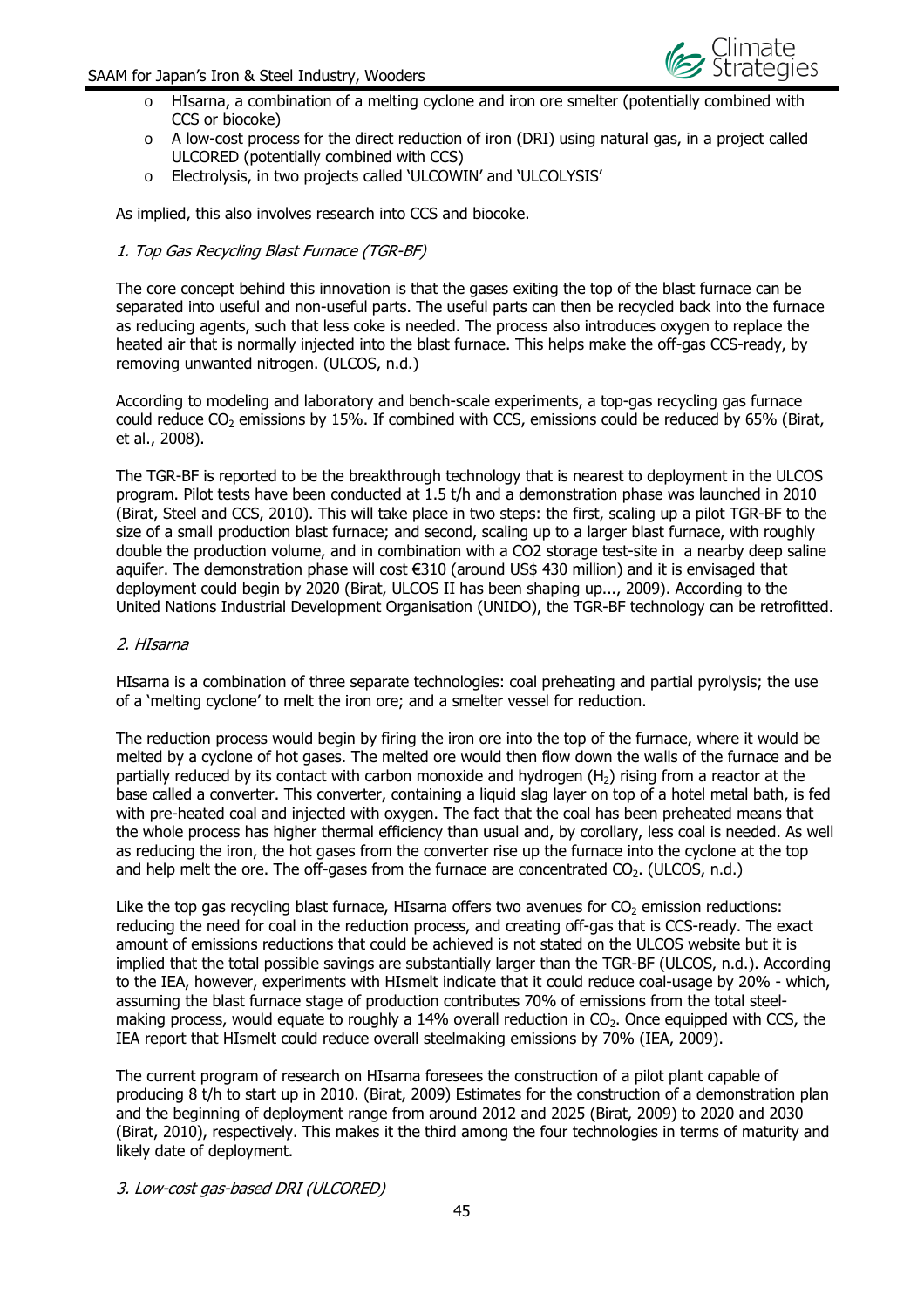

- $\circ$  HIsarna, a combination of a melting cyclone and iron ore smelter (potentially combined with CCS or biocoke)
- $\circ$  A low-cost process for the direct reduction of iron (DRI) using natural gas, in a project called ULCORED (potentially combined with CCS)
- o Electrolysis, in two projects called 'ULCOWIN' and 'ULCOLYSIS'

As implied, this also involves research into CCS and biocoke.

#### 1. Top Gas Recycling Blast Furnace (TGR-BF)

The core concept behind this innovation is that the gases exiting the top of the blast furnace can be separated into useful and non-useful parts. The useful parts can then be recycled back into the furnace as reducing agents, such that less coke is needed. The process also introduces oxygen to replace the heated air that is normally injected into the blast furnace. This helps make the off-gas CCS-ready, by removing unwanted nitrogen. (ULCOS, n.d.)

According to modeling and laboratory and bench-scale experiments, a top-gas recycling gas furnace could reduce  $CO<sub>2</sub>$  emissions by 15%. If combined with CCS, emissions could be reduced by 65% (Birat, et al., 2008).

The TGR-BF is reported to be the breakthrough technology that is nearest to deployment in the ULCOS program. Pilot tests have been conducted at 1.5 t/h and a demonstration phase was launched in 2010 (Birat, Steel and CCS, 2010). This will take place in two steps: the first, scaling up a pilot TGR-BF to the size of a small production blast furnace; and second, scaling up to a larger blast furnace, with roughly double the production volume, and in combination with a CO2 storage test-site in a nearby deep saline aquifer. The demonstration phase will cost €310 (around US\$ 430 million) and it is envisaged that deployment could begin by 2020 (Birat, ULCOS II has been shaping up..., 2009). According to the United Nations Industrial Development Organisation (UNIDO), the TGR-BF technology can be retrofitted.

#### 2. HIsarna

HIsarna is a combination of three separate technologies: coal preheating and partial pyrolysis; the use of a 'melting cyclone' to melt the iron ore; and a smelter vessel for reduction.

The reduction process would begin by firing the iron ore into the top of the furnace, where it would be melted by a cyclone of hot gases. The melted ore would then flow down the walls of the furnace and be partially reduced by its contact with carbon monoxide and hydrogen  $(H<sub>2</sub>)$  rising from a reactor at the base called a converter. This converter, containing a liquid slag layer on top of a hotel metal bath, is fed with pre-heated coal and injected with oxygen. The fact that the coal has been preheated means that the whole process has higher thermal efficiency than usual and, by corollary, less coal is needed. As well as reducing the iron, the hot gases from the converter rise up the furnace into the cyclone at the top and help melt the ore. The off-gases from the furnace are concentrated  $CO<sub>2</sub>$ . (ULCOS, n.d.)

Like the top gas recycling blast furnace, HIsarna offers two avenues for  $CO<sub>2</sub>$  emission reductions: reducing the need for coal in the reduction process, and creating off-gas that is CCS-ready. The exact amount of emissions reductions that could be achieved is not stated on the ULCOS website but it is implied that the total possible savings are substantially larger than the TGR-BF (ULCOS, n.d.). According to the IEA, however, experiments with HIsmelt indicate that it could reduce coal-usage by 20% - which, assuming the blast furnace stage of production contributes 70% of emissions from the total steelmaking process, would equate to roughly a  $14%$  overall reduction in  $CO<sub>2</sub>$ . Once equipped with CCS, the IEA report that HIsmelt could reduce overall steelmaking emissions by 70% (IEA, 2009).

The current program of research on HIsarna foresees the construction of a pilot plant capable of producing 8 t/h to start up in 2010. (Birat, 2009) Estimates for the construction of a demonstration plan and the beginning of deployment range from around 2012 and 2025 (Birat, 2009) to 2020 and 2030 (Birat, 2010), respectively. This makes it the third among the four technologies in terms of maturity and likely date of deployment.

3. Low-cost gas-based DRI (ULCORED)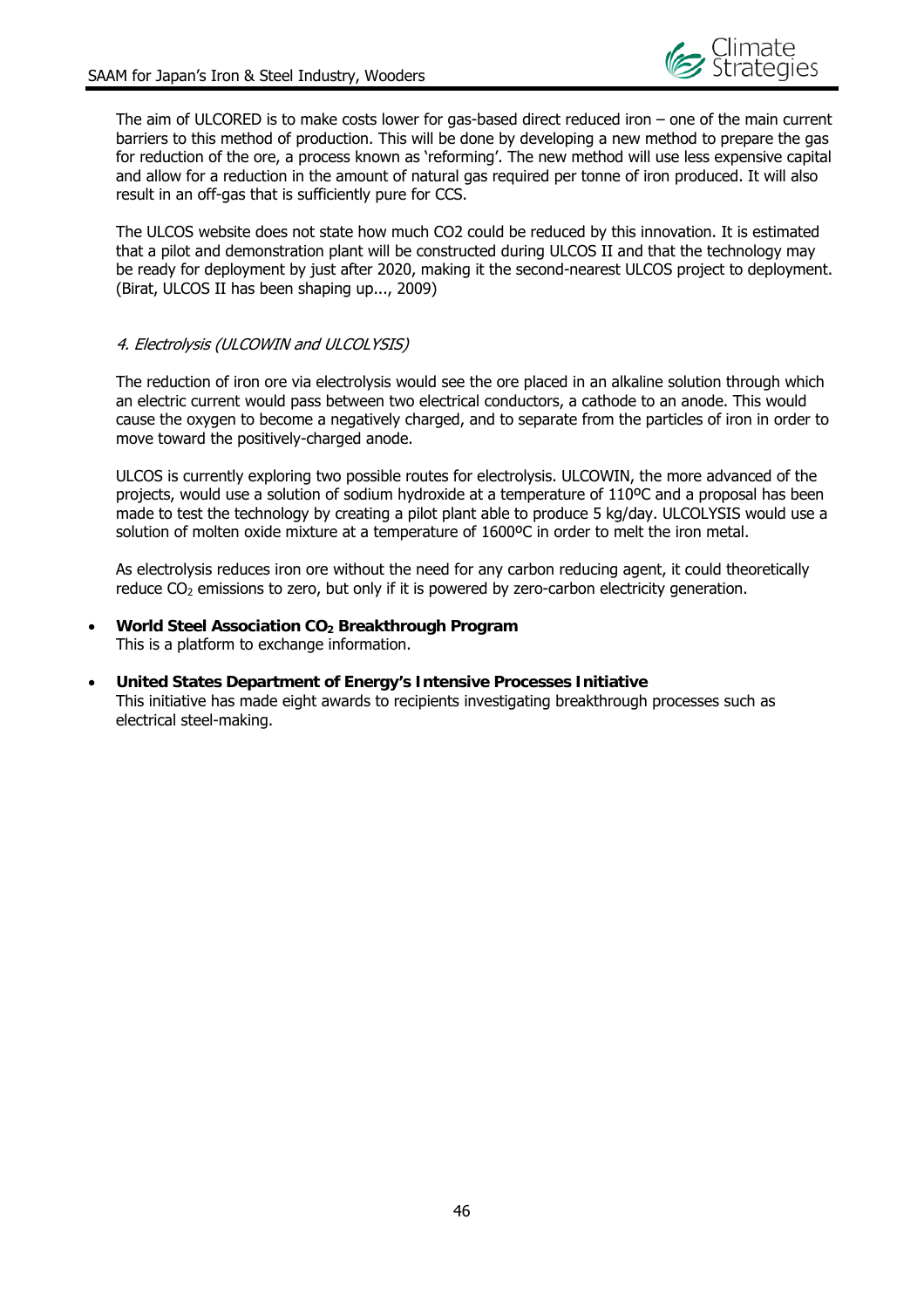

The aim of ULCORED is to make costs lower for gas-based direct reduced iron – one of the main current barriers to this method of production. This will be done by developing a new method to prepare the gas for reduction of the ore, a process known as 'reforming'. The new method will use less expensive capital and allow for a reduction in the amount of natural gas required per tonne of iron produced. It will also result in an off-gas that is sufficiently pure for CCS.

The ULCOS website does not state how much CO2 could be reduced by this innovation. It is estimated that a pilot and demonstration plant will be constructed during ULCOS II and that the technology may be ready for deployment by just after 2020, making it the second-nearest ULCOS project to deployment. (Birat, ULCOS II has been shaping up..., 2009)

#### 4. Electrolysis (ULCOWIN and ULCOLYSIS)

The reduction of iron ore via electrolysis would see the ore placed in an alkaline solution through which an electric current would pass between two electrical conductors, a cathode to an anode. This would cause the oxygen to become a negatively charged, and to separate from the particles of iron in order to move toward the positively-charged anode.

ULCOS is currently exploring two possible routes for electrolysis. ULCOWIN, the more advanced of the projects, would use a solution of sodium hydroxide at a temperature of 110ºC and a proposal has been made to test the technology by creating a pilot plant able to produce 5 kg/day. ULCOLYSIS would use a solution of molten oxide mixture at a temperature of 1600ºC in order to melt the iron metal.

As electrolysis reduces iron ore without the need for any carbon reducing agent, it could theoretically reduce  $CO<sub>2</sub>$  emissions to zero, but only if it is powered by zero-carbon electricity generation.

- **World Steel Association CO<sub>2</sub> Breakthrough Program** This is a platform to exchange information.
- **United States Department of Energy's Intensive Processes Initiative**  This initiative has made eight awards to recipients investigating breakthrough processes such as electrical steel-making.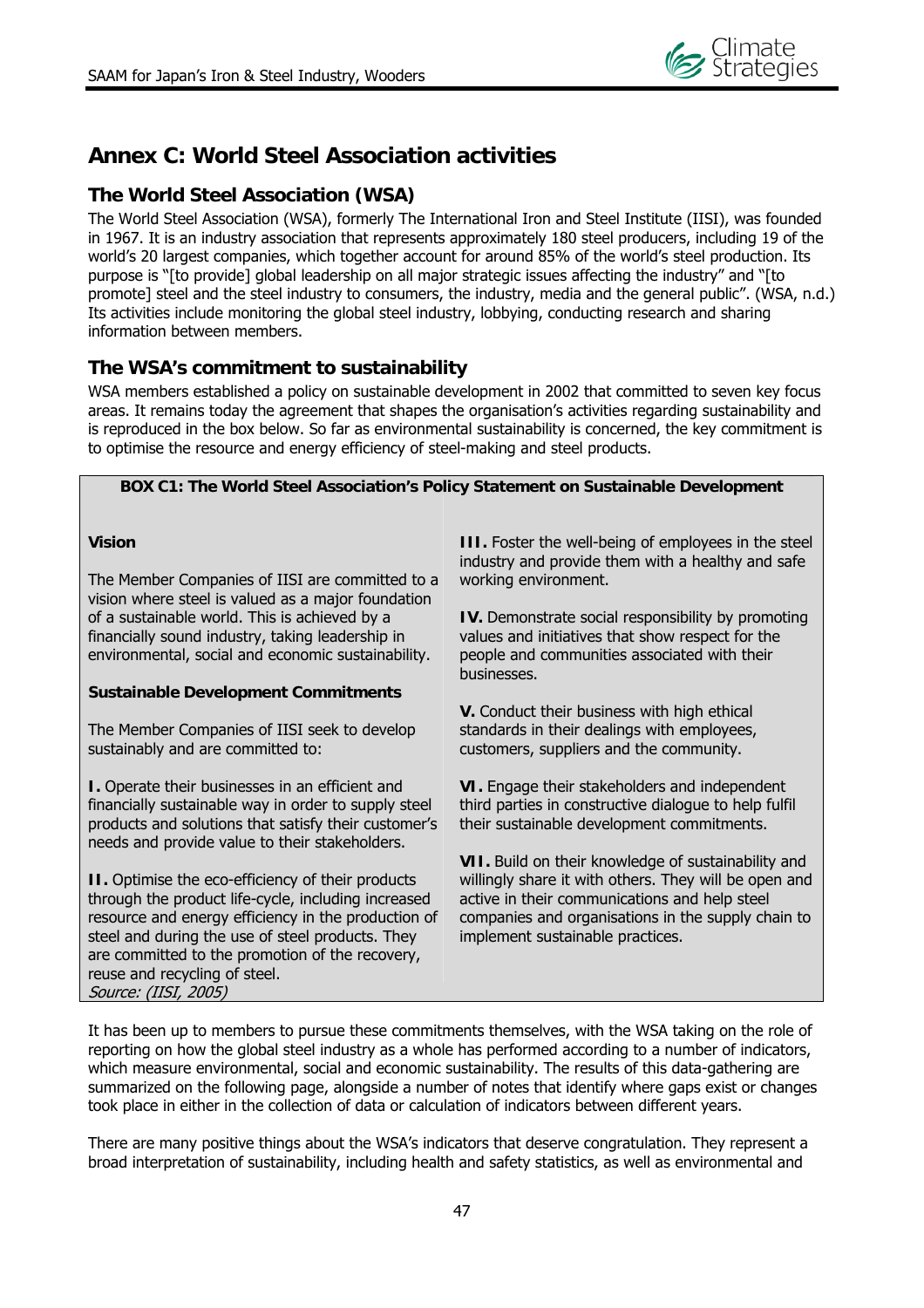

## **Annex C: World Steel Association activities**

## **The World Steel Association (WSA)**

The World Steel Association (WSA), formerly The International Iron and Steel Institute (IISI), was founded in 1967. It is an industry association that represents approximately 180 steel producers, including 19 of the world's 20 largest companies, which together account for around 85% of the world's steel production. Its purpose is "[to provide] global leadership on all major strategic issues affecting the industry" and "[to promote] steel and the steel industry to consumers, the industry, media and the general public". (WSA, n.d.) Its activities include monitoring the global steel industry, lobbying, conducting research and sharing information between members.

## **The WSA's commitment to sustainability**

WSA members established a policy on sustainable development in 2002 that committed to seven key focus areas. It remains today the agreement that shapes the organisation's activities regarding sustainability and is reproduced in the box below. So far as environmental sustainability is concerned, the key commitment is to optimise the resource and energy efficiency of steel-making and steel products.

#### **BOX C1: The World Steel Association's Policy Statement on Sustainable Development**

#### **Vision**

The Member Companies of IISI are committed to a vision where steel is valued as a major foundation of a sustainable world. This is achieved by a financially sound industry, taking leadership in environmental, social and economic sustainability.

#### **Sustainable Development Commitments**

The Member Companies of IISI seek to develop sustainably and are committed to:

**I.** Operate their businesses in an efficient and financially sustainable way in order to supply steel products and solutions that satisfy their customer's needs and provide value to their stakeholders.

**II.** Optimise the eco-efficiency of their products through the product life-cycle, including increased resource and energy efficiency in the production of steel and during the use of steel products. They are committed to the promotion of the recovery, reuse and recycling of steel. Source: (IISI, 2005)

**III.** Foster the well-being of employees in the steel industry and provide them with a healthy and safe working environment.

**IV.** Demonstrate social responsibility by promoting values and initiatives that show respect for the people and communities associated with their businesses.

**V.** Conduct their business with high ethical standards in their dealings with employees, customers, suppliers and the community.

**VI.** Engage their stakeholders and independent third parties in constructive dialogue to help fulfil their sustainable development commitments.

**VII.** Build on their knowledge of sustainability and willingly share it with others. They will be open and active in their communications and help steel companies and organisations in the supply chain to implement sustainable practices.

It has been up to members to pursue these commitments themselves, with the WSA taking on the role of reporting on how the global steel industry as a whole has performed according to a number of indicators, which measure environmental, social and economic sustainability. The results of this data-gathering are summarized on the following page, alongside a number of notes that identify where gaps exist or changes took place in either in the collection of data or calculation of indicators between different years.

There are many positive things about the WSA's indicators that deserve congratulation. They represent a broad interpretation of sustainability, including health and safety statistics, as well as environmental and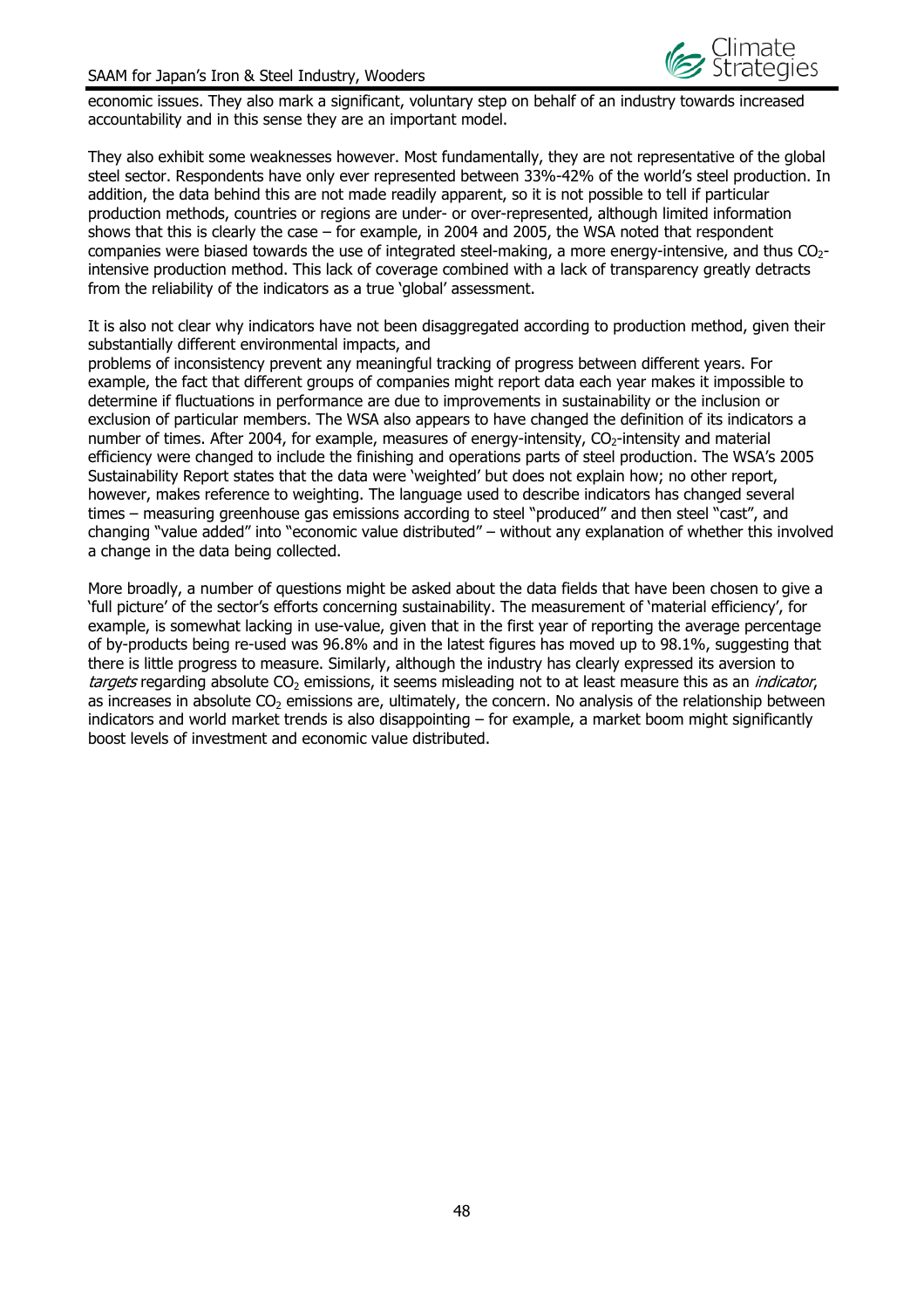

economic issues. They also mark a significant, voluntary step on behalf of an industry towards increased accountability and in this sense they are an important model.

They also exhibit some weaknesses however. Most fundamentally, they are not representative of the global steel sector. Respondents have only ever represented between 33%-42% of the world's steel production. In addition, the data behind this are not made readily apparent, so it is not possible to tell if particular production methods, countries or regions are under- or over-represented, although limited information shows that this is clearly the case – for example, in 2004 and 2005, the WSA noted that respondent companies were biased towards the use of integrated steel-making, a more energy-intensive, and thus  $CO<sub>2</sub>$ intensive production method. This lack of coverage combined with a lack of transparency greatly detracts from the reliability of the indicators as a true 'global' assessment.

It is also not clear why indicators have not been disaggregated according to production method, given their substantially different environmental impacts, and

problems of inconsistency prevent any meaningful tracking of progress between different years. For example, the fact that different groups of companies might report data each year makes it impossible to determine if fluctuations in performance are due to improvements in sustainability or the inclusion or exclusion of particular members. The WSA also appears to have changed the definition of its indicators a number of times. After 2004, for example, measures of energy-intensity, CO<sub>2</sub>-intensity and material efficiency were changed to include the finishing and operations parts of steel production. The WSA's 2005 Sustainability Report states that the data were 'weighted' but does not explain how; no other report, however, makes reference to weighting. The language used to describe indicators has changed several times – measuring greenhouse gas emissions according to steel "produced" and then steel "cast", and changing "value added" into "economic value distributed" – without any explanation of whether this involved a change in the data being collected.

More broadly, a number of questions might be asked about the data fields that have been chosen to give a 'full picture' of the sector's efforts concerning sustainability. The measurement of 'material efficiency', for example, is somewhat lacking in use-value, given that in the first year of reporting the average percentage of by-products being re-used was 96.8% and in the latest figures has moved up to 98.1%, suggesting that there is little progress to measure. Similarly, although the industry has clearly expressed its aversion to targets regarding absolute CO<sub>2</sub> emissions, it seems misleading not to at least measure this as an *indicator*, as increases in absolute  $CO<sub>2</sub>$  emissions are, ultimately, the concern. No analysis of the relationship between indicators and world market trends is also disappointing – for example, a market boom might significantly boost levels of investment and economic value distributed.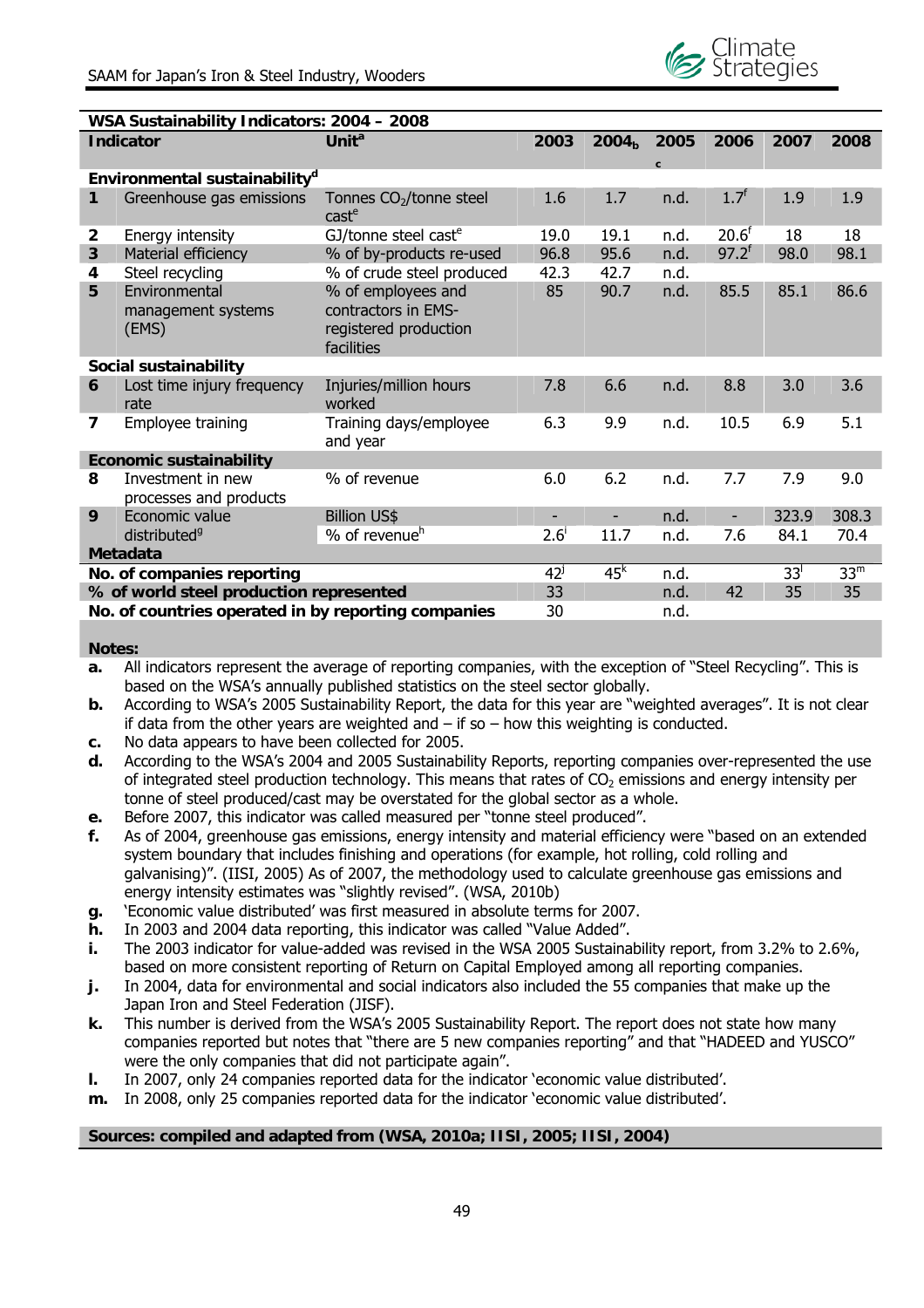

| WSA Sustainability Indicators: 2004 - 2008                        |                                              |                                                                                  |                          |                          |      |                          |                 |                 |  |
|-------------------------------------------------------------------|----------------------------------------------|----------------------------------------------------------------------------------|--------------------------|--------------------------|------|--------------------------|-----------------|-----------------|--|
|                                                                   | <b>Indicator</b>                             | Unit <sup>a</sup>                                                                | 2003                     | 2004 <sub>b</sub>        | 2005 | 2006                     | 2007            | 2008            |  |
|                                                                   |                                              |                                                                                  |                          |                          | C.   |                          |                 |                 |  |
| Environmental sustainability <sup>d</sup>                         |                                              |                                                                                  |                          |                          |      |                          |                 |                 |  |
| 1                                                                 | Greenhouse gas emissions                     | Tonnes CO <sub>2</sub> /tonne steel<br>cast <sup>e</sup>                         | 1.6                      | 1.7                      | n.d. | $1.7^f$                  | 1.9             | 1.9             |  |
| $\mathbf{2}$                                                      | Energy intensity                             | GJ/tonne steel cast <sup>e</sup>                                                 | 19.0                     | 19.1                     | n.d. | 20.6 <sup>f</sup>        | 18              | 18              |  |
| 3                                                                 | Material efficiency                          | % of by-products re-used                                                         | 96.8                     | 95.6                     | n.d. | $97.2^{f}$               | 98.0            | 98.1            |  |
| 4                                                                 | Steel recycling                              | % of crude steel produced                                                        | 42.3                     | 42.7                     | n.d. |                          |                 |                 |  |
| 5                                                                 | Environmental<br>management systems<br>(EMS) | % of employees and<br>contractors in EMS-<br>registered production<br>facilities | 85                       | 90.7                     | n.d. | 85.5                     | 85.1            | 86.6            |  |
| Social sustainability                                             |                                              |                                                                                  |                          |                          |      |                          |                 |                 |  |
| 6                                                                 | Lost time injury frequency<br>rate           | Injuries/million hours<br>worked                                                 | 7.8                      | 6.6                      | n.d. | 8.8                      | 3.0             | 3.6             |  |
| 7                                                                 | Employee training                            | Training days/employee<br>and year                                               | 6.3                      | 9.9                      | n.d. | 10.5                     | 6.9             | 5.1             |  |
|                                                                   | <b>Economic sustainability</b>               |                                                                                  |                          |                          |      |                          |                 |                 |  |
| 8                                                                 | Investment in new<br>processes and products  | % of revenue                                                                     | 6.0                      | 6.2                      | n.d. | 7.7                      | 7.9             | 9.0             |  |
| 9                                                                 | Economic value                               | <b>Billion US\$</b>                                                              | $\overline{\phantom{a}}$ | $\overline{\phantom{0}}$ | n.d. | $\overline{\phantom{a}}$ | 323.9           | 308.3           |  |
|                                                                   | distributed <sup>9</sup>                     | % of revenue <sup>h</sup>                                                        | $2.6^{i}$                | 11.7                     | n.d. | 7.6                      | 84.1            | 70.4            |  |
|                                                                   | <b>Metadata</b>                              |                                                                                  |                          |                          |      |                          |                 |                 |  |
|                                                                   | No. of companies reporting                   |                                                                                  | $42^{\mathrm{j}}$        | 45 <sup>k</sup>          | n.d. |                          | 33 <sup>1</sup> | 33 <sup>m</sup> |  |
|                                                                   | % of world steel production represented      |                                                                                  | 33                       |                          | n.d. | 42                       | 35              | 35              |  |
| No. of countries operated in by reporting companies<br>30<br>n.d. |                                              |                                                                                  |                          |                          |      |                          |                 |                 |  |

#### **Notes:**

- **a.**  All indicators represent the average of reporting companies, with the exception of "Steel Recycling". This is based on the WSA's annually published statistics on the steel sector globally.
- **b.**  According to WSA's 2005 Sustainability Report, the data for this year are "weighted averages". It is not clear if data from the other years are weighted and  $-$  if so  $-$  how this weighting is conducted.
- **c.**  No data appears to have been collected for 2005.
- **d.**  According to the WSA's 2004 and 2005 Sustainability Reports, reporting companies over-represented the use of integrated steel production technology. This means that rates of  $CO<sub>2</sub>$  emissions and energy intensity per tonne of steel produced/cast may be overstated for the global sector as a whole.
- **e.**  Before 2007, this indicator was called measured per "tonne steel produced".
- **f.**  As of 2004, greenhouse gas emissions, energy intensity and material efficiency were "based on an extended system boundary that includes finishing and operations (for example, hot rolling, cold rolling and galvanising)". (IISI, 2005) As of 2007, the methodology used to calculate greenhouse gas emissions and energy intensity estimates was "slightly revised". (WSA, 2010b)
- **g.**  'Economic value distributed' was first measured in absolute terms for 2007.
- **h.**  In 2003 and 2004 data reporting, this indicator was called "Value Added".
- **i.**  The 2003 indicator for value-added was revised in the WSA 2005 Sustainability report, from 3.2% to 2.6%, based on more consistent reporting of Return on Capital Employed among all reporting companies.
- **j.**  In 2004, data for environmental and social indicators also included the 55 companies that make up the Japan Iron and Steel Federation (JISF).
- **k.**  This number is derived from the WSA's 2005 Sustainability Report. The report does not state how many companies reported but notes that "there are 5 new companies reporting" and that "HADEED and YUSCO" were the only companies that did not participate again".
- **l.**  In 2007, only 24 companies reported data for the indicator 'economic value distributed'.
- **m.**  In 2008, only 25 companies reported data for the indicator 'economic value distributed'.

#### **Sources: compiled and adapted from (WSA, 2010a; IISI, 2005; IISI, 2004)**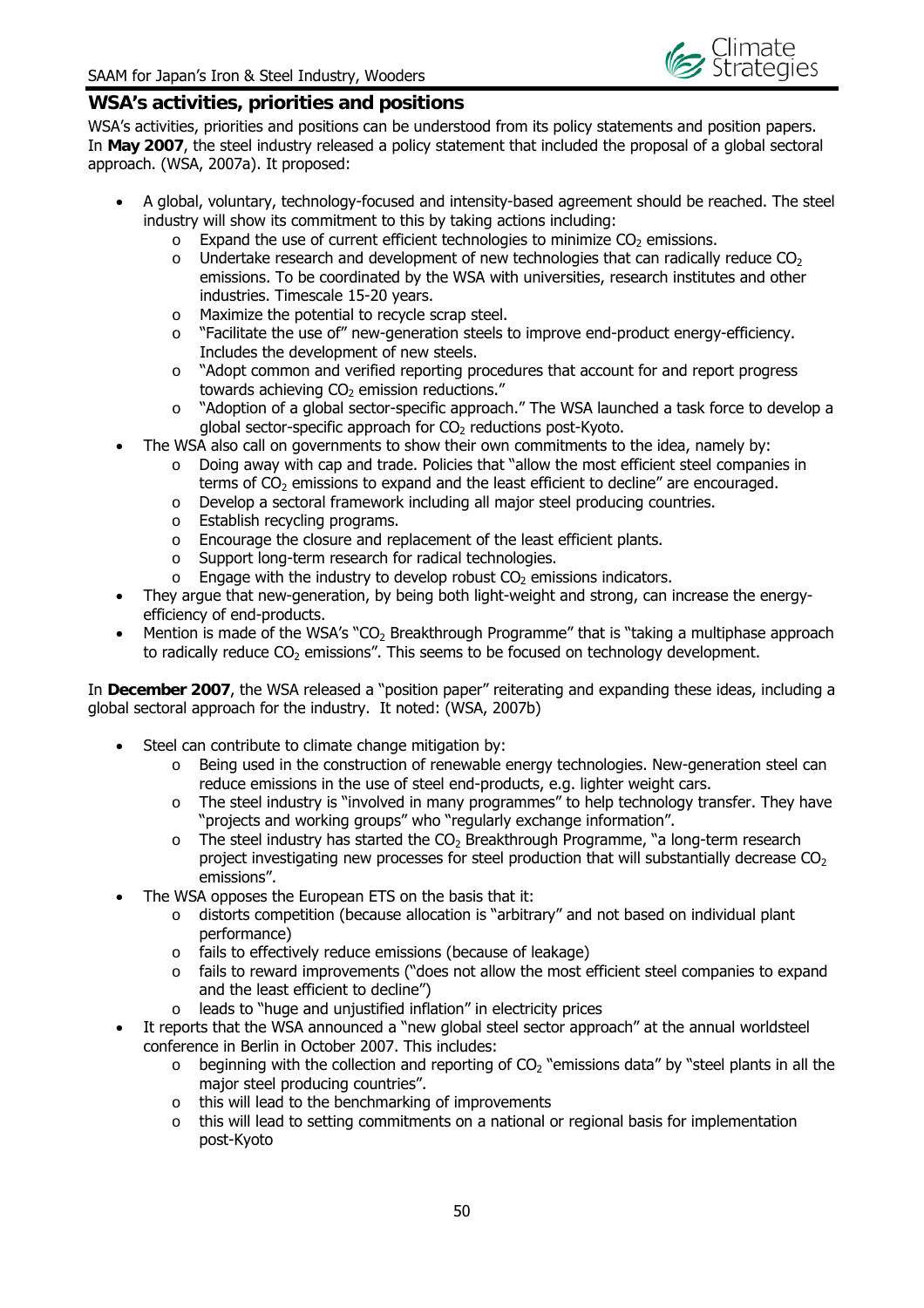

#### **WSA's activities, priorities and positions**

WSA's activities, priorities and positions can be understood from its policy statements and position papers. In **May 2007**, the steel industry released a policy statement that included the proposal of a global sectoral approach. (WSA, 2007a). It proposed:

- A global, voluntary, technology-focused and intensity-based agreement should be reached. The steel industry will show its commitment to this by taking actions including:
	- $\circ$  Expand the use of current efficient technologies to minimize CO<sub>2</sub> emissions.
	- $\circ$  Undertake research and development of new technologies that can radically reduce CO<sub>2</sub> emissions. To be coordinated by the WSA with universities, research institutes and other industries. Timescale 15-20 years.
	- o Maximize the potential to recycle scrap steel.
	- o "Facilitate the use of" new-generation steels to improve end-product energy-efficiency. Includes the development of new steels.
	- $\circ$  "Adopt common and verified reporting procedures that account for and report progress towards achieving  $CO<sub>2</sub>$  emission reductions."
	- o "Adoption of a global sector-specific approach." The WSA launched a task force to develop a global sector-specific approach for  $CO<sub>2</sub>$  reductions post-Kyoto.
- The WSA also call on governments to show their own commitments to the idea, namely by:
	- o Doing away with cap and trade. Policies that "allow the most efficient steel companies in terms of  $CO<sub>2</sub>$  emissions to expand and the least efficient to decline" are encouraged.
	- o Develop a sectoral framework including all major steel producing countries.
	- o Establish recycling programs.
	- o Encourage the closure and replacement of the least efficient plants.
	- o Support long-term research for radical technologies.
	- $\circ$  Engage with the industry to develop robust  $CO<sub>2</sub>$  emissions indicators.
- They argue that new-generation, by being both light-weight and strong, can increase the energyefficiency of end-products.
- Mention is made of the WSA's "CO<sub>2</sub> Breakthrough Programme" that is "taking a multiphase approach to radically reduce  $CO<sub>2</sub>$  emissions". This seems to be focused on technology development.

In **December 2007**, the WSA released a "position paper" reiterating and expanding these ideas, including a global sectoral approach for the industry. It noted: (WSA, 2007b)

- Steel can contribute to climate change mitigation by:
	- $\circ$  Being used in the construction of renewable energy technologies. New-generation steel can reduce emissions in the use of steel end-products, e.g. lighter weight cars.
	- o The steel industry is "involved in many programmes" to help technology transfer. They have "projects and working groups" who "regularly exchange information".
	- $\circ$  The steel industry has started the CO<sub>2</sub> Breakthrough Programme, "a long-term research project investigating new processes for steel production that will substantially decrease  $CO<sub>2</sub>$ emissions".
- The WSA opposes the European ETS on the basis that it:
	- o distorts competition (because allocation is "arbitrary" and not based on individual plant performance)
	- o fails to effectively reduce emissions (because of leakage)
	- $\circ$  fails to reward improvements ("does not allow the most efficient steel companies to expand and the least efficient to decline")
	- o leads to "huge and unjustified inflation" in electricity prices
- It reports that the WSA announced a "new global steel sector approach" at the annual worldsteel conference in Berlin in October 2007. This includes:
	- $\circ$  beginning with the collection and reporting of CO<sub>2</sub> "emissions data" by "steel plants in all the major steel producing countries".
	- o this will lead to the benchmarking of improvements
	- o this will lead to setting commitments on a national or regional basis for implementation post-Kyoto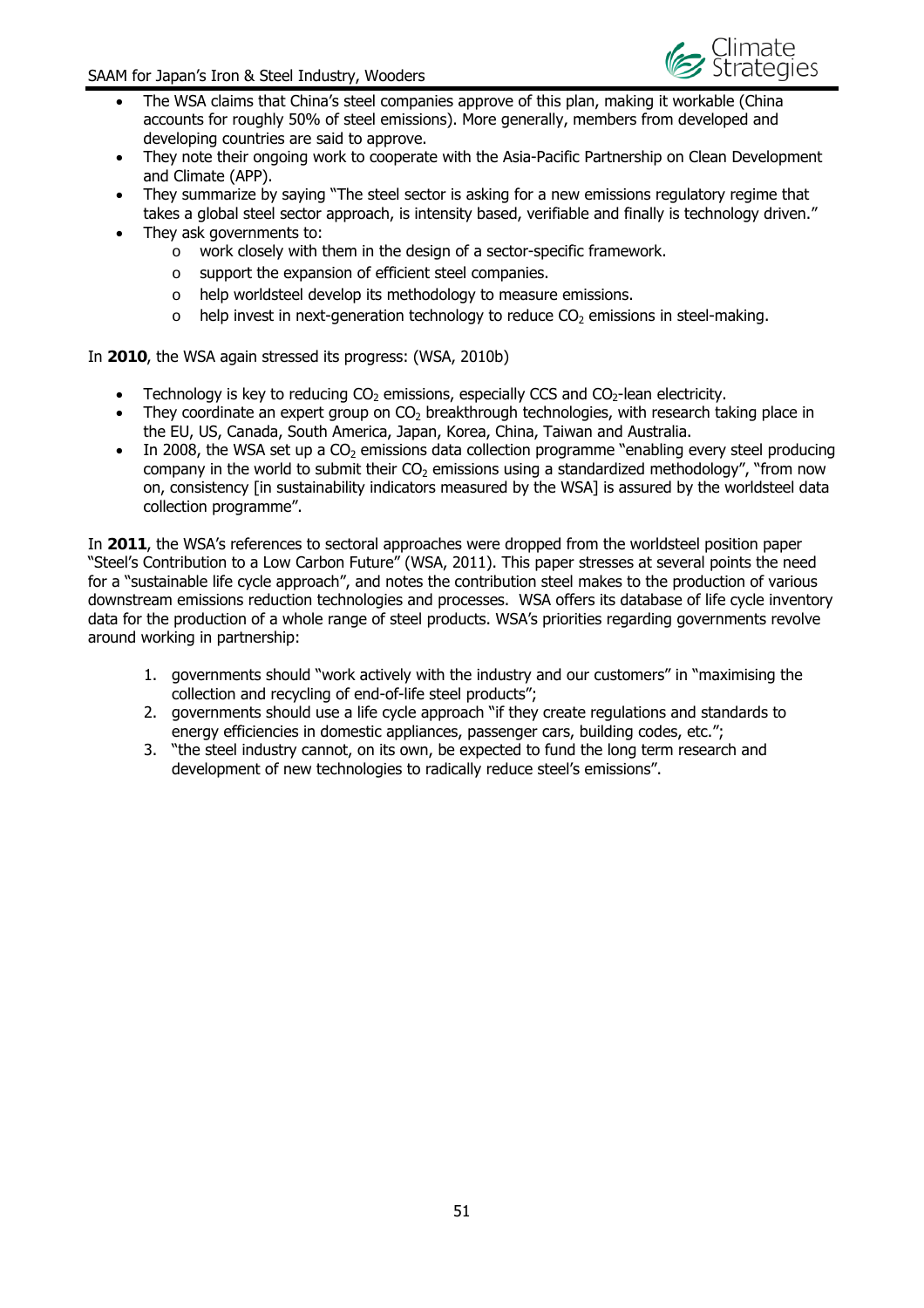

- The WSA claims that China's steel companies approve of this plan, making it workable (China accounts for roughly 50% of steel emissions). More generally, members from developed and developing countries are said to approve.
- They note their ongoing work to cooperate with the Asia-Pacific Partnership on Clean Development and Climate (APP).
- They summarize by saying "The steel sector is asking for a new emissions regulatory regime that takes a global steel sector approach, is intensity based, verifiable and finally is technology driven."
- They ask governments to:
	- o work closely with them in the design of a sector-specific framework.
	- o support the expansion of efficient steel companies.
	- o help worldsteel develop its methodology to measure emissions.
	- $\circ$  help invest in next-generation technology to reduce CO<sub>2</sub> emissions in steel-making.

In **2010**, the WSA again stressed its progress: (WSA, 2010b)

- Technology is key to reducing  $CO<sub>2</sub>$  emissions, especially CCS and  $CO<sub>2</sub>$ -lean electricity.
- They coordinate an expert group on  $CO<sub>2</sub>$  breakthrough technologies, with research taking place in the EU, US, Canada, South America, Japan, Korea, China, Taiwan and Australia.
- In 2008, the WSA set up a  $CO<sub>2</sub>$  emissions data collection programme "enabling every steel producing company in the world to submit their  $CO<sub>2</sub>$  emissions using a standardized methodology", "from now on, consistency [in sustainability indicators measured by the WSA] is assured by the worldsteel data collection programme".

In **2011**, the WSA's references to sectoral approaches were dropped from the worldsteel position paper "Steel's Contribution to a Low Carbon Future" (WSA, 2011). This paper stresses at several points the need for a "sustainable life cycle approach", and notes the contribution steel makes to the production of various downstream emissions reduction technologies and processes. WSA offers its database of life cycle inventory data for the production of a whole range of steel products. WSA's priorities regarding governments revolve around working in partnership:

- 1. governments should "work actively with the industry and our customers" in "maximising the collection and recycling of end-of-life steel products";
- 2. governments should use a life cycle approach "if they create regulations and standards to energy efficiencies in domestic appliances, passenger cars, building codes, etc.";
- 3. "the steel industry cannot, on its own, be expected to fund the long term research and development of new technologies to radically reduce steel's emissions".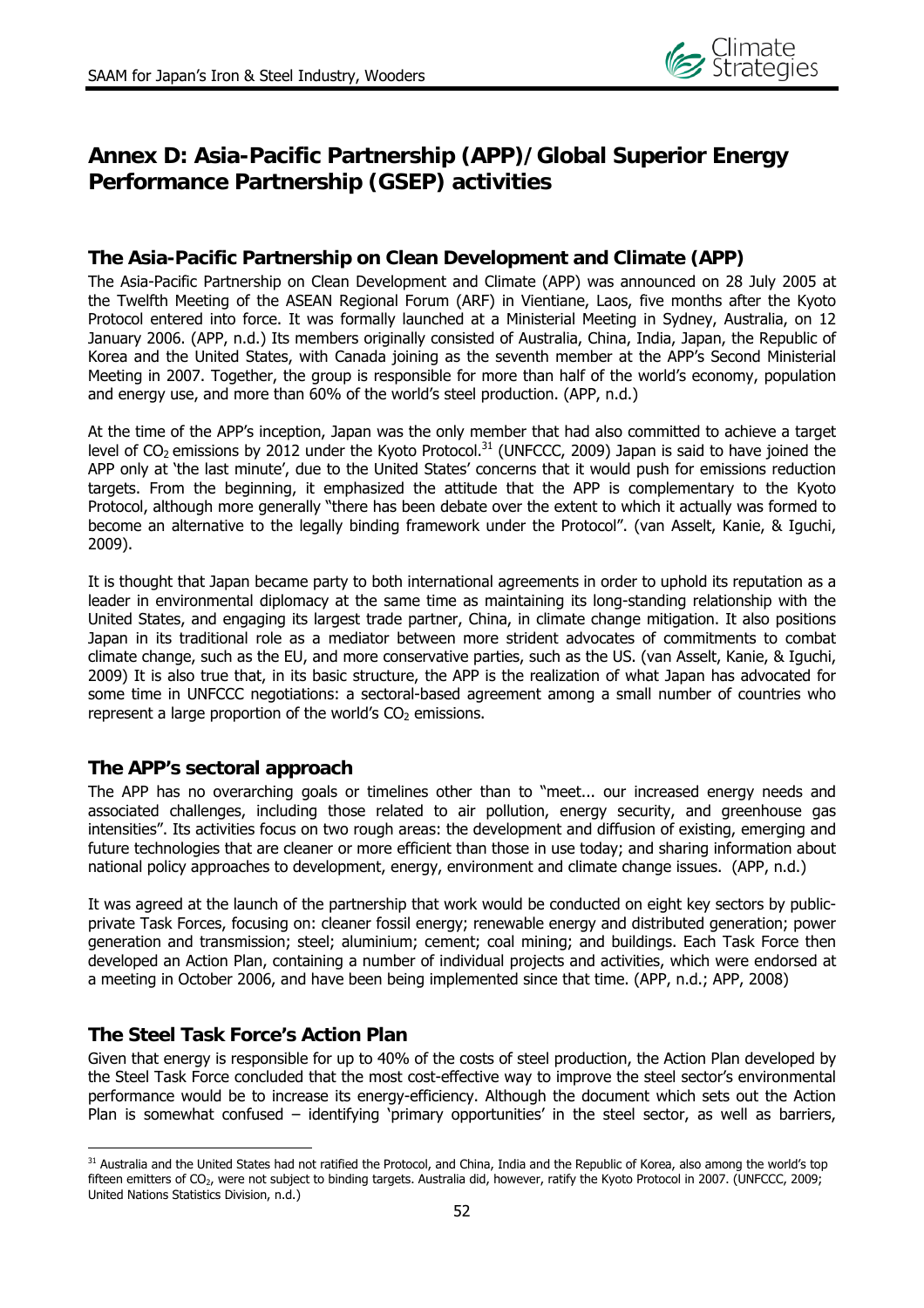

## **Annex D: Asia-Pacific Partnership (APP)/Global Superior Energy Performance Partnership (GSEP) activities**

## **The Asia-Pacific Partnership on Clean Development and Climate (APP)**

The Asia-Pacific Partnership on Clean Development and Climate (APP) was announced on 28 July 2005 at the Twelfth Meeting of the ASEAN Regional Forum (ARF) in Vientiane, Laos, five months after the Kyoto Protocol entered into force. It was formally launched at a Ministerial Meeting in Sydney, Australia, on 12 January 2006. (APP, n.d.) Its members originally consisted of Australia, China, India, Japan, the Republic of Korea and the United States, with Canada joining as the seventh member at the APP's Second Ministerial Meeting in 2007. Together, the group is responsible for more than half of the world's economy, population and energy use, and more than 60% of the world's steel production. (APP, n.d.)

At the time of the APP's inception, Japan was the only member that had also committed to achieve a target level of  $CO<sub>2</sub>$  emissions by 2012 under the Kyoto Protocol.<sup>31</sup> (UNFCCC, 2009) Japan is said to have joined the APP only at 'the last minute', due to the United States' concerns that it would push for emissions reduction targets. From the beginning, it emphasized the attitude that the APP is complementary to the Kyoto Protocol, although more generally "there has been debate over the extent to which it actually was formed to become an alternative to the legally binding framework under the Protocol". (van Asselt, Kanie, & Iguchi, 2009).

It is thought that Japan became party to both international agreements in order to uphold its reputation as a leader in environmental diplomacy at the same time as maintaining its long-standing relationship with the United States, and engaging its largest trade partner, China, in climate change mitigation. It also positions Japan in its traditional role as a mediator between more strident advocates of commitments to combat climate change, such as the EU, and more conservative parties, such as the US. (van Asselt, Kanie, & Iguchi, 2009) It is also true that, in its basic structure, the APP is the realization of what Japan has advocated for some time in UNFCCC negotiations: a sectoral-based agreement among a small number of countries who represent a large proportion of the world's  $CO<sub>2</sub>$  emissions.

## **The APP's sectoral approach**

The APP has no overarching goals or timelines other than to "meet... our increased energy needs and associated challenges, including those related to air pollution, energy security, and greenhouse gas intensities". Its activities focus on two rough areas: the development and diffusion of existing, emerging and future technologies that are cleaner or more efficient than those in use today; and sharing information about national policy approaches to development, energy, environment and climate change issues. (APP, n.d.)

It was agreed at the launch of the partnership that work would be conducted on eight key sectors by publicprivate Task Forces, focusing on: cleaner fossil energy; renewable energy and distributed generation; power generation and transmission; steel; aluminium; cement; coal mining; and buildings. Each Task Force then developed an Action Plan, containing a number of individual projects and activities, which were endorsed at a meeting in October 2006, and have been being implemented since that time. (APP, n.d.; APP, 2008)

## **The Steel Task Force's Action Plan**

Given that energy is responsible for up to 40% of the costs of steel production, the Action Plan developed by the Steel Task Force concluded that the most cost-effective way to improve the steel sector's environmental performance would be to increase its energy-efficiency. Although the document which sets out the Action Plan is somewhat confused – identifying 'primary opportunities' in the steel sector, as well as barriers,

 $\overline{a}$ <sup>31</sup> Australia and the United States had not ratified the Protocol, and China, India and the Republic of Korea, also among the world's top fifteen emitters of  $CO<sub>2</sub>$ , were not subject to binding targets. Australia did, however, ratify the Kyoto Protocol in 2007. (UNFCCC, 2009; United Nations Statistics Division, n.d.)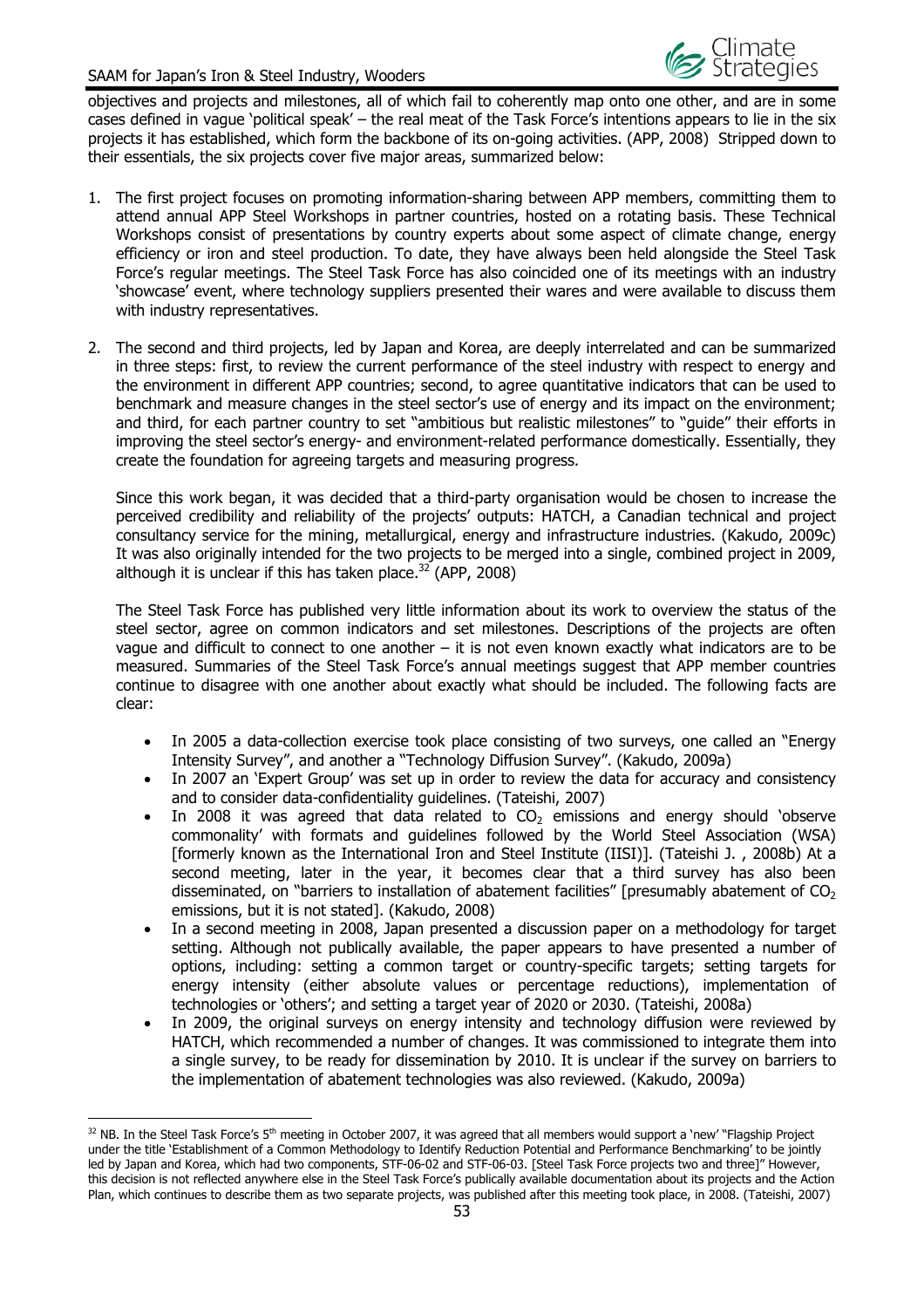

objectives and projects and milestones, all of which fail to coherently map onto one other, and are in some cases defined in vague 'political speak' – the real meat of the Task Force's intentions appears to lie in the six projects it has established, which form the backbone of its on-going activities. (APP, 2008) Stripped down to their essentials, the six projects cover five major areas, summarized below:

- 1. The first project focuses on promoting information-sharing between APP members, committing them to attend annual APP Steel Workshops in partner countries, hosted on a rotating basis. These Technical Workshops consist of presentations by country experts about some aspect of climate change, energy efficiency or iron and steel production. To date, they have always been held alongside the Steel Task Force's regular meetings. The Steel Task Force has also coincided one of its meetings with an industry 'showcase' event, where technology suppliers presented their wares and were available to discuss them with industry representatives.
- 2. The second and third projects, led by Japan and Korea, are deeply interrelated and can be summarized in three steps: first, to review the current performance of the steel industry with respect to energy and the environment in different APP countries; second, to agree quantitative indicators that can be used to benchmark and measure changes in the steel sector's use of energy and its impact on the environment; and third, for each partner country to set "ambitious but realistic milestones" to "guide" their efforts in improving the steel sector's energy- and environment-related performance domestically. Essentially, they create the foundation for agreeing targets and measuring progress.

Since this work began, it was decided that a third-party organisation would be chosen to increase the perceived credibility and reliability of the projects' outputs: HATCH, a Canadian technical and project consultancy service for the mining, metallurgical, energy and infrastructure industries. (Kakudo, 2009c) It was also originally intended for the two projects to be merged into a single, combined project in 2009, although it is unclear if this has taken place. $32^{2}$  (APP, 2008)

The Steel Task Force has published very little information about its work to overview the status of the steel sector, agree on common indicators and set milestones. Descriptions of the projects are often vague and difficult to connect to one another – it is not even known exactly what indicators are to be measured. Summaries of the Steel Task Force's annual meetings suggest that APP member countries continue to disagree with one another about exactly what should be included. The following facts are clear:

- In 2005 a data-collection exercise took place consisting of two surveys, one called an "Energy Intensity Survey", and another a "Technology Diffusion Survey". (Kakudo, 2009a)
- In 2007 an 'Expert Group' was set up in order to review the data for accuracy and consistency and to consider data-confidentiality guidelines. (Tateishi, 2007)
- In 2008 it was agreed that data related to  $CO<sub>2</sub>$  emissions and energy should 'observe commonality' with formats and guidelines followed by the World Steel Association (WSA) [formerly known as the International Iron and Steel Institute (IISI)]. (Tateishi J. , 2008b) At a second meeting, later in the year, it becomes clear that a third survey has also been disseminated, on "barriers to installation of abatement facilities" [presumably abatement of  $CO<sub>2</sub>$ emissions, but it is not stated]. (Kakudo, 2008)
- In a second meeting in 2008, Japan presented a discussion paper on a methodology for target setting. Although not publically available, the paper appears to have presented a number of options, including: setting a common target or country-specific targets; setting targets for energy intensity (either absolute values or percentage reductions), implementation of technologies or 'others'; and setting a target year of 2020 or 2030. (Tateishi, 2008a)
- In 2009, the original surveys on energy intensity and technology diffusion were reviewed by HATCH, which recommended a number of changes. It was commissioned to integrate them into a single survey, to be ready for dissemination by 2010. It is unclear if the survey on barriers to the implementation of abatement technologies was also reviewed. (Kakudo, 2009a)

 $\overline{a}$  $32$  NB. In the Steel Task Force's 5<sup>th</sup> meeting in October 2007, it was agreed that all members would support a 'new' "Flagship Project under the title 'Establishment of a Common Methodology to Identify Reduction Potential and Performance Benchmarking' to be jointly led by Japan and Korea, which had two components, STF-06-02 and STF-06-03. [Steel Task Force projects two and three]" However, this decision is not reflected anywhere else in the Steel Task Force's publically available documentation about its projects and the Action Plan, which continues to describe them as two separate projects, was published after this meeting took place, in 2008. (Tateishi, 2007)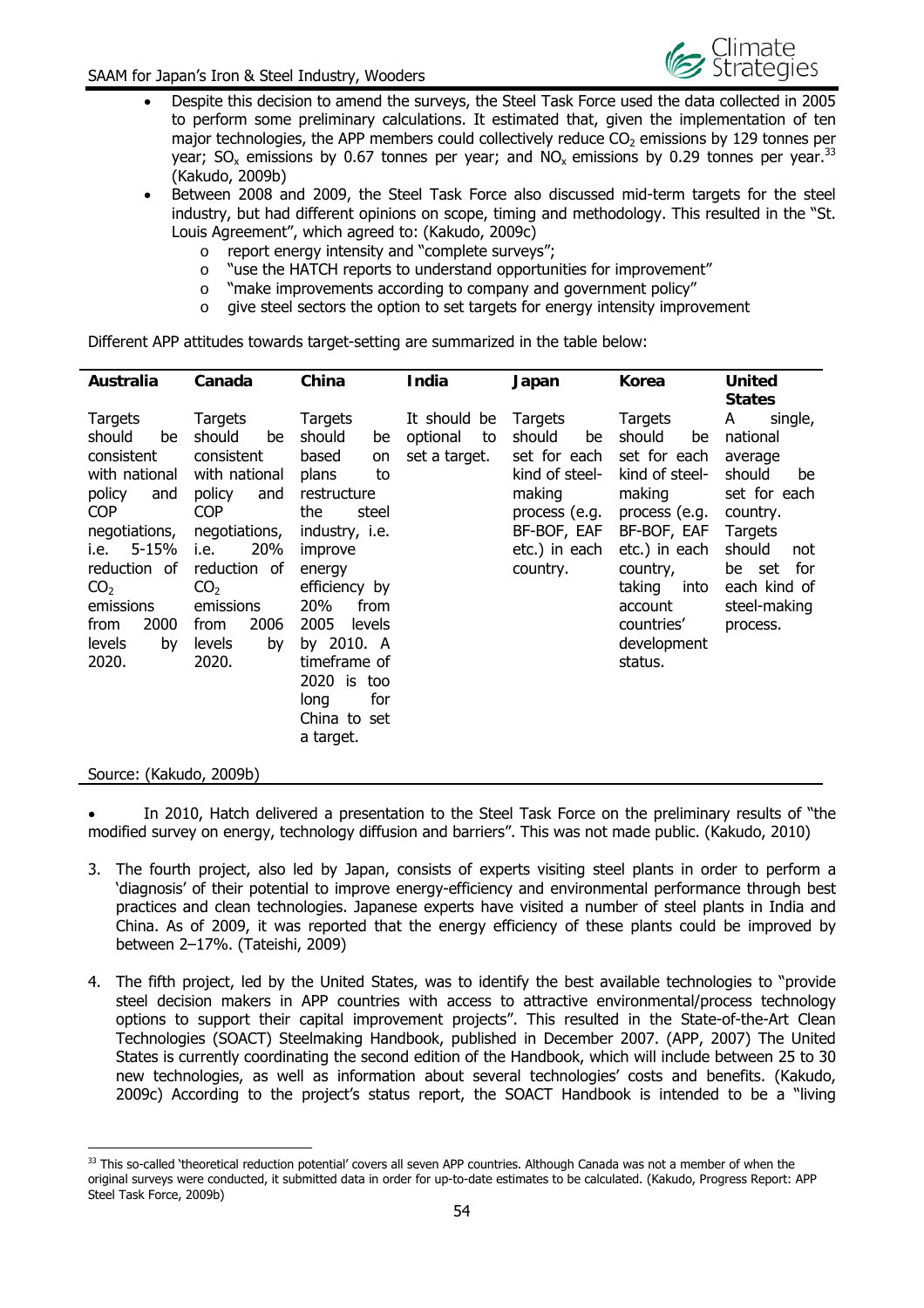

- Despite this decision to amend the surveys, the Steel Task Force used the data collected in 2005 to perform some preliminary calculations. It estimated that, given the implementation of ten major technologies, the APP members could collectively reduce  $CO<sub>2</sub>$  emissions by 129 tonnes per year;  $SO_x$  emissions by 0.67 tonnes per year; and  $NO_x$  emissions by 0.29 tonnes per vear.<sup>33</sup> (Kakudo, 2009b)
- Between 2008 and 2009, the Steel Task Force also discussed mid-term targets for the steel industry, but had different opinions on scope, timing and methodology. This resulted in the "St. Louis Agreement", which agreed to: (Kakudo, 2009c)
	- o report energy intensity and "complete surveys";
	- $\circ$  "use the HATCH reports to understand opportunities for improvement"
	- o "make improvements according to company and government policy"
	- o give steel sectors the option to set targets for energy intensity improvement

Different APP attitudes towards target-setting are summarized in the table below:

| Australia                                                                                                                                                                                                        | Canada                                                                                                                                                                                                                   | China                                                                                                                                                                                                                                                                         | India                                           | Japan                                                                                                                            | <b>Korea</b>                                                                                                                                                                                          | <b>United</b><br><b>States</b>                                                                                                                                           |  |
|------------------------------------------------------------------------------------------------------------------------------------------------------------------------------------------------------------------|--------------------------------------------------------------------------------------------------------------------------------------------------------------------------------------------------------------------------|-------------------------------------------------------------------------------------------------------------------------------------------------------------------------------------------------------------------------------------------------------------------------------|-------------------------------------------------|----------------------------------------------------------------------------------------------------------------------------------|-------------------------------------------------------------------------------------------------------------------------------------------------------------------------------------------------------|--------------------------------------------------------------------------------------------------------------------------------------------------------------------------|--|
| Targets<br>should<br>be<br>consistent<br>with national<br>policy<br>and<br><b>COP</b><br>negotiations,<br>5-15%<br>i.e.<br>reduction of<br>CO <sub>2</sub><br>emissions<br>2000<br>from<br>levels<br>by<br>2020. | Targets<br>should<br>be<br>consistent<br>with national<br>policy<br>and<br><b>COP</b><br>negotiations,<br>20%<br>i.e.<br>reduction<br>0f<br>CO <sub>2</sub><br>emissions<br>2006<br>from<br><b>levels</b><br>by<br>2020. | Targets<br>should<br>be<br>based<br>on<br>plans<br>to<br>restructure<br>the<br>steel<br>industry, <i>i.e.</i><br>improve<br>energy<br>efficiency by<br>20%<br>from<br>2005<br>levels<br>by 2010. A<br>timeframe of<br>2020 is too<br>for<br>long<br>China to set<br>a target. | It should be<br>optional<br>to<br>set a target. | Targets<br>should<br>be<br>set for each<br>kind of steel-<br>making<br>process (e.g.<br>BF-BOF, EAF<br>etc.) in each<br>country. | Targets<br>should<br>be<br>set for each<br>kind of steel-<br>making<br>process (e.g.<br>BF-BOF, EAF<br>etc.) in each<br>country,<br>taking<br>into<br>account<br>countries'<br>development<br>status. | A<br>single,<br>national<br>average<br>should<br>be<br>set for each<br>country.<br>Targets<br>should<br>not<br>for<br>be set<br>each kind of<br>steel-making<br>process. |  |

#### Source: (Kakudo, 2009b)

 In 2010, Hatch delivered a presentation to the Steel Task Force on the preliminary results of "the modified survey on energy, technology diffusion and barriers". This was not made public. (Kakudo, 2010)

- 3. The fourth project, also led by Japan, consists of experts visiting steel plants in order to perform a 'diagnosis' of their potential to improve energy-efficiency and environmental performance through best practices and clean technologies. Japanese experts have visited a number of steel plants in India and China. As of 2009, it was reported that the energy efficiency of these plants could be improved by between 2–17%. (Tateishi, 2009)
- 4. The fifth project, led by the United States, was to identify the best available technologies to "provide steel decision makers in APP countries with access to attractive environmental/process technology options to support their capital improvement projects". This resulted in the State-of-the-Art Clean Technologies (SOACT) Steelmaking Handbook, published in December 2007. (APP, 2007) The United States is currently coordinating the second edition of the Handbook, which will include between 25 to 30 new technologies, as well as information about several technologies' costs and benefits. (Kakudo, 2009c) According to the project's status report, the SOACT Handbook is intended to be a "living

 $\overline{a}$ <sup>33</sup> This so-called 'theoretical reduction potential' covers all seven APP countries. Although Canada was not a member of when the original surveys were conducted, it submitted data in order for up-to-date estimates to be calculated. (Kakudo, Progress Report: APP Steel Task Force, 2009b)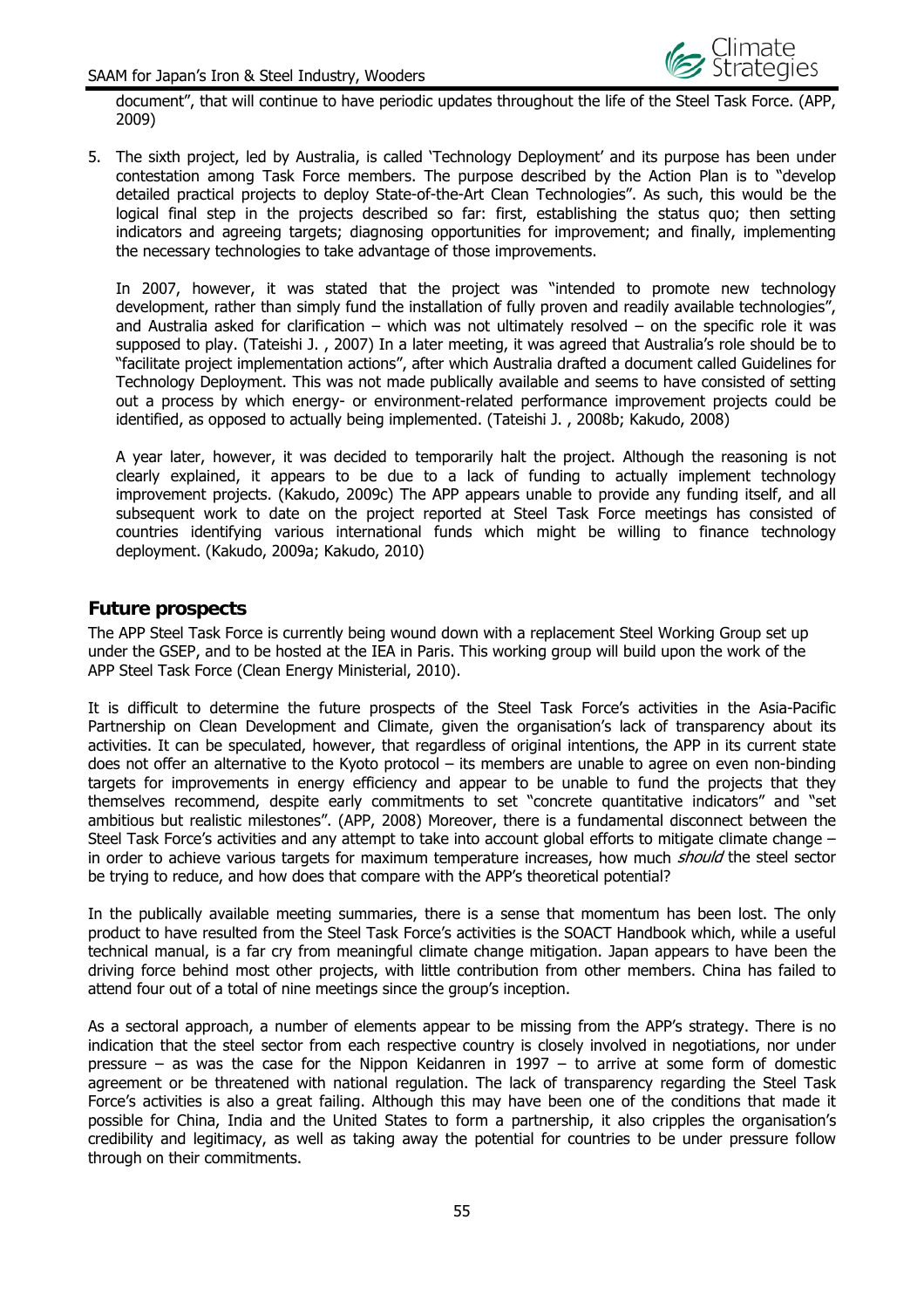

document", that will continue to have periodic updates throughout the life of the Steel Task Force. (APP, 2009)

5. The sixth project, led by Australia, is called 'Technology Deployment' and its purpose has been under contestation among Task Force members. The purpose described by the Action Plan is to "develop detailed practical projects to deploy State-of-the-Art Clean Technologies". As such, this would be the logical final step in the projects described so far: first, establishing the status quo; then setting indicators and agreeing targets; diagnosing opportunities for improvement; and finally, implementing the necessary technologies to take advantage of those improvements.

In 2007, however, it was stated that the project was "intended to promote new technology development, rather than simply fund the installation of fully proven and readily available technologies", and Australia asked for clarification – which was not ultimately resolved – on the specific role it was supposed to play. (Tateishi J. , 2007) In a later meeting, it was agreed that Australia's role should be to "facilitate project implementation actions", after which Australia drafted a document called Guidelines for Technology Deployment. This was not made publically available and seems to have consisted of setting out a process by which energy- or environment-related performance improvement projects could be identified, as opposed to actually being implemented. (Tateishi J. , 2008b; Kakudo, 2008)

A year later, however, it was decided to temporarily halt the project. Although the reasoning is not clearly explained, it appears to be due to a lack of funding to actually implement technology improvement projects. (Kakudo, 2009c) The APP appears unable to provide any funding itself, and all subsequent work to date on the project reported at Steel Task Force meetings has consisted of countries identifying various international funds which might be willing to finance technology deployment. (Kakudo, 2009a; Kakudo, 2010)

#### **Future prospects**

The APP Steel Task Force is currently being wound down with a replacement Steel Working Group set up under the GSEP, and to be hosted at the IEA in Paris. This working group will build upon the work of the APP Steel Task Force (Clean Energy Ministerial, 2010).

It is difficult to determine the future prospects of the Steel Task Force's activities in the Asia-Pacific Partnership on Clean Development and Climate, given the organisation's lack of transparency about its activities. It can be speculated, however, that regardless of original intentions, the APP in its current state does not offer an alternative to the Kyoto protocol – its members are unable to agree on even non-binding targets for improvements in energy efficiency and appear to be unable to fund the projects that they themselves recommend, despite early commitments to set "concrete quantitative indicators" and "set ambitious but realistic milestones". (APP, 2008) Moreover, there is a fundamental disconnect between the Steel Task Force's activities and any attempt to take into account global efforts to mitigate climate change – in order to achieve various targets for maximum temperature increases, how much should the steel sector be trying to reduce, and how does that compare with the APP's theoretical potential?

In the publically available meeting summaries, there is a sense that momentum has been lost. The only product to have resulted from the Steel Task Force's activities is the SOACT Handbook which, while a useful technical manual, is a far cry from meaningful climate change mitigation. Japan appears to have been the driving force behind most other projects, with little contribution from other members. China has failed to attend four out of a total of nine meetings since the group's inception.

As a sectoral approach, a number of elements appear to be missing from the APP's strategy. There is no indication that the steel sector from each respective country is closely involved in negotiations, nor under pressure – as was the case for the Nippon Keidanren in 1997 – to arrive at some form of domestic agreement or be threatened with national regulation. The lack of transparency regarding the Steel Task Force's activities is also a great failing. Although this may have been one of the conditions that made it possible for China, India and the United States to form a partnership, it also cripples the organisation's credibility and legitimacy, as well as taking away the potential for countries to be under pressure follow through on their commitments.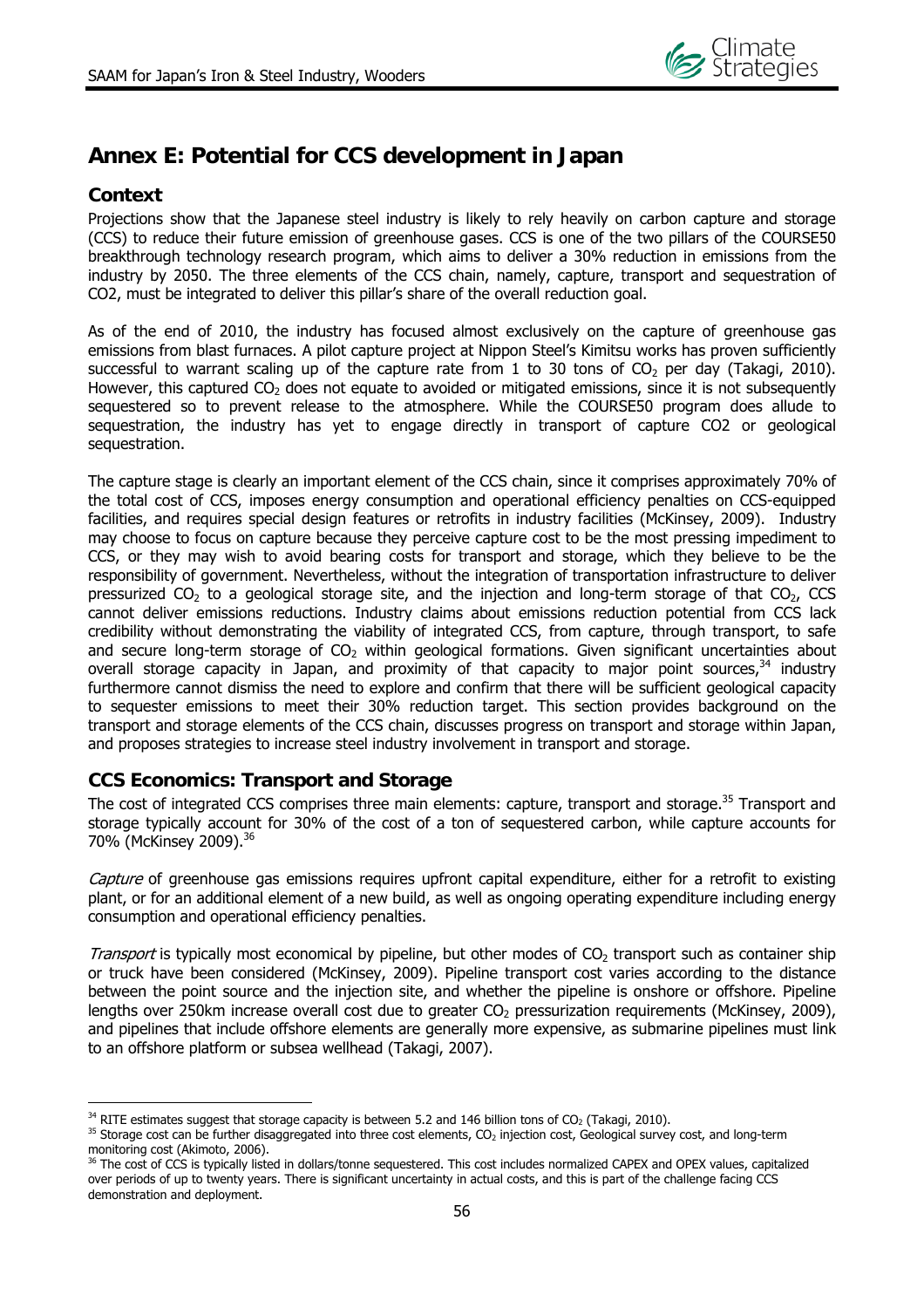

## **Annex E: Potential for CCS development in Japan**

## **Context**

Projections show that the Japanese steel industry is likely to rely heavily on carbon capture and storage (CCS) to reduce their future emission of greenhouse gases. CCS is one of the two pillars of the COURSE50 breakthrough technology research program, which aims to deliver a 30% reduction in emissions from the industry by 2050. The three elements of the CCS chain, namely, capture, transport and sequestration of CO2, must be integrated to deliver this pillar's share of the overall reduction goal.

As of the end of 2010, the industry has focused almost exclusively on the capture of greenhouse gas emissions from blast furnaces. A pilot capture project at Nippon Steel's Kimitsu works has proven sufficiently successful to warrant scaling up of the capture rate from 1 to 30 tons of  $CO<sub>2</sub>$  per day (Takagi, 2010). However, this captured  $CO<sub>2</sub>$  does not equate to avoided or mitigated emissions, since it is not subsequently sequestered so to prevent release to the atmosphere. While the COURSE50 program does allude to sequestration, the industry has yet to engage directly in transport of capture CO2 or geological sequestration.

The capture stage is clearly an important element of the CCS chain, since it comprises approximately 70% of the total cost of CCS, imposes energy consumption and operational efficiency penalties on CCS-equipped facilities, and requires special design features or retrofits in industry facilities (McKinsey, 2009). Industry may choose to focus on capture because they perceive capture cost to be the most pressing impediment to CCS, or they may wish to avoid bearing costs for transport and storage, which they believe to be the responsibility of government. Nevertheless, without the integration of transportation infrastructure to deliver pressurized  $CO<sub>2</sub>$  to a geological storage site, and the injection and long-term storage of that  $CO<sub>2</sub>$ , CCS cannot deliver emissions reductions. Industry claims about emissions reduction potential from CCS lack credibility without demonstrating the viability of integrated CCS, from capture, through transport, to safe and secure long-term storage of  $CO<sub>2</sub>$  within geological formations. Given significant uncertainties about overall storage capacity in Japan, and proximity of that capacity to major point sources,  $34$  industry furthermore cannot dismiss the need to explore and confirm that there will be sufficient geological capacity to sequester emissions to meet their 30% reduction target. This section provides background on the transport and storage elements of the CCS chain, discusses progress on transport and storage within Japan, and proposes strategies to increase steel industry involvement in transport and storage.

## **CCS Economics: Transport and Storage**

The cost of integrated CCS comprises three main elements: capture, transport and storage.<sup>35</sup> Transport and storage typically account for 30% of the cost of a ton of sequestered carbon, while capture accounts for 70% (McKinsey 2009).36

Capture of greenhouse gas emissions requires upfront capital expenditure, either for a retrofit to existing plant, or for an additional element of a new build, as well as ongoing operating expenditure including energy consumption and operational efficiency penalties.

*Transport* is typically most economical by pipeline, but other modes of  $CO<sub>2</sub>$  transport such as container ship or truck have been considered (McKinsey, 2009). Pipeline transport cost varies according to the distance between the point source and the injection site, and whether the pipeline is onshore or offshore. Pipeline lengths over 250km increase overall cost due to greater  $CO<sub>2</sub>$  pressurization requirements (McKinsey, 2009), and pipelines that include offshore elements are generally more expensive, as submarine pipelines must link to an offshore platform or subsea wellhead (Takagi, 2007).

 $\overline{a}$ 

<sup>&</sup>lt;sup>34</sup> RITE estimates suggest that storage capacity is between 5.2 and 146 billion tons of CO<sub>2</sub> (Takagi, 2010).<br><sup>35</sup> Storage cost can be further disaggregated into three cost elements, CO<sub>2</sub> injection cost, Geological surv monitoring cost (Akimoto, 2006).

<sup>&</sup>lt;sup>36</sup> The cost of CCS is typically listed in dollars/tonne sequestered. This cost includes normalized CAPEX and OPEX values, capitalized over periods of up to twenty years. There is significant uncertainty in actual costs, and this is part of the challenge facing CCS demonstration and deployment.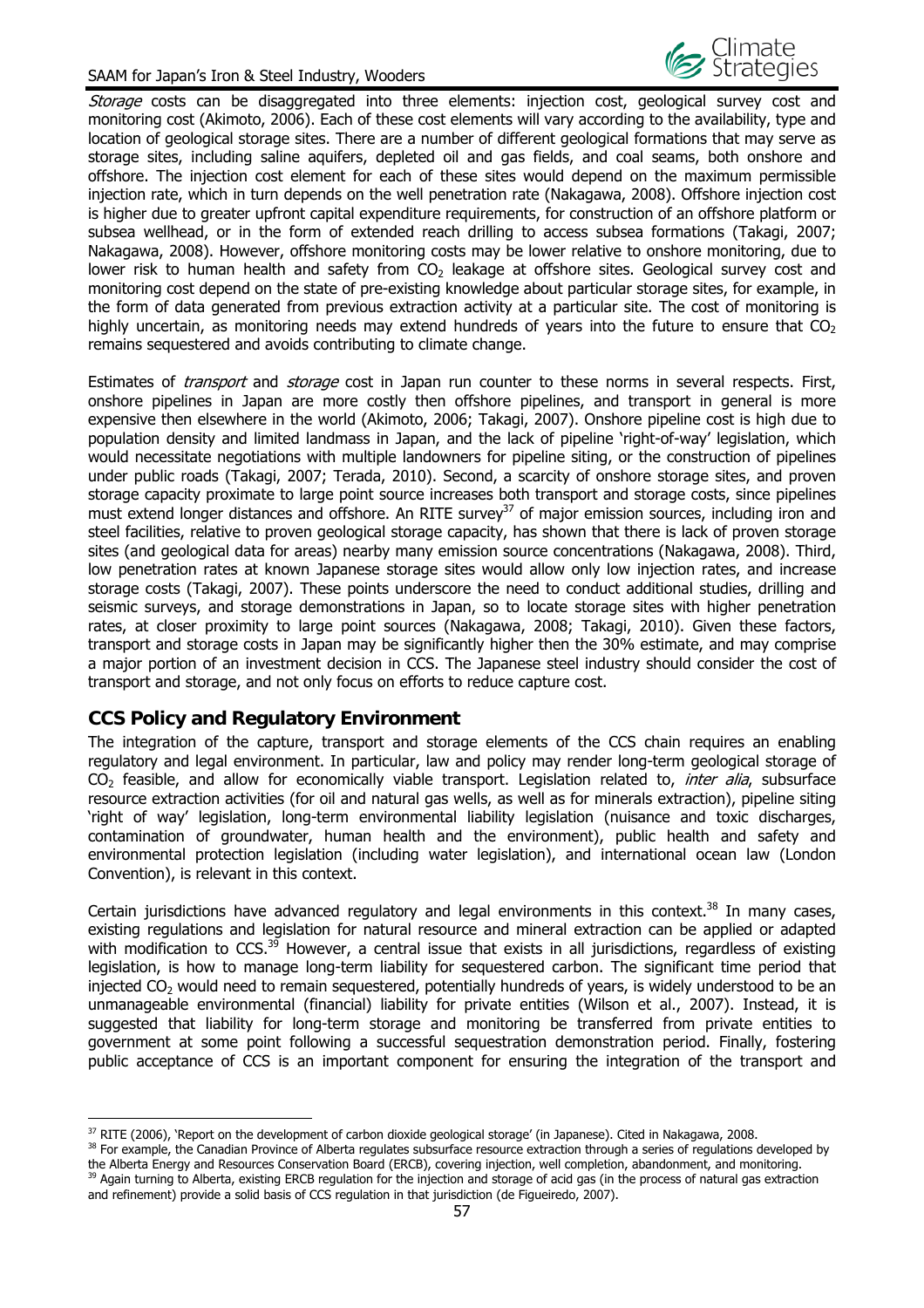

Storage costs can be disaggregated into three elements: injection cost, geological survey cost and monitoring cost (Akimoto, 2006). Each of these cost elements will vary according to the availability, type and location of geological storage sites. There are a number of different geological formations that may serve as storage sites, including saline aquifers, depleted oil and gas fields, and coal seams, both onshore and offshore. The injection cost element for each of these sites would depend on the maximum permissible injection rate, which in turn depends on the well penetration rate (Nakagawa, 2008). Offshore injection cost is higher due to greater upfront capital expenditure requirements, for construction of an offshore platform or subsea wellhead, or in the form of extended reach drilling to access subsea formations (Takagi, 2007; Nakagawa, 2008). However, offshore monitoring costs may be lower relative to onshore monitoring, due to lower risk to human health and safety from  $CO<sub>2</sub>$  leakage at offshore sites. Geological survey cost and monitoring cost depend on the state of pre-existing knowledge about particular storage sites, for example, in the form of data generated from previous extraction activity at a particular site. The cost of monitoring is highly uncertain, as monitoring needs may extend hundreds of years into the future to ensure that  $CO<sub>2</sub>$ remains sequestered and avoids contributing to climate change.

Estimates of *transport* and *storage* cost in Japan run counter to these norms in several respects. First, onshore pipelines in Japan are more costly then offshore pipelines, and transport in general is more expensive then elsewhere in the world (Akimoto, 2006; Takagi, 2007). Onshore pipeline cost is high due to population density and limited landmass in Japan, and the lack of pipeline 'right-of-way' legislation, which would necessitate negotiations with multiple landowners for pipeline siting, or the construction of pipelines under public roads (Takagi, 2007; Terada, 2010). Second, a scarcity of onshore storage sites, and proven storage capacity proximate to large point source increases both transport and storage costs, since pipelines must extend longer distances and offshore. An RITE survey<sup>37</sup> of major emission sources, including iron and steel facilities, relative to proven geological storage capacity, has shown that there is lack of proven storage sites (and geological data for areas) nearby many emission source concentrations (Nakagawa, 2008). Third, low penetration rates at known Japanese storage sites would allow only low injection rates, and increase storage costs (Takagi, 2007). These points underscore the need to conduct additional studies, drilling and seismic surveys, and storage demonstrations in Japan, so to locate storage sites with higher penetration rates, at closer proximity to large point sources (Nakagawa, 2008; Takagi, 2010). Given these factors, transport and storage costs in Japan may be significantly higher then the 30% estimate, and may comprise a major portion of an investment decision in CCS. The Japanese steel industry should consider the cost of transport and storage, and not only focus on efforts to reduce capture cost.

## **CCS Policy and Regulatory Environment**

The integration of the capture, transport and storage elements of the CCS chain requires an enabling regulatory and legal environment. In particular, law and policy may render long-term geological storage of CO<sub>2</sub> feasible, and allow for economically viable transport. Legislation related to, *inter alia*, subsurface resource extraction activities (for oil and natural gas wells, as well as for minerals extraction), pipeline siting 'right of way' legislation, long-term environmental liability legislation (nuisance and toxic discharges, contamination of groundwater, human health and the environment), public health and safety and environmental protection legislation (including water legislation), and international ocean law (London Convention), is relevant in this context.

Certain jurisdictions have advanced regulatory and legal environments in this context.<sup>38</sup> In many cases, existing regulations and legislation for natural resource and mineral extraction can be applied or adapted with modification to CCS.<sup>39</sup> However, a central issue that exists in all jurisdictions, regardless of existing legislation, is how to manage long-term liability for sequestered carbon. The significant time period that injected  $CO<sub>2</sub>$  would need to remain sequestered, potentially hundreds of years, is widely understood to be an unmanageable environmental (financial) liability for private entities (Wilson et al., 2007). Instead, it is suggested that liability for long-term storage and monitoring be transferred from private entities to government at some point following a successful sequestration demonstration period. Finally, fostering public acceptance of CCS is an important component for ensuring the integration of the transport and

<sup>&</sup>lt;sup>37</sup> RITE (2006). 'Report on the development of carbon dioxide geological storage' (in Japanese). Cited in Nakagawa, 2008.

<sup>&</sup>lt;sup>38</sup> For example, the Canadian Province of Alberta regulates subsurface resource extraction through a series of regulations developed by the Alberta Energy and Resources Conservation Board (ERCB), covering injection, well completion, abandonment, and monitoring. <sup>39</sup> Again turning to Alberta, existing ERCB regulation for the injection and storage of acid gas (in the process of natural gas extraction

and refinement) provide a solid basis of CCS regulation in that jurisdiction (de Figueiredo, 2007).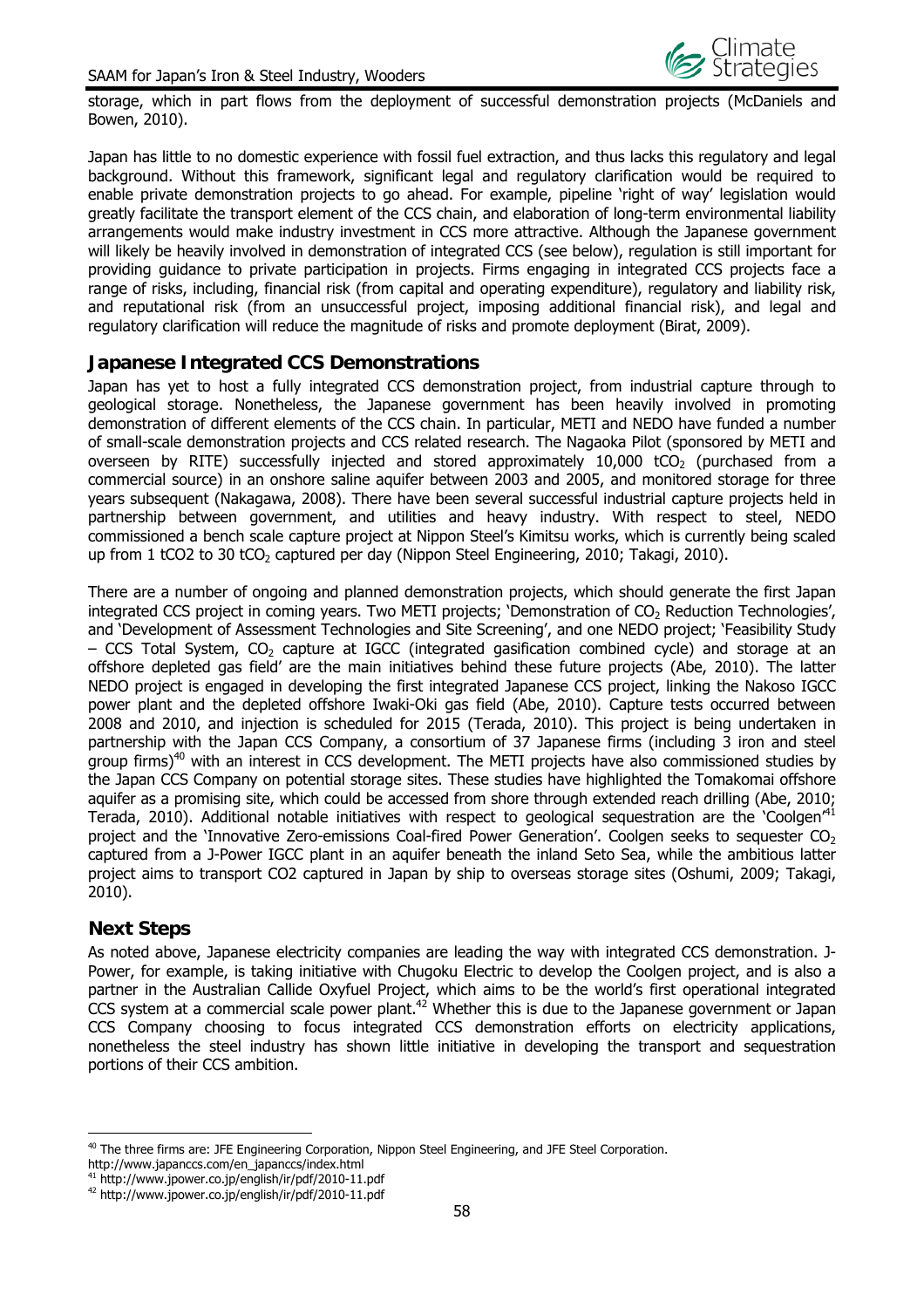

storage, which in part flows from the deployment of successful demonstration projects (McDaniels and Bowen, 2010).

Japan has little to no domestic experience with fossil fuel extraction, and thus lacks this regulatory and legal background. Without this framework, significant legal and regulatory clarification would be required to enable private demonstration projects to go ahead. For example, pipeline 'right of way' legislation would greatly facilitate the transport element of the CCS chain, and elaboration of long-term environmental liability arrangements would make industry investment in CCS more attractive. Although the Japanese government will likely be heavily involved in demonstration of integrated CCS (see below), regulation is still important for providing guidance to private participation in projects. Firms engaging in integrated CCS projects face a range of risks, including, financial risk (from capital and operating expenditure), regulatory and liability risk, and reputational risk (from an unsuccessful project, imposing additional financial risk), and legal and regulatory clarification will reduce the magnitude of risks and promote deployment (Birat, 2009).

#### **Japanese Integrated CCS Demonstrations**

Japan has yet to host a fully integrated CCS demonstration project, from industrial capture through to geological storage. Nonetheless, the Japanese government has been heavily involved in promoting demonstration of different elements of the CCS chain. In particular, METI and NEDO have funded a number of small-scale demonstration projects and CCS related research. The Nagaoka Pilot (sponsored by METI and overseen by RITE) successfully injected and stored approximately  $10,000$  tCO<sub>2</sub> (purchased from a commercial source) in an onshore saline aquifer between 2003 and 2005, and monitored storage for three years subsequent (Nakagawa, 2008). There have been several successful industrial capture projects held in partnership between government, and utilities and heavy industry. With respect to steel, NEDO commissioned a bench scale capture project at Nippon Steel's Kimitsu works, which is currently being scaled up from 1 tCO2 to 30 tCO<sub>2</sub> captured per day (Nippon Steel Engineering, 2010; Takagi, 2010).

There are a number of ongoing and planned demonstration projects, which should generate the first Japan integrated CCS project in coming years. Two METI projects; 'Demonstration of CO<sub>2</sub> Reduction Technologies', and 'Development of Assessment Technologies and Site Screening', and one NEDO project; 'Feasibility Study  $-$  CCS Total System, CO<sub>2</sub> capture at IGCC (integrated gasification combined cycle) and storage at an offshore depleted gas field' are the main initiatives behind these future projects (Abe, 2010). The latter NEDO project is engaged in developing the first integrated Japanese CCS project, linking the Nakoso IGCC power plant and the depleted offshore Iwaki-Oki gas field (Abe, 2010). Capture tests occurred between 2008 and 2010, and injection is scheduled for 2015 (Terada, 2010). This project is being undertaken in partnership with the Japan CCS Company, a consortium of 37 Japanese firms (including 3 iron and steel group firms)<sup>40</sup> with an interest in CCS development. The METI projects have also commissioned studies by the Japan CCS Company on potential storage sites. These studies have highlighted the Tomakomai offshore aquifer as a promising site, which could be accessed from shore through extended reach drilling (Abe, 2010; Terada, 2010). Additional notable initiatives with respect to geological sequestration are the 'Coolgen<sup> $41$ </sup> project and the 'Innovative Zero-emissions Coal-fired Power Generation'. Coolgen seeks to sequester  $CO<sub>2</sub>$ captured from a J-Power IGCC plant in an aquifer beneath the inland Seto Sea, while the ambitious latter project aims to transport CO2 captured in Japan by ship to overseas storage sites (Oshumi, 2009; Takagi, 2010).

#### **Next Steps**

 $\overline{a}$ 

As noted above, Japanese electricity companies are leading the way with integrated CCS demonstration. J-Power, for example, is taking initiative with Chugoku Electric to develop the Coolgen project, and is also a partner in the Australian Callide Oxyfuel Project, which aims to be the world's first operational integrated CCS system at a commercial scale power plant.<sup>42</sup> Whether this is due to the Japanese government or Japan CCS Company choosing to focus integrated CCS demonstration efforts on electricity applications, nonetheless the steel industry has shown little initiative in developing the transport and sequestration portions of their CCS ambition.

<sup>&</sup>lt;sup>40</sup> The three firms are: JFE Engineering Corporation, Nippon Steel Engineering, and JFE Steel Corporation.

http://www.japanccs.com/en\_japanccs/index.html

<sup>41</sup> http://www.jpower.co.jp/english/ir/pdf/2010-11.pdf

<sup>42</sup> http://www.jpower.co.jp/english/ir/pdf/2010-11.pdf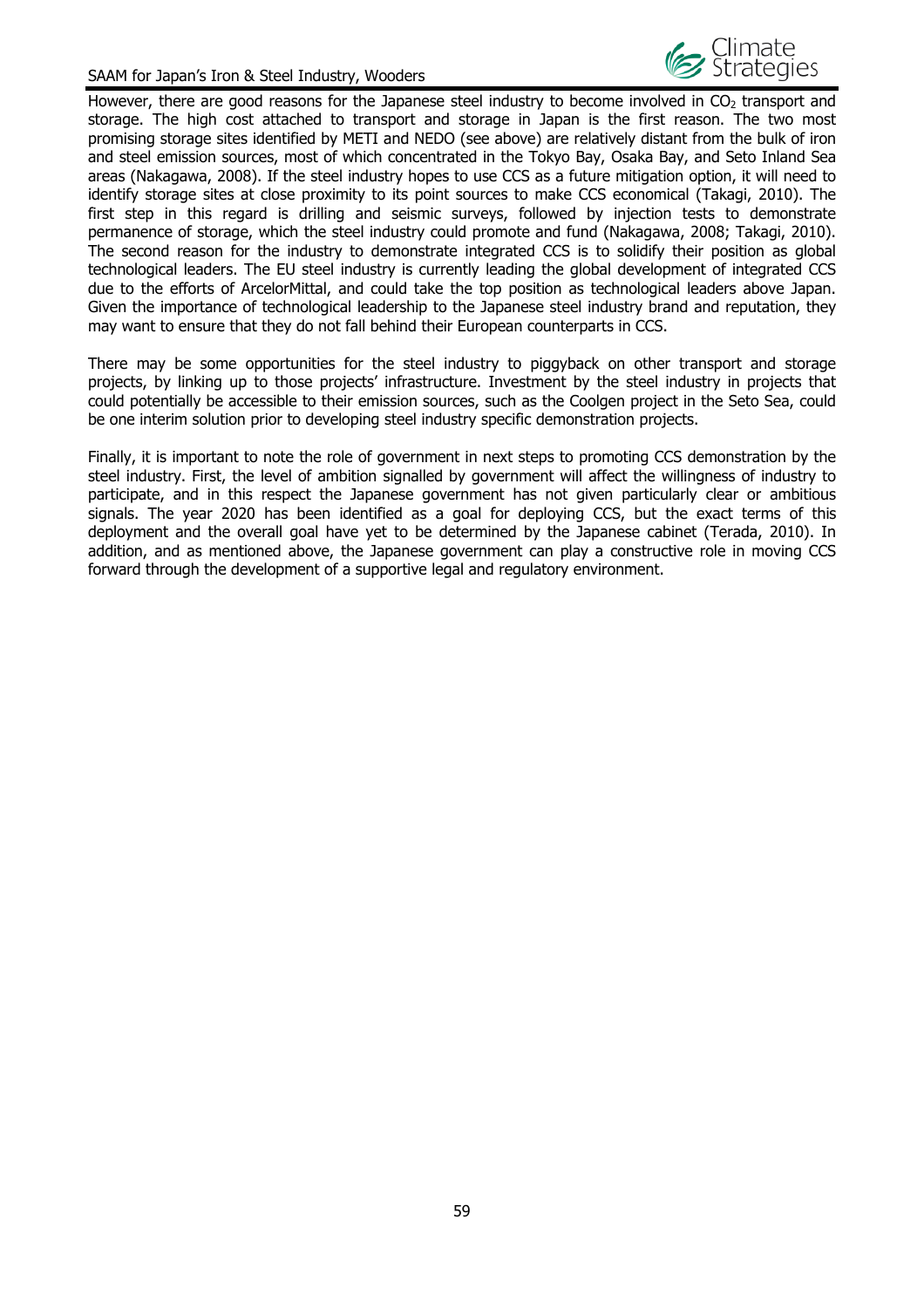

However, there are good reasons for the Japanese steel industry to become involved in  $CO<sub>2</sub>$  transport and storage. The high cost attached to transport and storage in Japan is the first reason. The two most promising storage sites identified by METI and NEDO (see above) are relatively distant from the bulk of iron and steel emission sources, most of which concentrated in the Tokyo Bay, Osaka Bay, and Seto Inland Sea areas (Nakagawa, 2008). If the steel industry hopes to use CCS as a future mitigation option, it will need to identify storage sites at close proximity to its point sources to make CCS economical (Takagi, 2010). The first step in this regard is drilling and seismic surveys, followed by injection tests to demonstrate permanence of storage, which the steel industry could promote and fund (Nakagawa, 2008; Takagi, 2010). The second reason for the industry to demonstrate integrated CCS is to solidify their position as global technological leaders. The EU steel industry is currently leading the global development of integrated CCS due to the efforts of ArcelorMittal, and could take the top position as technological leaders above Japan. Given the importance of technological leadership to the Japanese steel industry brand and reputation, they may want to ensure that they do not fall behind their European counterparts in CCS.

There may be some opportunities for the steel industry to piggyback on other transport and storage projects, by linking up to those projects' infrastructure. Investment by the steel industry in projects that could potentially be accessible to their emission sources, such as the Coolgen project in the Seto Sea, could be one interim solution prior to developing steel industry specific demonstration projects.

Finally, it is important to note the role of government in next steps to promoting CCS demonstration by the steel industry. First, the level of ambition signalled by government will affect the willingness of industry to participate, and in this respect the Japanese government has not given particularly clear or ambitious signals. The year 2020 has been identified as a goal for deploying CCS, but the exact terms of this deployment and the overall goal have yet to be determined by the Japanese cabinet (Terada, 2010). In addition, and as mentioned above, the Japanese government can play a constructive role in moving CCS forward through the development of a supportive legal and regulatory environment.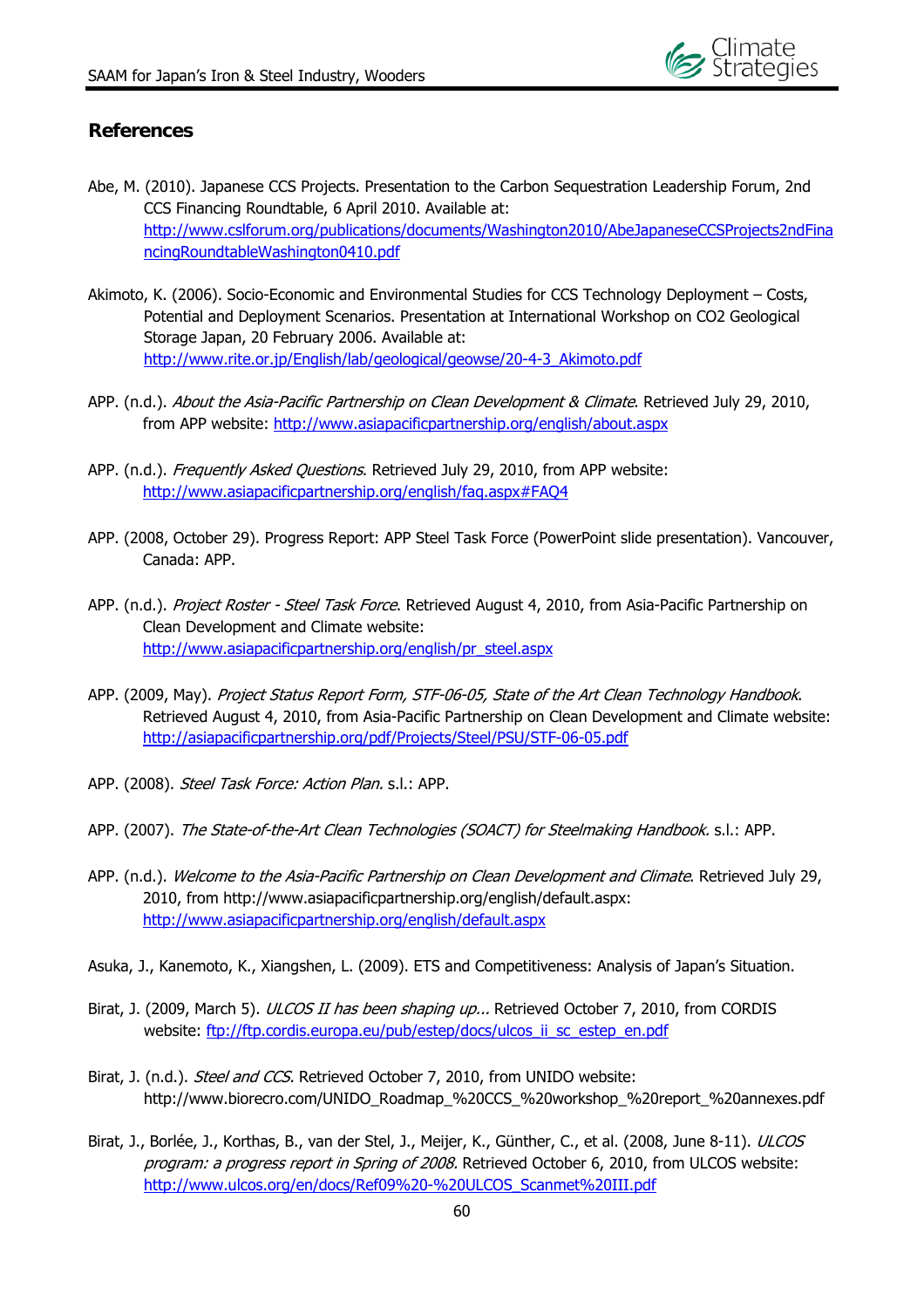

## **References**

- Abe, M. (2010). Japanese CCS Projects. Presentation to the Carbon Sequestration Leadership Forum, 2nd CCS Financing Roundtable, 6 April 2010. Available at: http://www.cslforum.org/publications/documents/Washington2010/AbeJapaneseCCSProjects2ndFina ncingRoundtableWashington0410.pdf
- Akimoto, K. (2006). Socio-Economic and Environmental Studies for CCS Technology Deployment Costs, Potential and Deployment Scenarios. Presentation at International Workshop on CO2 Geological Storage Japan, 20 February 2006. Available at: http://www.rite.or.jp/English/lab/geological/geowse/20-4-3\_Akimoto.pdf
- APP. (n.d.). About the Asia-Pacific Partnership on Clean Development & Climate. Retrieved July 29, 2010, from APP website: http://www.asiapacificpartnership.org/english/about.aspx
- APP. (n.d.). Frequently Asked Ouestions. Retrieved July 29, 2010, from APP website: http://www.asiapacificpartnership.org/english/faq.aspx#FAQ4
- APP. (2008, October 29). Progress Report: APP Steel Task Force (PowerPoint slide presentation). Vancouver, Canada: APP.
- APP. (n.d.). Project Roster Steel Task Force. Retrieved August 4, 2010, from Asia-Pacific Partnership on Clean Development and Climate website: http://www.asiapacificpartnership.org/english/pr\_steel.aspx
- APP. (2009, May). Project Status Report Form, STF-06-05, State of the Art Clean Technology Handbook. Retrieved August 4, 2010, from Asia-Pacific Partnership on Clean Development and Climate website: http://asiapacificpartnership.org/pdf/Projects/Steel/PSU/STF-06-05.pdf
- APP. (2008). Steel Task Force: Action Plan. s.l.: APP.
- APP. (2007). The State-of-the-Art Clean Technologies (SOACT) for Steelmaking Handbook. s.l.: APP.
- APP. (n.d.). Welcome to the Asia-Pacific Partnership on Clean Development and Climate. Retrieved July 29, 2010, from http://www.asiapacificpartnership.org/english/default.aspx: http://www.asiapacificpartnership.org/english/default.aspx
- Asuka, J., Kanemoto, K., Xiangshen, L. (2009). ETS and Competitiveness: Analysis of Japan's Situation.
- Birat, J. (2009, March 5). ULCOS II has been shaping up... Retrieved October 7, 2010, from CORDIS website: ftp://ftp.cordis.europa.eu/pub/estep/docs/ulcos\_ii\_sc\_estep\_en.pdf
- Birat, J. (n.d.). Steel and CCS. Retrieved October 7, 2010, from UNIDO website: http://www.biorecro.com/UNIDO\_Roadmap\_%20CCS\_%20workshop\_%20report\_%20annexes.pdf
- Birat, J., Borlée, J., Korthas, B., van der Stel, J., Meijer, K., Günther, C., et al. (2008, June 8-11). ULCOS program: a progress report in Spring of 2008. Retrieved October 6, 2010, from ULCOS website: http://www.ulcos.org/en/docs/Ref09%20-%20ULCOS\_Scanmet%20III.pdf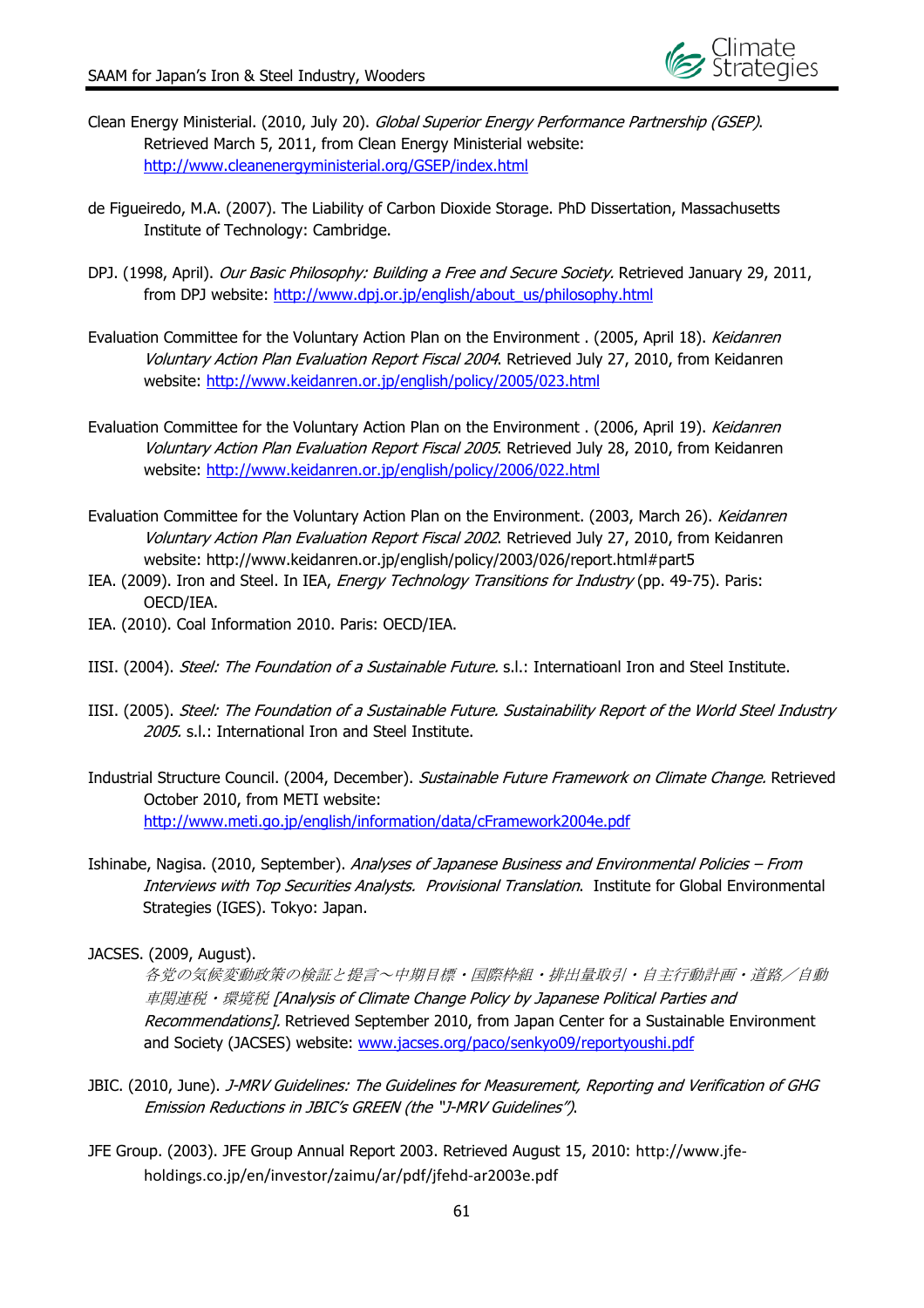

- Clean Energy Ministerial. (2010, July 20). Global Superior Energy Performance Partnership (GSEP). Retrieved March 5, 2011, from Clean Energy Ministerial website: http://www.cleanenergyministerial.org/GSEP/index.html
- de Figueiredo, M.A. (2007). The Liability of Carbon Dioxide Storage. PhD Dissertation, Massachusetts Institute of Technology: Cambridge.
- DPJ. (1998, April). Our Basic Philosophy: Building a Free and Secure Society. Retrieved January 29, 2011, from DPJ website: http://www.dpj.or.jp/english/about\_us/philosophy.html
- Evaluation Committee for the Voluntary Action Plan on the Environment . (2005, April 18). Keidanren Voluntary Action Plan Evaluation Report Fiscal 2004. Retrieved July 27, 2010, from Keidanren website: http://www.keidanren.or.jp/english/policy/2005/023.html
- Evaluation Committee for the Voluntary Action Plan on the Environment . (2006, April 19). Keidanren Voluntary Action Plan Evaluation Report Fiscal 2005. Retrieved July 28, 2010, from Keidanren website: http://www.keidanren.or.jp/english/policy/2006/022.html
- Evaluation Committee for the Voluntary Action Plan on the Environment. (2003, March 26). Keidanren Voluntary Action Plan Evaluation Report Fiscal 2002. Retrieved July 27, 2010, from Keidanren website: http://www.keidanren.or.jp/english/policy/2003/026/report.html#part5
- IEA. (2009). Iron and Steel. In IEA, Energy Technology Transitions for Industry (pp. 49-75). Paris: OECD/IEA.
- IEA. (2010). Coal Information 2010. Paris: OECD/IEA.
- IISI. (2004). Steel: The Foundation of a Sustainable Future. s.l.: Internatioanl Iron and Steel Institute.
- IISI. (2005). Steel: The Foundation of a Sustainable Future. Sustainability Report of the World Steel Industry 2005. s.l.: International Iron and Steel Institute.
- Industrial Structure Council. (2004, December). Sustainable Future Framework on Climate Change. Retrieved October 2010, from METI website: http://www.meti.go.jp/english/information/data/cFramework2004e.pdf
- Ishinabe, Nagisa. (2010, September). Analyses of Japanese Business and Environmental Policies From Interviews with Top Securities Analysts. Provisional Translation. Institute for Global Environmental Strategies (IGES). Tokyo: Japan.
- JACSES. (2009, August).

各党の気候変動政策の検証と提言~中期目標・国際枠組・排出量取引・自主行動計画・道路/自動 車関連税・環境税 [Analysis of Climate Change Policy by Japanese Political Parties and Recommendations]. Retrieved September 2010, from Japan Center for a Sustainable Environment and Society (JACSES) website: www.jacses.org/paco/senkyo09/reportyoushi.pdf

- JBIC. (2010, June). J-MRV Guidelines: The Guidelines for Measurement, Reporting and Verification of GHG Emission Reductions in JBIC's GREEN (the "J-MRV Guidelines").
- JFE Group. (2003). JFE Group Annual Report 2003. Retrieved August 15, 2010: http://www.jfe‐ holdings.co.jp/en/investor/zaimu/ar/pdf/jfehd‐ar2003e.pdf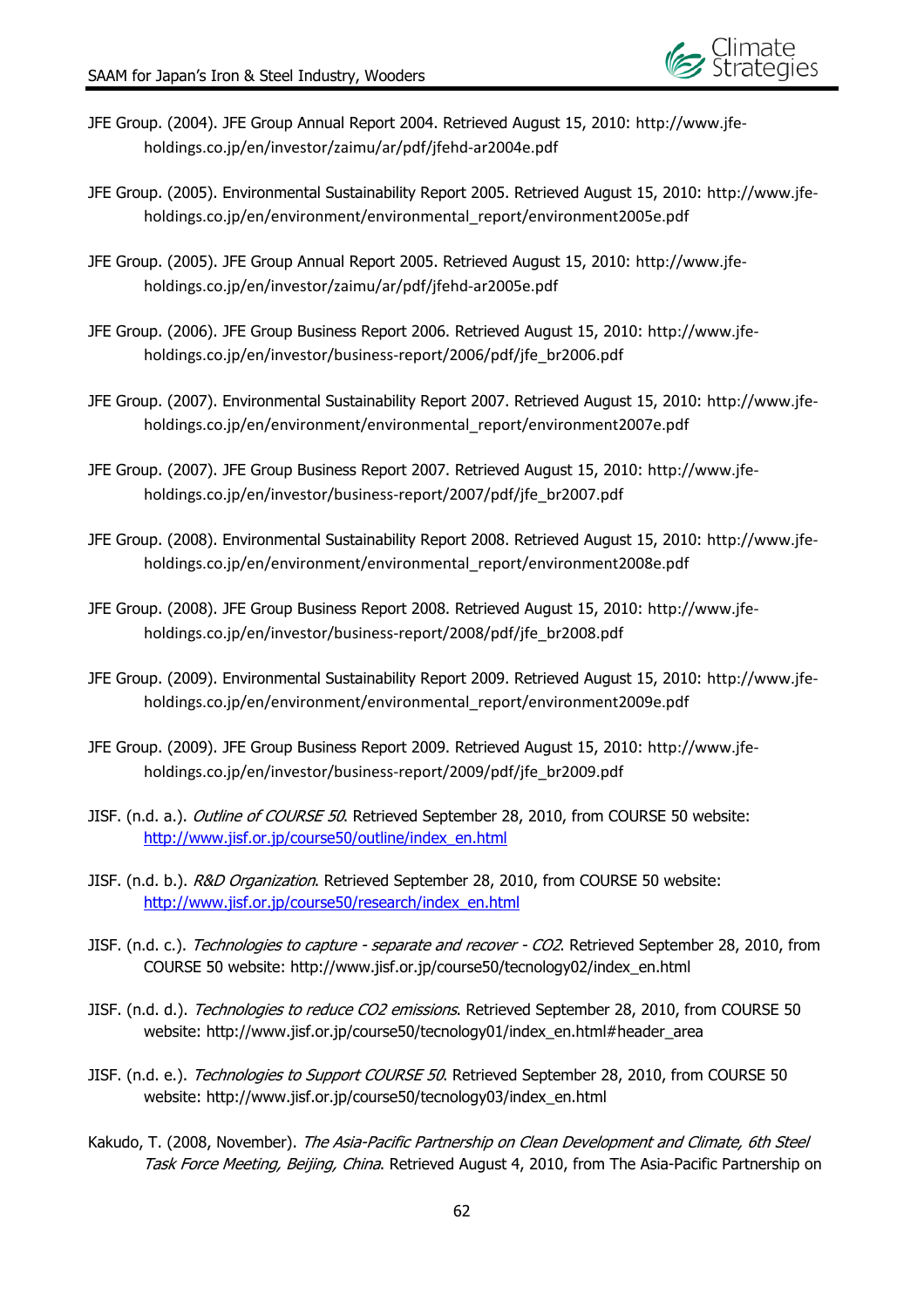

- JFE Group. (2004). JFE Group Annual Report 2004. Retrieved August 15, 2010: http://www.jfe‐ holdings.co.jp/en/investor/zaimu/ar/pdf/jfehd‐ar2004e.pdf
- JFE Group. (2005). Environmental Sustainability Report 2005. Retrieved August 15, 2010: http://www.jfe‐ holdings.co.jp/en/environment/environmental\_report/environment2005e.pdf
- JFE Group. (2005). JFE Group Annual Report 2005. Retrieved August 15, 2010: http://www.jfe‐ holdings.co.jp/en/investor/zaimu/ar/pdf/jfehd‐ar2005e.pdf
- JFE Group. (2006). JFE Group Business Report 2006. Retrieved August 15, 2010: http://www.jfe‐ holdings.co.jp/en/investor/business‐report/2006/pdf/jfe\_br2006.pdf
- JFE Group. (2007). Environmental Sustainability Report 2007. Retrieved August 15, 2010: http://www.jfe‐ holdings.co.jp/en/environment/environmental\_report/environment2007e.pdf
- JFE Group. (2007). JFE Group Business Report 2007. Retrieved August 15, 2010: http://www.jfe‐ holdings.co.jp/en/investor/business‐report/2007/pdf/jfe\_br2007.pdf
- JFE Group. (2008). Environmental Sustainability Report 2008. Retrieved August 15, 2010: http://www.jfe‐ holdings.co.jp/en/environment/environmental\_report/environment2008e.pdf
- JFE Group. (2008). JFE Group Business Report 2008. Retrieved August 15, 2010: http://www.jfe‐ holdings.co.jp/en/investor/business‐report/2008/pdf/jfe\_br2008.pdf
- JFE Group. (2009). Environmental Sustainability Report 2009. Retrieved August 15, 2010: http://www.jfe‐ holdings.co.jp/en/environment/environmental\_report/environment2009e.pdf
- JFE Group. (2009). JFE Group Business Report 2009. Retrieved August 15, 2010: http://www.jfe‐ holdings.co.jp/en/investor/business‐report/2009/pdf/jfe\_br2009.pdf
- JISF. (n.d. a.). Outline of COURSE 50. Retrieved September 28, 2010, from COURSE 50 website: http://www.jisf.or.jp/course50/outline/index\_en.html
- JISF. (n.d. b.). R&D Organization. Retrieved September 28, 2010, from COURSE 50 website: http://www.jisf.or.jp/course50/research/index\_en.html
- JISF. (n.d. c.). *Technologies to capture separate and recover CO2*. Retrieved September 28, 2010, from COURSE 50 website: http://www.jisf.or.jp/course50/tecnology02/index\_en.html
- JISF. (n.d. d.). Technologies to reduce CO2 emissions. Retrieved September 28, 2010, from COURSE 50 website: http://www.jisf.or.jp/course50/tecnology01/index\_en.html#header\_area
- JISF. (n.d. e.). Technologies to Support COURSE 50. Retrieved September 28, 2010, from COURSE 50 website: http://www.jisf.or.jp/course50/tecnology03/index\_en.html
- Kakudo, T. (2008, November). The Asia-Pacific Partnership on Clean Development and Climate, 6th Steel Task Force Meeting, Beijing, China. Retrieved August 4, 2010, from The Asia-Pacific Partnership on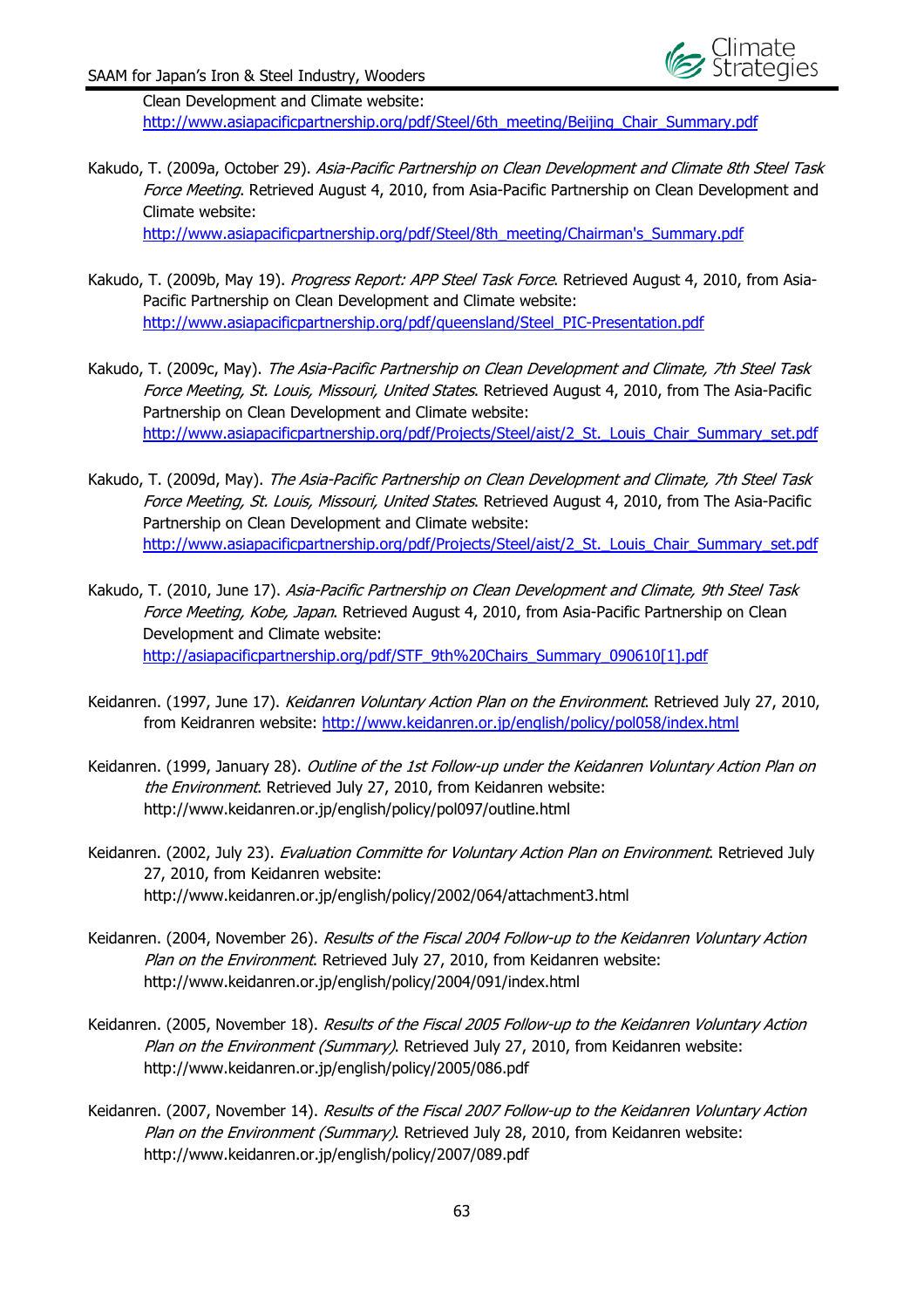

Clean Development and Climate website: http://www.asiapacificpartnership.org/pdf/Steel/6th\_meeting/Beijing\_Chair\_Summary.pdf

Kakudo, T. (2009a, October 29). Asia-Pacific Partnership on Clean Development and Climate 8th Steel Task Force Meeting. Retrieved August 4, 2010, from Asia-Pacific Partnership on Clean Development and Climate website:

http://www.asiapacificpartnership.org/pdf/Steel/8th\_meeting/Chairman's\_Summary.pdf

- Kakudo, T. (2009b, May 19). Progress Report: APP Steel Task Force. Retrieved August 4, 2010, from Asia-Pacific Partnership on Clean Development and Climate website: http://www.asiapacificpartnership.org/pdf/queensland/Steel\_PIC-Presentation.pdf
- Kakudo, T. (2009c, May). The Asia-Pacific Partnership on Clean Development and Climate, 7th Steel Task Force Meeting, St. Louis, Missouri, United States. Retrieved August 4, 2010, from The Asia-Pacific Partnership on Clean Development and Climate website: http://www.asiapacificpartnership.org/pdf/Projects/Steel/aist/2\_St.\_Louis\_Chair\_Summary\_set.pdf
- Kakudo, T. (2009d, May). The Asia-Pacific Partnership on Clean Development and Climate, 7th Steel Task Force Meeting, St. Louis, Missouri, United States. Retrieved August 4, 2010, from The Asia-Pacific Partnership on Clean Development and Climate website: http://www.asiapacificpartnership.org/pdf/Projects/Steel/aist/2\_St.\_Louis\_Chair\_Summary\_set.pdf
- Kakudo, T. (2010, June 17). Asia-Pacific Partnership on Clean Development and Climate, 9th Steel Task Force Meeting, Kobe, Japan. Retrieved August 4, 2010, from Asia-Pacific Partnership on Clean Development and Climate website: http://asiapacificpartnership.org/pdf/STF\_9th%20Chairs\_Summary\_090610[1].pdf
- Keidanren. (1997, June 17). Keidanren Voluntary Action Plan on the Environment. Retrieved July 27, 2010, from Keidranren website: http://www.keidanren.or.jp/english/policy/pol058/index.html
- Keidanren. (1999, January 28). Outline of the 1st Follow-up under the Keidanren Voluntary Action Plan on the Environment. Retrieved July 27, 2010, from Keidanren website: http://www.keidanren.or.jp/english/policy/pol097/outline.html
- Keidanren. (2002, July 23). *Evaluation Committe for Voluntary Action Plan on Environment*. Retrieved July 27, 2010, from Keidanren website: http://www.keidanren.or.jp/english/policy/2002/064/attachment3.html
- Keidanren. (2004, November 26). Results of the Fiscal 2004 Follow-up to the Keidanren Voluntary Action Plan on the Environment. Retrieved July 27, 2010, from Keidanren website: http://www.keidanren.or.jp/english/policy/2004/091/index.html
- Keidanren. (2005, November 18). Results of the Fiscal 2005 Follow-up to the Keidanren Voluntary Action Plan on the Environment (Summary). Retrieved July 27, 2010, from Keidanren website: http://www.keidanren.or.jp/english/policy/2005/086.pdf
- Keidanren. (2007, November 14). Results of the Fiscal 2007 Follow-up to the Keidanren Voluntary Action Plan on the Environment (Summary). Retrieved July 28, 2010, from Keidanren website: http://www.keidanren.or.jp/english/policy/2007/089.pdf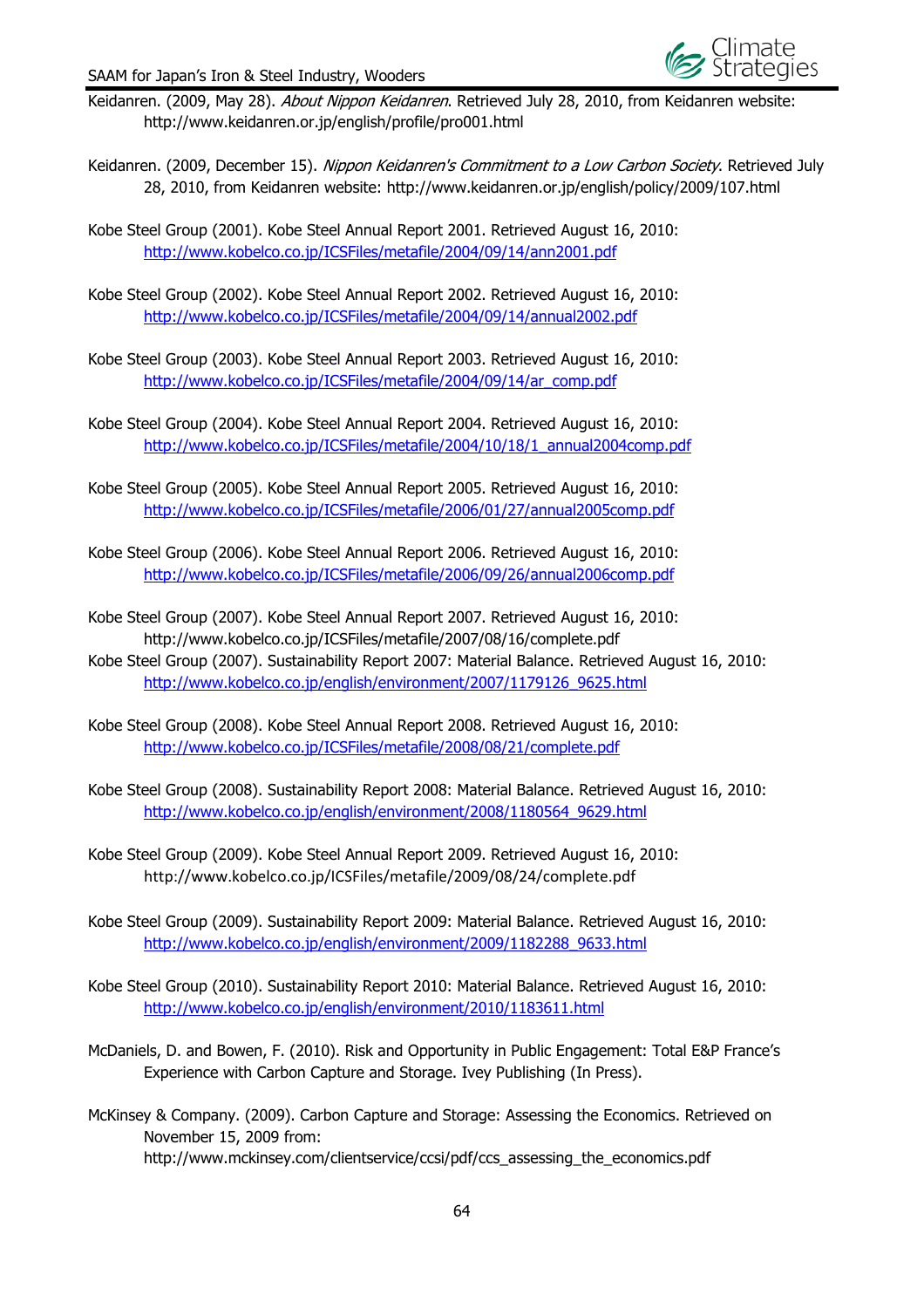

- Keidanren. (2009, May 28). About Nippon Keidanren. Retrieved July 28, 2010, from Keidanren website: http://www.keidanren.or.jp/english/profile/pro001.html
- Keidanren. (2009, December 15). Nippon Keidanren's Commitment to a Low Carbon Society. Retrieved July 28, 2010, from Keidanren website: http://www.keidanren.or.jp/english/policy/2009/107.html
- Kobe Steel Group (2001). Kobe Steel Annual Report 2001. Retrieved August 16, 2010: http://www.kobelco.co.jp/ICSFiles/metafile/2004/09/14/ann2001.pdf
- Kobe Steel Group (2002). Kobe Steel Annual Report 2002. Retrieved August 16, 2010: http://www.kobelco.co.jp/ICSFiles/metafile/2004/09/14/annual2002.pdf
- Kobe Steel Group (2003). Kobe Steel Annual Report 2003. Retrieved August 16, 2010: http://www.kobelco.co.jp/ICSFiles/metafile/2004/09/14/ar\_comp.pdf
- Kobe Steel Group (2004). Kobe Steel Annual Report 2004. Retrieved August 16, 2010: http://www.kobelco.co.jp/ICSFiles/metafile/2004/10/18/1\_annual2004comp.pdf
- Kobe Steel Group (2005). Kobe Steel Annual Report 2005. Retrieved August 16, 2010: http://www.kobelco.co.jp/ICSFiles/metafile/2006/01/27/annual2005comp.pdf
- Kobe Steel Group (2006). Kobe Steel Annual Report 2006. Retrieved August 16, 2010: http://www.kobelco.co.jp/ICSFiles/metafile/2006/09/26/annual2006comp.pdf
- Kobe Steel Group (2007). Kobe Steel Annual Report 2007. Retrieved August 16, 2010: http://www.kobelco.co.jp/ICSFiles/metafile/2007/08/16/complete.pdf
- Kobe Steel Group (2007). Sustainability Report 2007: Material Balance. Retrieved August 16, 2010: http://www.kobelco.co.jp/english/environment/2007/1179126\_9625.html
- Kobe Steel Group (2008). Kobe Steel Annual Report 2008. Retrieved August 16, 2010: http://www.kobelco.co.jp/ICSFiles/metafile/2008/08/21/complete.pdf
- Kobe Steel Group (2008). Sustainability Report 2008: Material Balance. Retrieved August 16, 2010: http://www.kobelco.co.jp/english/environment/2008/1180564\_9629.html
- Kobe Steel Group (2009). Kobe Steel Annual Report 2009. Retrieved August 16, 2010: http://www.kobelco.co.jp/ICSFiles/metafile/2009/08/24/complete.pdf
- Kobe Steel Group (2009). Sustainability Report 2009: Material Balance. Retrieved August 16, 2010: http://www.kobelco.co.jp/english/environment/2009/1182288\_9633.html
- Kobe Steel Group (2010). Sustainability Report 2010: Material Balance. Retrieved August 16, 2010: http://www.kobelco.co.jp/english/environment/2010/1183611.html
- McDaniels, D. and Bowen, F. (2010). Risk and Opportunity in Public Engagement: Total E&P France's Experience with Carbon Capture and Storage. Ivey Publishing (In Press).
- McKinsey & Company. (2009). Carbon Capture and Storage: Assessing the Economics. Retrieved on November 15, 2009 from: http://www.mckinsey.com/clientservice/ccsi/pdf/ccs\_assessing\_the\_economics.pdf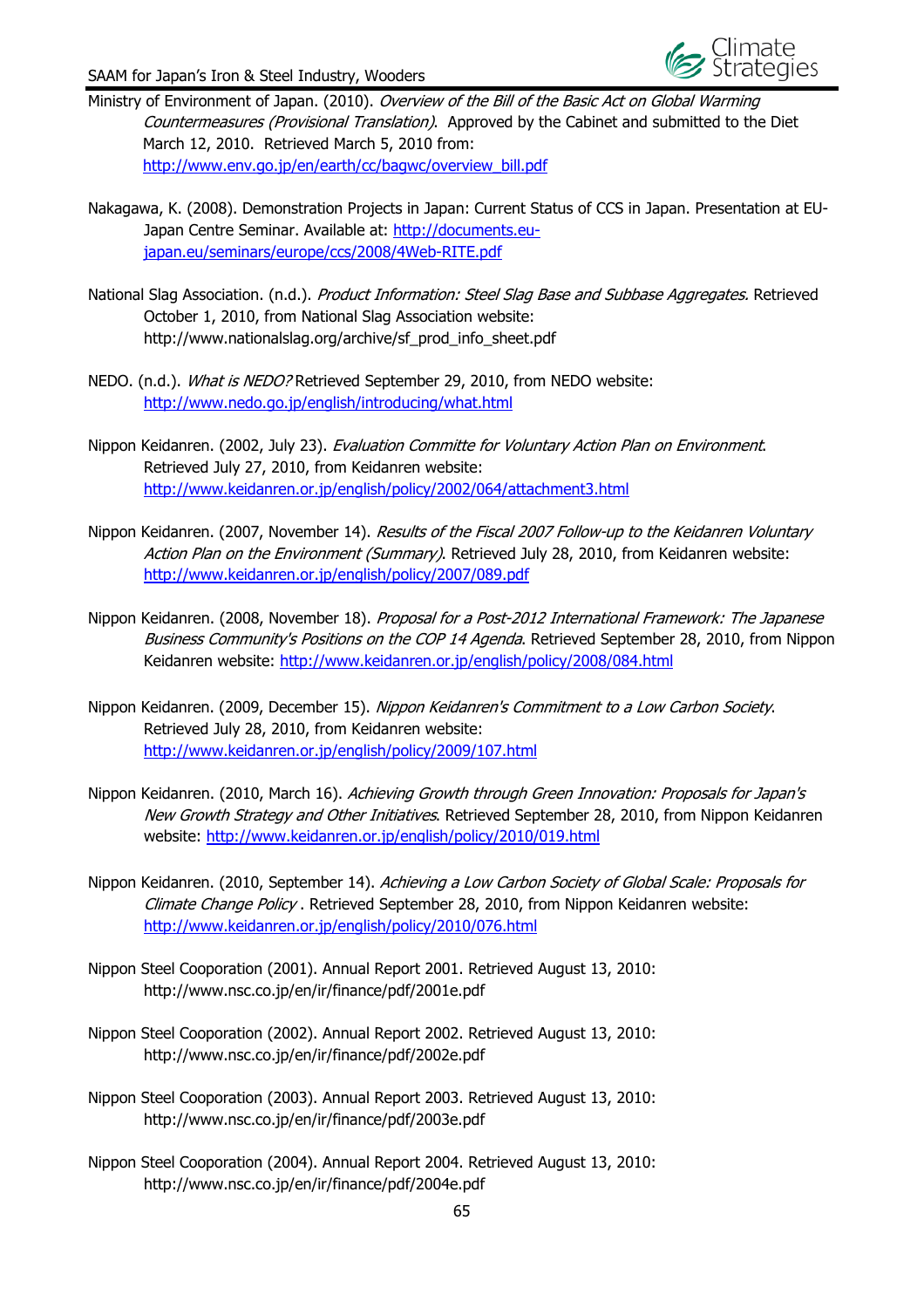- Ministry of Environment of Japan. (2010). Overview of the Bill of the Basic Act on Global Warming Countermeasures (Provisional Translation). Approved by the Cabinet and submitted to the Diet March 12, 2010. Retrieved March 5, 2010 from: http://www.env.go.jp/en/earth/cc/bagwc/overview\_bill.pdf
- Nakagawa, K. (2008). Demonstration Projects in Japan: Current Status of CCS in Japan. Presentation at EU-Japan Centre Seminar. Available at: http://documents.eujapan.eu/seminars/europe/ccs/2008/4Web-RITE.pdf
- National Slag Association. (n.d.). Product Information: Steel Slag Base and Subbase Aggregates. Retrieved October 1, 2010, from National Slag Association website: http://www.nationalslag.org/archive/sf\_prod\_info\_sheet.pdf
- NEDO. (n.d.). What is NEDO? Retrieved September 29, 2010, from NEDO website: http://www.nedo.go.jp/english/introducing/what.html
- Nippon Keidanren. (2002, July 23). Evaluation Committe for Voluntary Action Plan on Environment. Retrieved July 27, 2010, from Keidanren website: http://www.keidanren.or.jp/english/policy/2002/064/attachment3.html
- Nippon Keidanren. (2007, November 14). Results of the Fiscal 2007 Follow-up to the Keidanren Voluntary Action Plan on the Environment (Summary). Retrieved July 28, 2010, from Keidanren website: http://www.keidanren.or.jp/english/policy/2007/089.pdf
- Nippon Keidanren. (2008, November 18). Proposal for a Post-2012 International Framework: The Japanese Business Community's Positions on the COP 14 Agenda. Retrieved September 28, 2010, from Nippon Keidanren website: http://www.keidanren.or.jp/english/policy/2008/084.html
- Nippon Keidanren. (2009, December 15). Nippon Keidanren's Commitment to a Low Carbon Society. Retrieved July 28, 2010, from Keidanren website: http://www.keidanren.or.jp/english/policy/2009/107.html
- Nippon Keidanren. (2010, March 16). Achieving Growth through Green Innovation: Proposals for Japan's New Growth Strategy and Other Initiatives. Retrieved September 28, 2010, from Nippon Keidanren website: http://www.keidanren.or.jp/english/policy/2010/019.html
- Nippon Keidanren. (2010, September 14). Achieving a Low Carbon Society of Global Scale: Proposals for Climate Change Policy . Retrieved September 28, 2010, from Nippon Keidanren website: http://www.keidanren.or.jp/english/policy/2010/076.html
- Nippon Steel Cooporation (2001). Annual Report 2001. Retrieved August 13, 2010: http://www.nsc.co.jp/en/ir/finance/pdf/2001e.pdf
- Nippon Steel Cooporation (2002). Annual Report 2002. Retrieved August 13, 2010: http://www.nsc.co.jp/en/ir/finance/pdf/2002e.pdf
- Nippon Steel Cooporation (2003). Annual Report 2003. Retrieved August 13, 2010: http://www.nsc.co.jp/en/ir/finance/pdf/2003e.pdf
- Nippon Steel Cooporation (2004). Annual Report 2004. Retrieved August 13, 2010: http://www.nsc.co.jp/en/ir/finance/pdf/2004e.pdf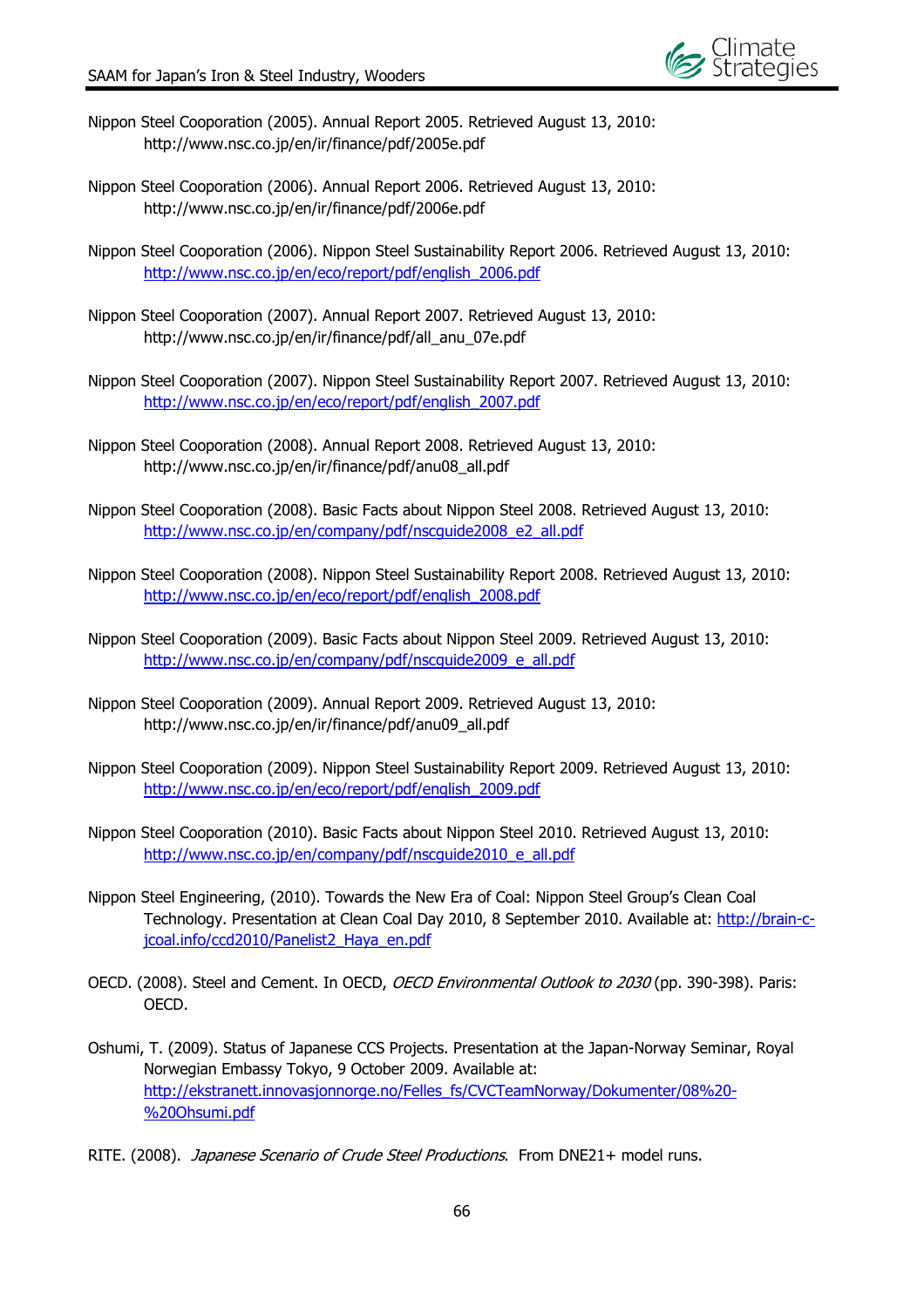

- Nippon Steel Cooporation (2005). Annual Report 2005. Retrieved August 13, 2010: http://www.nsc.co.jp/en/ir/finance/pdf/2005e.pdf
- Nippon Steel Cooporation (2006). Annual Report 2006. Retrieved August 13, 2010: http://www.nsc.co.jp/en/ir/finance/pdf/2006e.pdf
- Nippon Steel Cooporation (2006). Nippon Steel Sustainability Report 2006. Retrieved August 13, 2010: http://www.nsc.co.jp/en/eco/report/pdf/english\_2006.pdf
- Nippon Steel Cooporation (2007). Annual Report 2007. Retrieved August 13, 2010: http://www.nsc.co.jp/en/ir/finance/pdf/all\_anu\_07e.pdf
- Nippon Steel Cooporation (2007). Nippon Steel Sustainability Report 2007. Retrieved August 13, 2010: http://www.nsc.co.jp/en/eco/report/pdf/english\_2007.pdf
- Nippon Steel Cooporation (2008). Annual Report 2008. Retrieved August 13, 2010: http://www.nsc.co.jp/en/ir/finance/pdf/anu08\_all.pdf
- Nippon Steel Cooporation (2008). Basic Facts about Nippon Steel 2008. Retrieved August 13, 2010: http://www.nsc.co.jp/en/company/pdf/nscquide2008\_e2\_all.pdf
- Nippon Steel Cooporation (2008). Nippon Steel Sustainability Report 2008. Retrieved August 13, 2010: http://www.nsc.co.jp/en/eco/report/pdf/english\_2008.pdf
- Nippon Steel Cooporation (2009). Basic Facts about Nippon Steel 2009. Retrieved August 13, 2010: http://www.nsc.co.jp/en/company/pdf/nscguide2009\_e\_all.pdf
- Nippon Steel Cooporation (2009). Annual Report 2009. Retrieved August 13, 2010: http://www.nsc.co.jp/en/ir/finance/pdf/anu09\_all.pdf
- Nippon Steel Cooporation (2009). Nippon Steel Sustainability Report 2009. Retrieved August 13, 2010: http://www.nsc.co.jp/en/eco/report/pdf/english\_2009.pdf
- Nippon Steel Cooporation (2010). Basic Facts about Nippon Steel 2010. Retrieved August 13, 2010: http://www.nsc.co.jp/en/company/pdf/nscquide2010\_e\_all.pdf
- Nippon Steel Engineering, (2010). Towards the New Era of Coal: Nippon Steel Group's Clean Coal Technology. Presentation at Clean Coal Day 2010, 8 September 2010. Available at: http://brain-cjcoal.info/ccd2010/Panelist2\_Haya\_en.pdf
- OECD. (2008). Steel and Cement. In OECD, OECD Environmental Outlook to 2030 (pp. 390-398). Paris: OECD.
- Oshumi, T. (2009). Status of Japanese CCS Projects. Presentation at the Japan-Norway Seminar, Royal Norwegian Embassy Tokyo, 9 October 2009. Available at: http://ekstranett.innovasjonnorge.no/Felles\_fs/CVCTeamNorway/Dokumenter/08%20- %20Ohsumi.pdf
- RITE. (2008). Japanese Scenario of Crude Steel Productions. From DNE21+ model runs.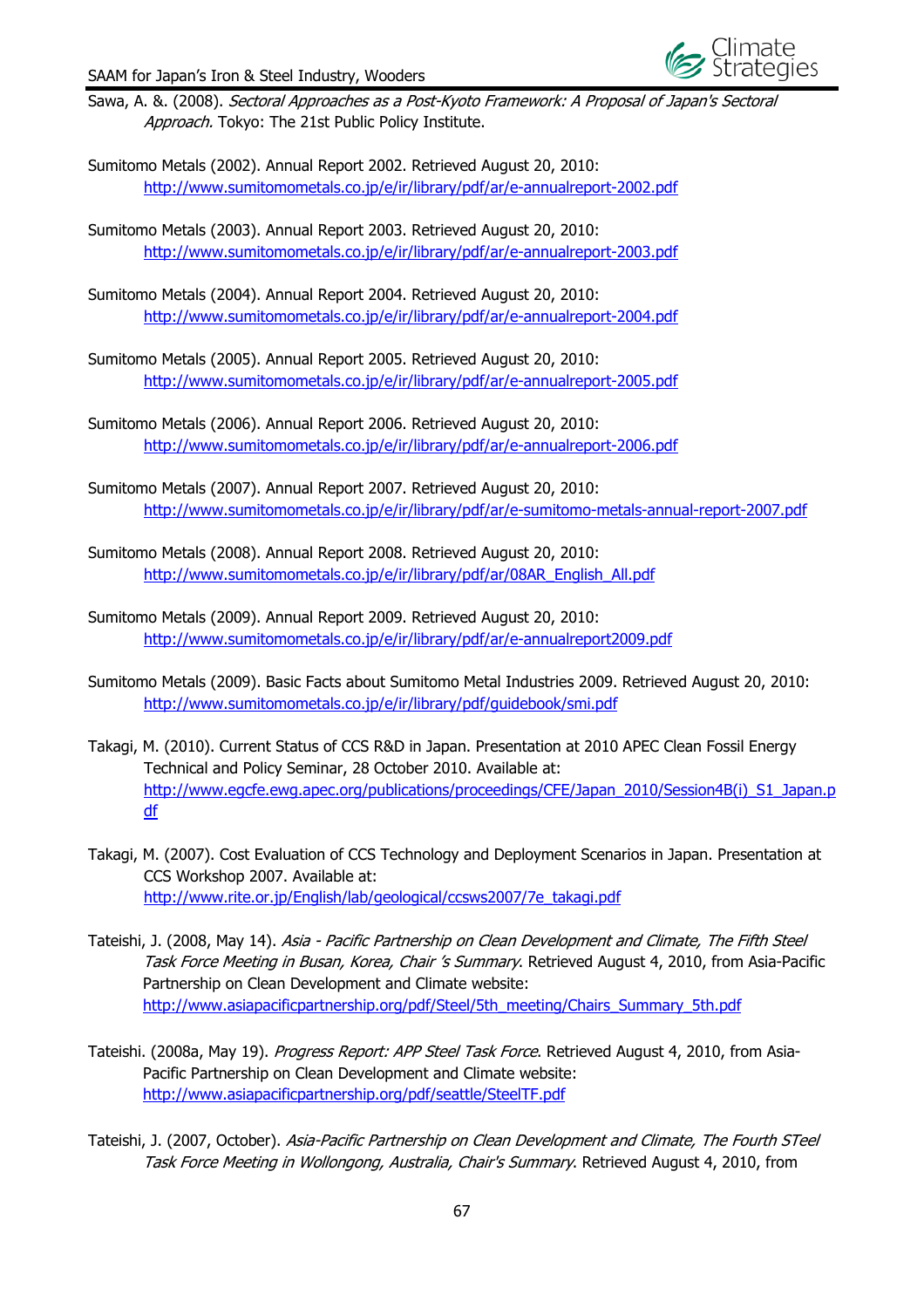

- Sawa, A. &. (2008). Sectoral Approaches as a Post-Kyoto Framework: A Proposal of Japan's Sectoral Approach. Tokyo: The 21st Public Policy Institute.
- Sumitomo Metals (2002). Annual Report 2002. Retrieved August 20, 2010: http://www.sumitomometals.co.jp/e/ir/library/pdf/ar/e-annualreport-2002.pdf
- Sumitomo Metals (2003). Annual Report 2003. Retrieved August 20, 2010: http://www.sumitomometals.co.jp/e/ir/library/pdf/ar/e-annualreport-2003.pdf
- Sumitomo Metals (2004). Annual Report 2004. Retrieved August 20, 2010: http://www.sumitomometals.co.jp/e/ir/library/pdf/ar/e-annualreport-2004.pdf
- Sumitomo Metals (2005). Annual Report 2005. Retrieved August 20, 2010: http://www.sumitomometals.co.jp/e/ir/library/pdf/ar/e-annualreport-2005.pdf
- Sumitomo Metals (2006). Annual Report 2006. Retrieved August 20, 2010: http://www.sumitomometals.co.jp/e/ir/library/pdf/ar/e-annualreport-2006.pdf
- Sumitomo Metals (2007). Annual Report 2007. Retrieved August 20, 2010: http://www.sumitomometals.co.jp/e/ir/library/pdf/ar/e-sumitomo-metals-annual-report-2007.pdf
- Sumitomo Metals (2008). Annual Report 2008. Retrieved August 20, 2010: http://www.sumitomometals.co.jp/e/ir/library/pdf/ar/08AR\_English\_All.pdf
- Sumitomo Metals (2009). Annual Report 2009. Retrieved August 20, 2010: http://www.sumitomometals.co.jp/e/ir/library/pdf/ar/e-annualreport2009.pdf
- Sumitomo Metals (2009). Basic Facts about Sumitomo Metal Industries 2009. Retrieved August 20, 2010: http://www.sumitomometals.co.jp/e/ir/library/pdf/guidebook/smi.pdf
- Takagi, M. (2010). Current Status of CCS R&D in Japan. Presentation at 2010 APEC Clean Fossil Energy Technical and Policy Seminar, 28 October 2010. Available at: http://www.egcfe.ewg.apec.org/publications/proceedings/CFE/Japan\_2010/Session4B(i)\_S1\_Japan.p df
- Takagi, M. (2007). Cost Evaluation of CCS Technology and Deployment Scenarios in Japan. Presentation at CCS Workshop 2007. Available at: http://www.rite.or.jp/English/lab/geological/ccsws2007/7e\_takagi.pdf
- Tateishi, J. (2008, May 14). Asia Pacific Partnership on Clean Development and Climate, The Fifth Steel Task Force Meeting in Busan, Korea, Chair 's Summary. Retrieved August 4, 2010, from Asia-Pacific Partnership on Clean Development and Climate website: http://www.asiapacificpartnership.org/pdf/Steel/5th\_meeting/Chairs\_Summary\_5th.pdf
- Tateishi. (2008a, May 19). Progress Report: APP Steel Task Force. Retrieved August 4, 2010, from Asia-Pacific Partnership on Clean Development and Climate website: http://www.asiapacificpartnership.org/pdf/seattle/SteelTF.pdf
- Tateishi, J. (2007, October). Asia-Pacific Partnership on Clean Development and Climate, The Fourth STeel Task Force Meeting in Wollongong, Australia, Chair's Summary. Retrieved August 4, 2010, from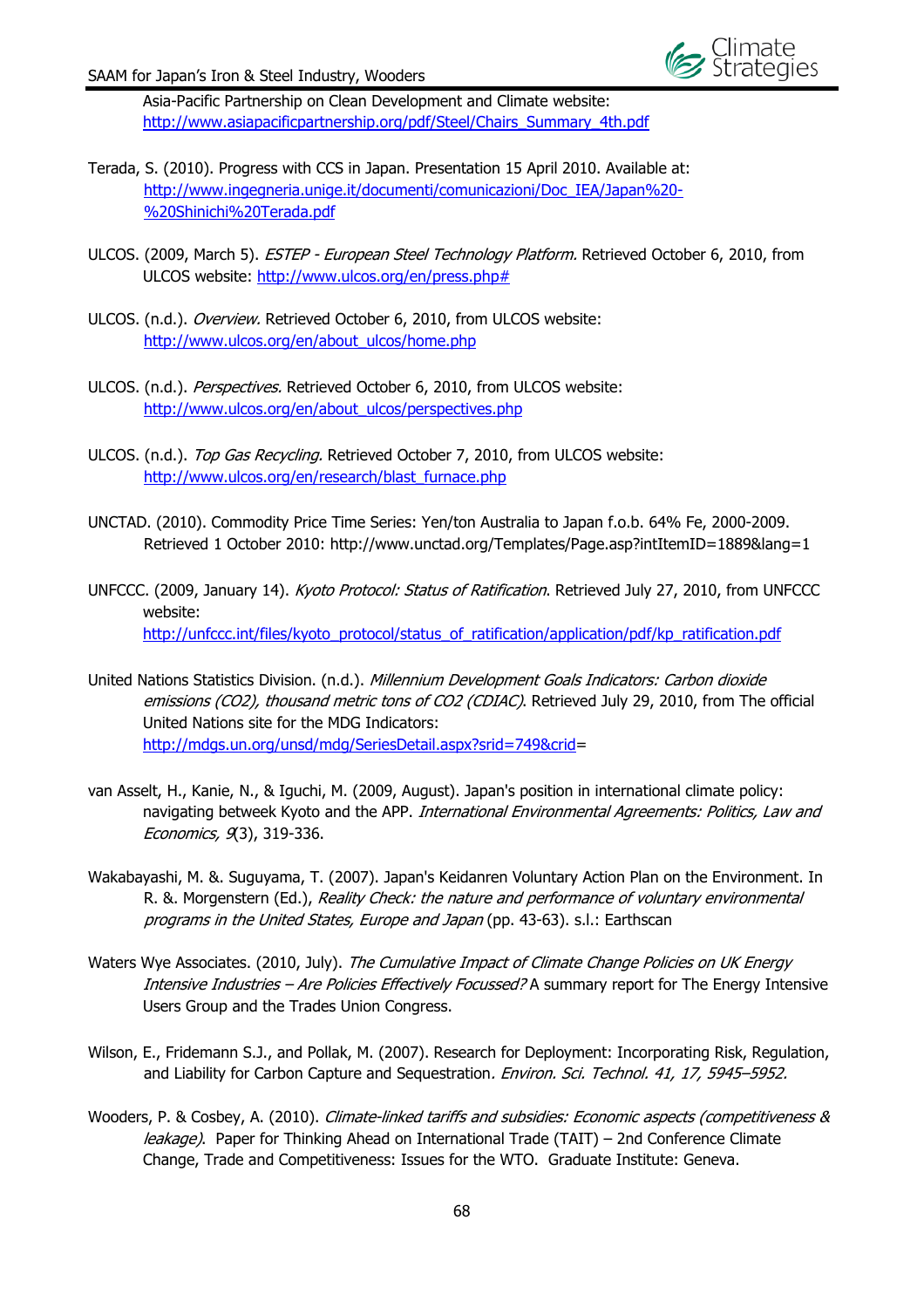

Asia-Pacific Partnership on Clean Development and Climate website: http://www.asiapacificpartnership.org/pdf/Steel/Chairs\_Summary\_4th.pdf

- Terada, S. (2010). Progress with CCS in Japan. Presentation 15 April 2010. Available at: http://www.ingegneria.unige.it/documenti/comunicazioni/Doc\_IEA/Japan%20- %20Shinichi%20Terada.pdf
- ULCOS. (2009, March 5). ESTEP European Steel Technology Platform. Retrieved October 6, 2010, from ULCOS website: http://www.ulcos.org/en/press.php#
- ULCOS. (n.d.). Overview. Retrieved October 6, 2010, from ULCOS website: http://www.ulcos.org/en/about\_ulcos/home.php
- ULCOS. (n.d.). Perspectives. Retrieved October 6, 2010, from ULCOS website: http://www.ulcos.org/en/about\_ulcos/perspectives.php
- ULCOS. (n.d.). *Top Gas Recycling.* Retrieved October 7, 2010, from ULCOS website: http://www.ulcos.org/en/research/blast\_furnace.php
- UNCTAD. (2010). Commodity Price Time Series: Yen/ton Australia to Japan f.o.b. 64% Fe, 2000-2009. Retrieved 1 October 2010: http://www.unctad.org/Templates/Page.asp?intItemID=1889&lang=1
- UNFCCC. (2009, January 14). Kyoto Protocol: Status of Ratification. Retrieved July 27, 2010, from UNFCCC website: http://unfccc.int/files/kyoto\_protocol/status\_of\_ratification/application/pdf/kp\_ratification.pdf
- United Nations Statistics Division. (n.d.). Millennium Development Goals Indicators: Carbon dioxide emissions (CO2), thousand metric tons of CO2 (CDIAC). Retrieved July 29, 2010, from The official United Nations site for the MDG Indicators: http://mdgs.un.org/unsd/mdg/SeriesDetail.aspx?srid=749&crid=
- van Asselt, H., Kanie, N., & Iguchi, M. (2009, August). Japan's position in international climate policy: navigating betweek Kyoto and the APP. International Environmental Agreements: Politics, Law and Economics, 9(3), 319-336.
- Wakabayashi, M. &. Suguyama, T. (2007). Japan's Keidanren Voluntary Action Plan on the Environment. In R. &. Morgenstern (Ed.), Reality Check: the nature and performance of voluntary environmental programs in the United States, Europe and Japan (pp. 43-63). s.l.: Earthscan
- Waters Wye Associates. (2010, July). The Cumulative Impact of Climate Change Policies on UK Energy Intensive Industries - Are Policies Effectively Focussed? A summary report for The Energy Intensive Users Group and the Trades Union Congress.
- Wilson, E., Fridemann S.J., and Pollak, M. (2007). Research for Deployment: Incorporating Risk, Regulation, and Liability for Carbon Capture and Sequestration. Environ. Sci. Technol. 41, 17, 5945-5952.
- Wooders, P. & Cosbey, A. (2010). Climate-linked tariffs and subsidies: Economic aspects (competitiveness & leakage). Paper for Thinking Ahead on International Trade (TAIT) – 2nd Conference Climate Change, Trade and Competitiveness: Issues for the WTO. Graduate Institute: Geneva.